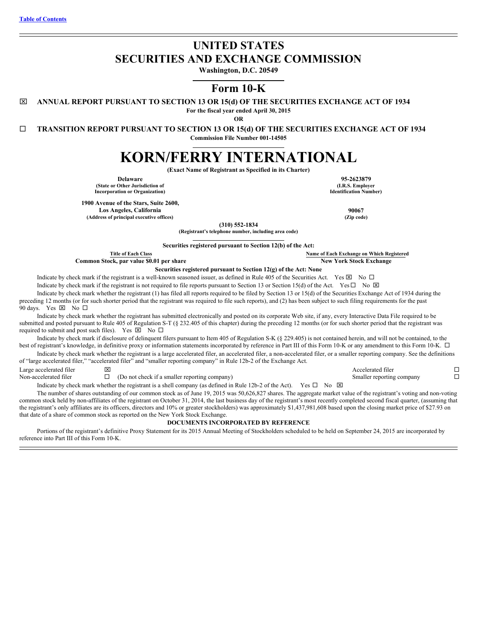# **UNITED STATES SECURITIES AND EXCHANGE COMMISSION**

**Washington, D.C. 20549**

## **Form 10-K**

x **ANNUAL REPORT PURSUANT TO SECTION 13 OR 15(d) OF THE SECURITIES EXCHANGE ACT OF 1934**

**For the fiscal year ended April 30, 2015**

**OR**

¨ **TRANSITION REPORT PURSUANT TO SECTION 13 OR 15(d) OF THE SECURITIES EXCHANGE ACT OF 1934**

**Commission File Number 001-14505**

# **KORN/FERRY INTERNATIONAL**

**(Exact Name of Registrant as Specified in its Charter)**

**Delaware 95-2623879**

**(State or Other Jurisdiction of Incorporation or Organization)**

**1900 Avenue of the Stars, Suite 2600, Los Angeles, California 90067 (Address of principal executive offices) (Zip code)**

**(310) 552-1834**

**(Registrant's telephone number, including area code)**

**Securities registered pursuant to Section 12(b) of the Act:**

**Title of Each Class Name of Each Exchange on Which Registered Common Stock, par value \$0.01 per share New York Stock Exchange** 

**Securities registered pursuant to Section 12(g) of the Act: None**

Indicate by check mark if the registrant is a well-known seasoned issuer, as defined in Rule 405 of the Securities Act. Yes  $\boxtimes$  No  $\Box$ 

Indicate by check mark if the registrant is not required to file reports pursuant to Section 13 or Section 15(d) of the Act. Yes  $\Box$  No  $\boxtimes$ 

Indicate by check mark whether the registrant (1) has filed all reports required to be filed by Section 13 or 15(d) of the Securities Exchange Act of 1934 during the preceding 12 months (or for such shorter period that the registrant was required to file such reports), and (2) has been subject to such filing requirements for the past 90 days. Yes  $\boxtimes$  No  $\square$ 

Indicate by check mark whether the registrant has submitted electronically and posted on its corporate Web site, if any, every Interactive Data File required to be submitted and posted pursuant to Rule 405 of Regulation S-T (§ 232.405 of this chapter) during the preceding 12 months (or for such shorter period that the registrant was required to submit and post such files). Yes  $\boxtimes$  No  $\square$ 

Indicate by check mark if disclosure of delinquent filers pursuant to Item 405 of Regulation S-K (§ 229.405) is not contained herein, and will not be contained, to the best of registrant's knowledge, in definitive proxy or information statements incorporated by reference in Part III of this Form 10-K or any amendment to this Form 10-K.  $\Box$ 

Indicate by check mark whether the registrant is a large accelerated filer, an accelerated filer, a non-accelerated filer, or a smaller reporting company. See the definitions of "large accelerated filer," "accelerated filer" and "smaller reporting company" in Rule 12b-2 of the Exchange Act.

Large accelerated filer x Accelerated filer ¨

Non-accelerated filer □ (Do not check if a smaller reporting company) Smaller reporting company □

Indicate by check mark whether the registrant is a shell company (as defined in Rule 12b-2 of the Act). Yes  $\Box$  No  $\boxtimes$ 

The number of shares outstanding of our common stock as of June 19, 2015 was 50,626,827 shares. The aggregate market value of the registrant's voting and non-voting common stock held by non-affiliates of the registrant on October 31, 2014, the last business day of the registrant's most recently completed second fiscal quarter, (assuming that the registrant's only affiliates are its officers, directors and 10% or greater stockholders) was approximately \$1,437,981,608 based upon the closing market price of \$27.93 on that date of a share of common stock as reported on the New York Stock Exchange.

#### **DOCUMENTS INCORPORATED BY REFERENCE**

Portions of the registrant's definitive Proxy Statement for its 2015 Annual Meeting of Stockholders scheduled to be held on September 24, 2015 are incorporated by reference into Part III of this Form 10-K.

**(I.R.S. Employer Identification Number)**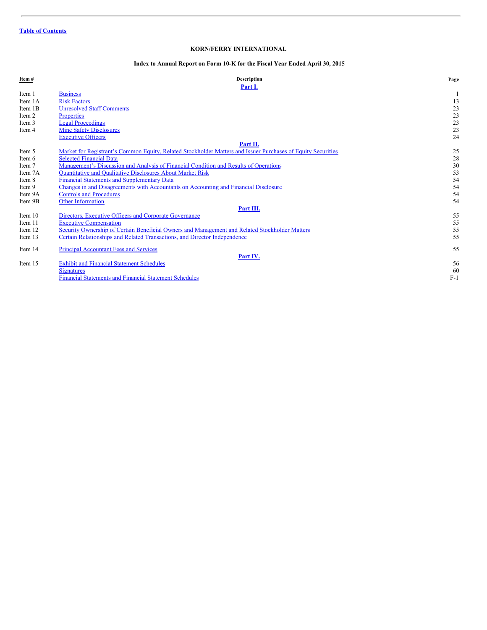### **KORN/FERRY INTERNATIONAL**

### <span id="page-1-0"></span>**Index to Annual Report on Form 10-K for the Fiscal Year Ended April 30, 2015**

| Item #  | <b>Description</b>                                                                                           | Page  |
|---------|--------------------------------------------------------------------------------------------------------------|-------|
|         | Part I.                                                                                                      |       |
| Item 1  | <b>Business</b>                                                                                              |       |
| Item 1A | <b>Risk Factors</b>                                                                                          | 13    |
| Item 1B | <b>Unresolved Staff Comments</b>                                                                             | 23    |
| Item 2  | <b>Properties</b>                                                                                            | 23    |
| Item 3  | <b>Legal Proceedings</b>                                                                                     | 23    |
| Item 4  | <b>Mine Safety Disclosures</b>                                                                               | 23    |
|         | <b>Executive Officers</b>                                                                                    | 24    |
|         | Part II.                                                                                                     |       |
| Item 5  | Market for Registrant's Common Equity, Related Stockholder Matters and Issuer Purchases of Equity Securities | 25    |
| Item 6  | <b>Selected Financial Data</b>                                                                               | 28    |
| Item 7  | Management's Discussion and Analysis of Financial Condition and Results of Operations                        | 30    |
| Item 7A | <b>Ouantitative and Oualitative Disclosures About Market Risk</b>                                            | 53    |
| Item 8  | <b>Financial Statements and Supplementary Data</b>                                                           | 54    |
| Item 9  | Changes in and Disagreements with Accountants on Accounting and Financial Disclosure                         | 54    |
| Item 9A | <b>Controls and Procedures</b>                                                                               | 54    |
| Item 9B | <b>Other Information</b>                                                                                     | 54    |
|         | Part III.                                                                                                    |       |
| Item 10 | Directors, Executive Officers and Corporate Governance                                                       | 55    |
| Item 11 | <b>Executive Compensation</b>                                                                                | 55    |
| Item 12 | Security Ownership of Certain Beneficial Owners and Management and Related Stockholder Matters               | 55    |
| Item 13 | Certain Relationships and Related Transactions, and Director Independence                                    | 55    |
| Item 14 | <b>Principal Accountant Fees and Services</b>                                                                | 55    |
|         | Part IV.                                                                                                     |       |
| Item 15 | <b>Exhibit and Financial Statement Schedules</b>                                                             | 56    |
|         | <b>Signatures</b>                                                                                            | 60    |
|         | <b>Financial Statements and Financial Statement Schedules</b>                                                | $F-1$ |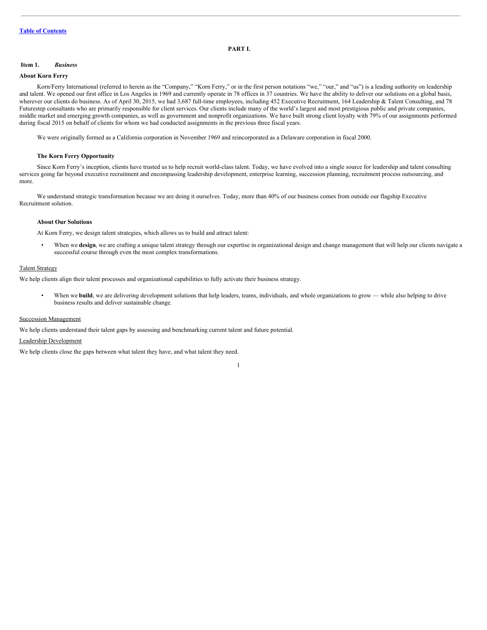#### <span id="page-2-0"></span>**PART I.**

#### <span id="page-2-1"></span>**Item 1.** *Business*

#### **About Korn Ferry**

Korn/Ferry International (referred to herein as the "Company," "Korn Ferry," or in the first person notations "we," "our," and "us") is a leading authority on leadership and talent. We opened our first office in Los Angeles in 1969 and currently operate in 78 offices in 37 countries. We have the ability to deliver our solutions on a global basis, wherever our clients do business. As of April 30, 2015, we had 3,687 full-time employees, including 452 Executive Recruitment, 164 Leadership & Talent Consulting, and 78 Futurestep consultants who are primarily responsible for client services. Our clients include many of the world's largest and most prestigious public and private companies, middle market and emerging growth companies, as well as government and nonprofit organizations. We have built strong client loyalty with 79% of our assignments performed during fiscal 2015 on behalf of clients for whom we had conducted assignments in the previous three fiscal years.

We were originally formed as a California corporation in November 1969 and reincorporated as a Delaware corporation in fiscal 2000.

#### **The Korn Ferry Opportunity**

Since Korn Ferry's inception, clients have trusted us to help recruit world-class talent. Today, we have evolved into a single source for leadership and talent consulting services going far beyond executive recruitment and encompassing leadership development, enterprise learning, succession planning, recruitment process outsourcing, and more.

We understand strategic transformation because we are doing it ourselves. Today, more than 40% of our business comes from outside our flagship Executive Recruitment solution.

#### **About Our Solutions**

At Korn Ferry, we design talent strategies, which allows us to build and attract talent:

• When we design, we are crafting a unique talent strategy through our expertise in organizational design and change management that will help our clients navigate a successful course through even the most complex transformations.

#### Talent Strategy

We help clients align their talent processes and organizational capabilities to fully activate their business strategy.

• When we **build**, we are delivering development solutions that help leaders, teams, individuals, and whole organizations to grow — while also helping to drive business results and deliver sustainable change.

1

#### Succession Management

We help clients understand their talent gaps by assessing and benchmarking current talent and future potential.

#### Leadership Development

We help clients close the gaps between what talent they have, and what talent they need.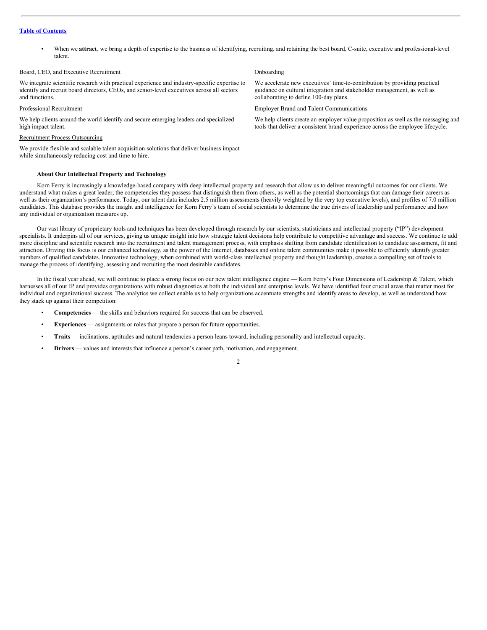When we **attract**, we bring a depth of expertise to the business of identifying, recruiting, and retaining the best board, C-suite, executive and professional-level talent.

#### Board, CEO, and Executive Recruitment Onboarding

We integrate scientific research with practical experience and industry-specific expertise to identify and recruit board directors, CEOs, and senior-level executives across all sectors and functions.

We help clients around the world identify and secure emerging leaders and specialized high impact talent.

#### Recruitment Process Outsourcing

We provide flexible and scalable talent acquisition solutions that deliver business impact while simultaneously reducing cost and time to hire.

#### **About Our Intellectual Property and Technology**

We accelerate new executives' time-to-contribution by providing practical guidance on cultural integration and stakeholder management, as well as collaborating to define 100-day plans.

#### Professional Recruitment **Employer Brand and Talent Communications**

We help clients create an employer value proposition as well as the messaging and tools that deliver a consistent brand experience across the employee lifecycle.

Korn Ferry is increasingly a knowledge-based company with deep intellectual property and research that allow us to deliver meaningful outcomes for our clients. We understand what makes a great leader, the competencies they possess that distinguish them from others, as well as the potential shortcomings that can damage their careers as well as their organization's performance. Today, our talent data includes 2.5 million assessments (heavily weighted by the very top executive levels), and profiles of 7.0 million candidates. This database provides the insight and intelligence for Korn Ferry's team of social scientists to determine the true drivers of leadership and performance and how any individual or organization measures up.

Our vast library of proprietary tools and techniques has been developed through research by our scientists, statisticians and intellectual property ("IP") development specialists. It underpins all of our services, giving us unique insight into how strategic talent decisions help contribute to competitive advantage and success. We continue to add more discipline and scientific research into the recruitment and talent management process, with emphasis shifting from candidate identification to candidate assessment, fit and attraction. Driving this focus is our enhanced technology, as the power of the Internet, databases and online talent communities make it possible to efficiently identify greater numbers of qualified candidates. Innovative technology, when combined with world-class intellectual property and thought leadership, creates a compelling set of tools to manage the process of identifying, assessing and recruiting the most desirable candidates.

In the fiscal year ahead, we will continue to place a strong focus on our new talent intelligence engine — Korn Ferry's Four Dimensions of Leadership & Talent, which harnesses all of our IP and provides organizations with robust diagnostics at both the individual and enterprise levels. We have identified four crucial areas that matter most for individual and organizational success. The analytics we collect enable us to help organizations accentuate strengths and identify areas to develop, as well as understand how they stack up against their competition:

- **Competencies** the skills and behaviors required for success that can be observed.
- **Experiences** assignments or roles that prepare a person for future opportunities.
- **Traits** inclinations, aptitudes and natural tendencies a person leans toward, including personality and intellectual capacity.
- **Drivers** values and interests that influence a person's career path, motivation, and engagement.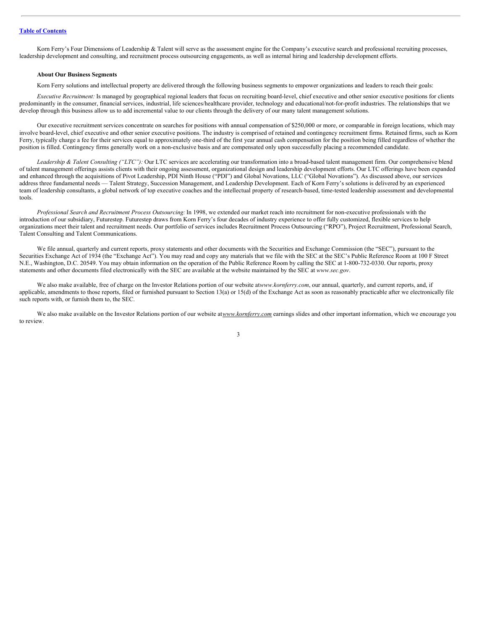Korn Ferry's Four Dimensions of Leadership & Talent will serve as the assessment engine for the Company's executive search and professional recruiting processes, leadership development and consulting, and recruitment process outsourcing engagements, as well as internal hiring and leadership development efforts.

#### **About Our Business Segments**

Korn Ferry solutions and intellectual property are delivered through the following business segments to empower organizations and leaders to reach their goals:

*Executive Recruitment:* Is managed by geographical regional leaders that focus on recruiting board-level, chief executive and other senior executive positions for clients predominantly in the consumer, financial services, industrial, life sciences/healthcare provider, technology and educational/not-for-profit industries. The relationships that we develop through this business allow us to add incremental value to our clients through the delivery of our many talent management solutions.

Our executive recruitment services concentrate on searches for positions with annual compensation of \$250,000 or more, or comparable in foreign locations, which may involve board-level, chief executive and other senior executive positions. The industry is comprised of retained and contingency recruitment firms. Retained firms, such as Korn Ferry, typically charge a fee for their services equal to approximately one-third of the first year annual cash compensation for the position being filled regardless of whether the position is filled. Contingency firms generally work on a non-exclusive basis and are compensated only upon successfully placing a recommended candidate.

*Leadership & Talent Consulting ("LTC"):* Our LTC services are accelerating our transformation into a broad-based talent management firm. Our comprehensive blend of talent management offerings assists clients with their ongoing assessment, organizational design and leadership development efforts. Our LTC offerings have been expanded and enhanced through the acquisitions of Pivot Leadership, PDI Ninth House ("PDI") and Global Novations, LLC ("Global Novations"). As discussed above, our services address three fundamental needs — Talent Strategy, Succession Management, and Leadership Development. Each of Korn Ferry's solutions is delivered by an experienced team of leadership consultants, a global network of top executive coaches and the intellectual property of research-based, time-tested leadership assessment and developmental tools.

*Professional Search and Recruitment Process Outsourcing:*In 1998, we extended our market reach into recruitment for non-executive professionals with the introduction of our subsidiary, Futurestep. Futurestep draws from Korn Ferry's four decades of industry experience to offer fully customized, flexible services to help organizations meet their talent and recruitment needs. Our portfolio of services includes Recruitment Process Outsourcing ("RPO"), Project Recruitment, Professional Search, Talent Consulting and Talent Communications.

We file annual, quarterly and current reports, proxy statements and other documents with the Securities and Exchange Commission (the "SEC"), pursuant to the Securities Exchange Act of 1934 (the "Exchange Act"). You may read and copy any materials that we file with the SEC at the SEC's Public Reference Room at 100 F Street N.E., Washington, D.C. 20549. You may obtain information on the operation of the Public Reference Room by calling the SEC at 1-800-732-0330. Our reports, proxy statements and other documents filed electronically with the SEC are available at the website maintained by the SEC at *www.sec.gov*.

We also make available, free of charge on the Investor Relations portion of our website at*www.kornferry.com*, our annual, quarterly, and current reports, and, if applicable, amendments to those reports, filed or furnished pursuant to Section  $13(a)$  or  $15(d)$  of the Exchange Act as soon as reasonably practicable after we electronically file such reports with, or furnish them to, the SEC.

We also make available on the Investor Relations portion of our website at*www.kornferry.com* earnings slides and other important information, which we encourage you to review.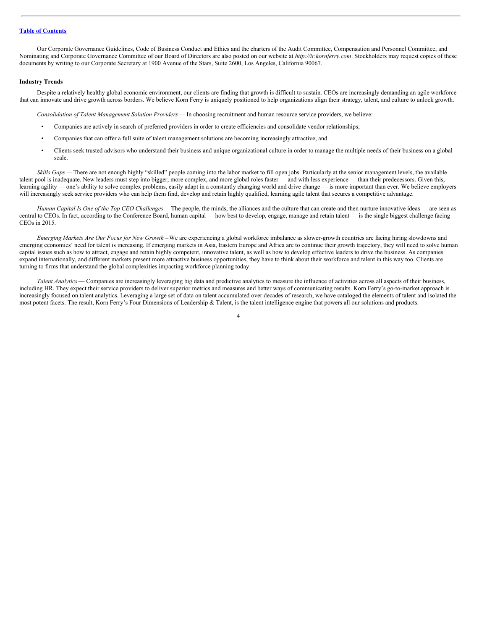Our Corporate Governance Guidelines, Code of Business Conduct and Ethics and the charters of the Audit Committee, Compensation and Personnel Committee, and Nominating and Corporate Governance Committee of our Board of Directors are also posted on our website at *http://ir.kornferry.com*. Stockholders may request copies of these documents by writing to our Corporate Secretary at 1900 Avenue of the Stars, Suite 2600, Los Angeles, California 90067.

#### **Industry Trends**

Despite a relatively healthy global economic environment, our clients are finding that growth is difficult to sustain. CEOs are increasingly demanding an agile workforce that can innovate and drive growth across borders. We believe Korn Ferry is uniquely positioned to help organizations align their strategy, talent, and culture to unlock growth.

*Consolidation of Talent Management Solution Providers*— In choosing recruitment and human resource service providers, we believe:

- Companies are actively in search of preferred providers in order to create efficiencies and consolidate vendor relationships;
- Companies that can offer a full suite of talent management solutions are becoming increasingly attractive; and
- Clients seek trusted advisors who understand their business and unique organizational culture in order to manage the multiple needs of their business on a global scale.

*Skills Gaps* — There are not enough highly "skilled" people coming into the labor market to fill open jobs. Particularly at the senior management levels, the available talent pool is inadequate. New leaders must step into bigger, more complex, and more global roles faster — and with less experience — than their predecessors. Given this, learning agility — one's ability to solve complex problems, easily adapt in a constantly changing world and drive change — is more important than ever. We believe employers will increasingly seek service providers who can help them find, develop and retain highly qualified, learning agile talent that secures a competitive advantage.

Human Capital Is One of the Top CEO Challenges— The people, the minds, the alliances and the culture that can create and then nurture innovative ideas — are seen as central to CEOs. In fact, according to the Conference Board, human capital — how best to develop, engage, manage and retain talent — is the single biggest challenge facing CEOs in 2015.

*Emerging Markets Are Our Focus for New Growth –*We are experiencing a global workforce imbalance as slower-growth countries are facing hiring slowdowns and emerging economies' need for talent is increasing. If emerging markets in Asia, Eastern Europe and Africa are to continue their growth trajectory, they will need to solve human capital issues such as how to attract, engage and retain highly competent, innovative talent, as well as how to develop effective leaders to drive the business. As companies expand internationally, and different markets present more attractive business opportunities, they have to think about their workforce and talent in this way too. Clients are turning to firms that understand the global complexities impacting workforce planning today.

*Talent Analytics* — Companies are increasingly leveraging big data and predictive analytics to measure the influence of activities across all aspects of their business, including HR. They expect their service providers to deliver superior metrics and measures and better ways of communicating results. Korn Ferry's go-to-market approach is increasingly focused on talent analytics. Leveraging a large set of data on talent accumulated over decades of research, we have cataloged the elements of talent and isolated the most potent facets. The result, Korn Ferry's Four Dimensions of Leadership & Talent, is the talent intelligence engine that powers all our solutions and products.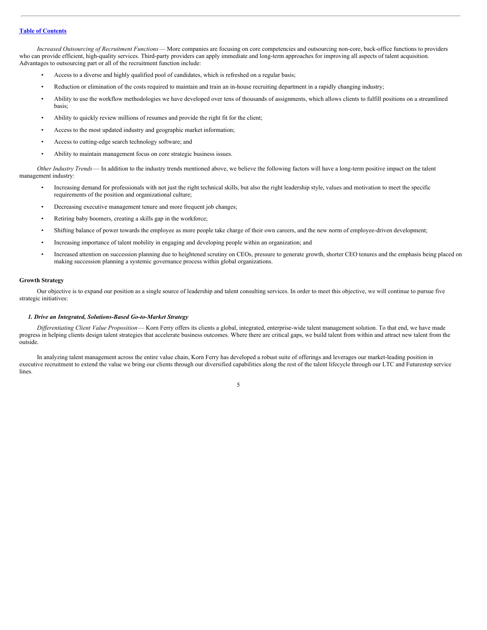*Increased Outsourcing of Recruitment Functions*— More companies are focusing on core competencies and outsourcing non-core, back-office functions to providers who can provide efficient, high-quality services. Third-party providers can apply immediate and long-term approaches for improving all aspects of talent acquisition. Advantages to outsourcing part or all of the recruitment function include:

- Access to a diverse and highly qualified pool of candidates, which is refreshed on a regular basis;
- Reduction or elimination of the costs required to maintain and train an in-house recruiting department in a rapidly changing industry;
- Ability to use the workflow methodologies we have developed over tens of thousands of assignments, which allows clients to fulfill positions on a streamlined basis;
- Ability to quickly review millions of resumes and provide the right fit for the client;
- Access to the most updated industry and geographic market information;
- Access to cutting-edge search technology software; and
- Ability to maintain management focus on core strategic business issues.

*Other Industry Trends*— In addition to the industry trends mentioned above, we believe the following factors will have a long-term positive impact on the talent management industry:

- Increasing demand for professionals with not just the right technical skills, but also the right leadership style, values and motivation to meet the specific requirements of the position and organizational culture;
- Decreasing executive management tenure and more frequent job changes;
- Retiring baby boomers, creating a skills gap in the workforce;
- Shifting balance of power towards the employee as more people take charge of their own careers, and the new norm of employee-driven development;
- Increasing importance of talent mobility in engaging and developing people within an organization; and
- Increased attention on succession planning due to heightened scrutiny on CEOs, pressure to generate growth, shorter CEO tenures and the emphasis being placed on making succession planning a systemic governance process within global organizations.

#### **Growth Strategy**

Our objective is to expand our position as a single source of leadership and talent consulting services. In order to meet this objective, we will continue to pursue five strategic initiatives:

#### *1. Drive an Integrated, Solutions-Based Go-to-Market Strategy*

*Dif erentiating Client Value Proposition*— Korn Ferry offers its clients a global, integrated, enterprise-wide talent management solution. To that end, we have made progress in helping clients design talent strategies that accelerate business outcomes. Where there are critical gaps, we build talent from within and attract new talent from the outside.

In analyzing talent management across the entire value chain, Korn Ferry has developed a robust suite of offerings and leverages our market-leading position in executive recruitment to extend the value we bring our clients through our diversified capabilities along the rest of the talent lifecycle through our LTC and Futurestep service lines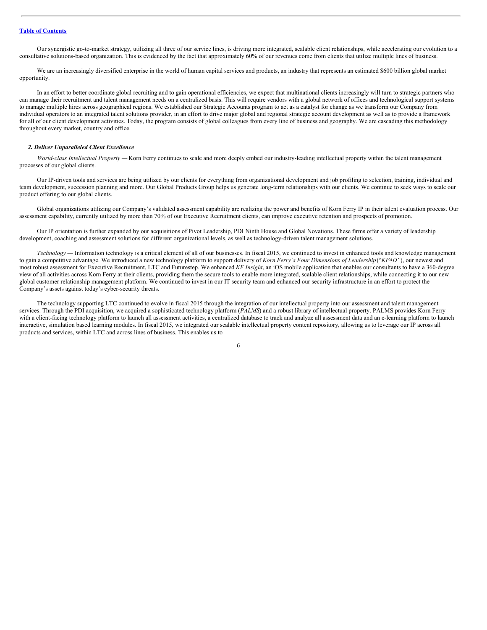Our synergistic go-to-market strategy, utilizing all three of our service lines, is driving more integrated, scalable client relationships, while accelerating our evolution to a consultative solutions-based organization. This is evidenced by the fact that approximately 60% of our revenues come from clients that utilize multiple lines of business.

We are an increasingly diversified enterprise in the world of human capital services and products, an industry that represents an estimated \$600 billion global market opportunity.

In an effort to better coordinate global recruiting and to gain operational efficiencies, we expect that multinational clients increasingly will turn to strategic partners who can manage their recruitment and talent management needs on a centralized basis. This will require vendors with a global network of offices and technological support systems to manage multiple hires across geographical regions. We established our Strategic Accounts program to act as a catalyst for change as we transform our Company from individual operators to an integrated talent solutions provider, in an effort to drive major global and regional strategic account development as well as to provide a framework for all of our client development activities. Today, the program consists of global colleagues from every line of business and geography. We are cascading this methodology throughout every market, country and office.

#### *2. Deliver Unparalleled Client Excellence*

*World-class Intellectual Property —* Korn Ferry continues to scale and more deeply embed our industry-leading intellectual property within the talent management processes of our global clients.

Our IP-driven tools and services are being utilized by our clients for everything from organizational development and job profiling to selection, training, individual and team development, succession planning and more. Our Global Products Group helps us generate long-term relationships with our clients. We continue to seek ways to scale our product offering to our global clients.

Global organizations utilizing our Company's validated assessment capability are realizing the power and benefits of Korn Ferry IP in their talent evaluation process. Our assessment capability, currently utilized by more than 70% of our Executive Recruitment clients, can improve executive retention and prospects of promotion.

Our IP orientation is further expanded by our acquisitions of Pivot Leadership, PDI Ninth House and Global Novations. These firms offer a variety of leadership development, coaching and assessment solutions for different organizational levels, as well as technology-driven talent management solutions.

*Technology —* Information technology is a critical element of all of our businesses. In fiscal 2015, we continued to invest in enhanced tools and knowledge management to gain a competitive advantage. We introduced a new technology platform to support delivery of *Korn Ferry's Four Dimensions of Leadership*("*KF4D"*), our newest and most robust assessment for Executive Recruitment, LTC and Futurestep. We enhanced *KF Insight*, an iOS mobile application that enables our consultants to have a 360-degree view of all activities across Korn Ferry at their clients, providing them the secure tools to enable more integrated, scalable client relationships, while connecting it to our new global customer relationship management platform. We continued to invest in our IT security team and enhanced our security infrastructure in an effort to protect the Company's assets against today's cyber-security threats.

The technology supporting LTC continued to evolve in fiscal 2015 through the integration of our intellectual property into our assessment and talent management services. Through the PDI acquisition, we acquired a sophisticated technology platform (*PALMS*) and a robust library of intellectual property. PALMS provides Korn Ferry with a client-facing technology platform to launch all assessment activities, a centralized database to track and analyze all assessment data and an e-learning platform to launch interactive, simulation based learning modules. In fiscal 2015, we integrated our scalable intellectual property content repository, allowing us to leverage our IP across all products and services, within LTC and across lines of business. This enables us to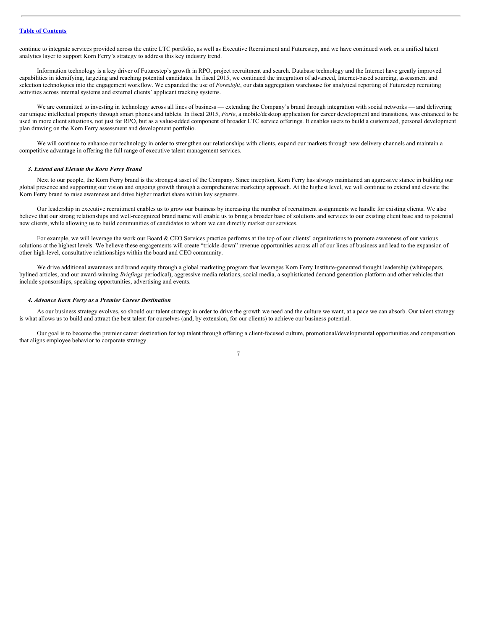continue to integrate services provided across the entire LTC portfolio, as well as Executive Recruitment and Futurestep, and we have continued work on a unified talent analytics layer to support Korn Ferry's strategy to address this key industry trend.

Information technology is a key driver of Futurestep's growth in RPO, project recruitment and search. Database technology and the Internet have greatly improved capabilities in identifying, targeting and reaching potential candidates. In fiscal 2015, we continued the integration of advanced, Internet-based sourcing, assessment and selection technologies into the engagement workflow. We expanded the use of *Foresight*, our data aggregation warehouse for analytical reporting of Futurestep recruiting activities across internal systems and external clients' applicant tracking systems.

We are committed to investing in technology across all lines of business — extending the Company's brand through integration with social networks — and delivering our unique intellectual property through smart phones and tablets. In fiscal 2015, *Forte*, a mobile/desktop application for career development and transitions, was enhanced to be used in more client situations, not just for RPO, but as a value-added component of broader LTC service offerings. It enables users to build a customized, personal development plan drawing on the Korn Ferry assessment and development portfolio.

We will continue to enhance our technology in order to strengthen our relationships with clients, expand our markets through new delivery channels and maintain a competitive advantage in offering the full range of executive talent management services.

#### *3. Extend and Elevate the Korn Ferry Brand*

Next to our people, the Korn Ferry brand is the strongest asset of the Company. Since inception, Korn Ferry has always maintained an aggressive stance in building our global presence and supporting our vision and ongoing growth through a comprehensive marketing approach. At the highest level, we will continue to extend and elevate the Korn Ferry brand to raise awareness and drive higher market share within key segments.

Our leadership in executive recruitment enables us to grow our business by increasing the number of recruitment assignments we handle for existing clients. We also believe that our strong relationships and well-recognized brand name will enable us to bring a broader base of solutions and services to our existing client base and to potential new clients, while allowing us to build communities of candidates to whom we can directly market our services.

For example, we will leverage the work our Board & CEO Services practice performs at the top of our clients' organizations to promote awareness of our various solutions at the highest levels. We believe these engagements will create "trickle-down" revenue opportunities across all of our lines of business and lead to the expansion of other high-level, consultative relationships within the board and CEO community.

We drive additional awareness and brand equity through a global marketing program that leverages Korn Ferry Institute-generated thought leadership (whitepapers, bylined articles, and our award-winning *Briefings* periodical), aggressive media relations, social media, a sophisticated demand generation platform and other vehicles that include sponsorships, speaking opportunities, advertising and events.

#### *4. Advance Korn Ferry as a Premier Career Destination*

As our business strategy evolves, so should our talent strategy in order to drive the growth we need and the culture we want, at a pace we can absorb. Our talent strategy is what allows us to build and attract the best talent for ourselves (and, by extension, for our clients) to achieve our business potential.

Our goal is to become the premier career destination for top talent through offering a client-focused culture, promotional/developmental opportunities and compensation that aligns employee behavior to corporate strategy.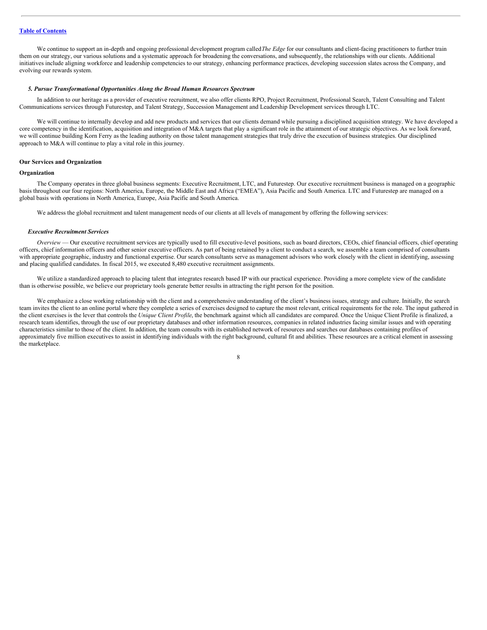We continue to support an in-depth and ongoing professional development program called The Edge for our consultants and client-facing practitioners to further train them on our strategy, our various solutions and a systematic approach for broadening the conversations, and subsequently, the relationships with our clients. Additional initiatives include aligning workforce and leadership competencies to our strategy, enhancing performance practices, developing succession slates across the Company, and evolving our rewards system.

#### *5. Pursue Transformational Opportunities Along the Broad Human Resources Spectrum*

In addition to our heritage as a provider of executive recruitment, we also offer clients RPO, Project Recruitment, Professional Search, Talent Consulting and Talent Communications services through Futurestep, and Talent Strategy, Succession Management and Leadership Development services through LTC.

We will continue to internally develop and add new products and services that our clients demand while pursuing a disciplined acquisition strategy. We have developed a core competency in the identification, acquisition and integration of M&A targets that play a significant role in the attainment of our strategic objectives. As we look forward, we will continue building Korn Ferry as the leading authority on those talent management strategies that truly drive the execution of business strategies. Our disciplined approach to M&A will continue to play a vital role in this journey.

#### **Our Services and Organization**

#### **Organization**

The Company operates in three global business segments: Executive Recruitment, LTC, and Futurestep. Our executive recruitment business is managed on a geographic basis throughout our four regions: North America, Europe, the Middle East and Africa ("EMEA"), Asia Pacific and South America. LTC and Futurestep are managed on a global basis with operations in North America, Europe, Asia Pacific and South America.

We address the global recruitment and talent management needs of our clients at all levels of management by offering the following services:

#### *Executive Recruitment Services*

*Overview* — Our executive recruitment services are typically used to fill executive-level positions, such as board directors, CEOs, chief financial officers, chief operating officers, chief information officers and other senior executive officers. As part of being retained by a client to conduct a search, we assemble a team comprised of consultants with appropriate geographic, industry and functional expertise. Our search consultants serve as management advisors who work closely with the client in identifying, assessing and placing qualified candidates. In fiscal 2015, we executed 8,480 executive recruitment assignments.

We utilize a standardized approach to placing talent that integrates research based IP with our practical experience. Providing a more complete view of the candidate than is otherwise possible, we believe our proprietary tools generate better results in attracting the right person for the position.

We emphasize a close working relationship with the client and a comprehensive understanding of the client's business issues, strategy and culture. Initially, the search team invites the client to an online portal where they complete a series of exercises designed to capture the most relevant, critical requirements for the role. The input gathered in the client exercises is the lever that controls the *Unique Client Profile*, the benchmark against which all candidates are compared. Once the Unique Client Profile is finalized, a research team identifies, through the use of our proprietary databases and other information resources, companies in related industries facing similar issues and with operating characteristics similar to those of the client. In addition, the team consults with its established network of resources and searches our databases containing profiles of approximately five million executives to assist in identifying individuals with the right background, cultural fit and abilities. These resources are a critical element in assessing the marketplace.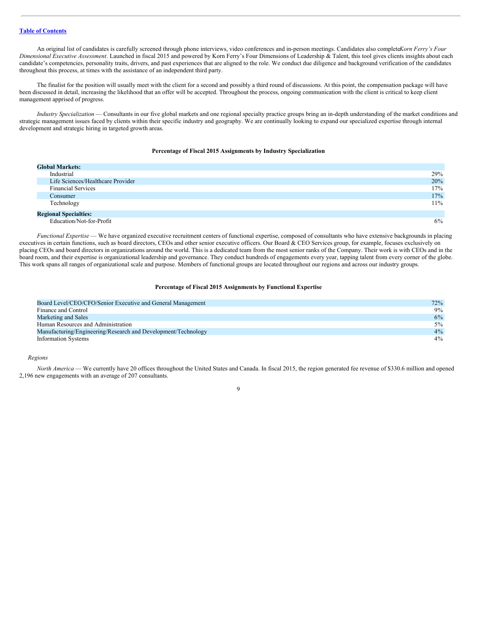An original list of candidates is carefully screened through phone interviews, video conferences and in-person meetings. Candidates also complete*Korn Ferry's Four Dimensional Executive Assessment*. Launched in fiscal 2015 and powered by Korn Ferry's Four Dimensions of Leadership & Talent, this tool gives clients insights about each candidate's competencies, personality traits, drivers, and past experiences that are aligned to the role. We conduct due diligence and background verification of the candidates throughout this process, at times with the assistance of an independent third party.

The finalist for the position will usually meet with the client for a second and possibly a third round of discussions. At this point, the compensation package will have been discussed in detail, increasing the likelihood that an offer will be accepted. Throughout the process, ongoing communication with the client is critical to keep client management apprised of progress.

*Industry Specialization* — Consultants in our five global markets and one regional specialty practice groups bring an in-depth understanding of the market conditions and strategic management issues faced by clients within their specific industry and geography. We are continually looking to expand our specialized expertise through internal development and strategic hiring in targeted growth areas.

#### **Percentage of Fiscal 2015 Assignments by Industry Specialization**

| <b>Global Markets:</b>            |       |
|-----------------------------------|-------|
| Industrial                        | 29%   |
| Life Sciences/Healthcare Provider | 20%   |
| <b>Financial Services</b>         | 17%   |
| Consumer                          | 17%   |
| Technology                        | 11%   |
| <b>Regional Specialties:</b>      |       |
| Education/Not-for-Profit          | $6\%$ |

*Functional Expertise* — We have organized executive recruitment centers of functional expertise, composed of consultants who have extensive backgrounds in placing executives in certain functions, such as board directors, CEOs and other senior executive officers. Our Board & CEO Services group, for example, focuses exclusively on placing CEOs and board directors in organizations around the world. This is a dedicated team from the most senior ranks of the Company. Their work is with CEOs and in the board room, and their expertise is organizational leadership and governance. They conduct hundreds of engagements every year, tapping talent from every corner of the globe. This work spans all ranges of organizational scale and purpose. Members of functional groups are located throughout our regions and across our industry groups.

#### **Percentage of Fiscal 2015 Assignments by Functional Expertise**

| Board Level/CEO/CFO/Senior Executive and General Management   | 72%   |
|---------------------------------------------------------------|-------|
| Finance and Control                                           | $9\%$ |
| Marketing and Sales                                           | $6\%$ |
| Human Resources and Administration                            | $5\%$ |
| Manufacturing/Engineering/Research and Development/Technology | $4\%$ |
| <b>Information Systems</b>                                    | $4\%$ |

#### *Regions*

*North America* — We currently have 20 offices throughout the United States and Canada. In fiscal 2015, the region generated fee revenue of \$330.6 million and opened 2,196 new engagements with an average of 207 consultants.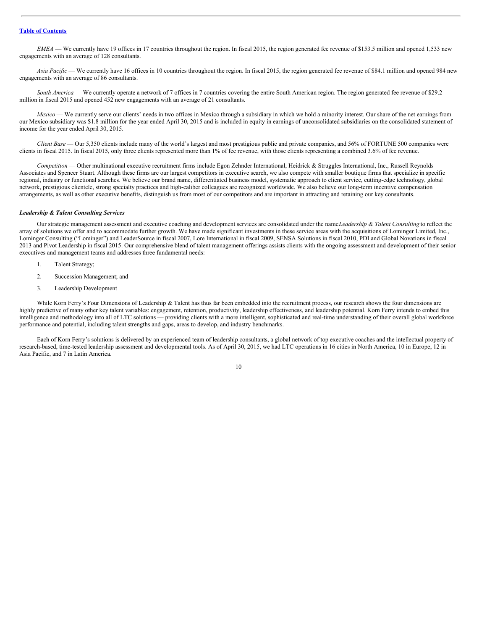*EMEA* — We currently have 19 offices in 17 countries throughout the region. In fiscal 2015, the region generated fee revenue of \$153.5 million and opened 1,533 new engagements with an average of 128 consultants.

*Asia Pacific* — We currently have 16 offices in 10 countries throughout the region. In fiscal 2015, the region generated fee revenue of \$84.1 million and opened 984 new engagements with an average of 86 consultants.

*South America* — We currently operate a network of 7 offices in 7 countries covering the entire South American region. The region generated fee revenue of \$29.2 million in fiscal 2015 and opened 452 new engagements with an average of 21 consultants.

*Mexico* — We currently serve our clients' needs in two offices in Mexico through a subsidiary in which we hold a minority interest. Our share of the net earnings from our Mexico subsidiary was \$1.8 million for the year ended April 30, 2015 and is included in equity in earnings of unconsolidated subsidiaries on the consolidated statement of income for the year ended April 30, 2015.

*Client Base* — Our 5,350 clients include many of the world's largest and most prestigious public and private companies, and 56% of FORTUNE 500 companies were clients in fiscal 2015. In fiscal 2015, only three clients represented more than 1% of fee revenue, with those clients representing a combined 3.6% of fee revenue.

*Competition* — Other multinational executive recruitment firms include Egon Zehnder International, Heidrick & Struggles International, Inc., Russell Reynolds Associates and Spencer Stuart. Although these firms are our largest competitors in executive search, we also compete with smaller boutique firms that specialize in specific regional, industry or functional searches. We believe our brand name, differentiated business model, systematic approach to client service, cutting-edge technology, global network, prestigious clientele, strong specialty practices and high-caliber colleagues are recognized worldwide. We also believe our long-term incentive compensation arrangements, as well as other executive benefits, distinguish us from most of our competitors and are important in attracting and retaining our key consultants.

#### *Leadership & Talent Consulting Services*

Our strategic management assessment and executive coaching and development services are consolidated under the name*Leadership & Talent Consulting* to reflect the array of solutions we offer and to accommodate further growth. We have made significant investments in these service areas with the acquisitions of Lominger Limited, Inc., Lominger Consulting ("Lominger") and LeaderSource in fiscal 2007, Lore International in fiscal 2009, SENSA Solutions in fiscal 2010, PDI and Global Novations in fiscal 2013 and Pivot Leadership in fiscal 2015. Our comprehensive blend of talent management offerings assists clients with the ongoing assessment and development of their senior executives and management teams and addresses three fundamental needs:

- 1. Talent Strategy;
- 2. Succession Management; and
- 3. Leadership Development

While Korn Ferry's Four Dimensions of Leadership & Talent has thus far been embedded into the recruitment process, our research shows the four dimensions are highly predictive of many other key talent variables: engagement, retention, productivity, leadership effectiveness, and leadership potential. Korn Ferry intends to embed this intelligence and methodology into all of LTC solutions — providing clients with a more intelligent, sophisticated and real-time understanding of their overall global workforce performance and potential, including talent strengths and gaps, areas to develop, and industry benchmarks.

Each of Korn Ferry's solutions is delivered by an experienced team of leadership consultants, a global network of top executive coaches and the intellectual property of research-based, time-tested leadership assessment and developmental tools. As of April 30, 2015, we had LTC operations in 16 cities in North America, 10 in Europe, 12 in Asia Pacific, and 7 in Latin America.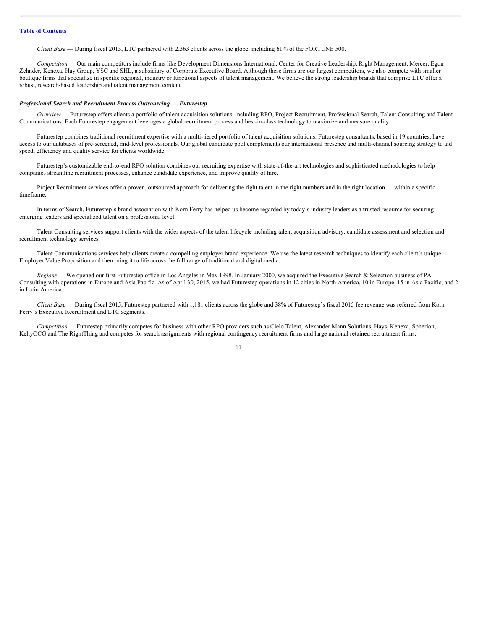*Client Base* — During fiscal 2015, LTC partnered with 2,363 clients across the globe, including 61% of the FORTUNE 500.

*Competition* — Our main competitors include firms like Development Dimensions International, Center for Creative Leadership, Right Management, Mercer, Egon Zehnder, Kenexa, Hay Group, YSC and SHL, a subsidiary of Corporate Executive Board. Although these firms are our largest competitors, we also compete with smaller boutique firms that specialize in specific regional, industry or functional aspects of talent management. We believe the strong leadership brands that comprise LTC offer a robust, research-based leadership and talent management content.

#### *Professional Search and Recruitment Process Outsourcing — Futurestep*

*Overview* — Futurestep offers clients a portfolio of talent acquisition solutions, including RPO, Project Recruitment, Professional Search, Talent Consulting and Talent Communications. Each Futurestep engagement leverages a global recruitment process and best-in-class technology to maximize and measure quality.

Futurestep combines traditional recruitment expertise with a multi-tiered portfolio of talent acquisition solutions. Futurestep consultants, based in 19 countries, have access to our databases of pre-screened, mid-level professionals. Our global candidate pool complements our international presence and multi-channel sourcing strategy to aid speed, efficiency and quality service for clients worldwide.

Futurestep's customizable end-to-end RPO solution combines our recruiting expertise with state-of-the-art technologies and sophisticated methodologies to help companies streamline recruitment processes, enhance candidate experience, and improve quality of hire.

Project Recruitment services offer a proven, outsourced approach for delivering the right talent in the right numbers and in the right location — within a specific timeframe.

In terms of Search, Futurestep's brand association with Korn Ferry has helped us become regarded by today's industry leaders as a trusted resource for securing emerging leaders and specialized talent on a professional level.

Talent Consulting services support clients with the wider aspects of the talent lifecycle including talent acquisition advisory, candidate assessment and selection and recruitment technology services.

Talent Communications services help clients create a compelling employer brand experience. We use the latest research techniques to identify each client's unique Employer Value Proposition and then bring it to life across the full range of traditional and digital media.

*Regions* — We opened our first Futurestep office in Los Angeles in May 1998. In January 2000, we acquired the Executive Search & Selection business of PA Consulting with operations in Europe and Asia Pacific. As of April 30, 2015, we had Futurestep operations in 12 cities in North America, 10 in Europe, 15 in Asia Pacific, and 2 in Latin America.

*Client Base* — During fiscal 2015, Futurestep partnered with 1,181 clients across the globe and 38% of Futurestep's fiscal 2015 fee revenue was referred from Korn Ferry's Executive Recruitment and LTC segments.

*Competition* — Futurestep primarily competes for business with other RPO providers such as Cielo Talent, Alexander Mann Solutions, Hays, Kenexa, Spherion, KellyOCG and The RightThing and competes for search assignments with regional contingency recruitment firms and large national retained recruitment firms.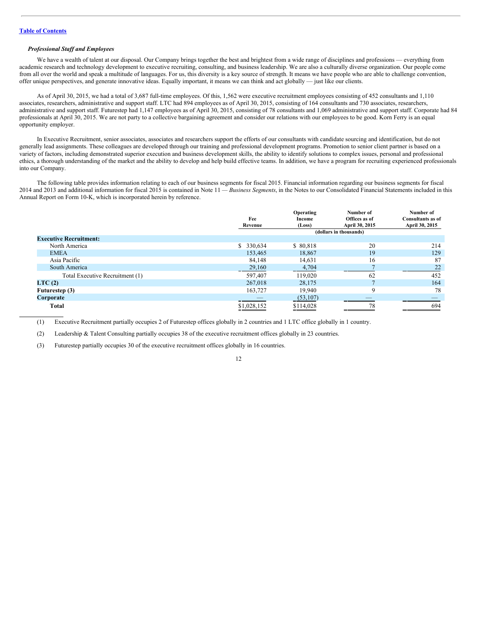#### *Professional Staf and Employees*

We have a wealth of talent at our disposal. Our Company brings together the best and brightest from a wide range of disciplines and professions — everything from academic research and technology development to executive recruiting, consulting, and business leadership. We are also a culturally diverse organization. Our people come from all over the world and speak a multitude of languages. For us, this diversity is a key source of strength. It means we have people who are able to challenge convention, offer unique perspectives, and generate innovative ideas. Equally important, it means we can think and act globally — just like our clients.

As of April 30, 2015, we had a total of 3,687 full-time employees. Of this, 1,562 were executive recruitment employees consisting of 452 consultants and 1,110 associates, researchers, administrative and support staff. LTC had 894 employees as of April 30, 2015, consisting of 164 consultants and 730 associates, researchers, administrative and support staff. Futurestep had 1,147 employees as of April 30, 2015, consisting of 78 consultants and 1,069 administrative and support staff. Corporate had 84 professionals at April 30, 2015. We are not party to a collective bargaining agreement and consider our relations with our employees to be good. Korn Ferry is an equal opportunity employer.

In Executive Recruitment, senior associates, associates and researchers support the efforts of our consultants with candidate sourcing and identification, but do not generally lead assignments. These colleagues are developed through our training and professional development programs. Promotion to senior client partner is based on a variety of factors, including demonstrated superior execution and business development skills, the ability to identify solutions to complex issues, personal and professional ethics, a thorough understanding of the market and the ability to develop and help build effective teams. In addition, we have a program for recruiting experienced professionals into our Company.

The following table provides information relating to each of our business segments for fiscal 2015. Financial information regarding our business segments for fiscal 2014 and 2013 and additional information for fiscal 2015 is contained in Note 11 *— Business Segments*, in the Notes to our Consolidated Financial Statements included in this Annual Report on Form 10-K, which is incorporated herein by reference.

|                                 | Fee         | Operating<br>Income | Number of<br>Offices as of | Number of<br><b>Consultants as of</b> |
|---------------------------------|-------------|---------------------|----------------------------|---------------------------------------|
|                                 | Revenue     | (Loss)              | April 30, 2015             | April 30, 2015                        |
|                                 |             |                     | (dollars in thousands)     |                                       |
| <b>Executive Recruitment:</b>   |             |                     |                            |                                       |
| North America                   | \$ 330,634  | \$80,818            | 20                         | 214                                   |
| <b>EMEA</b>                     | 153,465     | 18,867              | 19                         | 129                                   |
| Asia Pacific                    | 84.148      | 14,631              | 16                         | 87                                    |
| South America                   | 29,160      | 4,704               |                            | 22                                    |
| Total Executive Recruitment (1) | 597,407     | 119,020             | 62                         | 452                                   |
| LTC(2)                          | 267,018     | 28,175              |                            | 164                                   |
| Futurestep (3)                  | 163,727     | 19,940              | 0                          | 78                                    |
| Corporate                       |             | (53,107)            |                            |                                       |
| Total                           | \$1,028,152 | \$114,028           | 70                         | 694                                   |

(1) Executive Recruitment partially occupies 2 of Futurestep offices globally in 2 countries and 1 LTC office globally in 1 country.

(2) Leadership & Talent Consulting partially occupies 38 of the executive recruitment offices globally in 23 countries.

(3) Futurestep partially occupies 30 of the executive recruitment offices globally in 16 countries.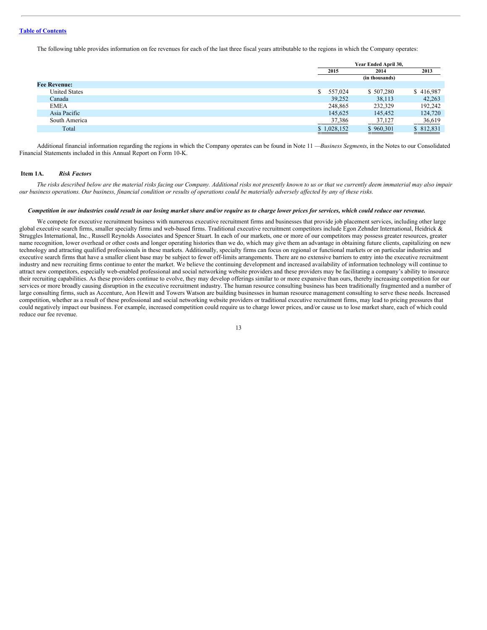The following table provides information on fee revenues for each of the last three fiscal years attributable to the regions in which the Company operates:

|                      |             | Year Ended April 30, |            |  |
|----------------------|-------------|----------------------|------------|--|
|                      | 2015        | 2014                 |            |  |
|                      |             | (in thousands)       |            |  |
| <b>Fee Revenue:</b>  |             |                      |            |  |
| <b>United States</b> | 557,024     | \$507,280            | \$416,987  |  |
| Canada               | 39,252      | 38,113               | 42,263     |  |
| <b>EMEA</b>          | 248,865     | 232,329              | 192.242    |  |
| Asia Pacific         | 145,625     | 145,452              | 124,720    |  |
| South America        | 37,386      | 37,127               | 36,619     |  |
| Total                | \$1,028,152 | \$960,301            | \$ 812,831 |  |
|                      |             |                      |            |  |

Additional financial information regarding the regions in which the Company operates can be found in Note 11 —*Business Segments*, in the Notes to our Consolidated Financial Statements included in this Annual Report on Form 10-K.

#### <span id="page-14-0"></span>**Item 1A.** *Risk Factors*

The risks described below are the material risks facing our Company. Additional risks not presently known to us or that we currently deem immaterial may also impair our business operations. Our business, financial condition or results of operations could be materially adversely affected by any of these risks.

#### Competition in our industries could result in our losing market share and/or require us to charge lower prices for services, which could reduce our revenue.

We compete for executive recruitment business with numerous executive recruitment firms and businesses that provide job placement services, including other large global executive search firms, smaller specialty firms and web-based firms. Traditional executive recruitment competitors include Egon Zehnder International, Heidrick & Struggles International, Inc., Russell Reynolds Associates and Spencer Stuart. In each of our markets, one or more of our competitors may possess greater resources, greater name recognition, lower overhead or other costs and longer operating histories than we do, which may give them an advantage in obtaining future clients, capitalizing on new technology and attracting qualified professionals in these markets. Additionally, specialty firms can focus on regional or functional markets or on particular industries and executive search firms that have a smaller client base may be subject to fewer off-limits arrangements. There are no extensive barriers to entry into the executive recruitment industry and new recruiting firms continue to enter the market. We believe the continuing development and increased availability of information technology will continue to attract new competitors, especially web-enabled professional and social networking website providers and these providers may be facilitating a company's ability to insource their recruiting capabilities. As these providers continue to evolve, they may develop offerings similar to or more expansive than ours, thereby increasing competition for our services or more broadly causing disruption in the executive recruitment industry. The human resource consulting business has been traditionally fragmented and a number of large consulting firms, such as Accenture, Aon Hewitt and Towers Watson are building businesses in human resource management consulting to serve these needs. Increased competition, whether as a result of these professional and social networking website providers or traditional executive recruitment firms, may lead to pricing pressures that could negatively impact our business. For example, increased competition could require us to charge lower prices, and/or cause us to lose market share, each of which could reduce our fee revenue.

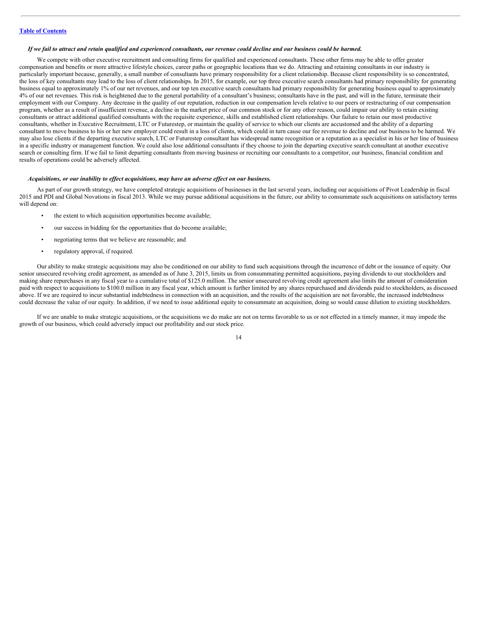#### If we fail to attract and retain qualified and experienced consultants, our revenue could decline and our business could be harmed.

We compete with other executive recruitment and consulting firms for qualified and experienced consultants. These other firms may be able to offer greater compensation and benefits or more attractive lifestyle choices, career paths or geographic locations than we do. Attracting and retaining consultants in our industry is particularly important because, generally, a small number of consultants have primary responsibility for a client relationship. Because client responsibility is so concentrated, the loss of key consultants may lead to the loss of client relationships. In 2015, for example, our top three executive search consultants had primary responsibility for generating business equal to approximately 1% of our net revenues, and our top ten executive search consultants had primary responsibility for generating business equal to approximately 4% of our net revenues. This risk is heightened due to the general portability of a consultant's business; consultants have in the past, and will in the future, terminate their employment with our Company. Any decrease in the quality of our reputation, reduction in our compensation levels relative to our peers or restructuring of our compensation program, whether as a result of insufficient revenue, a decline in the market price of our common stock or for any other reason, could impair our ability to retain existing consultants or attract additional qualified consultants with the requisite experience, skills and established client relationships. Our failure to retain our most productive consultants, whether in Executive Recruitment, LTC or Futurestep, or maintain the quality of service to which our clients are accustomed and the ability of a departing consultant to move business to his or her new employer could result in a loss of clients, which could in turn cause our fee revenue to decline and our business to be harmed. We may also lose clients if the departing executive search, LTC or Futurestep consultant has widespread name recognition or a reputation as a specialist in his or her line of business in a specific industry or management function. We could also lose additional consultants if they choose to join the departing executive search consultant at another executive search or consulting firm. If we fail to limit departing consultants from moving business or recruiting our consultants to a competitor, our business, financial condition and results of operations could be adversely affected.

#### *Acquisitions, or our inability to ef ect acquisitions, may have an adverse ef ect on our business.*

As part of our growth strategy, we have completed strategic acquisitions of businesses in the last several years, including our acquisitions of Pivot Leadership in fiscal 2015 and PDI and Global Novations in fiscal 2013. While we may pursue additional acquisitions in the future, our ability to consummate such acquisitions on satisfactory terms will depend on:

- the extent to which acquisition opportunities become available;
- our success in bidding for the opportunities that do become available;
- negotiating terms that we believe are reasonable; and
- regulatory approval, if required.

Our ability to make strategic acquisitions may also be conditioned on our ability to fund such acquisitions through the incurrence of debt or the issuance of equity. Our senior unsecured revolving credit agreement, as amended as of June 3, 2015, limits us from consummating permitted acquisitions, paying dividends to our stockholders and making share repurchases in any fiscal year to a cumulative total of \$125.0 million. The senior unsecured revolving credit agreement also limits the amount of consideration paid with respect to acquisitions to \$100.0 million in any fiscal year, which amount is further limited by any shares repurchased and dividends paid to stockholders, as discussed above. If we are required to incur substantial indebtedness in connection with an acquisition, and the results of the acquisition are not favorable, the increased indebtedness could decrease the value of our equity. In addition, if we need to issue additional equity to consummate an acquisition, doing so would cause dilution to existing stockholders.

If we are unable to make strategic acquisitions, or the acquisitions we do make are not on terms favorable to us or not effected in a timely manner, it may impede the growth of our business, which could adversely impact our profitability and our stock price.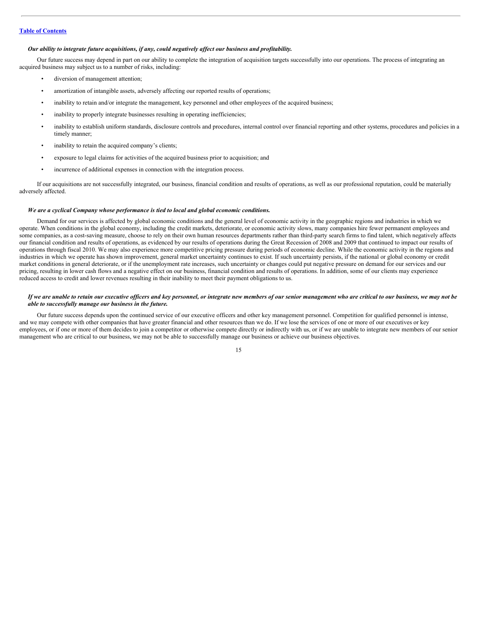#### *Our ability to integrate future acquisitions, if any, could negatively af ect our business and profitability.*

Our future success may depend in part on our ability to complete the integration of acquisition targets successfully into our operations. The process of integrating an acquired business may subject us to a number of risks, including:

- diversion of management attention;
- amortization of intangible assets, adversely affecting our reported results of operations;
- inability to retain and/or integrate the management, key personnel and other employees of the acquired business;
- inability to properly integrate businesses resulting in operating inefficiencies;
- inability to establish uniform standards, disclosure controls and procedures, internal control over financial reporting and other systems, procedures and policies in a timely manner;
- inability to retain the acquired company's clients;
- exposure to legal claims for activities of the acquired business prior to acquisition; and
- incurrence of additional expenses in connection with the integration process.

If our acquisitions are not successfully integrated, our business, financial condition and results of operations, as well as our professional reputation, could be materially adversely affected.

#### *We are a cyclical Company whose performance is tied to local and global economic conditions.*

Demand for our services is affected by global economic conditions and the general level of economic activity in the geographic regions and industries in which we operate. When conditions in the global economy, including the credit markets, deteriorate, or economic activity slows, many companies hire fewer permanent employees and some companies, as a cost-saving measure, choose to rely on their own human resources departments rather than third-party search firms to find talent, which negatively affects our financial condition and results of operations, as evidenced by our results of operations during the Great Recession of 2008 and 2009 that continued to impact our results of operations through fiscal 2010. We may also experience more competitive pricing pressure during periods of economic decline. While the economic activity in the regions and industries in which we operate has shown improvement, general market uncertainty continues to exist. If such uncertainty persists, if the national or global economy or credit market conditions in general deteriorate, or if the unemployment rate increases, such uncertainty or changes could put negative pressure on demand for our services and our pricing, resulting in lower cash flows and a negative effect on our business, financial condition and results of operations. In addition, some of our clients may experience reduced access to credit and lower revenues resulting in their inability to meet their payment obligations to us.

#### If we are unable to retain our executive officers and key personnel, or integrate new members of our senior management who are critical to our business, we may not be *able to successfully manage our business in the future.*

Our future success depends upon the continued service of our executive officers and other key management personnel. Competition for qualified personnel is intense, and we may compete with other companies that have greater financial and other resources than we do. If we lose the services of one or more of our executives or key employees, or if one or more of them decides to join a competitor or otherwise compete directly or indirectly with us, or if we are unable to integrate new members of our senior management who are critical to our business, we may not be able to successfully manage our business or achieve our business objectives.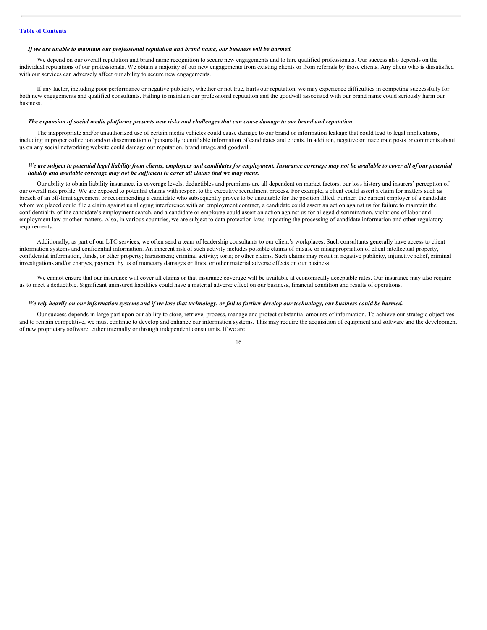#### *If we are unable to maintain our professional reputation and brand name, our business will be harmed.*

We depend on our overall reputation and brand name recognition to secure new engagements and to hire qualified professionals. Our success also depends on the individual reputations of our professionals. We obtain a majority of our new engagements from existing clients or from referrals by those clients. Any client who is dissatisfied with our services can adversely affect our ability to secure new engagements.

If any factor, including poor performance or negative publicity, whether or not true, hurts our reputation, we may experience difficulties in competing successfully for both new engagements and qualified consultants. Failing to maintain our professional reputation and the goodwill associated with our brand name could seriously harm our business.

#### The expansion of social media platforms presents new risks and challenges that can cause damage to our brand and reputation.

The inappropriate and/or unauthorized use of certain media vehicles could cause damage to our brand or information leakage that could lead to legal implications, including improper collection and/or dissemination of personally identifiable information of candidates and clients. In addition, negative or inaccurate posts or comments about us on any social networking website could damage our reputation, brand image and goodwill.

#### We are subject to potential legal liability from clients, employees and candidates for employment. Insurance coverage may not be available to cover all of our potential *liability and available coverage may not be suf icient to cover all claims that we may incur.*

Our ability to obtain liability insurance, its coverage levels, deductibles and premiums are all dependent on market factors, our loss history and insurers' perception of our overall risk profile. We are exposed to potential claims with respect to the executive recruitment process. For example, a client could assert a claim for matters such as breach of an off-limit agreement or recommending a candidate who subsequently proves to be unsuitable for the position filled. Further, the current employer of a candidate whom we placed could file a claim against us alleging interference with an employment contract, a candidate could assert an action against us for failure to maintain the confidentiality of the candidate's employment search, and a candidate or employee could assert an action against us for alleged discrimination, violations of labor and employment law or other matters. Also, in various countries, we are subject to data protection laws impacting the processing of candidate information and other regulatory requirements.

Additionally, as part of our LTC services, we often send a team of leadership consultants to our client's workplaces. Such consultants generally have access to client information systems and confidential information. An inherent risk of such activity includes possible claims of misuse or misappropriation of client intellectual property, confidential information, funds, or other property; harassment; criminal activity; torts; or other claims. Such claims may result in negative publicity, injunctive relief, criminal investigations and/or charges, payment by us of monetary damages or fines, or other material adverse effects on our business.

We cannot ensure that our insurance will cover all claims or that insurance coverage will be available at economically acceptable rates. Our insurance may also require us to meet a deductible. Significant uninsured liabilities could have a material adverse effect on our business, financial condition and results of operations.

#### We rely heavily on our information systems and if we lose that technology, or fail to further develop our technology, our business could be harmed.

Our success depends in large part upon our ability to store, retrieve, process, manage and protect substantial amounts of information. To achieve our strategic objectives and to remain competitive, we must continue to develop and enhance our information systems. This may require the acquisition of equipment and software and the development of new proprietary software, either internally or through independent consultants. If we are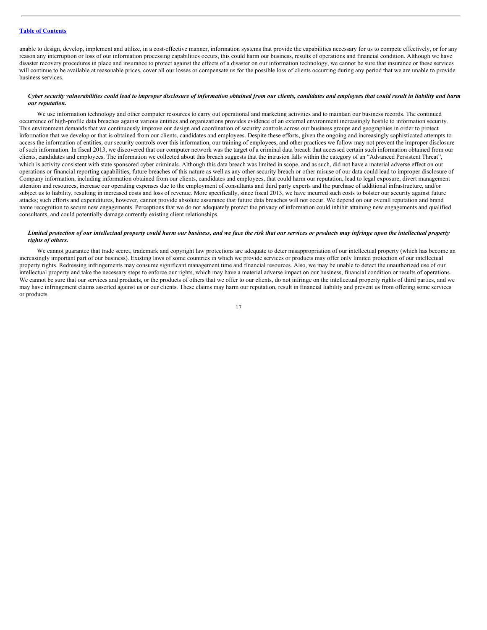unable to design, develop, implement and utilize, in a cost-effective manner, information systems that provide the capabilities necessary for us to compete effectively, or for any reason any interruption or loss of our information processing capabilities occurs, this could harm our business, results of operations and financial condition. Although we have disaster recovery procedures in place and insurance to protect against the effects of a disaster on our information technology, we cannot be sure that insurance or these services will continue to be available at reasonable prices, cover all our losses or compensate us for the possible loss of clients occurring during any period that we are unable to provide business services.

#### Cyber security vulnerabilities could lead to improper disclosure of information obtained from our clients, candidates and employees that could result in liability and harm *our reputation.*

We use information technology and other computer resources to carry out operational and marketing activities and to maintain our business records. The continued occurrence of high-profile data breaches against various entities and organizations provides evidence of an external environment increasingly hostile to information security. This environment demands that we continuously improve our design and coordination of security controls across our business groups and geographies in order to protect information that we develop or that is obtained from our clients, candidates and employees. Despite these efforts, given the ongoing and increasingly sophisticated attempts to access the information of entities, our security controls over this information, our training of employees, and other practices we follow may not prevent the improper disclosure of such information. In fiscal 2013, we discovered that our computer network was the target of a criminal data breach that accessed certain such information obtained from our clients, candidates and employees. The information we collected about this breach suggests that the intrusion falls within the category of an "Advanced Persistent Threat", which is activity consistent with state sponsored cyber criminals. Although this data breach was limited in scope, and as such, did not have a material adverse effect on our operations or financial reporting capabilities, future breaches of this nature as well as any other security breach or other misuse of our data could lead to improper disclosure of Company information, including information obtained from our clients, candidates and employees, that could harm our reputation, lead to legal exposure, divert management attention and resources, increase our operating expenses due to the employment of consultants and third party experts and the purchase of additional infrastructure, and/or subject us to liability, resulting in increased costs and loss of revenue. More specifically, since fiscal 2013, we have incurred such costs to bolster our security against future attacks; such efforts and expenditures, however, cannot provide absolute assurance that future data breaches will not occur. We depend on our overall reputation and brand name recognition to secure new engagements. Perceptions that we do not adequately protect the privacy of information could inhibit attaining new engagements and qualified consultants, and could potentially damage currently existing client relationships.

#### Limited protection of our intellectual property could harm our business, and we face the risk that our services or products may infringe upon the intellectual property *rights of others.*

We cannot guarantee that trade secret, trademark and copyright law protections are adequate to deter misappropriation of our intellectual property (which has become an increasingly important part of our business). Existing laws of some countries in which we provide services or products may offer only limited protection of our intellectual property rights. Redressing infringements may consume significant management time and financial resources. Also, we may be unable to detect the unauthorized use of our intellectual property and take the necessary steps to enforce our rights, which may have a material adverse impact on our business, financial condition or results of operations. We cannot be sure that our services and products, or the products of others that we offer to our clients, do not infringe on the intellectual property rights of third parties, and we may have infringement claims asserted against us or our clients. These claims may harm our reputation, result in financial liability and prevent us from offering some services or products.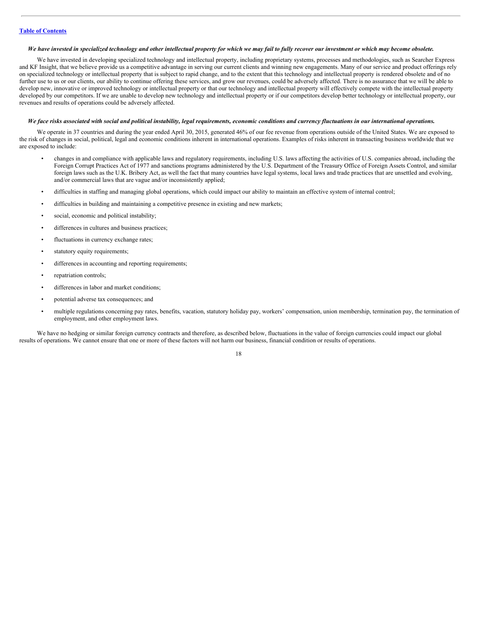#### We have invested in specialized technology and other intellectual property for which we may fail to fully recover our investment or which may become obsolete.

We have invested in developing specialized technology and intellectual property, including proprietary systems, processes and methodologies, such as Searcher Express and KF Insight, that we believe provide us a competitive advantage in serving our current clients and winning new engagements. Many of our service and product offerings rely on specialized technology or intellectual property that is subject to rapid change, and to the extent that this technology and intellectual property is rendered obsolete and of no further use to us or our clients, our ability to continue offering these services, and grow our revenues, could be adversely affected. There is no assurance that we will be able to develop new, innovative or improved technology or intellectual property or that our technology and intellectual property will effectively compete with the intellectual property developed by our competitors. If we are unable to develop new technology and intellectual property or if our competitors develop better technology or intellectual property, our revenues and results of operations could be adversely affected.

#### We face risks associated with social and political instability, legal requirements, economic conditions and currency fluctuations in our international operations.

We operate in 37 countries and during the year ended April 30, 2015, generated 46% of our fee revenue from operations outside of the United States. We are exposed to the risk of changes in social, political, legal and economic conditions inherent in international operations. Examples of risks inherent in transacting business worldwide that we are exposed to include:

- changes in and compliance with applicable laws and regulatory requirements, including U.S. laws affecting the activities of U.S. companies abroad, including the Foreign Corrupt Practices Act of 1977 and sanctions programs administered by the U.S. Department of the Treasury Office of Foreign Assets Control, and similar foreign laws such as the U.K. Bribery Act, as well the fact that many countries have legal systems, local laws and trade practices that are unsettled and evolving, and/or commercial laws that are vague and/or inconsistently applied;
- difficulties in staffing and managing global operations, which could impact our ability to maintain an effective system of internal control;
- difficulties in building and maintaining a competitive presence in existing and new markets;
- social, economic and political instability;
- differences in cultures and business practices;
- fluctuations in currency exchange rates;
- statutory equity requirements;
- differences in accounting and reporting requirements;
- repatriation controls;
- differences in labor and market conditions;
- potential adverse tax consequences; and
- multiple regulations concerning pay rates, benefits, vacation, statutory holiday pay, workers' compensation, union membership, termination pay, the termination of employment, and other employment laws.

We have no hedging or similar foreign currency contracts and therefore, as described below, fluctuations in the value of foreign currencies could impact our global results of operations. We cannot ensure that one or more of these factors will not harm our business, financial condition or results of operations.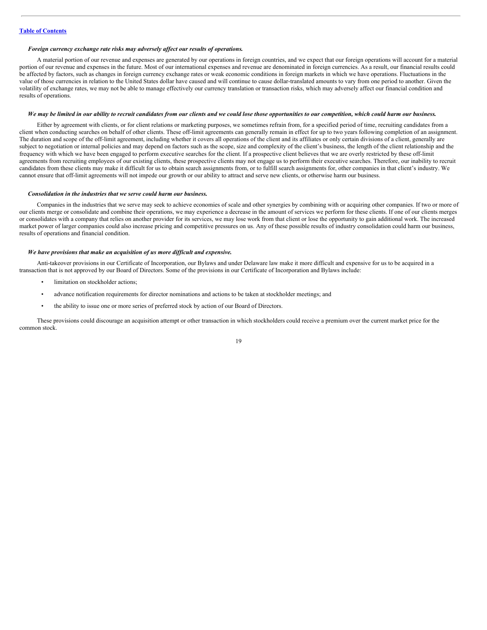#### *Foreign currency exchange rate risks may adversely af ect our results of operations.*

A material portion of our revenue and expenses are generated by our operations in foreign countries, and we expect that our foreign operations will account for a material portion of our revenue and expenses in the future. Most of our international expenses and revenue are denominated in foreign currencies. As a result, our financial results could be affected by factors, such as changes in foreign currency exchange rates or weak economic conditions in foreign markets in which we have operations. Fluctuations in the value of those currencies in relation to the United States dollar have caused and will continue to cause dollar-translated amounts to vary from one period to another. Given the volatility of exchange rates, we may not be able to manage effectively our currency translation or transaction risks, which may adversely affect our financial condition and results of operations.

#### We may be limited in our ability to recruit candidates from our clients and we could lose those opportunities to our competition, which could harm our business.

Either by agreement with clients, or for client relations or marketing purposes, we sometimes refrain from, for a specified period of time, recruiting candidates from a client when conducting searches on behalf of other clients. These off-limit agreements can generally remain in effect for up to two years following completion of an assignment. The duration and scope of the off-limit agreement, including whether it covers all operations of the client and its affiliates or only certain divisions of a client, generally are subject to negotiation or internal policies and may depend on factors such as the scope, size and complexity of the client's business, the length of the client relationship and the frequency with which we have been engaged to perform executive searches for the client. If a prospective client believes that we are overly restricted by these off-limit agreements from recruiting employees of our existing clients, these prospective clients may not engage us to perform their executive searches. Therefore, our inability to recruit candidates from these clients may make it difficult for us to obtain search assignments from, or to fulfill search assignments for, other companies in that client's industry. We cannot ensure that off-limit agreements will not impede our growth or our ability to attract and serve new clients, or otherwise harm our business.

#### *Consolidation in the industries that we serve could harm our business.*

Companies in the industries that we serve may seek to achieve economies of scale and other synergies by combining with or acquiring other companies. If two or more of our clients merge or consolidate and combine their operations, we may experience a decrease in the amount of services we perform for these clients. If one of our clients merges or consolidates with a company that relies on another provider for its services, we may lose work from that client or lose the opportunity to gain additional work. The increased market power of larger companies could also increase pricing and competitive pressures on us. Any of these possible results of industry consolidation could harm our business, results of operations and financial condition.

#### *We have provisions that make an acquisition of us more dif icult and expensive.*

Anti-takeover provisions in our Certificate of Incorporation, our Bylaws and under Delaware law make it more difficult and expensive for us to be acquired in a transaction that is not approved by our Board of Directors. Some of the provisions in our Certificate of Incorporation and Bylaws include:

- limitation on stockholder actions:
- advance notification requirements for director nominations and actions to be taken at stockholder meetings; and
- the ability to issue one or more series of preferred stock by action of our Board of Directors.

These provisions could discourage an acquisition attempt or other transaction in which stockholders could receive a premium over the current market price for the common stock.

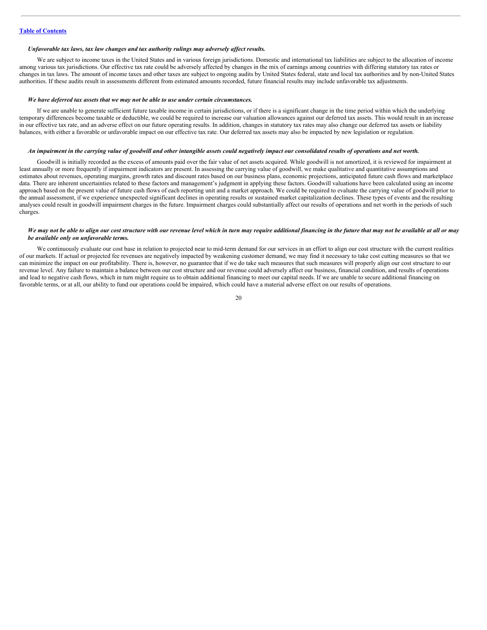#### *Unfavorable tax laws, tax law changes and tax authority rulings may adversely af ect results.*

We are subject to income taxes in the United States and in various foreign jurisdictions. Domestic and international tax liabilities are subject to the allocation of income among various tax jurisdictions. Our effective tax rate could be adversely affected by changes in the mix of earnings among countries with differing statutory tax rates or changes in tax laws. The amount of income taxes and other taxes are subject to ongoing audits by United States federal, state and local tax authorities and by non-United States authorities. If these audits result in assessments different from estimated amounts recorded, future financial results may include unfavorable tax adjustments.

#### *We have deferred tax assets that we may not be able to use under certain circumstances.*

If we are unable to generate sufficient future taxable income in certain jurisdictions, or if there is a significant change in the time period within which the underlying temporary differences become taxable or deductible, we could be required to increase our valuation allowances against our deferred tax assets. This would result in an increase in our effective tax rate, and an adverse effect on our future operating results. In addition, changes in statutory tax rates may also change our deferred tax assets or liability balances, with either a favorable or unfavorable impact on our effective tax rate. Our deferred tax assets may also be impacted by new legislation or regulation.

#### An impairment in the carrying value of goodwill and other intangible assets could negatively impact our consolidated results of operations and net worth.

Goodwill is initially recorded as the excess of amounts paid over the fair value of net assets acquired. While goodwill is not amortized, it is reviewed for impairment at least annually or more frequently if impairment indicators are present. In assessing the carrying value of goodwill, we make qualitative and quantitative assumptions and estimates about revenues, operating margins, growth rates and discount rates based on our business plans, economic projections, anticipated future cash flows and marketplace data. There are inherent uncertainties related to these factors and management's judgment in applying these factors. Goodwill valuations have been calculated using an income approach based on the present value of future cash flows of each reporting unit and a market approach. We could be required to evaluate the carrying value of goodwill prior to the annual assessment, if we experience unexpected significant declines in operating results or sustained market capitalization declines. These types of events and the resulting analyses could result in goodwill impairment charges in the future. Impairment charges could substantially affect our results of operations and net worth in the periods of such charges.

#### We may not be able to align our cost structure with our revenue level which in turn may require additional financing in the future that may not be available at all or may *be available only on unfavorable terms.*

We continuously evaluate our cost base in relation to projected near to mid-term demand for our services in an effort to align our cost structure with the current realities of our markets. If actual or projected fee revenues are negatively impacted by weakening customer demand, we may find it necessary to take cost cutting measures so that we can minimize the impact on our profitability. There is, however, no guarantee that if we do take such measures that such measures will properly align our cost structure to our revenue level. Any failure to maintain a balance between our cost structure and our revenue could adversely affect our business, financial condition, and results of operations and lead to negative cash flows, which in turn might require us to obtain additional financing to meet our capital needs. If we are unable to secure additional financing on favorable terms, or at all, our ability to fund our operations could be impaired, which could have a material adverse effect on our results of operations.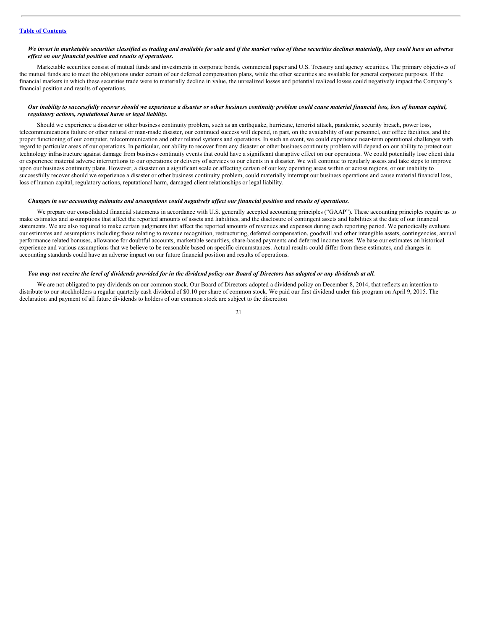#### We invest in marketable securities classified as trading and available for sale and if the market value of these securities declines materially, they could have an adverse *ef ect on our financial position and results of operations.*

Marketable securities consist of mutual funds and investments in corporate bonds, commercial paper and U.S. Treasury and agency securities. The primary objectives of the mutual funds are to meet the obligations under certain of our deferred compensation plans, while the other securities are available for general corporate purposes. If the financial markets in which these securities trade were to materially decline in value, the unrealized losses and potential realized losses could negatively impact the Company's financial position and results of operations.

#### Our inability to successfully recover should we experience a disaster or other business continuity problem could cause material financial loss, loss of human capital, *regulatory actions, reputational harm or legal liability.*

Should we experience a disaster or other business continuity problem, such as an earthquake, hurricane, terrorist attack, pandemic, security breach, power loss, telecommunications failure or other natural or man-made disaster, our continued success will depend, in part, on the availability of our personnel, our office facilities, and the proper functioning of our computer, telecommunication and other related systems and operations. In such an event, we could experience near-term operational challenges with regard to particular areas of our operations. In particular, our ability to recover from any disaster or other business continuity problem will depend on our ability to protect our technology infrastructure against damage from business continuity events that could have a significant disruptive effect on our operations. We could potentially lose client data or experience material adverse interruptions to our operations or delivery of services to our clients in a disaster. We will continue to regularly assess and take steps to improve upon our business continuity plans. However, a disaster on a significant scale or affecting certain of our key operating areas within or across regions, or our inability to successfully recover should we experience a disaster or other business continuity problem, could materially interrupt our business operations and cause material financial loss, loss of human capital, regulatory actions, reputational harm, damaged client relationships or legal liability.

#### Changes in our accounting estimates and assumptions could negatively affect our financial position and results of operations.

We prepare our consolidated financial statements in accordance with U.S. generally accepted accounting principles ("GAAP"). These accounting principles require us to make estimates and assumptions that affect the reported amounts of assets and liabilities, and the disclosure of contingent assets and liabilities at the date of our financial statements. We are also required to make certain judgments that affect the reported amounts of revenues and expenses during each reporting period. We periodically evaluate our estimates and assumptions including those relating to revenue recognition, restructuring, deferred compensation, goodwill and other intangible assets, contingencies, annual performance related bonuses, allowance for doubtful accounts, marketable securities, share-based payments and deferred income taxes. We base our estimates on historical experience and various assumptions that we believe to be reasonable based on specific circumstances. Actual results could differ from these estimates, and changes in accounting standards could have an adverse impact on our future financial position and results of operations.

#### You may not receive the level of dividends provided for in the dividend policy our Board of Directors has adopted or any dividends at all.

We are not obligated to pay dividends on our common stock. Our Board of Directors adopted a dividend policy on December 8, 2014, that reflects an intention to distribute to our stockholders a regular quarterly cash dividend of \$0.10 per share of common stock. We paid our first dividend under this program on April 9, 2015. The declaration and payment of all future dividends to holders of our common stock are subject to the discretion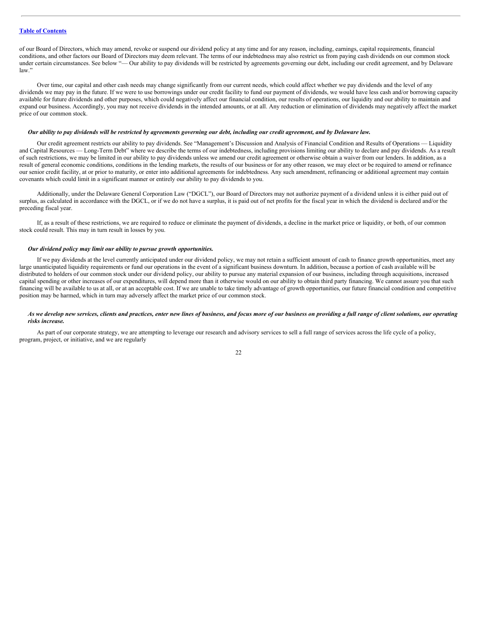of our Board of Directors, which may amend, revoke or suspend our dividend policy at any time and for any reason, including, earnings, capital requirements, financial conditions, and other factors our Board of Directors may deem relevant. The terms of our indebtedness may also restrict us from paying cash dividends on our common stock under certain circumstances. See below "— Our ability to pay dividends will be restricted by agreements governing our debt, including our credit agreement, and by Delaware law"

Over time, our capital and other cash needs may change significantly from our current needs, which could affect whether we pay dividends and the level of any dividends we may pay in the future. If we were to use borrowings under our credit facility to fund our payment of dividends, we would have less cash and/or borrowing capacity available for future dividends and other purposes, which could negatively affect our financial condition, our results of operations, our liquidity and our ability to maintain and expand our business. Accordingly, you may not receive dividends in the intended amounts, or at all. Any reduction or elimination of dividends may negatively affect the market price of our common stock.

#### Our ability to pay dividends will be restricted by agreements governing our debt, including our credit agreement, and by Delaware law.

Our credit agreement restricts our ability to pay dividends. See "Management's Discussion and Analysis of Financial Condition and Results of Operations — Liquidity and Capital Resources — Long-Term Debt" where we describe the terms of our indebtedness, including provisions limiting our ability to declare and pay dividends. As a result of such restrictions, we may be limited in our ability to pay dividends unless we amend our credit agreement or otherwise obtain a waiver from our lenders. In addition, as a result of general economic conditions, conditions in the lending markets, the results of our business or for any other reason, we may elect or be required to amend or refinance our senior credit facility, at or prior to maturity, or enter into additional agreements for indebtedness. Any such amendment, refinancing or additional agreement may contain covenants which could limit in a significant manner or entirely our ability to pay dividends to you.

Additionally, under the Delaware General Corporation Law ("DGCL"), our Board of Directors may not authorize payment of a dividend unless it is either paid out of surplus, as calculated in accordance with the DGCL, or if we do not have a surplus, it is paid out of net profits for the fiscal year in which the dividend is declared and/or the preceding fiscal year.

If, as a result of these restrictions, we are required to reduce or eliminate the payment of dividends, a decline in the market price or liquidity, or both, of our common stock could result. This may in turn result in losses by you.

#### *Our dividend policy may limit our ability to pursue growth opportunities.*

If we pay dividends at the level currently anticipated under our dividend policy, we may not retain a sufficient amount of cash to finance growth opportunities, meet any large unanticipated liquidity requirements or fund our operations in the event of a significant business downturn. In addition, because a portion of cash available will be distributed to holders of our common stock under our dividend policy, our ability to pursue any material expansion of our business, including through acquisitions, increased capital spending or other increases of our expenditures, will depend more than it otherwise would on our ability to obtain third party financing. We cannot assure you that such financing will be available to us at all, or at an acceptable cost. If we are unable to take timely advantage of growth opportunities, our future financial condition and competitive position may be harmed, which in turn may adversely affect the market price of our common stock.

#### As we develop new services, clients and practices, enter new lines of business, and focus more of our business on providing a full range of client solutions, our operating *risks increase.*

As part of our corporate strategy, we are attempting to leverage our research and advisory services to sell a full range of services across the life cycle of a policy, program, project, or initiative, and we are regularly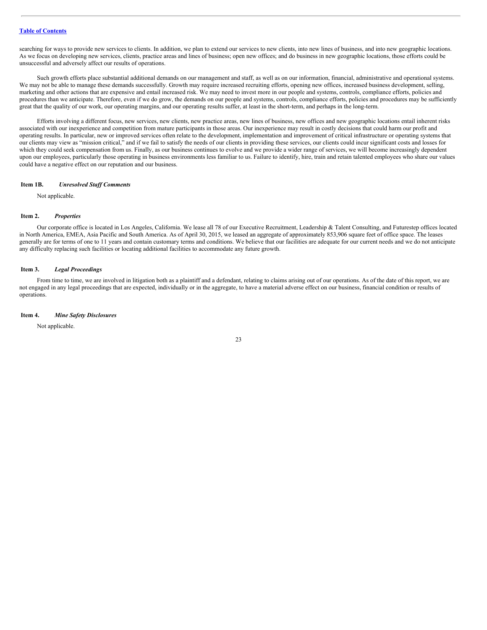searching for ways to provide new services to clients. In addition, we plan to extend our services to new clients, into new lines of business, and into new geographic locations. As we focus on developing new services, clients, practice areas and lines of business; open new offices; and do business in new geographic locations, those efforts could be unsuccessful and adversely affect our results of operations.

Such growth efforts place substantial additional demands on our management and staff, as well as on our information, financial, administrative and operational systems. We may not be able to manage these demands successfully. Growth may require increased recruiting efforts, opening new offices, increased business development, selling, marketing and other actions that are expensive and entail increased risk. We may need to invest more in our people and systems, controls, compliance efforts, policies and procedures than we anticipate. Therefore, even if we do grow, the demands on our people and systems, controls, compliance efforts, policies and procedures may be sufficiently great that the quality of our work, our operating margins, and our operating results suffer, at least in the short-term, and perhaps in the long-term.

Efforts involving a different focus, new services, new clients, new practice areas, new lines of business, new offices and new geographic locations entail inherent risks associated with our inexperience and competition from mature participants in those areas. Our inexperience may result in costly decisions that could harm our profit and operating results. In particular, new or improved services often relate to the development, implementation and improvement of critical infrastructure or operating systems that our clients may view as "mission critical," and if we fail to satisfy the needs of our clients in providing these services, our clients could incur significant costs and losses for which they could seek compensation from us. Finally, as our business continues to evolve and we provide a wider range of services, we will become increasingly dependent upon our employees, particularly those operating in business environments less familiar to us. Failure to identify, hire, train and retain talented employees who share our values could have a negative effect on our reputation and our business.

#### <span id="page-24-0"></span>**Item 1B.** *Unresolved Staf Comments*

Not applicable.

#### <span id="page-24-1"></span>**Item 2.** *Properties*

Our corporate office is located in Los Angeles, California. We lease all 78 of our Executive Recruitment, Leadership & Talent Consulting, and Futurestep offices located in North America, EMEA, Asia Pacific and South America. As of April 30, 2015, we leased an aggregate of approximately 853,906 square feet of office space. The leases generally are for terms of one to 11 years and contain customary terms and conditions. We believe that our facilities are adequate for our current needs and we do not anticipate any difficulty replacing such facilities or locating additional facilities to accommodate any future growth.

#### <span id="page-24-2"></span>**Item 3.** *Legal Proceedings*

From time to time, we are involved in litigation both as a plaintiff and a defendant, relating to claims arising out of our operations. As of the date of this report, we are not engaged in any legal proceedings that are expected, individually or in the aggregate, to have a material adverse effect on our business, financial condition or results of operations.

#### <span id="page-24-3"></span>**Item 4.** *Mine Safety Disclosures*

Not applicable.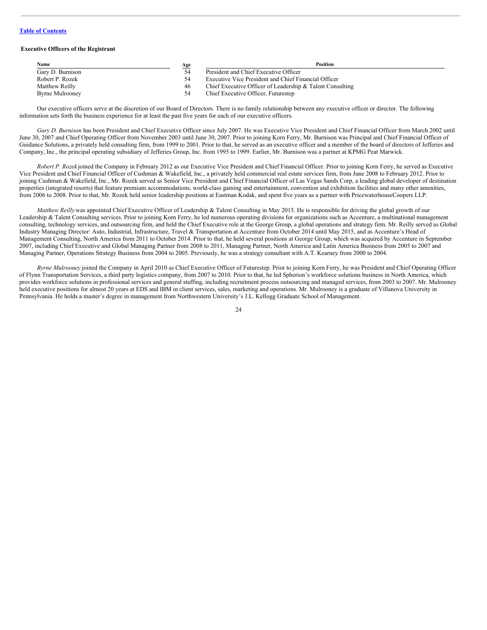#### <span id="page-25-0"></span>**Executive Officers of the Registrant**

| Name                   | <u>Age</u> | Position                                                  |
|------------------------|------------|-----------------------------------------------------------|
| Gary D. Burnison       | 54         | President and Chief Executive Officer                     |
| Robert P. Rozek        | 54         | Executive Vice President and Chief Financial Officer      |
| Matthew Reilly         | -46        | Chief Executive Officer of Leadership & Talent Consulting |
| <b>Byrne Mulrooney</b> | 54         | Chief Executive Officer, Futurestep                       |

Our executive officers serve at the discretion of our Board of Directors. There is no family relationship between any executive officer or director. The following information sets forth the business experience for at least the past five years for each of our executive officers.

*Gary D. Burnison* has been President and Chief Executive Officer since July 2007. He was Executive Vice President and Chief Financial Officer from March 2002 until June 30, 2007 and Chief Operating Officer from November 2003 until June 30, 2007. Prior to joining Korn Ferry, Mr. Burnison was Principal and Chief Financial Officer of Guidance Solutions, a privately held consulting firm, from 1999 to 2001. Prior to that, he served as an executive officer and a member of the board of directors of Jefferies and Company, Inc., the principal operating subsidiary of Jefferies Group, Inc. from 1995 to 1999. Earlier, Mr. Burnison was a partner at KPMG Peat Marwick.

*Robert P. Rozek* joined the Company in February 2012 as our Executive Vice President and Chief Financial Officer. Prior to joining Korn Ferry, he served as Executive Vice President and Chief Financial Officer of Cushman & Wakefield, Inc., a privately held commercial real estate services firm, from June 2008 to February 2012. Prior to joining Cushman & Wakefield, Inc., Mr. Rozek served as Senior Vice President and Chief Financial Officer of Las Vegas Sands Corp, a leading global developer of destination properties (integrated resorts) that feature premium accommodations, world-class gaming and entertainment, convention and exhibition facilities and many other amenities, from 2006 to 2008. Prior to that, Mr. Rozek held senior leadership positions at Eastman Kodak, and spent five years as a partner with PricewaterhouseCoopers LLP.

*Matthew Reilly* was appointed Chief Executive Officer of Leadership & Talent Consulting in May 2015. He is responsible for driving the global growth of our Leadership & Talent Consulting services. Prior to joining Korn Ferry, he led numerous operating divisions for organizations such as Accenture, a multinational management consulting, technology services, and outsourcing firm, and held the Chief Executive role at the George Group, a global operations and strategy firm. Mr. Reilly served as Global Industry Managing Director: Auto, Industrial, Infrastructure, Travel & Transportation at Accenture from October 2014 until May 2015, and as Accenture's Head of Management Consulting, North America from 2011 to October 2014. Prior to that, he held several positions at George Group, which was acquired by Accenture in September 2007, including Chief Executive and Global Managing Partner from 2008 to 2011, Managing Partner, North America and Latin America Business from 2005 to 2007 and Managing Partner, Operations Strategy Business from 2004 to 2005. Previously, he was a strategy consultant with A.T. Kearney from 2000 to 2004.

*Byrne Mulrooney* joined the Company in April 2010 as Chief Executive Officer of Futurestep. Prior to joining Korn Ferry, he was President and Chief Operating Officer of Flynn Transportation Services, a third party logistics company, from 2007 to 2010. Prior to that, he led Spherion's workforce solutions business in North America, which provides workforce solutions in professional services and general staffing, including recruitment process outsourcing and managed services, from 2003 to 2007. Mr. Mulrooney held executive positions for almost 20 years at EDS and IBM in client services, sales, marketing and operations. Mr. Mulrooney is a graduate of Villanova University in Pennsylvania. He holds a master's degree in management from Northwestern University's J.L. Kellogg Graduate School of Management.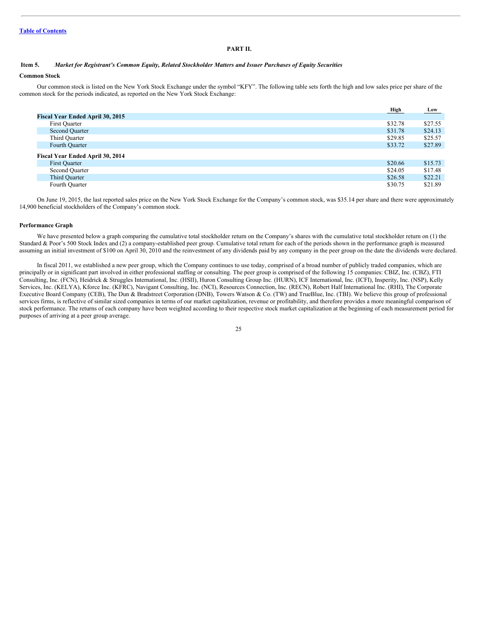#### <span id="page-26-0"></span>**PART II.**

#### <span id="page-26-1"></span>Item 5. Market for Registrant's Common Equity, Related Stockholder Matters and Issuer Purchases of Equity Securities

#### **Common Stock**

Our common stock is listed on the New York Stock Exchange under the symbol "KFY". The following table sets forth the high and low sales price per share of the common stock for the periods indicated, as reported on the New York Stock Exchange:

|                                  | High    | <b>Low</b> |
|----------------------------------|---------|------------|
| Fiscal Year Ended April 30, 2015 |         |            |
| First Ouarter                    | \$32.78 | \$27.55    |
| <b>Second Quarter</b>            | \$31.78 | \$24.13    |
| Third Quarter                    | \$29.85 | \$25.57    |
| Fourth Quarter                   | \$33.72 | \$27.89    |
| Fiscal Year Ended April 30, 2014 |         |            |
| <b>First Ouarter</b>             | \$20.66 | \$15.73    |
| Second Quarter                   | \$24.05 | \$17.48    |
| Third Quarter                    | \$26.58 | \$22.21    |
| Fourth Quarter                   | \$30.75 | \$21.89    |

On June 19, 2015, the last reported sales price on the New York Stock Exchange for the Company's common stock, was \$35.14 per share and there were approximately 14,900 beneficial stockholders of the Company's common stock.

#### **Performance Graph**

We have presented below a graph comparing the cumulative total stockholder return on the Company's shares with the cumulative total stockholder return on (1) the Standard & Poor's 500 Stock Index and (2) a company-established peer group. Cumulative total return for each of the periods shown in the performance graph is measured assuming an initial investment of \$100 on April 30, 2010 and the reinvestment of any dividends paid by any company in the peer group on the date the dividends were declared.

In fiscal 2011, we established a new peer group, which the Company continues to use today, comprised of a broad number of publicly traded companies, which are principally or in significant part involved in either professional staffing or consulting. The peer group is comprised of the following 15 companies: CBIZ, Inc. (CBZ), FTI Consulting, Inc. (FCN), Heidrick & Struggles International, Inc. (HSII), Huron Consulting Group Inc. (HURN), ICF International, Inc. (ICFI), Insperity, Inc. (NSP), Kelly Services, Inc. (KELYA), Kforce Inc. (KFRC), Navigant Consulting, Inc. (NCI), Resources Connection, Inc. (RECN), Robert Half International Inc. (RHI), The Corporate Executive Board Company (CEB), The Dun & Bradstreet Corporation (DNB), Towers Watson & Co. (TW) and TrueBlue, Inc. (TBI). We believe this group of professional services firms, is reflective of similar sized companies in terms of our market capitalization, revenue or profitability, and therefore provides a more meaningful comparison of stock performance. The returns of each company have been weighted according to their respective stock market capitalization at the beginning of each measurement period for purposes of arriving at a peer group average.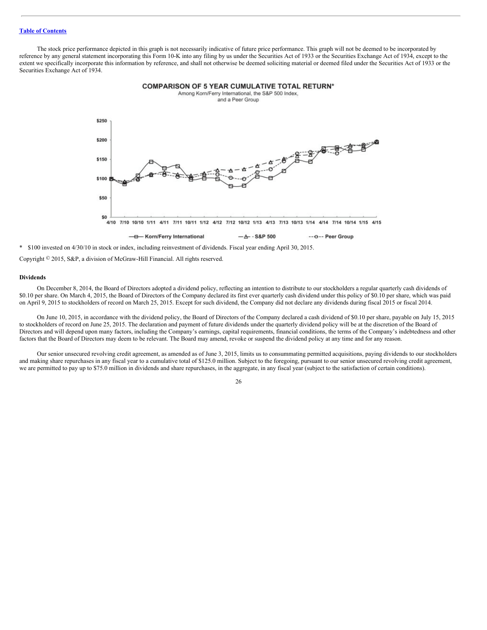The stock price performance depicted in this graph is not necessarily indicative of future price performance. This graph will not be deemed to be incorporated by reference by any general statement incorporating this Form 10-K into any filing by us under the Securities Act of 1933 or the Securities Exchange Act of 1934, except to the extent we specifically incorporate this information by reference, and shall not otherwise be deemed soliciting material or deemed filed under the Securities Act of 1933 or the Securities Exchange Act of 1934.

COMPARISON OF 5 YEAR CUMULATIVE TOTAL RETURN\*



Copyright © 2015, S&P, a division of McGraw-Hill Financial. All rights reserved.

#### **Dividends**

On December 8, 2014, the Board of Directors adopted a dividend policy, reflecting an intention to distribute to our stockholders a regular quarterly cash dividends of \$0.10 per share. On March 4, 2015, the Board of Directors of the Company declared its first ever quarterly cash dividend under this policy of \$0.10 per share, which was paid on April 9, 2015 to stockholders of record on March 25, 2015. Except for such dividend, the Company did not declare any dividends during fiscal 2015 or fiscal 2014.

On June 10, 2015, in accordance with the dividend policy, the Board of Directors of the Company declared a cash dividend of \$0.10 per share, payable on July 15, 2015 to stockholders of record on June 25, 2015. The declaration and payment of future dividends under the quarterly dividend policy will be at the discretion of the Board of Directors and will depend upon many factors, including the Company's earnings, capital requirements, financial conditions, the terms of the Company's indebtedness and other factors that the Board of Directors may deem to be relevant. The Board may amend, revoke or suspend the dividend policy at any time and for any reason.

Our senior unsecured revolving credit agreement, as amended as of June 3, 2015, limits us to consummating permitted acquisitions, paying dividends to our stockholders and making share repurchases in any fiscal year to a cumulative total of \$125.0 million. Subject to the foregoing, pursuant to our senior unsecured revolving credit agreement, we are permitted to pay up to \$75.0 million in dividends and share repurchases, in the aggregate, in any fiscal year (subject to the satisfaction of certain conditions).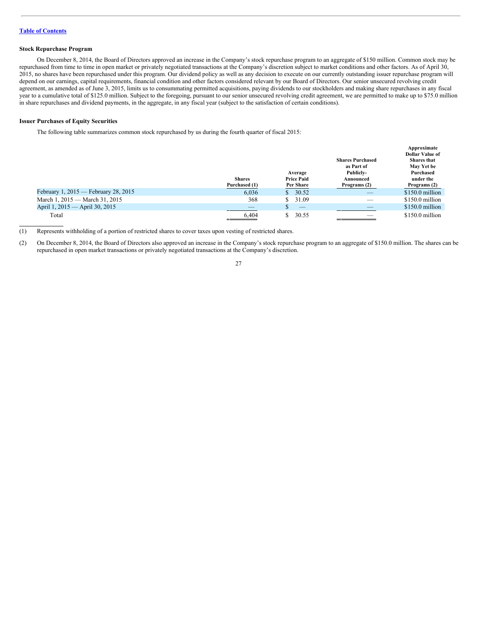#### **Stock Repurchase Program**

On December 8, 2014, the Board of Directors approved an increase in the Company's stock repurchase program to an aggregate of \$150 million. Common stock may be repurchased from time to time in open market or privately negotiated transactions at the Company's discretion subject to market conditions and other factors. As of April 30, 2015, no shares have been repurchased under this program. Our dividend policy as well as any decision to execute on our currently outstanding issuer repurchase program will depend on our earnings, capital requirements, financial condition and other factors considered relevant by our Board of Directors. Our senior unsecured revolving credit agreement, as amended as of June 3, 2015, limits us to consummating permitted acquisitions, paying dividends to our stockholders and making share repurchases in any fiscal year to a cumulative total of \$125.0 million. Subject to the foregoing, pursuant to our senior unsecured revolving credit agreement, we are permitted to make up to \$75.0 million in share repurchases and dividend payments, in the aggregate, in any fiscal year (subject to the satisfaction of certain conditions).

#### **Issuer Purchases of Equity Securities**

The following table summarizes common stock repurchased by us during the fourth quarter of fiscal 2015:

|                                      |               |                              |                                                                 | Approximate<br><b>Dollar Value of</b>                      |
|--------------------------------------|---------------|------------------------------|-----------------------------------------------------------------|------------------------------------------------------------|
|                                      | <b>Shares</b> | Average<br><b>Price Paid</b> | <b>Shares Purchased</b><br>as Part of<br>Publicly-<br>Announced | <b>Shares</b> that<br>May Yet be<br>Purchased<br>under the |
|                                      | Purchased (1) | Per Share                    | Programs (2)                                                    | Programs (2)                                               |
| February 1, 2015 — February 28, 2015 | 6.036         | \$30.52                      | $\overline{\phantom{a}}$                                        | \$150.0 million                                            |
| March 1, 2015 — March 31, 2015       | 368           | S.<br>31.09                  | $\overline{\phantom{a}}$                                        | \$150.0 million                                            |
| April 1, 2015 — April 30, 2015       |               | $\overline{\phantom{a}}$     |                                                                 | $$150.0$ million                                           |
| Total                                | 6,404         | 30.55<br>\$                  |                                                                 | \$150.0 million                                            |

(1) Represents withholding of a portion of restricted shares to cover taxes upon vesting of restricted shares.

(2) On December 8, 2014, the Board of Directors also approved an increase in the Company's stock repurchase program to an aggregate of \$150.0 million. The shares can be repurchased in open market transactions or privately negotiated transactions at the Company's discretion. 27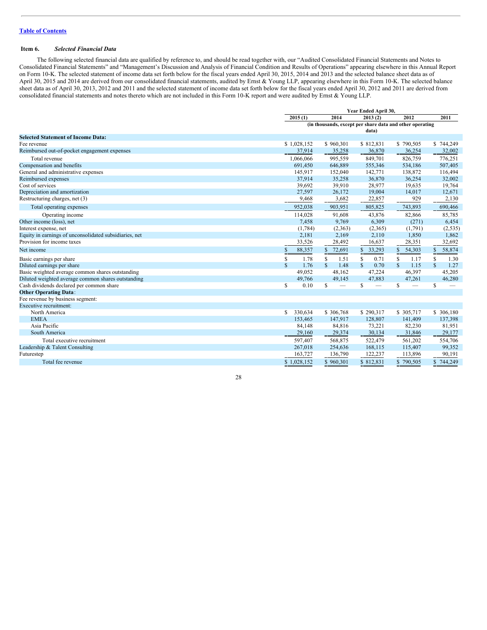#### <span id="page-29-0"></span>**Item 6.** *Selected Financial Data*

The following selected financial data are qualified by reference to, and should be read together with, our "Audited Consolidated Financial Statements and Notes to Consolidated Financial Statements" and "Management's Discussion and Analysis of Financial Condition and Results of Operations" appearing elsewhere in this Annual Report on Form 10-K. The selected statement of income data set forth below for the fiscal years ended April 30, 2015, 2014 and 2013 and the selected balance sheet data as of April 30, 2015 and 2014 are derived from our consolidated financial statements, audited by Ernst & Young LLP, appearing elsewhere in this Form 10-K. The selected balance sheet data as of April 30, 2013, 2012 and 2011 and the selected statement of income data set forth below for the fiscal years ended April 30, 2012 and 2011 are derived from consolidated financial statements and notes thereto which are not included in this Form 10-K report and were audited by Ernst & Young LLP.

|                                                        |              | Year Ended April 30,                                     |                                |                                |                               |                      |
|--------------------------------------------------------|--------------|----------------------------------------------------------|--------------------------------|--------------------------------|-------------------------------|----------------------|
|                                                        |              | 2015(1)                                                  | 2014                           | 2013(2)                        | 2012                          | 2011                 |
|                                                        |              | (in thousands, except per share data and other operating |                                |                                |                               |                      |
| <b>Selected Statement of Income Data:</b>              |              |                                                          |                                | data)                          |                               |                      |
| Fee revenue                                            |              | \$1,028,152                                              | \$960,301                      | \$812,831                      | \$790,505                     | \$744,249            |
| Reimbursed out-of-pocket engagement expenses           |              | 37,914                                                   | 35,258                         | 36,870                         | 36,254                        | 32,002               |
|                                                        |              |                                                          |                                |                                |                               |                      |
| Total revenue                                          |              | 1,066,066                                                | 995,559                        | 849,701                        | 826,759                       | 776,251              |
| Compensation and benefits                              |              | 691.450                                                  | 646,889                        | 555,346                        | 534,186                       | 507,405              |
| General and administrative expenses                    |              | 145,917                                                  | 152,040                        | 142,771                        | 138,872                       | 116,494              |
| Reimbursed expenses<br>Cost of services                |              | 37,914                                                   | 35,258                         | 36,870                         | 36,254                        | 32,002               |
| Depreciation and amortization                          |              | 39,692<br>27,597                                         | 39,910                         | 28,977                         | 19,635                        | 19,764               |
|                                                        |              |                                                          | 26,172                         | 19,004                         | 14,017                        | 12,671               |
| Restructuring charges, net (3)                         |              | 9,468<br>952,038                                         | 3,682<br>903,951               | 22,857<br>805,825              | 929<br>743,893                | 2,130<br>690,466     |
| Total operating expenses                               |              |                                                          |                                |                                |                               |                      |
| Operating income                                       |              | 114,028                                                  | 91,608                         | 43,876                         | 82,866                        | 85,785               |
| Other income (loss), net                               |              | 7,458                                                    | 9,769                          | 6,309                          | (271)                         | 6,454                |
| Interest expense, net                                  |              | (1,784)                                                  | (2,363)                        | (2,365)                        | (1,791)                       | (2, 535)             |
| Equity in earnings of unconsolidated subsidiaries, net |              | 2,181                                                    | 2,169                          | 2,110                          | 1,850                         | 1,862                |
| Provision for income taxes                             |              | 33,526                                                   | 28,492                         | 16,637                         | 28,351                        | 32,692               |
| Net income                                             | \$<br>÷      | 88,357                                                   | 72,691<br>\$                   | \$<br>33,293                   | 54,303<br>\$                  | 58,874<br>S          |
| Basic earnings per share                               | S            | 1.78                                                     | \$<br>1.51                     | 0.71<br>\$                     | 1.17<br>S                     | S<br>1.30            |
| Diluted earnings per share                             | $\mathbb{S}$ | 1.76                                                     | \$<br>1.48                     | $\mathbb{S}$<br>0.70           | $\mathbb{S}$<br>1.15          | $\mathbb{S}$<br>1.27 |
| Basic weighted average common shares outstanding       |              | 49,052                                                   | 48,162                         | 47,224                         | 46,397                        | 45,205               |
| Diluted weighted average common shares outstanding     |              | 49,766                                                   | 49,145                         | 47,883                         | 47,261                        | 46,280               |
| Cash dividends declared per common share               | S            | 0.10                                                     | \$<br>$\overline{\phantom{0}}$ | \$<br>$\overline{\phantom{0}}$ | S<br>$\overline{\phantom{m}}$ | S                    |
| <b>Other Operating Data:</b>                           |              |                                                          |                                |                                |                               |                      |
| Fee revenue by business segment:                       |              |                                                          |                                |                                |                               |                      |
| Executive recruitment:                                 |              |                                                          |                                |                                |                               |                      |
| North America                                          | S            | 330.634                                                  | \$306,768                      | \$290,317                      | \$ 305,717                    | \$ 306,180           |
| <b>EMEA</b>                                            |              | 153,465                                                  | 147,917                        | 128,807                        | 141,409                       | 137,398              |
| Asia Pacific                                           |              | 84,148                                                   | 84,816                         | 73,221                         | 82,230                        | 81,951               |
| South America                                          |              | 29,160                                                   | 29,374                         | 30,134                         | 31,846                        | 29,177               |
| Total executive recruitment                            |              | 597,407                                                  | 568,875                        | 522,479                        | 561,202                       | 554,706              |
| Leadership & Talent Consulting                         |              | 267,018                                                  | 254,636                        | 168,115                        | 115,407                       | 99,352               |
| Futurestep                                             |              | 163,727                                                  | 136,790                        | 122,237                        | 113,896                       | 90,191               |
| Total fee revenue                                      |              | \$1,028,152                                              | \$960,301                      | \$812,831                      | \$790,505                     | \$744,249            |
|                                                        |              |                                                          |                                |                                |                               |                      |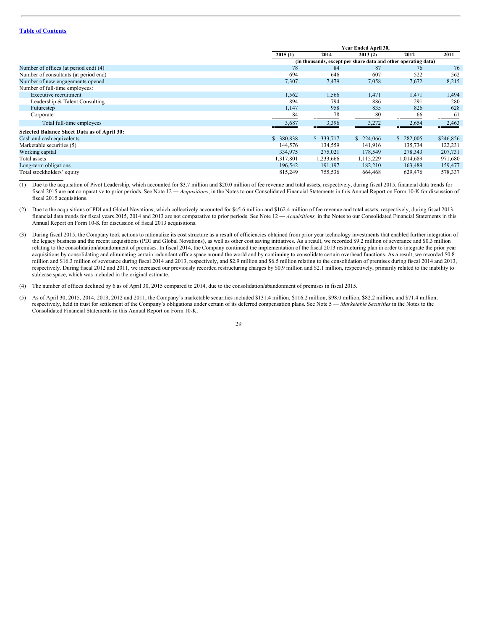|                                             |            | Year Ended April 30,                                           |           |           |           |  |
|---------------------------------------------|------------|----------------------------------------------------------------|-----------|-----------|-----------|--|
|                                             | 2015(1)    | 2014                                                           | 2013(2)   | 2012      | 2011      |  |
|                                             |            | (in thousands, except per share data and other operating data) |           |           |           |  |
| Number of offices (at period end) (4)       | 78         | 84                                                             | 87        | 76        | 76        |  |
| Number of consultants (at period end)       | 694        | 646                                                            | 607       | 522       | 562       |  |
| Number of new engagements opened            | 7,307      | 7,479                                                          | 7,058     | 7,672     | 8,215     |  |
| Number of full-time employees:              |            |                                                                |           |           |           |  |
| Executive recruitment                       | 1,562      | 1,566                                                          | 1,471     | 1,471     | 1,494     |  |
| Leadership & Talent Consulting              | 894        | 794                                                            | 886       | 291       | 280       |  |
| Futurestep                                  | 1,147      | 958                                                            | 835       | 826       | 628       |  |
| Corporate                                   | 84         | 78                                                             | 80        | 66        | -61       |  |
| Total full-time employees                   | 3,687      | 3,396                                                          | 3,272     | 2,654     | 2,463     |  |
| Selected Balance Sheet Data as of April 30: |            |                                                                |           |           |           |  |
| Cash and cash equivalents                   | \$ 380,838 | \$333,717                                                      | \$224,066 | \$282,005 | \$246,856 |  |
| Marketable securities (5)                   | 144,576    | 134,559                                                        | 141,916   | 135,734   | 122,231   |  |
| Working capital                             | 334,975    | 275,021                                                        | 178,549   | 278,343   | 207,731   |  |
| Total assets                                | 1,317,801  | 1,233,666                                                      | 1,115,229 | 1,014,689 | 971,680   |  |
| Long-term obligations                       | 196,542    | 191,197                                                        | 182,210   | 163,489   | 159,477   |  |
| Total stockholders' equity                  | 815,249    | 755,536                                                        | 664,468   | 629,476   | 578,337   |  |

- (1) Due to the acquisition of Pivot Leadership, which accounted for \$3.7 million and \$20.0 million of fee revenue and total assets, respectively, during fiscal 2015, financial data trends for fiscal 2015 are not comparative to prior periods. See Note 12 *— Acquisitions*, in the Notes to our Consolidated Financial Statements in this Annual Report on Form 10-K for discussion of fiscal 2015 acquisitions.
- (2) Due to the acquisitions of PDI and Global Novations, which collectively accounted for \$45.6 million and \$162.4 million of fee revenue and total assets, respectively, during fiscal 2013, financial data trends for fiscal years 2015, 2014 and 2013 are not comparative to prior periods. See Note 12 — *Acquisitions,* in the Notes to our Consolidated Financial Statements in this Annual Report on Form 10-K for discussion of fiscal 2013 acquisitions.
- (3) During fiscal 2015, the Company took actions to rationalize its cost structure as a result of efficiencies obtained from prior year technology investments that enabled further integration of the legacy business and the recent acquisitions (PDI and Global Novations), as well as other cost saving initiatives. As a result, we recorded \$9.2 million of severance and \$0.3 million relating to the consolidation/abandonment of premises. In fiscal 2014, the Company continued the implementation of the fiscal 2013 restructuring plan in order to integrate the prior year acquisitions by consolidating and eliminating certain redundant office space around the world and by continuing to consolidate certain overhead functions. As a result, we recorded \$0.8 million and \$16.3 million of severance during fiscal 2014 and 2013, respectively, and \$2.9 million and \$6.5 million relating to the consolidation of premises during fiscal 2014 and 2013, respectively. During fiscal 2012 and 2011, we increased our previously recorded restructuring charges by \$0.9 million and \$2.1 million, respectively, primarily related to the inability to sublease space, which was included in the original estimate.
- (4) The number of offices declined by 6 as of April 30, 2015 compared to 2014, due to the consolidation/abandonment of premises in fiscal 2015.
- (5) As of April 30, 2015, 2014, 2013, 2012 and 2011, the Company's marketable securities included \$131.4 million, \$116.2 million, \$98.0 million, \$82.2 million, and \$71.4 million, respectively, held in trust for settlement of the Company's obligations under certain of its deferred compensation plans. See Note 5 — *Marketable Securities* in the Notes to the Consolidated Financial Statements in this Annual Report on Form 10-K.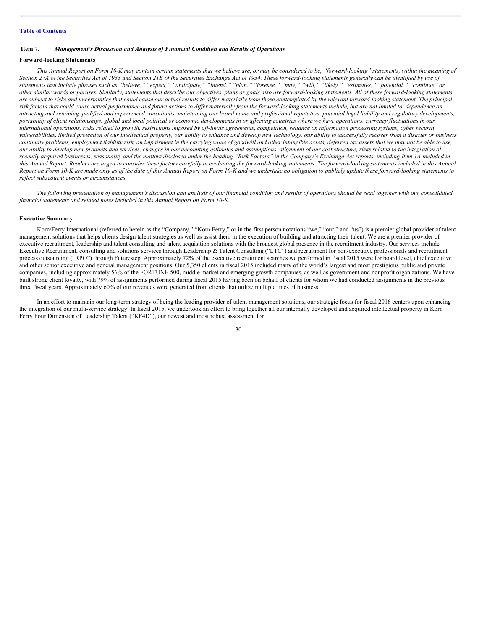#### <span id="page-31-0"></span>**Item 7.** *Management's Discussion and Analysis of Financial Condition and Results of Operations*

#### **Forward-looking Statements**

This Annual Report on Form 10-K may contain certain statements that we believe are, or may be considered to be, "forward-looking" statements, within the meaning of Section 27A of the Securities Act of 1933 and Section 21E of the Securities Exchange Act of 1934. These forward-looking statements generally can be identified by use of statements that include phrases such as "believe," "expect," "anticipate," "intend," "plan," "foresee," "may," "will," "likely," "estimates," "potential," "continue" or other similar words or phrases. Similarly, statements that describe our objectives, plans or goals also are forward-looking statements. All of these forward-looking statements are subject to risks and uncertainties that could cause our actual results to differ materially from those contemplated by the relevant forward-looking statement. The principal risk factors that could cause actual performance and future actions to differ materially from the forward-looking statements include, but are not limited to, dependence on attracting and retaining qualified and experienced consultants, maintaining our brand name and professional reputation, potential legal liability and regulatory developments, portability of client relationships, global and local political or economic developments in or affecting countries where we have operations, currency fluctuations in our international operations, risks related to growth, restrictions imposed by off-limits agreements, competition, reliance on information processing systems, cyber security vulnerabilities, limited protection of our intellectual property, our ability to enhance and develop new technology, our ability to successfully recover from a disaster or business continuity problems, employment liability risk, an impairment in the carrying value of goodwill and other intangible assets, deferred tax assets that we may not be able to use, our ability to develop new products and services, changes in our accounting estimates and assumptions, alignment of our cost structure, risks related to the integration of recently acquired businesses, seasonality and the matters disclosed under the heading "Risk Factors" in the Company's Exchange Act reports, including Item 1A included in this Annual Report. Readers are urged to consider these factors carefully in evaluating the forward-looking statements. The forward-looking statements included in this Annual Report on Form 10-K are made only as of the date of this Annual Report on Form 10-K and we undertake no obligation to publicly update these forward-looking statements to *reflect subsequent events or circumstances.*

The following presentation of management's discussion and analysis of our financial condition and results of operations should be read together with our consolidated *financial statements and related notes included in this Annual Report on Form 10-K.*

#### **Executive Summary**

Korn/Ferry International (referred to herein as the "Company," "Korn Ferry," or in the first person notations "we," "our," and "us") is a premier global provider of talent management solutions that helps clients design talent strategies as well as assist them in the execution of building and attracting their talent. We are a premier provider of executive recruitment, leadership and talent consulting and talent acquisition solutions with the broadest global presence in the recruitment industry. Our services include Executive Recruitment, consulting and solutions services through Leadership & Talent Consulting ("LTC") and recruitment for non-executive professionals and recruitment process outsourcing ("RPO") through Futurestep. Approximately 72% of the executive recruitment searches we performed in fiscal 2015 were for board level, chief executive and other senior executive and general management positions. Our 5,350 clients in fiscal 2015 included many of the world's largest and most prestigious public and private companies, including approximately 56% of the FORTUNE 500, middle market and emerging growth companies, as well as government and nonprofit organizations. We have built strong client loyalty, with 79% of assignments performed during fiscal 2015 having been on behalf of clients for whom we had conducted assignments in the previous three fiscal years. Approximately 60% of our revenues were generated from clients that utilize multiple lines of business.

In an effort to maintain our long-term strategy of being the leading provider of talent management solutions, our strategic focus for fiscal 2016 centers upon enhancing the integration of our multi-service strategy. In fiscal 2015, we undertook an effort to bring together all our internally developed and acquired intellectual property in Korn Ferry Four Dimension of Leadership Talent ("KF4D"), our newest and most robust assessment for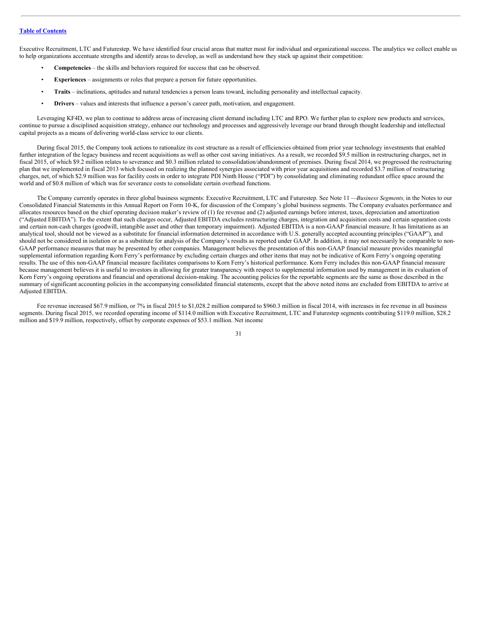Executive Recruitment, LTC and Futurestep. We have identified four crucial areas that matter most for individual and organizational success. The analytics we collect enable us to help organizations accentuate strengths and identify areas to develop, as well as understand how they stack up against their competition:

- **Competencies** the skills and behaviors required for success that can be observed.
- **Experiences** assignments or roles that prepare a person for future opportunities.
- **Traits** inclinations, aptitudes and natural tendencies a person leans toward, including personality and intellectual capacity.
- **Drivers** values and interests that influence a person's career path, motivation, and engagement.

Leveraging KF4D, we plan to continue to address areas of increasing client demand including LTC and RPO. We further plan to explore new products and services, continue to pursue a disciplined acquisition strategy, enhance our technology and processes and aggressively leverage our brand through thought leadership and intellectual capital projects as a means of delivering world-class service to our clients.

During fiscal 2015, the Company took actions to rationalize its cost structure as a result of efficiencies obtained from prior year technology investments that enabled further integration of the legacy business and recent acquisitions as well as other cost saving initiatives. As a result, we recorded \$9.5 million in restructuring charges, net in fiscal 2015, of which \$9.2 million relates to severance and \$0.3 million related to consolidation/abandonment of premises. During fiscal 2014, we progressed the restructuring plan that we implemented in fiscal 2013 which focused on realizing the planned synergies associated with prior year acquisitions and recorded \$3.7 million of restructuring charges, net, of which \$2.9 million was for facility costs in order to integrate PDI Ninth House ("PDI") by consolidating and eliminating redundant office space around the world and of \$0.8 million of which was for severance costs to consolidate certain overhead functions.

The Company currently operates in three global business segments: Executive Recruitment, LTC and Futurestep. See Note 11 —*Business Segments,* in the Notes to our Consolidated Financial Statements in this Annual Report on Form 10-K, for discussion of the Company's global business segments. The Company evaluates performance and allocates resources based on the chief operating decision maker's review of (1) fee revenue and (2) adjusted earnings before interest, taxes, depreciation and amortization ("Adjusted EBITDA"). To the extent that such charges occur, Adjusted EBITDA excludes restructuring charges, integration and acquisition costs and certain separation costs and certain non-cash charges (goodwill, intangible asset and other than temporary impairment). Adjusted EBITDA is a non-GAAP financial measure. It has limitations as an analytical tool, should not be viewed as a substitute for financial information determined in accordance with U.S. generally accepted accounting principles ("GAAP"), and should not be considered in isolation or as a substitute for analysis of the Company's results as reported under GAAP. In addition, it may not necessarily be comparable to non-GAAP performance measures that may be presented by other companies. Management believes the presentation of this non-GAAP financial measure provides meaningful supplemental information regarding Korn Ferry's performance by excluding certain charges and other items that may not be indicative of Korn Ferry's ongoing operating results. The use of this non-GAAP financial measure facilitates comparisons to Korn Ferry's historical performance. Korn Ferry includes this non-GAAP financial measure because management believes it is useful to investors in allowing for greater transparency with respect to supplemental information used by management in its evaluation of Korn Ferry's ongoing operations and financial and operational decision-making. The accounting policies for the reportable segments are the same as those described in the summary of significant accounting policies in the accompanying consolidated financial statements, except that the above noted items are excluded from EBITDA to arrive at Adjusted EBITDA.

Fee revenue increased \$67.9 million, or 7% in fiscal 2015 to \$1,028.2 million compared to \$960.3 million in fiscal 2014, with increases in fee revenue in all business segments. During fiscal 2015, we recorded operating income of \$114.0 million with Executive Recruitment, LTC and Futurestep segments contributing \$119.0 million, \$28.2 million and \$19.9 million, respectively, offset by corporate expenses of \$53.1 million. Net income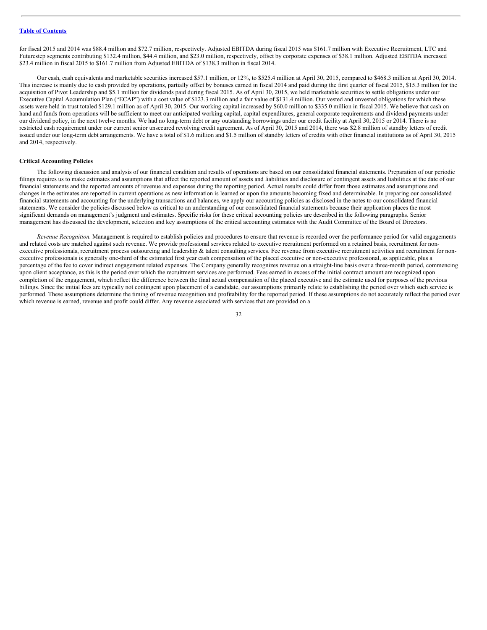for fiscal 2015 and 2014 was \$88.4 million and \$72.7 million, respectively. Adjusted EBITDA during fiscal 2015 was \$161.7 million with Executive Recruitment, LTC and Futurestep segments contributing \$132.4 million, \$44.4 million, and \$23.0 million, respectively, offset by corporate expenses of \$38.1 million. Adjusted EBITDA increased \$23.4 million in fiscal 2015 to \$161.7 million from Adjusted EBITDA of \$138.3 million in fiscal 2014.

Our cash, cash equivalents and marketable securities increased \$57.1 million, or 12%, to \$525.4 million at April 30, 2015, compared to \$468.3 million at April 30, 2014. This increase is mainly due to cash provided by operations, partially offset by bonuses earned in fiscal 2014 and paid during the first quarter of fiscal 2015, \$15.3 million for the acquisition of Pivot Leadership and \$5.1 million for dividends paid during fiscal 2015. As of April 30, 2015, we held marketable securities to settle obligations under our Executive Capital Accumulation Plan ("ECAP") with a cost value of \$123.3 million and a fair value of \$131.4 million. Our vested and unvested obligations for which these assets were held in trust totaled \$129.1 million as of April 30, 2015. Our working capital increased by \$60.0 million to \$335.0 million in fiscal 2015. We believe that cash on hand and funds from operations will be sufficient to meet our anticipated working capital, capital expenditures, general corporate requirements and dividend payments under our dividend policy, in the next twelve months. We had no long-term debt or any outstanding borrowings under our credit facility at April 30, 2015 or 2014. There is no restricted cash requirement under our current senior unsecured revolving credit agreement. As of April 30, 2015 and 2014, there was \$2.8 million of standby letters of credit issued under our long-term debt arrangements. We have a total of \$1.6 million and \$1.5 million of standby letters of credits with other financial institutions as of April 30, 2015 and 2014, respectively.

#### **Critical Accounting Policies**

The following discussion and analysis of our financial condition and results of operations are based on our consolidated financial statements. Preparation of our periodic filings requires us to make estimates and assumptions that affect the reported amount of assets and liabilities and disclosure of contingent assets and liabilities at the date of our financial statements and the reported amounts of revenue and expenses during the reporting period. Actual results could differ from those estimates and assumptions and changes in the estimates are reported in current operations as new information is learned or upon the amounts becoming fixed and determinable. In preparing our consolidated financial statements and accounting for the underlying transactions and balances, we apply our accounting policies as disclosed in the notes to our consolidated financial statements. We consider the policies discussed below as critical to an understanding of our consolidated financial statements because their application places the most significant demands on management's judgment and estimates. Specific risks for these critical accounting policies are described in the following paragraphs. Senior management has discussed the development, selection and key assumptions of the critical accounting estimates with the Audit Committee of the Board of Directors.

*Revenue Recognition.* Management is required to establish policies and procedures to ensure that revenue is recorded over the performance period for valid engagements and related costs are matched against such revenue. We provide professional services related to executive recruitment performed on a retained basis, recruitment for nonexecutive professionals, recruitment process outsourcing and leadership & talent consulting services. Fee revenue from executive recruitment activities and recruitment for nonexecutive professionals is generally one-third of the estimated first year cash compensation of the placed executive or non-executive professional, as applicable, plus a percentage of the fee to cover indirect engagement related expenses. The Company generally recognizes revenue on a straight-line basis over a three-month period, commencing upon client acceptance, as this is the period over which the recruitment services are performed. Fees earned in excess of the initial contract amount are recognized upon completion of the engagement, which reflect the difference between the final actual compensation of the placed executive and the estimate used for purposes of the previous billings. Since the initial fees are typically not contingent upon placement of a candidate, our assumptions primarily relate to establishing the period over which such service is performed. These assumptions determine the timing of revenue recognition and profitability for the reported period. If these assumptions do not accurately reflect the period over which revenue is earned, revenue and profit could differ. Any revenue associated with services that are provided on a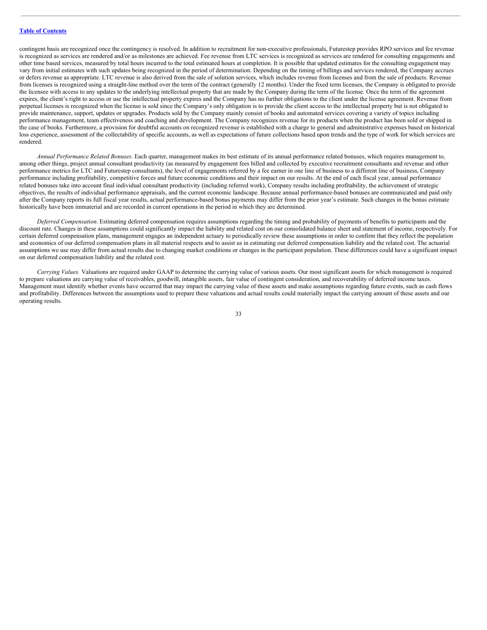contingent basis are recognized once the contingency is resolved. In addition to recruitment for non-executive professionals, Futurestep provides RPO services and fee revenue is recognized as services are rendered and/or as milestones are achieved. Fee revenue from LTC services is recognized as services are rendered for consulting engagements and other time based services, measured by total hours incurred to the total estimated hours at completion. It is possible that updated estimates for the consulting engagement may vary from initial estimates with such updates being recognized in the period of determination. Depending on the timing of billings and services rendered, the Company accrues or defers revenue as appropriate. LTC revenue is also derived from the sale of solution services, which includes revenue from licenses and from the sale of products. Revenue from licenses is recognized using a straight-line method over the term of the contract (generally 12 months). Under the fixed term licenses, the Company is obligated to provide the licensee with access to any updates to the underlying intellectual property that are made by the Company during the term of the license. Once the term of the agreement expires, the client's right to access or use the intellectual property expires and the Company has no further obligations to the client under the license agreement. Revenue from perpetual licenses is recognized when the license is sold since the Company's only obligation is to provide the client access to the intellectual property but is not obligated to provide maintenance, support, updates or upgrades. Products sold by the Company mainly consist of books and automated services covering a variety of topics including performance management, team effectiveness and coaching and development. The Company recognizes revenue for its products when the product has been sold or shipped in the case of books. Furthermore, a provision for doubtful accounts on recognized revenue is established with a charge to general and administrative expenses based on historical loss experience, assessment of the collectability of specific accounts, as well as expectations of future collections based upon trends and the type of work for which services are rendered.

*Annual Performance Related Bonuses*. Each quarter, management makes its best estimate of its annual performance related bonuses, which requires management to, among other things, project annual consultant productivity (as measured by engagement fees billed and collected by executive recruitment consultants and revenue and other performance metrics for LTC and Futurestep consultants), the level of engagements referred by a fee earner in one line of business to a different line of business, Company performance including profitability, competitive forces and future economic conditions and their impact on our results. At the end of each fiscal year, annual performance related bonuses take into account final individual consultant productivity (including referred work), Company results including profitability, the achievement of strategic objectives, the results of individual performance appraisals, and the current economic landscape. Because annual performance-based bonuses are communicated and paid only after the Company reports its full fiscal year results, actual performance-based bonus payments may differ from the prior year's estimate. Such changes in the bonus estimate historically have been immaterial and are recorded in current operations in the period in which they are determined.

*Deferred Compensation.* Estimating deferred compensation requires assumptions regarding the timing and probability of payments of benefits to participants and the discount rate. Changes in these assumptions could significantly impact the liability and related cost on our consolidated balance sheet and statement of income, respectively. For certain deferred compensation plans, management engages an independent actuary to periodically review these assumptions in order to confirm that they reflect the population and economics of our deferred compensation plans in all material respects and to assist us in estimating our deferred compensation liability and the related cost. The actuarial assumptions we use may differ from actual results due to changing market conditions or changes in the participant population. These differences could have a significant impact on our deferred compensation liability and the related cost.

*Carrying Values.* Valuations are required under GAAP to determine the carrying value of various assets. Our most significant assets for which management is required to prepare valuations are carrying value of receivables, goodwill, intangible assets, fair value of contingent consideration, and recoverability of deferred income taxes. Management must identify whether events have occurred that may impact the carrying value of these assets and make assumptions regarding future events, such as cash flows and profitability. Differences between the assumptions used to prepare these valuations and actual results could materially impact the carrying amount of these assets and our operating results.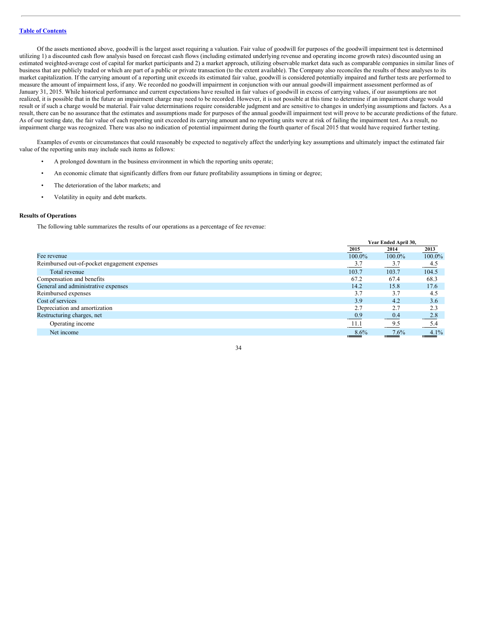Of the assets mentioned above, goodwill is the largest asset requiring a valuation. Fair value of goodwill for purposes of the goodwill impairment test is determined utilizing 1) a discounted cash flow analysis based on forecast cash flows (including estimated underlying revenue and operating income growth rates) discounted using an estimated weighted-average cost of capital for market participants and 2) a market approach, utilizing observable market data such as comparable companies in similar lines of business that are publicly traded or which are part of a public or private transaction (to the extent available). The Company also reconciles the results of these analyses to its market capitalization. If the carrying amount of a reporting unit exceeds its estimated fair value, goodwill is considered potentially impaired and further tests are performed to measure the amount of impairment loss, if any. We recorded no goodwill impairment in conjunction with our annual goodwill impairment assessment performed as of January 31, 2015. While historical performance and current expectations have resulted in fair values of goodwill in excess of carrying values, if our assumptions are not realized, it is possible that in the future an impairment charge may need to be recorded. However, it is not possible at this time to determine if an impairment charge would result or if such a charge would be material. Fair value determinations require considerable judgment and are sensitive to changes in underlying assumptions and factors. As a result, there can be no assurance that the estimates and assumptions made for purposes of the annual goodwill impairment test will prove to be accurate predictions of the future. As of our testing date, the fair value of each reporting unit exceeded its carrying amount and no reporting units were at risk of failing the impairment test. As a result, no impairment charge was recognized. There was also no indication of potential impairment during the fourth quarter of fiscal 2015 that would have required further testing.

Examples of events or circumstances that could reasonably be expected to negatively affect the underlying key assumptions and ultimately impact the estimated fair value of the reporting units may include such items as follows:

- A prolonged downturn in the business environment in which the reporting units operate;
- An economic climate that significantly differs from our future profitability assumptions in timing or degree;
- The deterioration of the labor markets; and
- Volatility in equity and debt markets.

#### **Results of Operations**

The following table summarizes the results of our operations as a percentage of fee revenue:

|                                              | Year Ended April 30, |        |         |
|----------------------------------------------|----------------------|--------|---------|
|                                              | 2015                 | 2014   | 2013    |
| Fee revenue                                  | 100.0%               | 100.0% | 100.0%  |
| Reimbursed out-of-pocket engagement expenses | $\frac{3.7}{2}$      | 3.7    | $-4.5$  |
| Total revenue                                | 103.7                | 103.7  | 104.5   |
| Compensation and benefits                    | 67.2                 | 67.4   | 68.3    |
| General and administrative expenses          | 14.2                 | 15.8   | 17.6    |
| Reimbursed expenses                          | 3.7                  | 3.7    | 4.5     |
| Cost of services                             | 3.9                  | 4.2    | 3.6     |
| Depreciation and amortization                | 2.7                  | 2.7    | 2.3     |
| Restructuring charges, net                   | 0.9                  | 0.4    | 2.8     |
| Operating income                             | 11.1                 | 9.5    | 5.4     |
| Net income                                   | 8.6%                 | 7.6%   | $4.1\%$ |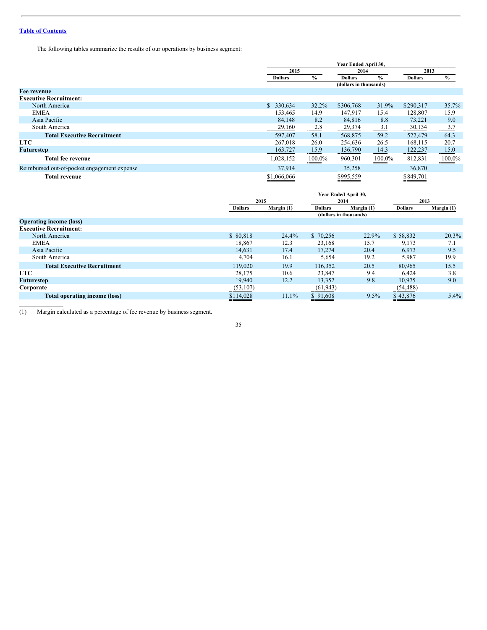The following tables summarize the results of our operations by business segment:

|                                             |                | Year Ended April 30, |                        |               |                   |                 |  |  |  |
|---------------------------------------------|----------------|----------------------|------------------------|---------------|-------------------|-----------------|--|--|--|
|                                             | 2015           |                      | 2014                   |               | 2013              |                 |  |  |  |
|                                             | <b>Dollars</b> | $\frac{0}{0}$        | <b>Dollars</b>         | $\frac{6}{9}$ | <b>Dollars</b>    | $\%$            |  |  |  |
|                                             |                |                      | (dollars in thousands) |               |                   |                 |  |  |  |
| <b>Fee revenue</b>                          |                |                      |                        |               |                   |                 |  |  |  |
| <b>Executive Recruitment:</b>               |                |                      |                        |               |                   |                 |  |  |  |
| North America                               | \$330,634      | 32.2%                | \$306,768              | 31.9%         | \$290,317         | 35.7%           |  |  |  |
| <b>EMEA</b>                                 | 153,465        | 14.9                 | 147,917                | 15.4          | 128,807           | 15.9            |  |  |  |
| Asia Pacific                                | 84.148         | 8.2                  | 84.816                 | 8.8           | 73,221            | 9.0             |  |  |  |
| South America                               | 29,160         | $-2.8$               | 29,374                 | 3.1           | 30,134            | $\frac{3.7}{2}$ |  |  |  |
| <b>Total Executive Recruitment</b>          | 597,407        | 58.1                 | 568,875                | 59.2          | 522,479           | 64.3            |  |  |  |
| <b>LTC</b>                                  | 267,018        | 26.0                 | 254,636                | 26.5          | 168,115           | 20.7            |  |  |  |
| <b>Futurestep</b>                           | 163,727        | 15.9                 | 136,790                | 14.3          | 122,237           | 15.0            |  |  |  |
| <b>Total fee revenue</b>                    | 1,028,152      | 100.0%               | 960,301                | 100.0%        | 812,831           | 100.0%          |  |  |  |
| Reimbursed out-of-pocket engagement expense | 37,914         |                      | 35,258                 |               | 36,870            |                 |  |  |  |
| <b>Total revenue</b>                        | \$1,066,066    |                      | \$995,559              |               | \$849,701<br>____ |                 |  |  |  |

|                                    |                | Year Ended April 30, |                        |            |                |            |  |  |  |
|------------------------------------|----------------|----------------------|------------------------|------------|----------------|------------|--|--|--|
|                                    |                | 2015                 |                        | 2014       |                | 2013       |  |  |  |
|                                    | <b>Dollars</b> | Margin (1)           | <b>Dollars</b>         | Margin (1) | <b>Dollars</b> | Margin (1) |  |  |  |
|                                    |                |                      | (dollars in thousands) |            |                |            |  |  |  |
| <b>Operating income (loss)</b>     |                |                      |                        |            |                |            |  |  |  |
| <b>Executive Recruitment:</b>      |                |                      |                        |            |                |            |  |  |  |
| North America                      | \$80.818       | 24.4%                | \$70,256               | 22.9%      | \$58,832       | $20.3\%$   |  |  |  |
| <b>EMEA</b>                        | 18,867         | 12.3                 | 23,168                 | 15.7       | 9,173          | 7.1        |  |  |  |
| Asia Pacific                       | 14.631         | 17.4                 | 17,274                 | 20.4       | 6,973          | 9.5        |  |  |  |
| South America                      | 4,704          | 16.1                 | 5,654                  | 19.2       | 5,987          | 19.9       |  |  |  |
| <b>Total Executive Recruitment</b> | 119,020        | 19.9                 | 116,352                | 20.5       | 80,965         | 15.5       |  |  |  |
| <b>LTC</b>                         | 28,175         | 10.6                 | 23,847                 | 9.4        | 6,424          | 3.8        |  |  |  |
| <b>Futurestep</b>                  | 19.940         | 12.2                 | 13,352                 | 9.8        | 10,975         | 9.0        |  |  |  |
| Corporate                          | (53, 107)      |                      | (61, 943)              |            | (54, 488)      |            |  |  |  |
| Total operating income (loss)      | \$114,028      | 11.1%                | \$91,608               | 9.5%       | \$43,876       | $5.4\%$    |  |  |  |

(1) Margin calculated as a percentage of fee revenue by business segment.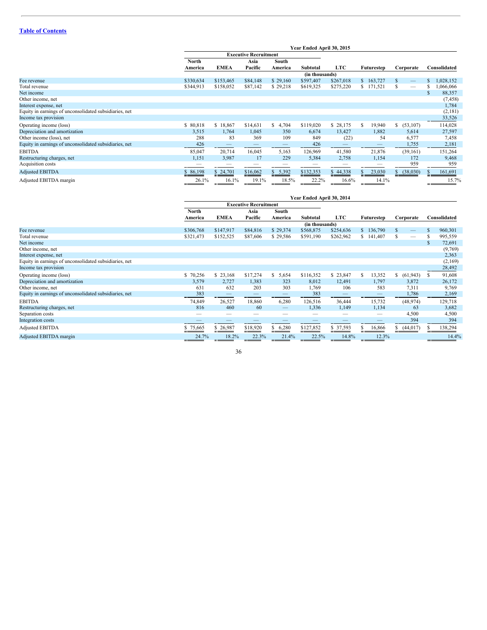|                                                        | Year Ended April 30, 2015 |             |                              |             |                 |             |              |                   |    |             |              |
|--------------------------------------------------------|---------------------------|-------------|------------------------------|-------------|-----------------|-------------|--------------|-------------------|----|-------------|--------------|
|                                                        |                           |             | <b>Executive Recruitment</b> |             |                 |             |              |                   |    |             |              |
|                                                        | North                     |             | Asia                         | South       |                 |             |              |                   |    |             |              |
|                                                        | America                   | <b>EMEA</b> | Pacific                      | America     | <b>Subtotal</b> | <b>LTC</b>  |              | <b>Futurestep</b> |    | Corporate   | Consolidated |
|                                                        |                           |             |                              |             | (in thousands)  |             |              |                   |    |             |              |
| Fee revenue                                            | \$330,634                 | \$153,465   | \$84,148                     | \$29,160    | \$597,407       | \$267,018   | -S           | 163,727           | \$ |             | ,028,152     |
| Total revenue                                          | \$344,913                 | \$158,052   | \$87,142                     | \$29,218    | \$619,325       | \$275,220   |              | \$ 171,521        |    |             | ,066,066     |
| Net income                                             |                           |             |                              |             |                 |             |              |                   |    |             | 88,357       |
| Other income, net                                      |                           |             |                              |             |                 |             |              |                   |    |             | (7, 458)     |
| Interest expense, net                                  |                           |             |                              |             |                 |             |              |                   |    |             | 1,784        |
| Equity in earnings of unconsolidated subsidiaries, net |                           |             |                              |             |                 |             |              |                   |    |             | (2,181)      |
| Income tax provision                                   |                           |             |                              |             |                 |             |              |                   |    |             | 33,526       |
| Operating income (loss)                                | \$80,818                  | \$18,867    | \$14,631                     | S.<br>4,704 | \$119,020       | \$28,175    | $\mathbf{s}$ | 19,940            |    | \$ (53,107) | 114,028      |
| Depreciation and amortization                          | 3,515                     | 1,764       | 1,045                        | 350         | 6,674           | 13,427      |              | 1,882             |    | 5,614       | 27,597       |
| Other income (loss), net                               | 288                       | 83          | 369                          | 109         | 849             | (22)        |              | 54                |    | 6,577       | 7,458        |
| Equity in earnings of unconsolidated subsidiaries, net | 426                       |             |                              |             | 426             |             |              |                   |    | 1,755       | 2,181        |
| <b>EBITDA</b>                                          | 85,047                    | 20,714      | 16,045                       | 5,163       | 126,969         | 41,580      |              | 21,876            |    | (39,161)    | 151,264      |
| Restructuring charges, net                             | 1,151                     | 3,987       | 17                           | 229         | 5,384           | 2,758       |              | 1,154             |    | 172         | 9,468        |
| Acquisition costs                                      |                           |             |                              |             |                 |             |              |                   |    | 959         | 959          |
| <b>Adjusted EBITDA</b>                                 | \$86,198                  | \$ 24,701   | \$16,062                     | 5,392<br>P. | \$132,353       | 44,338<br>ъ |              | 23,030            | S  | (38,030)    | 161,691      |
| Adjusted EBITDA margin                                 | 26.1%                     | 16.1%       | 19.1%                        | 18.5%       | 22.2%           | 16.6%       |              | 14.1%             |    |             | 15.7%        |

|                                                        | Year Ended April 30, 2014    |             |          |          |                |            |    |            |    |           |    |              |
|--------------------------------------------------------|------------------------------|-------------|----------|----------|----------------|------------|----|------------|----|-----------|----|--------------|
|                                                        | <b>Executive Recruitment</b> |             |          |          |                |            |    |            |    |           |    |              |
|                                                        | North                        |             | Asia     | South    |                |            |    |            |    |           |    |              |
|                                                        | America                      | <b>EMEA</b> | Pacific  | America  | Subtotal       | <b>LTC</b> |    | Futurestep |    | Corporate |    | Consolidated |
|                                                        |                              |             |          |          | (in thousands) |            |    |            |    |           |    |              |
| Fee revenue                                            | \$306,768                    | \$147,917   | \$84,816 | \$29,374 | \$568,875      | \$254,636  | S. | 136,790    |    |           |    | 960,301      |
| Total revenue                                          | \$321,473                    | \$152,525   | \$87,606 | \$29,586 | \$591,190      | \$262,962  |    | \$141,407  | S  | _         |    | 995,559      |
| Net income                                             |                              |             |          |          |                |            |    |            |    |           | ж  | 72,691       |
| Other income, net                                      |                              |             |          |          |                |            |    |            |    |           |    | (9,769)      |
| Interest expense, net                                  |                              |             |          |          |                |            |    |            |    |           |    | 2,363        |
| Equity in earnings of unconsolidated subsidiaries, net |                              |             |          |          |                |            |    |            |    |           |    | (2,169)      |
| Income tax provision                                   |                              |             |          |          |                |            |    |            |    |           |    | 28,492       |
| Operating income (loss)                                | \$70,256                     | \$23,168    | \$17,274 | \$5,654  | \$116,352      | \$23,847   | -S | 13,352     | \$ | (61, 943) | S. | 91,608       |
| Depreciation and amortization                          | 3,579                        | 2,727       | 1,383    | 323      | 8,012          | 12,491     |    | 1,797      |    | 3,872     |    | 26,172       |
| Other income, net                                      | 631                          | 632         | 203      | 303      | 1,769          | 106        |    | 583        |    | 7,311     |    | 9,769        |
| Equity in earnings of unconsolidated subsidiaries, net | 383                          |             |          |          | 383            |            |    |            |    | 1,786     |    | 2,169        |
| <b>EBITDA</b>                                          | 74,849                       | 26,527      | 18,860   | 6,280    | 126,516        | 36,444     |    | 15,732     |    | (48,974)  |    | 129,718      |
| Restructuring charges, net                             | 816                          | 460         | 60       |          | 1,336          | 1,149      |    | 1,134      |    | 63        |    | 3,682        |
| Separation costs                                       |                              |             |          |          |                |            |    |            |    | 4,500     |    | 4,500        |
| Integration costs                                      |                              |             |          |          |                |            |    |            |    | 394       |    | 394          |
| Adjusted EBITDA                                        | \$75,665                     | \$26,987    | \$18,920 | \$6,280  | \$127,852      | \$37,593   |    | 16,866     |    | (44, 017) |    | 138,294      |
| Adjusted EBITDA margin                                 | 24.7%<br><b>CONTRACTOR</b>   | 18.2%       | 22.3%    | 21.4%    | 22.5%          | 14.8%      |    | 12.3%      |    |           |    | 14.4%        |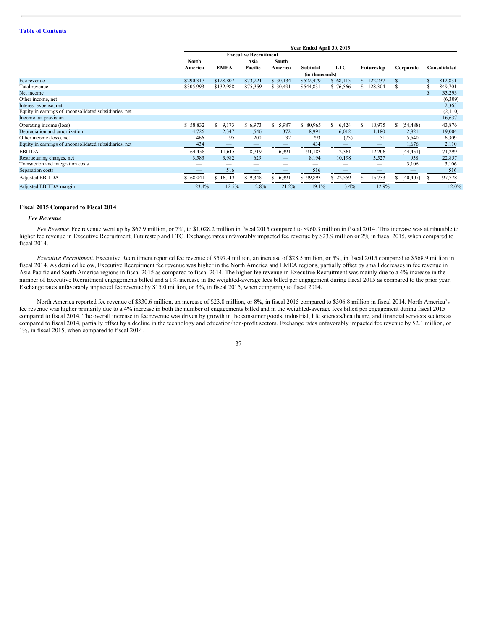|                                                        | Year Ended April 30, 2013 |             |                              |                          |                |                          |    |                   |    |           |        |              |
|--------------------------------------------------------|---------------------------|-------------|------------------------------|--------------------------|----------------|--------------------------|----|-------------------|----|-----------|--------|--------------|
|                                                        |                           |             | <b>Executive Recruitment</b> |                          |                |                          |    |                   |    |           |        |              |
|                                                        | North                     |             | Asia                         | South                    |                |                          |    |                   |    |           |        |              |
|                                                        | America                   | <b>EMEA</b> | Pacific                      | America                  | Subtotal       | <b>LTC</b>               |    | <b>Futurestep</b> |    | Corporate |        | Consolidated |
|                                                        |                           |             |                              |                          | (in thousands) |                          |    |                   |    |           |        |              |
| Fee revenue                                            | \$290,317                 | \$128,807   | \$73,221                     | \$30,134                 | \$522,479      | \$168,115                | S. | 122,237           |    |           |        | 812,831      |
| Total revenue                                          | \$305,993                 | \$132,988   | \$75,359                     | \$ 30,491                | \$544,831      | \$176,566                |    | \$128,304         |    |           |        | 849,701      |
| Net income                                             |                           |             |                              |                          |                |                          |    |                   |    |           |        | 33,293       |
| Other income, net                                      |                           |             |                              |                          |                |                          |    |                   |    |           |        | (6,309)      |
| Interest expense, net                                  |                           |             |                              |                          |                |                          |    |                   |    |           |        | 2,365        |
| Equity in earnings of unconsolidated subsidiaries, net |                           |             |                              |                          |                |                          |    |                   |    |           |        | (2,110)      |
| Income tax provision                                   |                           |             |                              |                          |                |                          |    |                   |    |           |        | 16,637       |
| Operating income (loss)                                | \$58,832                  | 9,173<br>S. | \$6,973                      | 5,987<br>S.              | \$ 80,965      | 6,424<br>S               | S  | 10,975            | S. | (54, 488) |        | 43,876       |
| Depreciation and amortization                          | 4,726                     | 2,347       | 1,546                        | 372                      | 8,991          | 6,012                    |    | 1,180             |    | 2,821     |        | 19,004       |
| Other income (loss), net                               | 466                       | 95          | 200                          | 32                       | 793            | (75)                     |    | 51                |    | 5,540     |        | 6,309        |
| Equity in earnings of unconsolidated subsidiaries, net | 434                       |             |                              |                          | 434            |                          |    |                   |    | 1,676     |        | 2,110        |
| <b>EBITDA</b>                                          | 64,458                    | 11,615      | 8,719                        | 6,391                    | 91,183         | 12,361                   |    | 12,206            |    | (44, 451) |        | 71,299       |
| Restructuring charges, net                             | 3,583                     | 3,982       | 629                          |                          | 8,194          | 10,198                   |    | 3,527             |    | 938       |        | 22,857       |
| Transaction and integration costs                      | _                         |             |                              | $\overline{\phantom{a}}$ |                | _                        |    |                   |    | 3,106     |        | 3,106        |
| Separation costs                                       |                           | 516         |                              |                          | 516            | $\overline{\phantom{m}}$ |    | _                 |    |           |        | 516          |
| <b>Adjusted EBITDA</b>                                 | \$68,041                  | \$16,113    | \$9,348                      | \$6,391                  | 99,893<br>s    | \$22,559                 |    | 15,733            | \$ | (40, 407) |        | 97,778       |
| Adjusted EBITDA margin                                 | 23.4%<br>$-$              | 12.5%       | 12.8%                        | 21.2%                    | 19.1%          | 13.4%                    |    | 12.9%             |    |           | $\sim$ | 12.0%        |

## **Fiscal 2015 Compared to Fiscal 2014**

# *Fee Revenue*

*Fee Revenue.* Fee revenue went up by \$67.9 million, or 7%, to \$1,028.2 million in fiscal 2015 compared to \$960.3 million in fiscal 2014. This increase was attributable to higher fee revenue in Executive Recruitment, Futurestep and LTC. Exchange rates unfavorably impacted fee revenue by \$23.9 million or 2% in fiscal 2015, when compared to fiscal 2014.

*Executive Recruitment.* Executive Recruitment reported fee revenue of \$597.4 million, an increase of \$28.5 million, or 5%, in fiscal 2015 compared to \$568.9 million in fiscal 2014. As detailed below, Executive Recruitment fee revenue was higher in the North America and EMEA regions, partially offset by small decreases in fee revenue in Asia Pacific and South America regions in fiscal 2015 as compared to fiscal 2014. The higher fee revenue in Executive Recruitment was mainly due to a 4% increase in the number of Executive Recruitment engagements billed and a  $1\%$  increase in the weighted-average fees billed per engagement during fiscal 2015 as compared to the prior year. Exchange rates unfavorably impacted fee revenue by \$15.0 million, or 3%, in fiscal 2015, when comparing to fiscal 2014.

North America reported fee revenue of \$330.6 million, an increase of \$23.8 million, or 8%, in fiscal 2015 compared to \$306.8 million in fiscal 2014. North America's fee revenue was higher primarily due to a 4% increase in both the number of engagements billed and in the weighted-average fees billed per engagement during fiscal 2015 compared to fiscal 2014. The overall increase in fee revenue was driven by growth in the consumer goods, industrial, life sciences/healthcare, and financial services sectors as compared to fiscal 2014, partially offset by a decline in the technology and education/non-profit sectors. Exchange rates unfavorably impacted fee revenue by \$2.1 million, or 1%, in fiscal 2015, when compared to fiscal 2014.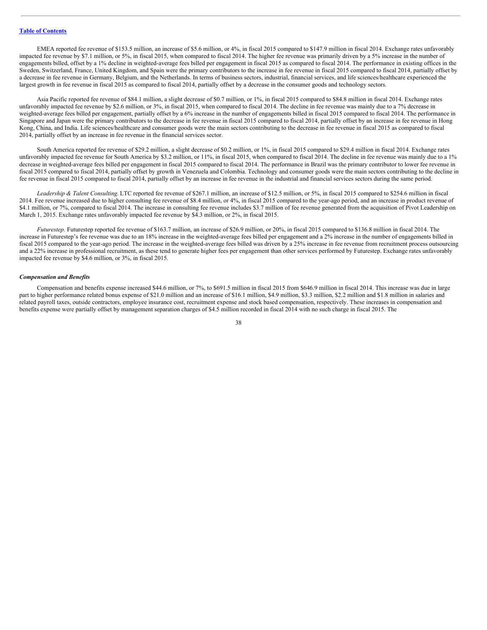EMEA reported fee revenue of \$153.5 million, an increase of \$5.6 million, or 4%, in fiscal 2015 compared to \$147.9 million in fiscal 2014. Exchange rates unfavorably impacted fee revenue by \$7.1 million, or 5%, in fiscal 2015, when compared to fiscal 2014. The higher fee revenue was primarily driven by a 5% increase in the number of engagements billed, offset by a 1% decline in weighted-average fees billed per engagement in fiscal 2015 as compared to fiscal 2014. The performance in existing offices in the Sweden, Switzerland, France, United Kingdom, and Spain were the primary contributors to the increase in fee revenue in fiscal 2015 compared to fiscal 2014, partially offset by a decrease in fee revenue in Germany, Belgium, and the Netherlands. In terms of business sectors, industrial, financial services, and life sciences/healthcare experienced the largest growth in fee revenue in fiscal 2015 as compared to fiscal 2014, partially offset by a decrease in the consumer goods and technology sectors.

Asia Pacific reported fee revenue of \$84.1 million, a slight decrease of \$0.7 million, or 1%, in fiscal 2015 compared to \$84.8 million in fiscal 2014. Exchange rates unfavorably impacted fee revenue by \$2.6 million, or 3%, in fiscal 2015, when compared to fiscal 2014. The decline in fee revenue was mainly due to a 7% decrease in weighted-average fees billed per engagement, partially offset by a 6% increase in the number of engagements billed in fiscal 2015 compared to fiscal 2014. The performance in Singapore and Japan were the primary contributors to the decrease in fee revenue in fiscal 2015 compared to fiscal 2014, partially offset by an increase in fee revenue in Hong Kong, China, and India. Life sciences/healthcare and consumer goods were the main sectors contributing to the decrease in fee revenue in fiscal 2015 as compared to fiscal 2014, partially offset by an increase in fee revenue in the financial services sector.

South America reported fee revenue of \$29.2 million, a slight decrease of \$0.2 million, or 1%, in fiscal 2015 compared to \$29.4 million in fiscal 2014. Exchange rates unfavorably impacted fee revenue for South America by \$3.2 million, or 11%, in fiscal 2015, when compared to fiscal 2014. The decline in fee revenue was mainly due to a 1% decrease in weighted-average fees billed per engagement in fiscal 2015 compared to fiscal 2014. The performance in Brazil was the primary contributor to lower fee revenue in fiscal 2015 compared to fiscal 2014, partially offset by growth in Venezuela and Colombia. Technology and consumer goods were the main sectors contributing to the decline in fee revenue in fiscal 2015 compared to fiscal 2014, partially offset by an increase in fee revenue in the industrial and financial services sectors during the same period.

*Leadership & Talent Consulting.* LTC reported fee revenue of \$267.1 million, an increase of \$12.5 million, or 5%, in fiscal 2015 compared to \$254.6 million in fiscal 2014. Fee revenue increased due to higher consulting fee revenue of \$8.4 million, or 4%, in fiscal 2015 compared to the year-ago period, and an increase in product revenue of \$4.1 million, or 7%, compared to fiscal 2014. The increase in consulting fee revenue includes \$3.7 million of fee revenue generated from the acquisition of Pivot Leadership on March 1, 2015. Exchange rates unfavorably impacted fee revenue by \$4.3 million, or 2%, in fiscal 2015.

*Futurestep.* Futurestep reported fee revenue of \$163.7 million, an increase of \$26.9 million, or 20%, in fiscal 2015 compared to \$136.8 million in fiscal 2014. The increase in Futurestep's fee revenue was due to an 18% increase in the weighted-average fees billed per engagement and a 2% increase in the number of engagements billed in fiscal 2015 compared to the year-ago period. The increase in the weighted-average fees billed was driven by a 25% increase in fee revenue from recruitment process outsourcing and a 22% increase in professional recruitment, as these tend to generate higher fees per engagement than other services performed by Futurestep. Exchange rates unfavorably impacted fee revenue by \$4.6 million, or 3%, in fiscal 2015.

#### *Compensation and Benefits*

Compensation and benefits expense increased \$44.6 million, or 7%, to \$691.5 million in fiscal 2015 from \$646.9 million in fiscal 2014. This increase was due in large part to higher performance related bonus expense of \$21.0 million and an increase of \$16.1 million, \$4.9 million, \$3.3 million, \$2.2 million and \$1.8 million in salaries and related payroll taxes, outside contractors, employee insurance cost, recruitment expense and stock based compensation, respectively. These increases in compensation and benefits expense were partially offset by management separation charges of \$4.5 million recorded in fiscal 2014 with no such charge in fiscal 2015. The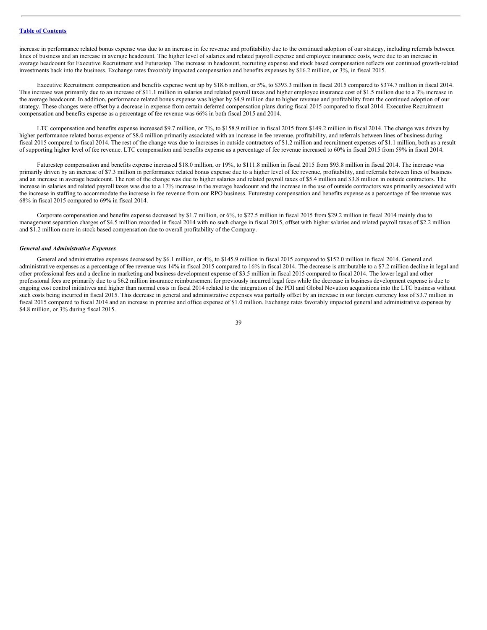increase in performance related bonus expense was due to an increase in fee revenue and profitability due to the continued adoption of our strategy, including referrals between lines of business and an increase in average headcount. The higher level of salaries and related payroll expense and employee insurance costs, were due to an increase in average headcount for Executive Recruitment and Futurestep. The increase in headcount, recruiting expense and stock based compensation reflects our continued growth-related investments back into the business. Exchange rates favorably impacted compensation and benefits expenses by \$16.2 million, or 3%, in fiscal 2015.

Executive Recruitment compensation and benefits expense went up by \$18.6 million, or 5%, to \$393.3 million in fiscal 2015 compared to \$374.7 million in fiscal 2014. This increase was primarily due to an increase of \$11.1 million in salaries and related payroll taxes and higher employee insurance cost of \$1.5 million due to a 3% increase in the average headcount. In addition, performance related bonus expense was higher by \$4.9 million due to higher revenue and profitability from the continued adoption of our strategy. These changes were offset by a decrease in expense from certain deferred compensation plans during fiscal 2015 compared to fiscal 2014. Executive Recruitment compensation and benefits expense as a percentage of fee revenue was 66% in both fiscal 2015 and 2014.

LTC compensation and benefits expense increased \$9.7 million, or 7%, to \$158.9 million in fiscal 2015 from \$149.2 million in fiscal 2014. The change was driven by higher performance related bonus expense of \$8.0 million primarily associated with an increase in fee revenue, profitability, and referrals between lines of business during fiscal 2015 compared to fiscal 2014. The rest of the change was due to increases in outside contractors of \$1.2 million and recruitment expenses of \$1.1 million, both as a result of supporting higher level of fee revenue. LTC compensation and benefits expense as a percentage of fee revenue increased to 60% in fiscal 2015 from 59% in fiscal 2014.

Futurestep compensation and benefits expense increased \$18.0 million, or 19%, to \$111.8 million in fiscal 2015 from \$93.8 million in fiscal 2014. The increase was primarily driven by an increase of \$7.3 million in performance related bonus expense due to a higher level of fee revenue, profitability, and referrals between lines of business and an increase in average headcount. The rest of the change was due to higher salaries and related payroll taxes of \$5.4 million and \$3.8 million in outside contractors. The increase in salaries and related payroll taxes was due to a 17% increase in the average headcount and the increase in the use of outside contractors was primarily associated with the increase in staffing to accommodate the increase in fee revenue from our RPO business. Futurestep compensation and benefits expense as a percentage of fee revenue was 68% in fiscal 2015 compared to 69% in fiscal 2014.

Corporate compensation and benefits expense decreased by \$1.7 million, or 6%, to \$27.5 million in fiscal 2015 from \$29.2 million in fiscal 2014 mainly due to management separation charges of \$4.5 million recorded in fiscal 2014 with no such charge in fiscal 2015, offset with higher salaries and related payroll taxes of \$2.2 million and \$1.2 million more in stock based compensation due to overall profitability of the Company.

## *General and Administrative Expenses*

General and administrative expenses decreased by \$6.1 million, or 4%, to \$145.9 million in fiscal 2015 compared to \$152.0 million in fiscal 2014. General and administrative expenses as a percentage of fee revenue was 14% in fiscal 2015 compared to 16% in fiscal 2014. The decrease is attributable to a \$7.2 million decline in legal and other professional fees and a decline in marketing and business development expense of \$3.5 million in fiscal 2015 compared to fiscal 2014. The lower legal and other professional fees are primarily due to a \$6.2 million insurance reimbursement for previously incurred legal fees while the decrease in business development expense is due to ongoing cost control initiatives and higher than normal costs in fiscal 2014 related to the integration of the PDI and Global Novation acquisitions into the LTC business without such costs being incurred in fiscal 2015. This decrease in general and administrative expenses was partially offset by an increase in our foreign currency loss of \$3.7 million in fiscal 2015 compared to fiscal 2014 and an increase in premise and office expense of \$1.0 million. Exchange rates favorably impacted general and administrative expenses by \$4.8 million, or 3% during fiscal 2015.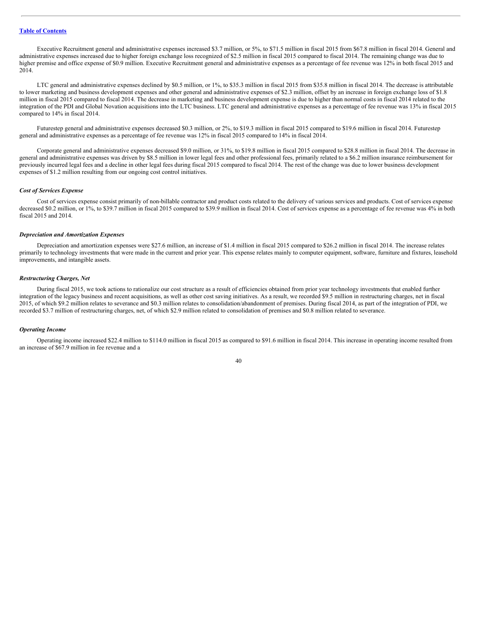Executive Recruitment general and administrative expenses increased \$3.7 million, or 5%, to \$71.5 million in fiscal 2015 from \$67.8 million in fiscal 2014. General and administrative expenses increased due to higher foreign exchange loss recognized of \$2.5 million in fiscal 2015 compared to fiscal 2014. The remaining change was due to higher premise and office expense of \$0.9 million. Executive Recruitment general and administrative expenses as a percentage of fee revenue was 12% in both fiscal 2015 and 2014.

LTC general and administrative expenses declined by \$0.5 million, or 1%, to \$35.3 million in fiscal 2015 from \$35.8 million in fiscal 2014. The decrease is attributable to lower marketing and business development expenses and other general and administrative expenses of \$2.3 million, offset by an increase in foreign exchange loss of \$1.8 million in fiscal 2015 compared to fiscal 2014. The decrease in marketing and business development expense is due to higher than normal costs in fiscal 2014 related to the integration of the PDI and Global Novation acquisitions into the LTC business. LTC general and administrative expenses as a percentage of fee revenue was 13% in fiscal 2015 compared to 14% in fiscal 2014.

Futurestep general and administrative expenses decreased \$0.3 million, or 2%, to \$19.3 million in fiscal 2015 compared to \$19.6 million in fiscal 2014. Futurestep general and administrative expenses as a percentage of fee revenue was 12% in fiscal 2015 compared to 14% in fiscal 2014.

Corporate general and administrative expenses decreased \$9.0 million, or 31%, to \$19.8 million in fiscal 2015 compared to \$28.8 million in fiscal 2014. The decrease in general and administrative expenses was driven by \$8.5 million in lower legal fees and other professional fees, primarily related to a \$6.2 million insurance reimbursement for previously incurred legal fees and a decline in other legal fees during fiscal 2015 compared to fiscal 2014. The rest of the change was due to lower business development expenses of \$1.2 million resulting from our ongoing cost control initiatives.

#### *Cost of Services Expense*

Cost of services expense consist primarily of non-billable contractor and product costs related to the delivery of various services and products. Cost of services expense decreased \$0.2 million, or 1%, to \$39.7 million in fiscal 2015 compared to \$39.9 million in fiscal 2014. Cost of services expense as a percentage of fee revenue was 4% in both fiscal 2015 and 2014.

#### *Depreciation and Amortization Expenses*

Depreciation and amortization expenses were \$27.6 million, an increase of \$1.4 million in fiscal 2015 compared to \$26.2 million in fiscal 2014. The increase relates primarily to technology investments that were made in the current and prior year. This expense relates mainly to computer equipment, software, furniture and fixtures, leasehold improvements, and intangible assets.

#### *Restructuring Charges, Net*

During fiscal 2015, we took actions to rationalize our cost structure as a result of efficiencies obtained from prior year technology investments that enabled further integration of the legacy business and recent acquisitions, as well as other cost saving initiatives. As a result, we recorded \$9.5 million in restructuring charges, net in fiscal 2015, of which \$9.2 million relates to severance and \$0.3 million relates to consolidation/abandonment of premises. During fiscal 2014, as part of the integration of PDI, we recorded \$3.7 million of restructuring charges, net, of which \$2.9 million related to consolidation of premises and \$0.8 million related to severance.

#### *Operating Income*

Operating income increased \$22.4 million to \$114.0 million in fiscal 2015 as compared to \$91.6 million in fiscal 2014. This increase in operating income resulted from an increase of \$67.9 million in fee revenue and a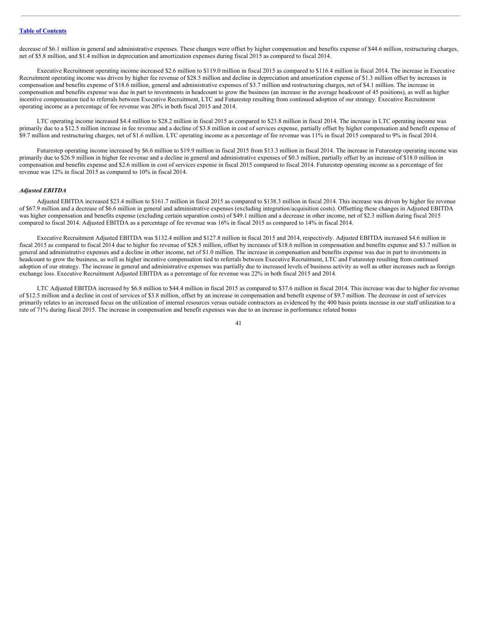decrease of \$6.1 million in general and administrative expenses. These changes were offset by higher compensation and benefits expense of \$44.6 million, restructuring charges, net of \$5.8 million, and \$1.4 million in depreciation and amortization expenses during fiscal 2015 as compared to fiscal 2014.

Executive Recruitment operating income increased \$2.6 million to \$119.0 million in fiscal 2015 as compared to \$116.4 million in fiscal 2014. The increase in Executive Recruitment operating income was driven by higher fee revenue of \$28.5 million and decline in depreciation and amortization expense of \$1.3 million offset by increases in compensation and benefits expense of \$18.6 million, general and administrative expenses of \$3.7 million and restructuring charges, net of \$4.1 million. The increase in compensation and benefits expense was due in part to investments in headcount to grow the business (an increase in the average headcount of 45 positions), as well as higher incentive compensation tied to referrals between Executive Recruitment, LTC and Futurestep resulting from continued adoption of our strategy. Executive Recruitment operating income as a percentage of fee revenue was 20% in both fiscal 2015 and 2014.

LTC operating income increased \$4.4 million to \$28.2 million in fiscal 2015 as compared to \$23.8 million in fiscal 2014. The increase in LTC operating income was primarily due to a \$12.5 million increase in fee revenue and a decline of \$3.8 million in cost of services expense, partially offset by higher compensation and benefit expense of \$9.7 million and restructuring charges, net of \$1.6 million. LTC operating income as a percentage of fee revenue was 11% in fiscal 2015 compared to 9% in fiscal 2014.

Futurestep operating income increased by \$6.6 million to \$19.9 million in fiscal 2015 from \$13.3 million in fiscal 2014. The increase in Futurestep operating income was primarily due to \$26.9 million in higher fee revenue and a decline in general and administrative expenses of \$0.3 million, partially offset by an increase of \$18.0 million in compensation and benefits expense and \$2.6 million in cost of services expense in fiscal 2015 compared to fiscal 2014. Futurestep operating income as a percentage of fee revenue was 12% in fiscal 2015 as compared to 10% in fiscal 2014.

#### *Adjusted EBITDA*

Adjusted EBITDA increased \$23.4 million to \$161.7 million in fiscal 2015 as compared to \$138.3 million in fiscal 2014. This increase was driven by higher fee revenue of \$67.9 million and a decrease of \$6.6 million in general and administrative expenses (excluding integration/acquisition costs). Offsetting these changes in Adjusted EBITDA was higher compensation and benefits expense (excluding certain separation costs) of \$49.1 million and a decrease in other income, net of \$2.3 million during fiscal 2015 compared to fiscal 2014. Adjusted EBITDA as a percentage of fee revenue was 16% in fiscal 2015 as compared to 14% in fiscal 2014.

Executive Recruitment Adjusted EBITDA was \$132.4 million and \$127.8 million in fiscal 2015 and 2014, respectively. Adjusted EBITDA increased \$4.6 million in fiscal 2015 as compared to fiscal 2014 due to higher fee revenue of \$28.5 million, offset by increases of \$18.6 million in compensation and benefits expense and \$3.7 million in general and administrative expenses and a decline in other income, net of \$1.0 million. The increase in compensation and benefits expense was due in part to investments in headcount to grow the business, as well as higher incentive compensation tied to referrals between Executive Recruitment, LTC and Futurestep resulting from continued adoption of our strategy. The increase in general and administrative expenses was partially due to increased levels of business activity as well as other increases such as foreign exchange loss. Executive Recruitment Adjusted EBITDA as a percentage of fee revenue was 22% in both fiscal 2015 and 2014.

LTC Adjusted EBITDA increased by \$6.8 million to \$44.4 million in fiscal 2015 as compared to \$37.6 million in fiscal 2014. This increase was due to higher fee revenue of \$12.5 million and a decline in cost of services of \$3.8 million, offset by an increase in compensation and benefit expense of \$9.7 million. The decrease in cost of services primarily relates to an increased focus on the utilization of internal resources versus outside contractors as evidenced by the 400 basis points increase in our staff utilization to a rate of 71% during fiscal 2015. The increase in compensation and benefit expenses was due to an increase in performance related bonus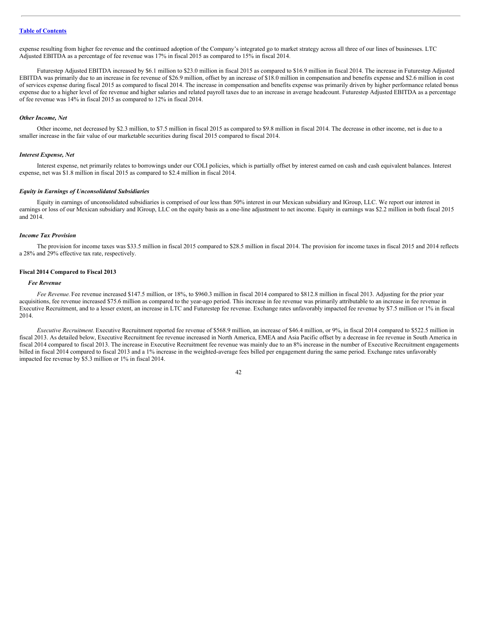expense resulting from higher fee revenue and the continued adoption of the Company's integrated go to market strategy across all three of our lines of businesses. LTC Adjusted EBITDA as a percentage of fee revenue was 17% in fiscal 2015 as compared to 15% in fiscal 2014.

Futurestep Adjusted EBITDA increased by \$6.1 million to \$23.0 million in fiscal 2015 as compared to \$16.9 million in fiscal 2014. The increase in Futurestep Adjusted EBITDA was primarily due to an increase in fee revenue of \$26.9 million, offset by an increase of \$18.0 million in compensation and benefits expense and \$2.6 million in cost of services expense during fiscal 2015 as compared to fiscal 2014. The increase in compensation and benefits expense was primarily driven by higher performance related bonus expense due to a higher level of fee revenue and higher salaries and related payroll taxes due to an increase in average headcount. Futurestep Adjusted EBITDA as a percentage of fee revenue was 14% in fiscal 2015 as compared to 12% in fiscal 2014.

#### *Other Income, Net*

Other income, net decreased by \$2.3 million, to \$7.5 million in fiscal 2015 as compared to \$9.8 million in fiscal 2014. The decrease in other income, net is due to a smaller increase in the fair value of our marketable securities during fiscal 2015 compared to fiscal 2014.

#### *Interest Expense, Net*

Interest expense, net primarily relates to borrowings under our COLI policies, which is partially offset by interest earned on cash and cash equivalent balances. Interest expense, net was \$1.8 million in fiscal 2015 as compared to \$2.4 million in fiscal 2014.

# *Equity in Earnings of Unconsolidated Subsidiaries*

Equity in earnings of unconsolidated subsidiaries is comprised of our less than 50% interest in our Mexican subsidiary and IGroup, LLC. We report our interest in earnings or loss of our Mexican subsidiary and IGroup, LLC on the equity basis as a one-line adjustment to net income. Equity in earnings was \$2.2 million in both fiscal 2015 and 2014.

### *Income Tax Provision*

The provision for income taxes was \$33.5 million in fiscal 2015 compared to \$28.5 million in fiscal 2014. The provision for income taxes in fiscal 2015 and 2014 reflects a 28% and 29% effective tax rate, respectively.

#### **Fiscal 2014 Compared to Fiscal 2013**

## *Fee Revenue*

Fee Revenue. Fee revenue increased \$147.5 million, or 18%, to \$960.3 million in fiscal 2014 compared to \$812.8 million in fiscal 2013. Adjusting for the prior year acquisitions, fee revenue increased \$75.6 million as compared to the year-ago period. This increase in fee revenue was primarily attributable to an increase in fee revenue in Executive Recruitment, and to a lesser extent, an increase in LTC and Futurestep fee revenue. Exchange rates unfavorably impacted fee revenue by \$7.5 million or 1% in fiscal 2014.

*Executive Recruitment.* Executive Recruitment reported fee revenue of \$568.9 million, an increase of \$46.4 million, or 9%, in fiscal 2014 compared to \$522.5 million in fiscal 2013. As detailed below, Executive Recruitment fee revenue increased in North America, EMEA and Asia Pacific offset by a decrease in fee revenue in South America in fiscal 2014 compared to fiscal 2013. The increase in Executive Recruitment fee revenue was mainly due to an 8% increase in the number of Executive Recruitment engagements billed in fiscal 2014 compared to fiscal 2013 and a 1% increase in the weighted-average fees billed per engagement during the same period. Exchange rates unfavorably impacted fee revenue by \$5.3 million or 1% in fiscal 2014.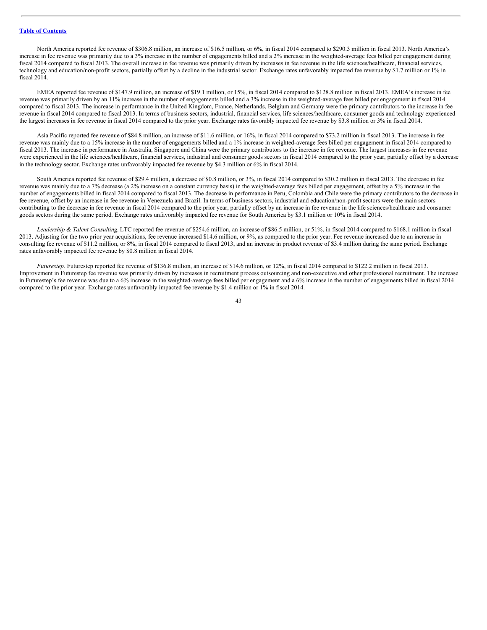North America reported fee revenue of \$306.8 million, an increase of \$16.5 million, or 6%, in fiscal 2014 compared to \$290.3 million in fiscal 2013. North America's increase in fee revenue was primarily due to a 3% increase in the number of engagements billed and a 2% increase in the weighted-average fees billed per engagement during fiscal 2014 compared to fiscal 2013. The overall increase in fee revenue was primarily driven by increases in fee revenue in the life sciences/healthcare, financial services, technology and education/non-profit sectors, partially offset by a decline in the industrial sector. Exchange rates unfavorably impacted fee revenue by \$1.7 million or 1% in fiscal 2014.

EMEA reported fee revenue of \$147.9 million, an increase of \$19.1 million, or 15%, in fiscal 2014 compared to \$128.8 million in fiscal 2013. EMEA's increase in fee revenue was primarily driven by an 11% increase in the number of engagements billed and a 3% increase in the weighted-average fees billed per engagement in fiscal 2014 compared to fiscal 2013. The increase in performance in the United Kingdom, France, Netherlands, Belgium and Germany were the primary contributors to the increase in fee revenue in fiscal 2014 compared to fiscal 2013. In terms of business sectors, industrial, financial services, life sciences/healthcare, consumer goods and technology experienced the largest increases in fee revenue in fiscal 2014 compared to the prior year. Exchange rates favorably impacted fee revenue by \$3.8 million or 3% in fiscal 2014.

Asia Pacific reported fee revenue of \$84.8 million, an increase of \$11.6 million, or 16%, in fiscal 2014 compared to \$73.2 million in fiscal 2013. The increase in fee revenue was mainly due to a 15% increase in the number of engagements billed and a 1% increase in weighted-average fees billed per engagement in fiscal 2014 compared to fiscal 2013. The increase in performance in Australia, Singapore and China were the primary contributors to the increase in fee revenue. The largest increases in fee revenue were experienced in the life sciences/healthcare, financial services, industrial and consumer goods sectors in fiscal 2014 compared to the prior year, partially offset by a decrease in the technology sector. Exchange rates unfavorably impacted fee revenue by \$4.3 million or 6% in fiscal 2014.

South America reported fee revenue of \$29.4 million, a decrease of \$0.8 million, or 3%, in fiscal 2014 compared to \$30.2 million in fiscal 2013. The decrease in fee revenue was mainly due to a 7% decrease (a 2% increase on a constant currency basis) in the weighted-average fees billed per engagement, offset by a 5% increase in the number of engagements billed in fiscal 2014 compared to fiscal 2013. The decrease in performance in Peru, Colombia and Chile were the primary contributors to the decrease in fee revenue, offset by an increase in fee revenue in Venezuela and Brazil. In terms of business sectors, industrial and education/non-profit sectors were the main sectors contributing to the decrease in fee revenue in fiscal 2014 compared to the prior year, partially offset by an increase in fee revenue in the life sciences/healthcare and consumer goods sectors during the same period. Exchange rates unfavorably impacted fee revenue for South America by \$3.1 million or 10% in fiscal 2014.

*Leadership & Talent Consulting.* LTC reported fee revenue of \$254.6 million, an increase of \$86.5 million, or 51%, in fiscal 2014 compared to \$168.1 million in fiscal 2013. Adjusting for the two prior year acquisitions, fee revenue increased \$14.6 million, or 9%, as compared to the prior year. Fee revenue increased due to an increase in consulting fee revenue of \$11.2 million, or 8%, in fiscal 2014 compared to fiscal 2013, and an increase in product revenue of \$3.4 million during the same period. Exchange rates unfavorably impacted fee revenue by \$0.8 million in fiscal 2014.

*Futurestep.* Futurestep reported fee revenue of \$136.8 million, an increase of \$14.6 million, or 12%, in fiscal 2014 compared to \$122.2 million in fiscal 2013. Improvement in Futurestep fee revenue was primarily driven by increases in recruitment process outsourcing and non-executive and other professional recruitment. The increase in Futurestep's fee revenue was due to a 6% increase in the weighted-average fees billed per engagement and a 6% increase in the number of engagements billed in fiscal 2014 compared to the prior year. Exchange rates unfavorably impacted fee revenue by \$1.4 million or 1% in fiscal 2014.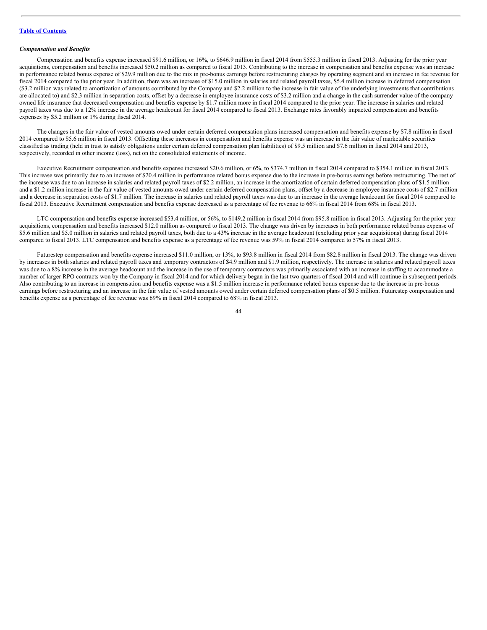## *Compensation and Benefits*

Compensation and benefits expense increased \$91.6 million, or 16%, to \$646.9 million in fiscal 2014 from \$555.3 million in fiscal 2013. Adjusting for the prior year acquisitions, compensation and benefits increased \$50.2 million as compared to fiscal 2013. Contributing to the increase in compensation and benefits expense was an increase in performance related bonus expense of \$29.9 million due to the mix in pre-bonus earnings before restructuring charges by operating segment and an increase in fee revenue for fiscal 2014 compared to the prior year. In addition, there was an increase of \$15.0 million in salaries and related payroll taxes, \$5.4 million increase in deferred compensation (\$3.2 million was related to amortization of amounts contributed by the Company and \$2.2 million to the increase in fair value of the underlying investments that contributions are allocated to) and \$2.3 million in separation costs, offset by a decrease in employee insurance costs of \$3.2 million and a change in the cash surrender value of the company owned life insurance that decreased compensation and benefits expense by \$1.7 million more in fiscal 2014 compared to the prior year. The increase in salaries and related payroll taxes was due to a 12% increase in the average headcount for fiscal 2014 compared to fiscal 2013. Exchange rates favorably impacted compensation and benefits expenses by \$5.2 million or 1% during fiscal 2014.

The changes in the fair value of vested amounts owed under certain deferred compensation plans increased compensation and benefits expense by \$7.8 million in fiscal 2014 compared to \$5.6 million in fiscal 2013. Offsetting these increases in compensation and benefits expense was an increase in the fair value of marketable securities classified as trading (held in trust to satisfy obligations under certain deferred compensation plan liabilities) of \$9.5 million and \$7.6 million in fiscal 2014 and 2013, respectively, recorded in other income (loss), net on the consolidated statements of income.

Executive Recruitment compensation and benefits expense increased \$20.6 million, or 6%, to \$374.7 million in fiscal 2014 compared to \$354.1 million in fiscal 2013. This increase was primarily due to an increase of \$20.4 million in performance related bonus expense due to the increase in pre-bonus earnings before restructuring. The rest of the increase was due to an increase in salaries and related payroll taxes of \$2.2 million, an increase in the amortization of certain deferred compensation plans of \$1.5 million and a \$1.2 million increase in the fair value of vested amounts owed under certain deferred compensation plans, offset by a decrease in employee insurance costs of \$2.7 million and a decrease in separation costs of \$1.7 million. The increase in salaries and related payroll taxes was due to an increase in the average headcount for fiscal 2014 compared to fiscal 2013. Executive Recruitment compensation and benefits expense decreased as a percentage of fee revenue to 66% in fiscal 2014 from 68% in fiscal 2013.

LTC compensation and benefits expense increased \$53.4 million, or 56%, to \$149.2 million in fiscal 2014 from \$95.8 million in fiscal 2013. Adjusting for the prior year acquisitions, compensation and benefits increased \$12.0 million as compared to fiscal 2013. The change was driven by increases in both performance related bonus expense of \$5.6 million and \$5.0 million in salaries and related payroll taxes, both due to a 43% increase in the average headcount (excluding prior year acquisitions) during fiscal 2014 compared to fiscal 2013. LTC compensation and benefits expense as a percentage of fee revenue was 59% in fiscal 2014 compared to 57% in fiscal 2013.

Futurestep compensation and benefits expense increased \$11.0 million, or 13%, to \$93.8 million in fiscal 2014 from \$82.8 million in fiscal 2013. The change was driven by increases in both salaries and related payroll taxes and temporary contractors of \$4.9 million and \$1.9 million, respectively. The increase in salaries and related payroll taxes was due to a 8% increase in the average headcount and the increase in the use of temporary contractors was primarily associated with an increase in staffing to accommodate a number of larger RPO contracts won by the Company in fiscal 2014 and for which delivery began in the last two quarters of fiscal 2014 and will continue in subsequent periods. Also contributing to an increase in compensation and benefits expense was a \$1.5 million increase in performance related bonus expense due to the increase in pre-bonus earnings before restructuring and an increase in the fair value of vested amounts owed under certain deferred compensation plans of \$0.5 million. Futurestep compensation and benefits expense as a percentage of fee revenue was 69% in fiscal 2014 compared to 68% in fiscal 2013.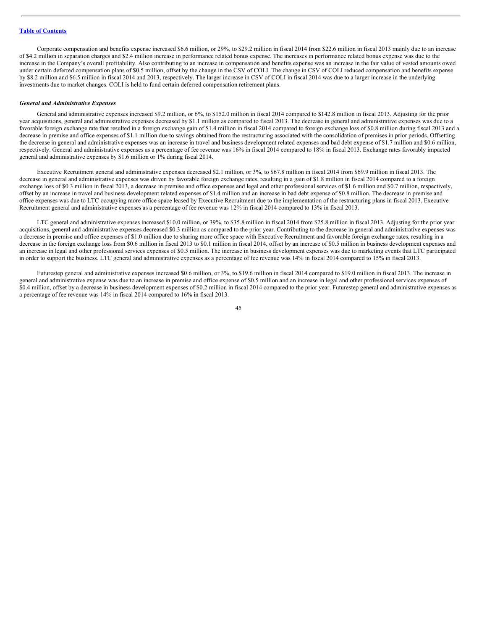Corporate compensation and benefits expense increased \$6.6 million, or 29%, to \$29.2 million in fiscal 2014 from \$22.6 million in fiscal 2013 mainly due to an increase of \$4.2 million in separation charges and \$2.4 million increase in performance related bonus expense. The increases in performance related bonus expense was due to the increase in the Company's overall profitability. Also contributing to an increase in compensation and benefits expense was an increase in the fair value of vested amounts owed under certain deferred compensation plans of \$0.5 million, offset by the change in the CSV of COLI. The change in CSV of COLI reduced compensation and benefits expense by \$8.2 million and \$6.5 million in fiscal 2014 and 2013, respectively. The larger increase in CSV of COLI in fiscal 2014 was due to a larger increase in the underlying investments due to market changes. COLI is held to fund certain deferred compensation retirement plans.

#### *General and Administrative Expenses*

General and administrative expenses increased \$9.2 million, or 6%, to \$152.0 million in fiscal 2014 compared to \$142.8 million in fiscal 2013. Adjusting for the prior year acquisitions, general and administrative expenses decreased by \$1.1 million as compared to fiscal 2013. The decrease in general and administrative expenses was due to a favorable foreign exchange rate that resulted in a foreign exchange gain of \$1.4 million in fiscal 2014 compared to foreign exchange loss of \$0.8 million during fiscal 2013 and a decrease in premise and office expenses of \$1.1 million due to savings obtained from the restructuring associated with the consolidation of premises in prior periods. Offsetting the decrease in general and administrative expenses was an increase in travel and business development related expenses and bad debt expense of \$1.7 million and \$0.6 million, respectively. General and administrative expenses as a percentage of fee revenue was 16% in fiscal 2014 compared to 18% in fiscal 2013. Exchange rates favorably impacted general and administrative expenses by \$1.6 million or 1% during fiscal 2014.

Executive Recruitment general and administrative expenses decreased \$2.1 million, or 3%, to \$67.8 million in fiscal 2014 from \$69.9 million in fiscal 2013. The decrease in general and administrative expenses was driven by favorable foreign exchange rates, resulting in a gain of \$1.8 million in fiscal 2014 compared to a foreign exchange loss of \$0.3 million in fiscal 2013, a decrease in premise and office expenses and legal and other professional services of \$1.6 million and \$0.7 million, respectively, offset by an increase in travel and business development related expenses of \$1.4 million and an increase in bad debt expense of \$0.8 million. The decrease in premise and office expenses was due to LTC occupying more office space leased by Executive Recruitment due to the implementation of the restructuring plans in fiscal 2013. Executive Recruitment general and administrative expenses as a percentage of fee revenue was 12% in fiscal 2014 compared to 13% in fiscal 2013.

LTC general and administrative expenses increased \$10.0 million, or 39%, to \$35.8 million in fiscal 2014 from \$25.8 million in fiscal 2013. Adjusting for the prior year acquisitions, general and administrative expenses decreased \$0.3 million as compared to the prior year. Contributing to the decrease in general and administrative expenses was a decrease in premise and office expenses of \$1.0 million due to sharing more office space with Executive Recruitment and favorable foreign exchange rates, resulting in a decrease in the foreign exchange loss from \$0.6 million in fiscal 2013 to \$0.1 million in fiscal 2014, offset by an increase of \$0.5 million in business development expenses and an increase in legal and other professional services expenses of \$0.5 million. The increase in business development expenses was due to marketing events that LTC participated in order to support the business. LTC general and administrative expenses as a percentage of fee revenue was 14% in fiscal 2014 compared to 15% in fiscal 2013.

Futurestep general and administrative expenses increased \$0.6 million, or 3%, to \$19.6 million in fiscal 2014 compared to \$19.0 million in fiscal 2013. The increase in general and administrative expense was due to an increase in premise and office expense of \$0.5 million and an increase in legal and other professional services expenses of \$0.4 million, offset by a decrease in business development expenses of \$0.2 million in fiscal 2014 compared to the prior year. Futurestep general and administrative expenses as a percentage of fee revenue was 14% in fiscal 2014 compared to 16% in fiscal 2013.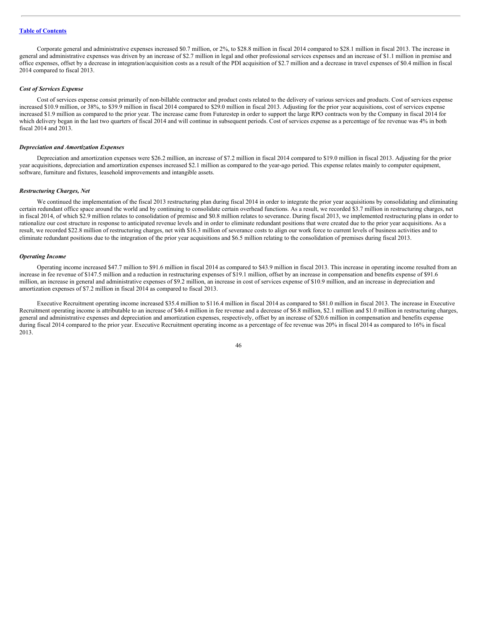Corporate general and administrative expenses increased \$0.7 million, or 2%, to \$28.8 million in fiscal 2014 compared to \$28.1 million in fiscal 2013. The increase in general and administrative expenses was driven by an increase of \$2.7 million in legal and other professional services expenses and an increase of \$1.1 million in premise and office expenses, offset by a decrease in integration/acquisition costs as a result of the PDI acquisition of \$2.7 million and a decrease in travel expenses of \$0.4 million in fiscal 2014 compared to fiscal 2013.

#### *Cost of Services Expense*

Cost of services expense consist primarily of non-billable contractor and product costs related to the delivery of various services and products. Cost of services expense increased \$10.9 million, or 38%, to \$39.9 million in fiscal 2014 compared to \$29.0 million in fiscal 2013. Adjusting for the prior year acquisitions, cost of services expense increased \$1.9 million as compared to the prior year. The increase came from Futurestep in order to support the large RPO contracts won by the Company in fiscal 2014 for which delivery began in the last two quarters of fiscal 2014 and will continue in subsequent periods. Cost of services expense as a percentage of fee revenue was 4% in both fiscal 2014 and 2013.

#### *Depreciation and Amortization Expenses*

Depreciation and amortization expenses were \$26.2 million, an increase of \$7.2 million in fiscal 2014 compared to \$19.0 million in fiscal 2013. Adjusting for the prior year acquisitions, depreciation and amortization expenses increased \$2.1 million as compared to the year-ago period. This expense relates mainly to computer equipment, software, furniture and fixtures, leasehold improvements and intangible assets.

### *Restructuring Charges, Net*

We continued the implementation of the fiscal 2013 restructuring plan during fiscal 2014 in order to integrate the prior year acquisitions by consolidating and eliminating certain redundant office space around the world and by continuing to consolidate certain overhead functions. As a result, we recorded \$3.7 million in restructuring charges, net in fiscal 2014, of which \$2.9 million relates to consolidation of premise and \$0.8 million relates to severance. During fiscal 2013, we implemented restructuring plans in order to rationalize our cost structure in response to anticipated revenue levels and in order to eliminate redundant positions that were created due to the prior year acquisitions. As a result, we recorded \$22.8 million of restructuring charges, net with \$16.3 million of severance costs to align our work force to current levels of business activities and to eliminate redundant positions due to the integration of the prior year acquisitions and \$6.5 million relating to the consolidation of premises during fiscal 2013.

#### *Operating Income*

Operating income increased \$47.7 million to \$91.6 million in fiscal 2014 as compared to \$43.9 million in fiscal 2013. This increase in operating income resulted from an increase in fee revenue of \$147.5 million and a reduction in restructuring expenses of \$19.1 million, offset by an increase in compensation and benefits expense of \$91.6 million, an increase in general and administrative expenses of \$9.2 million, an increase in cost of services expense of \$10.9 million, and an increase in depreciation and amortization expenses of \$7.2 million in fiscal 2014 as compared to fiscal 2013.

Executive Recruitment operating income increased \$35.4 million to \$116.4 million in fiscal 2014 as compared to \$81.0 million in fiscal 2013. The increase in Executive Recruitment operating income is attributable to an increase of \$46.4 million in fee revenue and a decrease of \$6.8 million, \$2.1 million and \$1.0 million in restructuring charges, general and administrative expenses and depreciation and amortization expenses, respectively, offset by an increase of \$20.6 million in compensation and benefits expense during fiscal 2014 compared to the prior year. Executive Recruitment operating income as a percentage of fee revenue was 20% in fiscal 2014 as compared to 16% in fiscal 2013.

<sup>46</sup>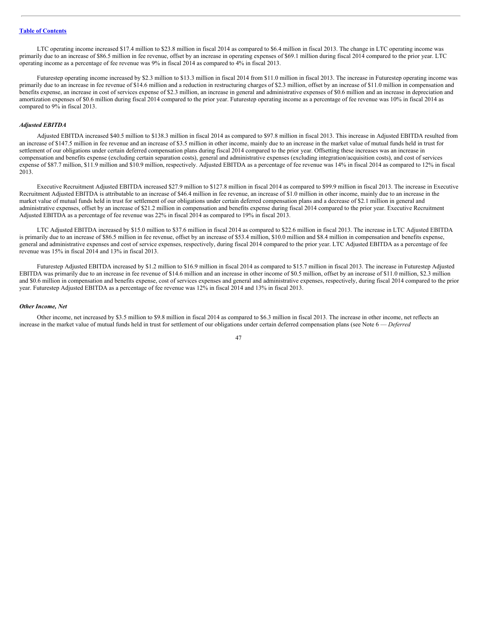LTC operating income increased \$17.4 million to \$23.8 million in fiscal 2014 as compared to \$6.4 million in fiscal 2013. The change in LTC operating income was primarily due to an increase of \$86.5 million in fee revenue, offset by an increase in operating expenses of \$69.1 million during fiscal 2014 compared to the prior year. LTC operating income as a percentage of fee revenue was 9% in fiscal 2014 as compared to 4% in fiscal 2013.

Futurestep operating income increased by \$2.3 million to \$13.3 million in fiscal 2014 from \$11.0 million in fiscal 2013. The increase in Futurestep operating income was primarily due to an increase in fee revenue of \$14.6 million and a reduction in restructuring charges of \$2.3 million, offset by an increase of \$11.0 million in compensation and benefits expense, an increase in cost of services expense of \$2.3 million, an increase in general and administrative expenses of \$0.6 million and an increase in depreciation and amortization expenses of \$0.6 million during fiscal 2014 compared to the prior year. Futurestep operating income as a percentage of fee revenue was 10% in fiscal 2014 as compared to 9% in fiscal 2013.

## *Adjusted EBITDA*

Adjusted EBITDA increased \$40.5 million to \$138.3 million in fiscal 2014 as compared to \$97.8 million in fiscal 2013. This increase in Adjusted EBITDA resulted from an increase of \$147.5 million in fee revenue and an increase of \$3.5 million in other income, mainly due to an increase in the market value of mutual funds held in trust for settlement of our obligations under certain deferred compensation plans during fiscal 2014 compared to the prior year. Offsetting these increases was an increase in compensation and benefits expense (excluding certain separation costs), general and administrative expenses (excluding integration/acquisition costs), and cost of services expense of \$87.7 million, \$11.9 million and \$10.9 million, respectively. Adjusted EBITDA as a percentage of fee revenue was 14% in fiscal 2014 as compared to 12% in fiscal 2013.

Executive Recruitment Adjusted EBITDA increased \$27.9 million to \$127.8 million in fiscal 2014 as compared to \$99.9 million in fiscal 2013. The increase in Executive Recruitment Adjusted EBITDA is attributable to an increase of \$46.4 million in fee revenue, an increase of \$1.0 million in other income, mainly due to an increase in the market value of mutual funds held in trust for settlement of our obligations under certain deferred compensation plans and a decrease of \$2.1 million in general and administrative expenses, offset by an increase of \$21.2 million in compensation and benefits expense during fiscal 2014 compared to the prior year. Executive Recruitment Adjusted EBITDA as a percentage of fee revenue was 22% in fiscal 2014 as compared to 19% in fiscal 2013.

LTC Adjusted EBITDA increased by \$15.0 million to \$37.6 million in fiscal 2014 as compared to \$22.6 million in fiscal 2013. The increase in LTC Adjusted EBITDA is primarily due to an increase of \$86.5 million in fee revenue, offset by an increase of \$53.4 million, \$10.0 million and \$8.4 million in compensation and benefits expense, general and administrative expenses and cost of service expenses, respectively, during fiscal 2014 compared to the prior year. LTC Adjusted EBITDA as a percentage of fee revenue was 15% in fiscal 2014 and 13% in fiscal 2013.

Futurestep Adjusted EBITDA increased by \$1.2 million to \$16.9 million in fiscal 2014 as compared to \$15.7 million in fiscal 2013. The increase in Futurestep Adjusted EBITDA was primarily due to an increase in fee revenue of \$14.6 million and an increase in other income of \$0.5 million, offset by an increase of \$11.0 million, \$2.3 million and \$0.6 million in compensation and benefits expense, cost of services expenses and general and administrative expenses, respectively, during fiscal 2014 compared to the prior year. Futurestep Adjusted EBITDA as a percentage of fee revenue was 12% in fiscal 2014 and 13% in fiscal 2013.

#### *Other Income, Net*

Other income, net increased by \$3.5 million to \$9.8 million in fiscal 2014 as compared to \$6.3 million in fiscal 2013. The increase in other income, net reflects an increase in the market value of mutual funds held in trust for settlement of our obligations under certain deferred compensation plans (see Note 6 — *Deferred*

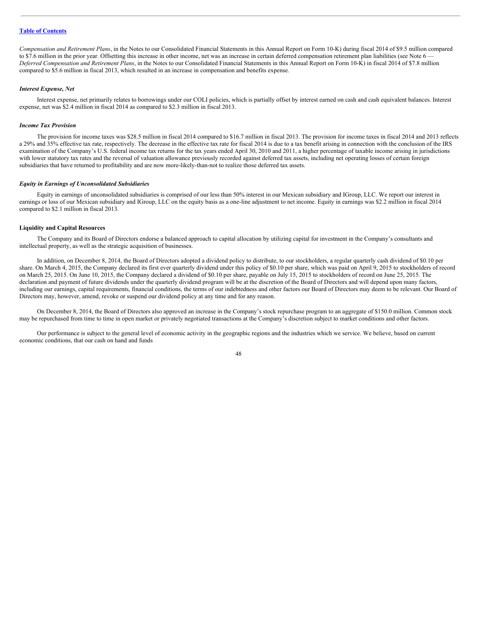*Compensation and Retirement Plans*, in the Notes to our Consolidated Financial Statements in this Annual Report on Form 10-K) during fiscal 2014 of \$9.5 million compared to \$7.6 million in the prior year. Offsetting this increase in other income, net was an increase in certain deferred compensation retirement plan liabilities (see Note 6 -*Deferred Compensation and Retirement Plans*, in the Notes to our Consolidated Financial Statements in this Annual Report on Form 10-K) in fiscal 2014 of \$7.8 million compared to \$5.6 million in fiscal 2013, which resulted in an increase in compensation and benefits expense.

## *Interest Expense, Net*

Interest expense, net primarily relates to borrowings under our COLI policies, which is partially offset by interest earned on cash and cash equivalent balances. Interest expense, net was \$2.4 million in fiscal 2014 as compared to \$2.3 million in fiscal 2013.

# *Income Tax Provision*

The provision for income taxes was \$28.5 million in fiscal 2014 compared to \$16.7 million in fiscal 2013. The provision for income taxes in fiscal 2014 and 2013 reflects a 29% and 35% effective tax rate, respectively. The decrease in the effective tax rate for fiscal 2014 is due to a tax benefit arising in connection with the conclusion of the IRS examination of the Company's U.S. federal income tax returns for the tax years ended April 30, 2010 and 2011, a higher percentage of taxable income arising in jurisdictions with lower statutory tax rates and the reversal of valuation allowance previously recorded against deferred tax assets, including net operating losses of certain foreign subsidiaries that have returned to profitability and are now more-likely-than-not to realize those deferred tax assets.

#### *Equity in Earnings of Unconsolidated Subsidiaries*

Equity in earnings of unconsolidated subsidiaries is comprised of our less than 50% interest in our Mexican subsidiary and IGroup, LLC. We report our interest in earnings or loss of our Mexican subsidiary and IGroup, LLC on the equity basis as a one-line adjustment to net income. Equity in earnings was \$2.2 million in fiscal 2014 compared to \$2.1 million in fiscal 2013.

## **Liquidity and Capital Resources**

The Company and its Board of Directors endorse a balanced approach to capital allocation by utilizing capital for investment in the Company's consultants and intellectual property, as well as the strategic acquisition of businesses.

In addition, on December 8, 2014, the Board of Directors adopted a dividend policy to distribute, to our stockholders, a regular quarterly cash dividend of \$0.10 per share. On March 4, 2015, the Company declared its first ever quarterly dividend under this policy of \$0.10 per share, which was paid on April 9, 2015 to stockholders of record on March 25, 2015. On June 10, 2015, the Company declared a dividend of \$0.10 per share, payable on July 15, 2015 to stockholders of record on June 25, 2015. The declaration and payment of future dividends under the quarterly dividend program will be at the discretion of the Board of Directors and will depend upon many factors. including our earnings, capital requirements, financial conditions, the terms of our indebtedness and other factors our Board of Directors may deem to be relevant. Our Board of Directors may, however, amend, revoke or suspend our dividend policy at any time and for any reason.

On December 8, 2014, the Board of Directors also approved an increase in the Company's stock repurchase program to an aggregate of \$150.0 million. Common stock may be repurchased from time to time in open market or privately negotiated transactions at the Company's discretion subject to market conditions and other factors.

Our performance is subject to the general level of economic activity in the geographic regions and the industries which we service. We believe, based on current economic conditions, that our cash on hand and funds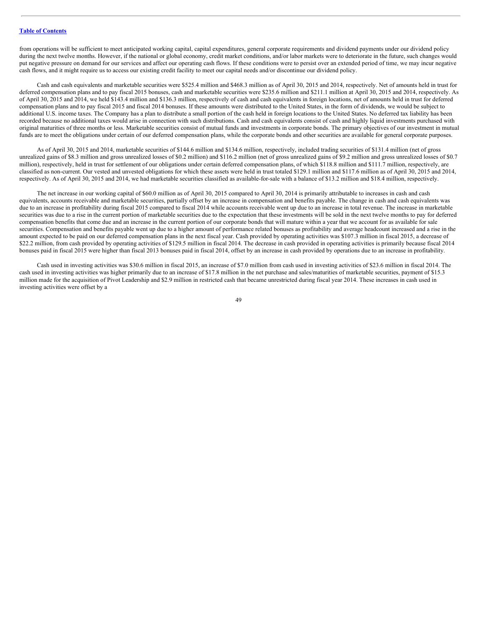from operations will be sufficient to meet anticipated working capital, capital expenditures, general corporate requirements and dividend payments under our dividend policy during the next twelve months. However, if the national or global economy, credit market conditions, and/or labor markets were to deteriorate in the future, such changes would put negative pressure on demand for our services and affect our operating cash flows. If these conditions were to persist over an extended period of time, we may incur negative cash flows, and it might require us to access our existing credit facility to meet our capital needs and/or discontinue our dividend policy.

Cash and cash equivalents and marketable securities were \$525.4 million and \$468.3 million as of April 30, 2015 and 2014, respectively. Net of amounts held in trust for deferred compensation plans and to pay fiscal 2015 bonuses, cash and marketable securities were \$235.6 million and \$211.1 million at April 30, 2015 and 2014, respectively. As of April 30, 2015 and 2014, we held \$143.4 million and \$136.3 million, respectively of cash and cash equivalents in foreign locations, net of amounts held in trust for deferred compensation plans and to pay fiscal 2015 and fiscal 2014 bonuses. If these amounts were distributed to the United States, in the form of dividends, we would be subject to additional U.S. income taxes. The Company has a plan to distribute a small portion of the cash held in foreign locations to the United States. No deferred tax liability has been recorded because no additional taxes would arise in connection with such distributions. Cash and cash equivalents consist of cash and highly liquid investments purchased with original maturities of three months or less. Marketable securities consist of mutual funds and investments in corporate bonds. The primary objectives of our investment in mutual funds are to meet the obligations under certain of our deferred compensation plans, while the corporate bonds and other securities are available for general corporate purposes.

As of April 30, 2015 and 2014, marketable securities of \$144.6 million and \$134.6 million, respectively, included trading securities of \$131.4 million (net of gross unrealized gains of \$8.3 million and gross unrealized losses of \$0.2 million) and \$116.2 million (net of gross unrealized gains of \$9.2 million and gross unrealized losses of \$0.7 million), respectively, held in trust for settlement of our obligations under certain deferred compensation plans, of which \$118.8 million and \$111.7 million, respectively, are classified as non-current. Our vested and unvested obligations for which these assets were held in trust totaled \$129.1 million and \$117.6 million as of April 30, 2015 and 2014, respectively. As of April 30, 2015 and 2014, we had marketable securities classified as available-for-sale with a balance of \$13.2 million and \$18.4 million, respectively.

The net increase in our working capital of \$60.0 million as of April 30, 2015 compared to April 30, 2014 is primarily attributable to increases in cash and cash equivalents, accounts receivable and marketable securities, partially offset by an increase in compensation and benefits payable. The change in cash and cash equivalents was due to an increase in profitability during fiscal 2015 compared to fiscal 2014 while accounts receivable went up due to an increase in total revenue. The increase in marketable securities was due to a rise in the current portion of marketable securities due to the expectation that these investments will be sold in the next twelve months to pay for deferred compensation benefits that come due and an increase in the current portion of our corporate bonds that will mature within a year that we account for as available for sale securities. Compensation and benefits payable went up due to a higher amount of performance related bonuses as profitability and average headcount increased and a rise in the amount expected to be paid on our deferred compensation plans in the next fiscal year. Cash provided by operating activities was \$107.3 million in fiscal 2015, a decrease of \$22.2 million, from cash provided by operating activities of \$129.5 million in fiscal 2014. The decrease in cash provided in operating activities is primarily because fiscal 2014 bonuses paid in fiscal 2015 were higher than fiscal 2013 bonuses paid in fiscal 2014, offset by an increase in cash provided by operations due to an increase in profitability.

Cash used in investing activities was \$30.6 million in fiscal 2015, an increase of \$7.0 million from cash used in investing activities of \$23.6 million in fiscal 2014. The cash used in investing activities was higher primarily due to an increase of \$17.8 million in the net purchase and sales/maturities of marketable securities, payment of \$15.3 million made for the acquisition of Pivot Leadership and \$2.9 million in restricted cash that became unrestricted during fiscal year 2014. These increases in cash used in investing activities were offset by a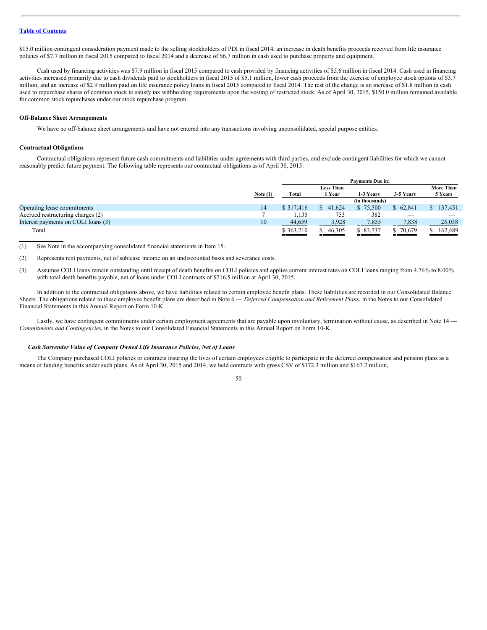\$15.0 million contingent consideration payment made to the selling stockholders of PDI in fiscal 2014, an increase in death benefits proceeds received from life insurance policies of \$7.7 million in fiscal 2015 compared to fiscal 2014 and a decrease of \$6.7 million in cash used to purchase property and equipment.

Cash used by financing activities was \$7.9 million in fiscal 2015 compared to cash provided by financing activities of \$5.6 million in fiscal 2014. Cash used in financing activities increased primarily due to cash dividends paid to stockholders in fiscal 2015 of \$5.1 million, lower cash proceeds from the exercise of employee stock options of \$3.7 million, and an increase of \$2.9 million paid on life insurance policy loans in fiscal 2015 compared to fiscal 2014. The rest of the change is an increase of \$1.8 million in cash used to repurchase shares of common stock to satisfy tax withholding requirements upon the vesting of restricted stock. As of April 30, 2015, \$150.0 million remained available for common stock repurchases under our stock repurchase program.

## **Off-Balance Sheet Arrangements**

We have no off-balance sheet arrangements and have not entered into any transactions involving unconsolidated, special purpose entities.

# **Contractual Obligations**

Contractual obligations represent future cash commitments and liabilities under agreements with third parties, and exclude contingent liabilities for which we cannot reasonably predict future payment. The following table represents our contractual obligations as of April 30, 2015:

|                                     |            |                                      |        | Payments Due in: |           |           |
|-------------------------------------|------------|--------------------------------------|--------|------------------|-----------|-----------|
|                                     |            | <b>More Than</b><br><b>Less Than</b> |        |                  |           |           |
|                                     | Note $(1)$ | Total                                | 1 Year | 1-3 Years        | 3-5 Years | 5 Years   |
|                                     |            |                                      |        | (in thousands)   |           |           |
| Operating lease commitments         | 14         | \$ 317,416                           | 41.624 | \$75,500         | 62,841    | \$137,451 |
| Accrued restructuring charges (2)   |            | 1,135                                | 753    | 382              | -         |           |
| Interest payments on COLI loans (3) | 10         | 44,659                               | 3,928  | 7,855            | 7,838     | 25,038    |
| Total                               |            | \$363,210                            | 46,305 | \$ 83,737        | 70,679    | 162,489   |

(1) See Note in the accompanying consolidated financial statements in Item 15.

(2) Represents rent payments, net of sublease income on an undiscounted basis and severance costs.

In addition to the contractual obligations above, we have liabilities related to certain employee benefit plans. These liabilities are recorded in our Consolidated Balance Sheets. The obligations related to these employee benefit plans are described in Note 6 — *Deferred Compensation and Retirement Plans*, in the Notes to our Consolidated Financial Statements in this Annual Report on Form 10-K.

Lastly, we have contingent commitments under certain employment agreements that are payable upon involuntary, termination without cause, as described in Note 14 *Commitments and Contingencies*, in the Notes to our Consolidated Financial Statements in this Annual Report on Form 10-K.

## *Cash Surrender Value of Company Owned Life Insurance Policies, Net of Loans*

The Company purchased COLI policies or contracts insuring the lives of certain employees eligible to participate in the deferred compensation and pension plans as a means of funding benefits under such plans. As of April 30, 2015 and 2014, we held contracts with gross CSV of \$172.3 million and \$167.2 million,

<sup>(3)</sup> Assumes COLI loans remain outstanding until receipt of death benefits on COLI policies and applies current interest rates on COLI loans ranging from 4.76% to 8.00% with total death benefits payable, net of loans under COLI contracts of \$216.5 million at April 30, 2015.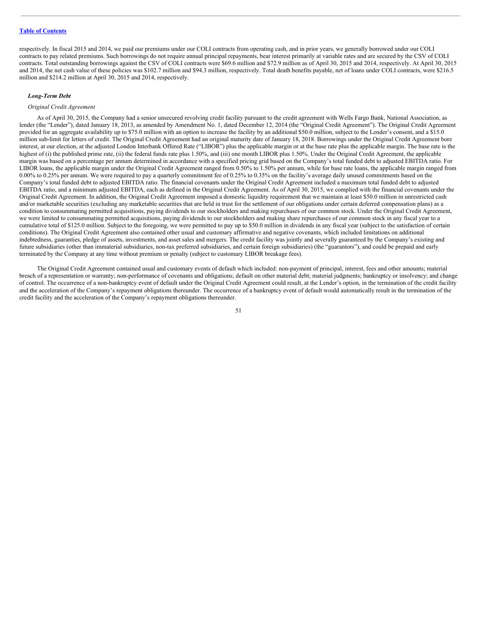respectively. In fiscal 2015 and 2014, we paid our premiums under our COLI contracts from operating cash, and in prior years, we generally borrowed under our COLI contracts to pay related premiums. Such borrowings do not require annual principal repayments, bear interest primarily at variable rates and are secured by the CSV of COLI contracts. Total outstanding borrowings against the CSV of COLI contracts were \$69.6 million and \$72.9 million as of April 30, 2015 and 2014, respectively. At April 30, 2015 and 2014, the net cash value of these policies was \$102.7 million and \$94.3 million, respectively. Total death benefits payable, net of loans under COLI contracts, were \$216.5 million and \$214.2 million at April 30, 2015 and 2014, respectively.

#### *Long-Term Debt*

#### *Original Credit Agreement*

As of April 30, 2015, the Company had a senior unsecured revolving credit facility pursuant to the credit agreement with Wells Fargo Bank, National Association, as lender (the "Lender"), dated January 18, 2013, as amended by Amendment No. 1, dated December 12, 2014 (the "Original Credit Agreement"). The Original Credit Agreement provided for an aggregate availability up to \$75.0 million with an option to increase the facility by an additional \$50.0 million, subject to the Lender's consent, and a \$15.0 million sub-limit for letters of credit. The Original Credit Agreement had an original maturity date of January 18, 2018. Borrowings under the Original Credit Agreement bore interest, at our election, at the adjusted London Interbank Offered Rate ("LIBOR") plus the applicable margin or at the base rate plus the applicable margin. The base rate is the highest of (i) the published prime rate, (ii) the federal funds rate plus 1.50%, and (iii) one month LIBOR plus 1.50%. Under the Original Credit Agreement, the applicable margin was based on a percentage per annum determined in accordance with a specified pricing grid based on the Company's total funded debt to adjusted EBITDA ratio. For LIBOR loans, the applicable margin under the Original Credit Agreement ranged from 0.50% to 1.50% per annum, while for base rate loans, the applicable margin ranged from 0.00% to 0.25% per annum. We were required to pay a quarterly commitment fee of 0.25% to 0.35% on the facility's average daily unused commitments based on the Company's total funded debt to adjusted EBITDA ratio. The financial covenants under the Original Credit Agreement included a maximum total funded debt to adjusted EBITDA ratio, and a minimum adjusted EBITDA, each as defined in the Original Credit Agreement. As of April 30, 2015, we complied with the financial covenants under the Original Credit Agreement. In addition, the Original Credit Agreement imposed a domestic liquidity requirement that we maintain at least \$50.0 million in unrestricted cash and/or marketable securities (excluding any marketable securities that are held in trust for the settlement of our obligations under certain deferred compensation plans) as a condition to consummating permitted acquisitions, paying dividends to our stockholders and making repurchases of our common stock. Under the Original Credit Agreement, we were limited to consummating permitted acquisitions, paying dividends to our stockholders and making share repurchases of our common stock in any fiscal year to a cumulative total of \$125.0 million. Subject to the foregoing, we were permitted to pay up to \$50.0 million in dividends in any fiscal year (subject to the satisfaction of certain conditions). The Original Credit Agreement also contained other usual and customary affirmative and negative covenants, which included limitations on additional indebtedness, guaranties, pledge of assets, investments, and asset sales and mergers. The credit facility was jointly and severally guaranteed by the Company's existing and future subsidiaries (other than immaterial subsidiaries, non-tax preferred subsidiaries, and certain foreign subsidiaries) (the "guarantors"), and could be prepaid and early terminated by the Company at any time without premium or penalty (subject to customary LIBOR breakage fees).

The Original Credit Agreement contained usual and customary events of default which included: non-payment of principal, interest, fees and other amounts; material breach of a representation or warranty; non-performance of covenants and obligations; default on other material debt; material judgments; bankruptcy or insolvency; and change of control. The occurrence of a non-bankruptcy event of default under the Original Credit Agreement could result, at the Lender's option, in the termination of the credit facility and the acceleration of the Company's repayment obligations thereunder. The occurrence of a bankruptcy event of default would automatically result in the termination of the credit facility and the acceleration of the Company's repayment obligations thereunder.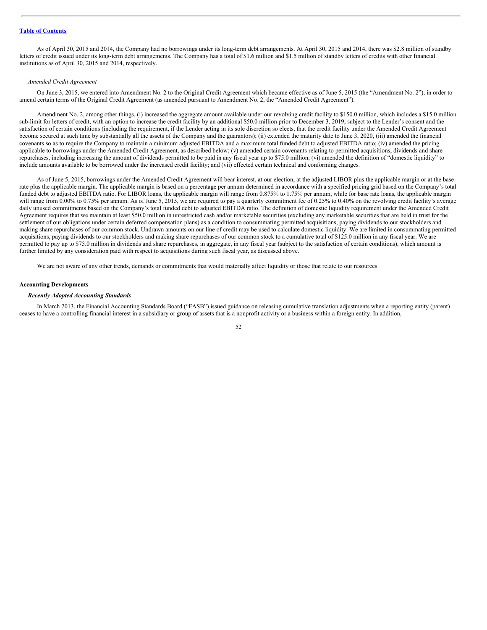As of April 30, 2015 and 2014, the Company had no borrowings under its long-term debt arrangements. At April 30, 2015 and 2014, there was \$2.8 million of standby letters of credit issued under its long-term debt arrangements. The Company has a total of \$1.6 million and \$1.5 million of standby letters of credits with other financial institutions as of April 30, 2015 and 2014, respectively.

#### *Amended Credit Agreement*

On June 3, 2015, we entered into Amendment No. 2 to the Original Credit Agreement which became effective as of June 5, 2015 (the "Amendment No. 2"), in order to amend certain terms of the Original Credit Agreement (as amended pursuant to Amendment No. 2, the "Amended Credit Agreement").

Amendment No. 2, among other things, (i) increased the aggregate amount available under our revolving credit facility to \$150.0 million, which includes a \$15.0 million sub-limit for letters of credit, with an option to increase the credit facility by an additional \$50.0 million prior to December 3, 2019, subject to the Lender's consent and the satisfaction of certain conditions (including the requirement, if the Lender acting in its sole discretion so elects, that the credit facility under the Amended Credit Agreement become secured at such time by substantially all the assets of the Company and the guarantors); (ii) extended the maturity date to June 3, 2020, (iii) amended the financial covenants so as to require the Company to maintain a minimum adjusted EBITDA and a maximum total funded debt to adjusted EBITDA ratio; (iv) amended the pricing applicable to borrowings under the Amended Credit Agreement, as described below; (v) amended certain covenants relating to permitted acquisitions, dividends and share repurchases, including increasing the amount of dividends permitted to be paid in any fiscal year up to \$75.0 million; (vi) amended the definition of "domestic liquidity" to include amounts available to be borrowed under the increased credit facility; and (vii) effected certain technical and conforming changes.

As of June 5, 2015, borrowings under the Amended Credit Agreement will bear interest, at our election, at the adjusted LIBOR plus the applicable margin or at the base rate plus the applicable margin. The applicable margin is based on a percentage per annum determined in accordance with a specified pricing grid based on the Company's total funded debt to adjusted EBITDA ratio. For LIBOR loans, the applicable margin will range from 0.875% to 1.75% per annum, while for base rate loans, the applicable margin will range from 0.00% to 0.75% per annum. As of June 5, 2015, we are required to pay a quarterly commitment fee of 0.25% to 0.40% on the revolving credit facility's average daily unused commitments based on the Company's total funded debt to adjusted EBITDA ratio. The definition of domestic liquidity requirement under the Amended Credit Agreement requires that we maintain at least \$50.0 million in unrestricted cash and/or marketable securities (excluding any marketable securities that are held in trust for the settlement of our obligations under certain deferred compensation plans) as a condition to consummating permitted acquisitions, paying dividends to our stockholders and making share repurchases of our common stock. Undrawn amounts on our line of credit may be used to calculate domestic liquidity. We are limited in consummating permitted acquisitions, paying dividends to our stockholders and making share repurchases of our common stock to a cumulative total of \$125.0 million in any fiscal year. We are permitted to pay up to \$75.0 million in dividends and share repurchases, in aggregate, in any fiscal year (subject to the satisfaction of certain conditions), which amount is further limited by any consideration paid with respect to acquisitions during such fiscal year, as discussed above.

We are not aware of any other trends, demands or commitments that would materially affect liquidity or those that relate to our resources.

# **Accounting Developments**

#### *Recently Adopted Accounting Standards*

In March 2013, the Financial Accounting Standards Board ("FASB") issued guidance on releasing cumulative translation adjustments when a reporting entity (parent) ceases to have a controlling financial interest in a subsidiary or group of assets that is a nonprofit activity or a business within a foreign entity. In addition,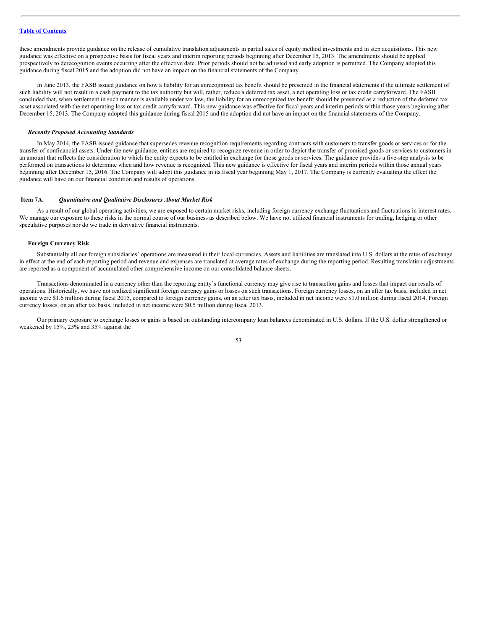these amendments provide guidance on the release of cumulative translation adjustments in partial sales of equity method investments and in step acquisitions. This new guidance was effective on a prospective basis for fiscal years and interim reporting periods beginning after December 15, 2013. The amendments should be applied prospectively to derecognition events occurring after the effective date. Prior periods should not be adjusted and early adoption is permitted. The Company adopted this guidance during fiscal 2015 and the adoption did not have an impact on the financial statements of the Company.

In June 2013, the FASB issued guidance on how a liability for an unrecognized tax benefit should be presented in the financial statements if the ultimate settlement of such liability will not result in a cash payment to the tax authority but will, rather, reduce a deferred tax asset, a net operating loss or tax credit carryforward. The FASB concluded that, when settlement in such manner is available under tax law, the liability for an unrecognized tax benefit should be presented as a reduction of the deferred tax asset associated with the net operating loss or tax credit carryforward. This new guidance was effective for fiscal years and interim periods within those years beginning after December 15, 2013. The Company adopted this guidance during fiscal 2015 and the adoption did not have an impact on the financial statements of the Company.

## *Recently Proposed Accounting Standards*

In May 2014, the FASB issued guidance that supersedes revenue recognition requirements regarding contracts with customers to transfer goods or services or for the transfer of nonfinancial assets. Under the new guidance, entities are required to recognize revenue in order to depict the transfer of promised goods or services to customers in an amount that reflects the consideration to which the entity expects to be entitled in exchange for those goods or services. The guidance provides a five-step analysis to be performed on transactions to determine when and how revenue is recognized. This new guidance is effective for fiscal years and interim periods within those annual years beginning after December 15, 2016. The Company will adopt this guidance in its fiscal year beginning May 1, 2017. The Company is currently evaluating the effect the guidance will have on our financial condition and results of operations.

## **Item 7A.** *Quantitative and Qualitative Disclosures About Market Risk*

As a result of our global operating activities, we are exposed to certain market risks, including foreign currency exchange fluctuations and fluctuations in interest rates. We manage our exposure to these risks in the normal course of our business as described below. We have not utilized financial instruments for trading, hedging or other speculative purposes nor do we trade in derivative financial instruments.

## **Foreign Currency Risk**

Substantially all our foreign subsidiaries' operations are measured in their local currencies. Assets and liabilities are translated into U.S. dollars at the rates of exchange in effect at the end of each reporting period and revenue and expenses are translated at average rates of exchange during the reporting period. Resulting translation adjustments are reported as a component of accumulated other comprehensive income on our consolidated balance sheets.

Transactions denominated in a currency other than the reporting entity's functional currency may give rise to transaction gains and losses that impact our results of operations. Historically, we have not realized significant foreign currency gains or losses on such transactions. Foreign currency losses, on an after tax basis, included in net income were \$1.6 million during fiscal 2015, compared to foreign currency gains, on an after tax basis, included in net income were \$1.0 million during fiscal 2014. Foreign currency losses, on an after tax basis, included in net income were \$0.5 million during fiscal 2013.

Our primary exposure to exchange losses or gains is based on outstanding intercompany loan balances denominated in U.S. dollars. If the U.S. dollar strengthened or weakened by 15%, 25% and 35% against the

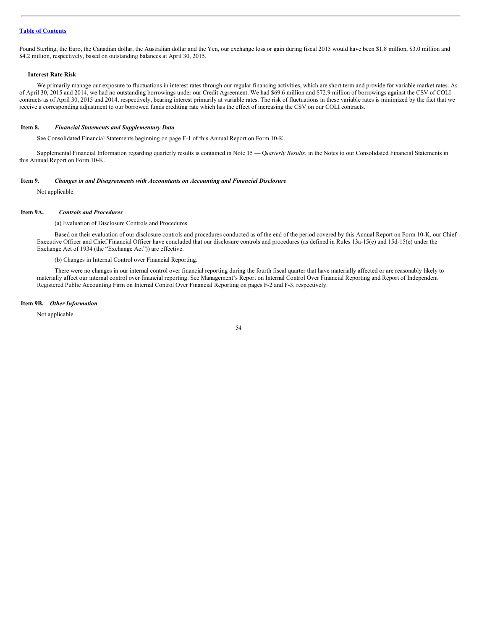Pound Sterling, the Euro, the Canadian dollar, the Australian dollar and the Yen, our exchange loss or gain during fiscal 2015 would have been \$1.8 million, \$3.0 million and \$4.2 million, respectively, based on outstanding balances at April 30, 2015.

# **Interest Rate Risk**

We primarily manage our exposure to fluctuations in interest rates through our regular financing activities, which are short term and provide for variable market rates. As of April 30, 2015 and 2014, we had no outstanding borrowings under our Credit Agreement. We had \$69.6 million and \$72.9 million of borrowings against the CSV of COLI contracts as of April 30, 2015 and 2014, respectively, bearing interest primarily at variable rates. The risk of fluctuations in these variable rates is minimized by the fact that we receive a corresponding adjustment to our borrowed funds crediting rate which has the effect of increasing the CSV on our COLI contracts.

## **Item 8.** *Financial Statements and Supplementary Data*

See Consolidated Financial Statements beginning on page F-1 of this Annual Report on Form 10-K.

Supplemental Financial Information regarding quarterly results is contained in Note 15 — Q*uarterly Results*, in the Notes to our Consolidated Financial Statements in this Annual Report on Form 10-K.

### **Item 9.** *Changes in and Disagreements with Accountants on Accounting and Financial Disclosure*

Not applicable.

#### **Item 9A.** *Controls and Procedures*

(a) Evaluation of Disclosure Controls and Procedures.

Based on their evaluation of our disclosure controls and procedures conducted as of the end of the period covered by this Annual Report on Form 10-K, our Chief Executive Officer and Chief Financial Officer have concluded that our disclosure controls and procedures (as defined in Rules 13a-15(e) and 15d-15(e) under the Exchange Act of 1934 (the "Exchange Act")) are effective.

(b) Changes in Internal Control over Financial Reporting.

There were no changes in our internal control over financial reporting during the fourth fiscal quarter that have materially affected or are reasonably likely to materially affect our internal control over financial reporting. See Management's Report on Internal Control Over Financial Reporting and Report of Independent Registered Public Accounting Firm on Internal Control Over Financial Reporting on pages F-2 and F-3, respectively.

#### **Item 9B.** *Other Information*

Not applicable.

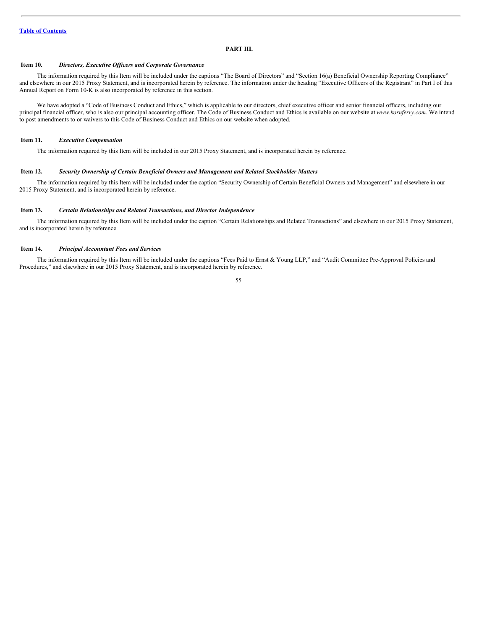# **PART III.**

## **Item 10.** *Directors, Executive Of icers and Corporate Governance*

The information required by this Item will be included under the captions "The Board of Directors" and "Section 16(a) Beneficial Ownership Reporting Compliance" and elsewhere in our 2015 Proxy Statement, and is incorporated herein by reference. The information under the heading "Executive Officers of the Registrant" in Part I of this Annual Report on Form 10-K is also incorporated by reference in this section.

We have adopted a "Code of Business Conduct and Ethics," which is applicable to our directors, chief executive officer and senior financial officers, including our principal financial officer, who is also our principal accounting officer. The Code of Business Conduct and Ethics is available on our website at *www.kornferry.com*. We intend to post amendments to or waivers to this Code of Business Conduct and Ethics on our website when adopted.

## **Item 11.** *Executive Compensation*

The information required by this Item will be included in our 2015 Proxy Statement, and is incorporated herein by reference.

#### **Item 12.** *Security Ownership of Certain Beneficial Owners and Management and Related Stockholder Matters*

The information required by this Item will be included under the caption "Security Ownership of Certain Beneficial Owners and Management" and elsewhere in our 2015 Proxy Statement, and is incorporated herein by reference.

## **Item 13.** *Certain Relationships and Related Transactions, and Director Independence*

The information required by this Item will be included under the caption "Certain Relationships and Related Transactions" and elsewhere in our 2015 Proxy Statement, and is incorporated herein by reference.

# **Item 14.** *Principal Accountant Fees and Services*

The information required by this Item will be included under the captions "Fees Paid to Ernst & Young LLP," and "Audit Committee Pre-Approval Policies and Procedures," and elsewhere in our 2015 Proxy Statement, and is incorporated herein by reference.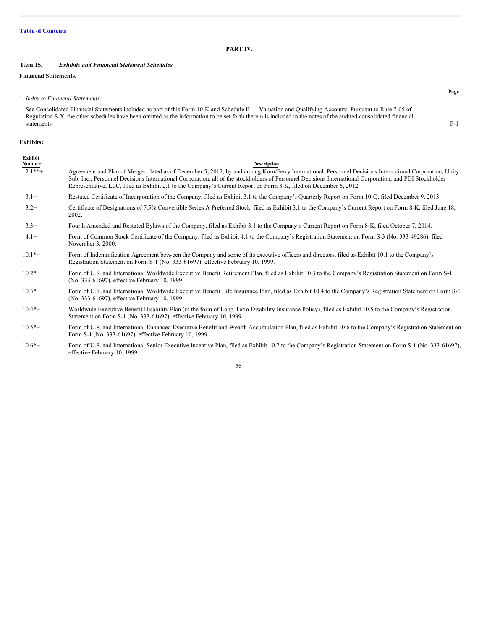# **PART IV.**

# **Item 15.** *Exhibits and Financial Statement Schedules*

# **Financial Statements.**

1. *Index to Financial Statements:*

See Consolidated Financial Statements included as part of this Form 10-K and Schedule II — Valuation and Qualifying Accounts. Pursuant to Rule 7-05 of Regulation S-X, the other schedules have been omitted as the information to be set forth therein is included in the notes of the audited consolidated financial statements F-1

#### **Exhibits:**

| Exhibit<br>Number | <b>Description</b>                                                                                                                                                                                                                                                                                                                                                                                                                      |
|-------------------|-----------------------------------------------------------------------------------------------------------------------------------------------------------------------------------------------------------------------------------------------------------------------------------------------------------------------------------------------------------------------------------------------------------------------------------------|
| $2.1***$          | Agreement and Plan of Merger, dated as of December 5, 2012, by and among Korn/Ferry International, Personnel Decisions International Corporation, Unity<br>Sub, Inc., Personnel Decisions International Corporation, all of the stockholders of Personnel Decisions International Corporation, and PDI Stockholder<br>Representative, LLC, filed as Exhibit 2.1 to the Company's Current Report on Form 8-K, filed on December 6, 2012. |
| $3.1+$            | Restated Certificate of Incorporation of the Company, filed as Exhibit 3.1 to the Company's Quarterly Report on Form 10-Q, filed December 9, 2013.                                                                                                                                                                                                                                                                                      |
| $3.2+$            | Certificate of Designations of 7.5% Convertible Series A Preferred Stock, filed as Exhibit 3.1 to the Company's Current Report on Form 8-K, filed June 18,<br>2002.                                                                                                                                                                                                                                                                     |
| $3.3+$            | Fourth Amended and Restated Bylaws of the Company, filed as Exhibit 3.1 to the Company's Current Report on Form 8-K, filed October 7, 2014.                                                                                                                                                                                                                                                                                             |
| $4.1+$            | Form of Common Stock Certificate of the Company, filed as Exhibit 4.1 to the Company's Registration Statement on Form S-3 (No. 333-49286), filed<br>November 3, 2000.                                                                                                                                                                                                                                                                   |
| $10.1*+$          | Form of Indemnification Agreement between the Company and some of its executive officers and directors, filed as Exhibit 10.1 to the Company's<br>Registration Statement on Form S-1 (No. 333-61697), effective February 10, 1999.                                                                                                                                                                                                      |
| $10.2*+$          | Form of U.S. and International Worldwide Executive Benefit Retirement Plan, filed as Exhibit 10.3 to the Company's Registration Statement on Form S-1<br>(No. 333-61697), effective February 10, 1999.                                                                                                                                                                                                                                  |
| $10.3*+$          | Form of U.S. and International Worldwide Executive Benefit Life Insurance Plan, filed as Exhibit 10.4 to the Company's Registration Statement on Form S-1<br>(No. 333-61697), effective February 10, 1999.                                                                                                                                                                                                                              |
| $10.4*+$          | Worldwide Executive Benefit Disability Plan (in the form of Long-Term Disability Insurance Policy), filed as Exhibit 10.5 to the Company's Registration<br>Statement on Form S-1 (No. 333-61697), effective February 10, 1999.                                                                                                                                                                                                          |
| $10.5*+$          | Form of U.S. and International Enhanced Executive Benefit and Wealth Accumulation Plan, filed as Exhibit 10.6 to the Company's Registration Statement on                                                                                                                                                                                                                                                                                |

10.5\*+ Form of U.S. and International Enhanced Executive Benefit and Wealth Accumulation Plan, filed as Exhibit 10.6 to the Company's Registration Statement on Form S-1 (No. 333-61697), effective February 10, 1999.

10.6\*+ Form of U.S. and International Senior Executive Incentive Plan, filed as Exhibit 10.7 to the Company's Registration Statement on Form S-1 (No. 333-61697), effective February 10, 1999.

56

**Page**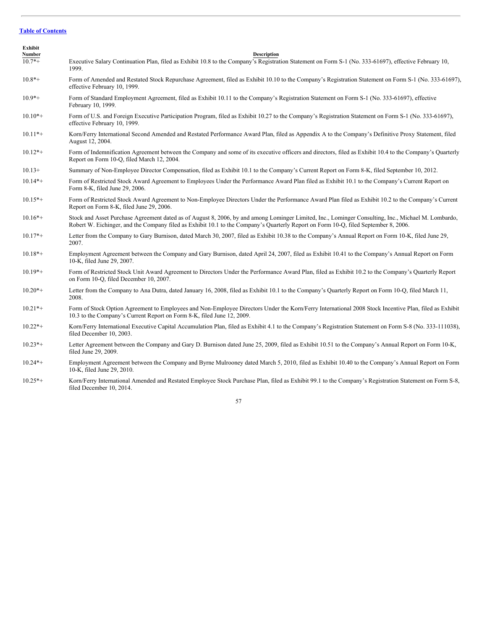| <b>Exhibit</b><br>Number      | <b>Description</b>                                                                                                                                                                                                                                                                         |
|-------------------------------|--------------------------------------------------------------------------------------------------------------------------------------------------------------------------------------------------------------------------------------------------------------------------------------------|
| $\frac{10.7^{*+}}{10.7^{*+}}$ | Executive Salary Continuation Plan, filed as Exhibit 10.8 to the Company's Registration Statement on Form S-1 (No. 333-61697), effective February 10,<br>1999.                                                                                                                             |
| $10.8*+$                      | Form of Amended and Restated Stock Repurchase Agreement, filed as Exhibit 10.10 to the Company's Registration Statement on Form S-1 (No. 333-61697),<br>effective February 10, 1999.                                                                                                       |
| $10.9*+$                      | Form of Standard Employment Agreement, filed as Exhibit 10.11 to the Company's Registration Statement on Form S-1 (No. 333-61697), effective<br>February 10, 1999.                                                                                                                         |
| $10.10*+$                     | Form of U.S. and Foreign Executive Participation Program, filed as Exhibit 10.27 to the Company's Registration Statement on Form S-1 (No. 333-61697),<br>effective February 10, 1999.                                                                                                      |
| $10.11*+$                     | Korn/Ferry International Second Amended and Restated Performance Award Plan, filed as Appendix A to the Company's Definitive Proxy Statement, filed<br>August 12, 2004.                                                                                                                    |
| $10.12*+$                     | Form of Indemnification Agreement between the Company and some of its executive officers and directors, filed as Exhibit 10.4 to the Company's Quarterly<br>Report on Form 10-Q, filed March 12, 2004.                                                                                     |
| $10.13+$                      | Summary of Non-Employee Director Compensation, filed as Exhibit 10.1 to the Company's Current Report on Form 8-K, filed September 10, 2012.                                                                                                                                                |
| $10.14*+$                     | Form of Restricted Stock Award Agreement to Employees Under the Performance Award Plan filed as Exhibit 10.1 to the Company's Current Report on<br>Form 8-K, filed June 29, 2006.                                                                                                          |
| $10.15*+$                     | Form of Restricted Stock Award Agreement to Non-Employee Directors Under the Performance Award Plan filed as Exhibit 10.2 to the Company's Current<br>Report on Form 8-K, filed June 29, 2006.                                                                                             |
| $10.16*+$                     | Stock and Asset Purchase Agreement dated as of August 8, 2006, by and among Lominger Limited, Inc., Lominger Consulting, Inc., Michael M. Lombardo,<br>Robert W. Eichinger, and the Company filed as Exhibit 10.1 to the Company's Quarterly Report on Form 10-Q, filed September 8, 2006. |
| $10.17*+$                     | Letter from the Company to Gary Burnison, dated March 30, 2007, filed as Exhibit 10.38 to the Company's Annual Report on Form 10-K, filed June 29,<br>2007.                                                                                                                                |
| $10.18*+$                     | Employment Agreement between the Company and Gary Burnison, dated April 24, 2007, filed as Exhibit 10.41 to the Company's Annual Report on Form<br>10-K, filed June 29, 2007.                                                                                                              |
| $10.19*+$                     | Form of Restricted Stock Unit Award Agreement to Directors Under the Performance Award Plan, filed as Exhibit 10.2 to the Company's Quarterly Report<br>on Form 10-Q, filed December 10, 2007.                                                                                             |
| $10.20*+$                     | Letter from the Company to Ana Dutra, dated January 16, 2008, filed as Exhibit 10.1 to the Company's Quarterly Report on Form 10-Q, filed March 11,<br>2008.                                                                                                                               |
| $10.21*+$                     | Form of Stock Option Agreement to Employees and Non-Employee Directors Under the Korn/Ferry International 2008 Stock Incentive Plan, filed as Exhibit<br>10.3 to the Company's Current Report on Form 8-K, filed June 12, 2009.                                                            |
| $10.22*+$                     | Korn/Ferry International Executive Capital Accumulation Plan, filed as Exhibit 4.1 to the Company's Registration Statement on Form S-8 (No. 333-111038),<br>filed December 10, 2003.                                                                                                       |
| $10.23*+$                     | Letter Agreement between the Company and Gary D. Burnison dated June 25, 2009, filed as Exhibit 10.51 to the Company's Annual Report on Form 10-K,<br>filed June 29, 2009.                                                                                                                 |
| $10.24*+$                     | Employment Agreement between the Company and Byrne Mulrooney dated March 5, 2010, filed as Exhibit 10.40 to the Company's Annual Report on Form<br>10-K, filed June 29, 2010.                                                                                                              |

10.25\*+ Korn/Ferry International Amended and Restated Employee Stock Purchase Plan, filed as Exhibit 99.1 to the Company's Registration Statement on Form S-8, filed December 10, 2014.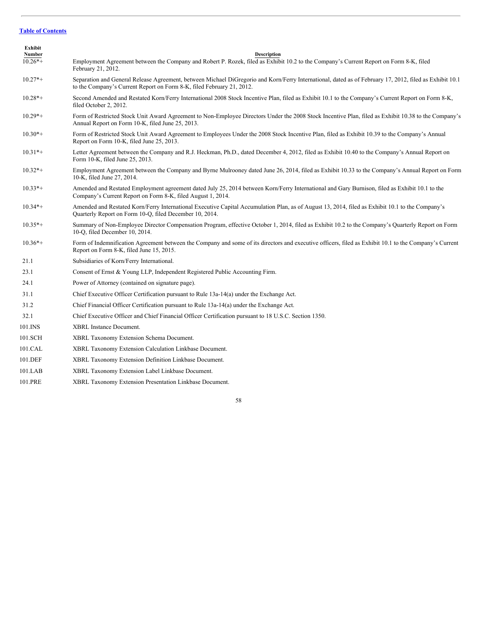| <b>Exhibit</b><br>Number | Description                                                                                                                                                                                                                      |
|--------------------------|----------------------------------------------------------------------------------------------------------------------------------------------------------------------------------------------------------------------------------|
| $10.26*+$                | Employment Agreement between the Company and Robert P. Rozek, filed as Exhibit 10.2 to the Company's Current Report on Form 8-K, filed<br>February 21, 2012.                                                                     |
| $10.27*+$                | Separation and General Release Agreement, between Michael DiGregorio and Korn/Ferry International, dated as of February 17, 2012, filed as Exhibit 10.1<br>to the Company's Current Report on Form 8-K, filed February 21, 2012. |
| $10.28*+$                | Second Amended and Restated Korn/Ferry International 2008 Stock Incentive Plan, filed as Exhibit 10.1 to the Company's Current Report on Form 8-K,<br>filed October 2, 2012.                                                     |
| $10.29*+$                | Form of Restricted Stock Unit Award Agreement to Non-Employee Directors Under the 2008 Stock Incentive Plan, filed as Exhibit 10.38 to the Company's<br>Annual Report on Form 10-K, filed June 25, 2013.                         |
| $10.30*+$                | Form of Restricted Stock Unit Award Agreement to Employees Under the 2008 Stock Incentive Plan, filed as Exhibit 10.39 to the Company's Annual<br>Report on Form 10-K, filed June 25, 2013.                                      |
| $10.31*+$                | Letter Agreement between the Company and R.J. Heckman, Ph.D., dated December 4, 2012, filed as Exhibit 10.40 to the Company's Annual Report on<br>Form 10-K, filed June 25, 2013.                                                |
| $10.32*+$                | Employment Agreement between the Company and Byrne Mulrooney dated June 26, 2014, filed as Exhibit 10.33 to the Company's Annual Report on Form<br>10-K, filed June 27, 2014.                                                    |
| $10.33*+$                | Amended and Restated Employment agreement dated July 25, 2014 between Korn/Ferry International and Gary Burnison, filed as Exhibit 10.1 to the<br>Company's Current Report on Form 8-K, filed August 1, 2014.                    |
| $10.34*+$                | Amended and Restated Korn/Ferry International Executive Capital Accumulation Plan, as of August 13, 2014, filed as Exhibit 10.1 to the Company's<br>Quarterly Report on Form 10-Q, filed December 10, 2014.                      |
| $10.35*+$                | Summary of Non-Employee Director Compensation Program, effective October 1, 2014, filed as Exhibit 10.2 to the Company's Quarterly Report on Form<br>10-Q, filed December 10, 2014.                                              |
| $10.36*+$                | Form of Indemnification Agreement between the Company and some of its directors and executive officers, filed as Exhibit 10.1 to the Company's Current<br>Report on Form 8-K, filed June 15, 2015.                               |
| 21.1                     | Subsidiaries of Korn/Ferry International.                                                                                                                                                                                        |
| 23.1                     | Consent of Ernst & Young LLP, Independent Registered Public Accounting Firm.                                                                                                                                                     |
| 24.1                     | Power of Attorney (contained on signature page).                                                                                                                                                                                 |
| 31.1                     | Chief Executive Officer Certification pursuant to Rule 13a-14(a) under the Exchange Act.                                                                                                                                         |
| 31.2                     | Chief Financial Officer Certification pursuant to Rule 13a-14(a) under the Exchange Act.                                                                                                                                         |
| 32.1                     | Chief Executive Officer and Chief Financial Officer Certification pursuant to 18 U.S.C. Section 1350.                                                                                                                            |
| 101.INS                  | XBRL Instance Document.                                                                                                                                                                                                          |
| 101.SCH                  | XBRL Taxonomy Extension Schema Document.                                                                                                                                                                                         |
| 101.CAL                  | XBRL Taxonomy Extension Calculation Linkbase Document.                                                                                                                                                                           |
| 101.DEF                  | XBRL Taxonomy Extension Definition Linkbase Document.                                                                                                                                                                            |
| 101.LAB                  | XBRL Taxonomy Extension Label Linkbase Document.                                                                                                                                                                                 |
| 101.PRE                  | XBRL Taxonomy Extension Presentation Linkbase Document.                                                                                                                                                                          |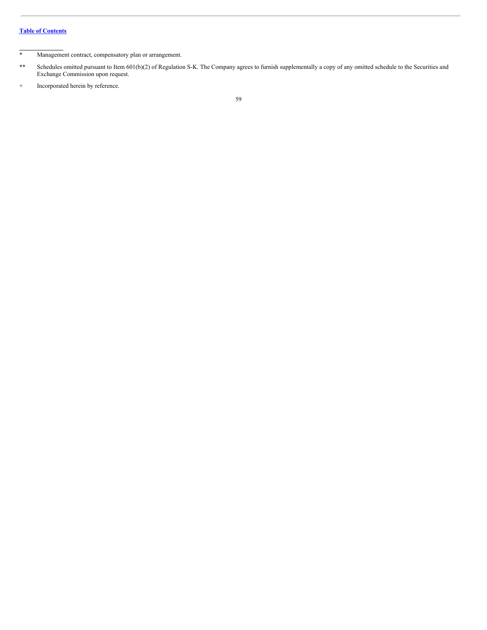- \* Management contract, compensatory plan or arrangement.
- \*\* Schedules omitted pursuant to Item 601(b)(2) of Regulation S-K. The Company agrees to furnish supplementally a copy of any omitted schedule to the Securities and Exchange Commission upon request.
- + Incorporated herein by reference.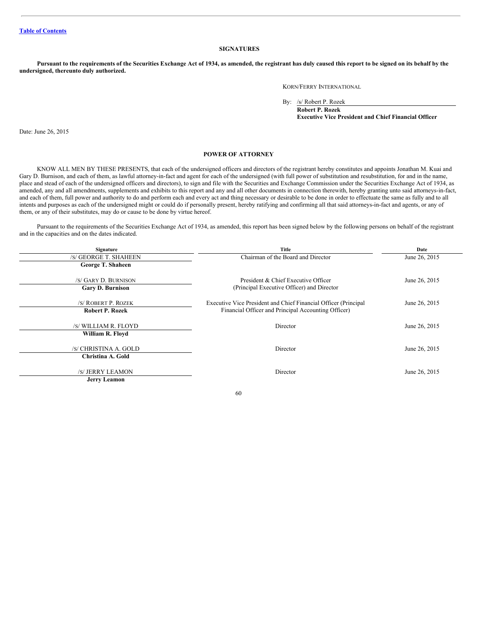# **SIGNATURES**

Pursuant to the requirements of the Securities Exchange Act of 1934, as amended, the registrant has duly caused this report to be signed on its behalf by the **undersigned, thereunto duly authorized.**

KORN/FERRY INTERNATIONAL

By: /s/ Robert P. Rozek

**Robert P. Rozek Executive Vice President and Chief Financial Officer**

Date: June 26, 2015

# **POWER OF ATTORNEY**

KNOW ALL MEN BY THESE PRESENTS, that each of the undersigned officers and directors of the registrant hereby constitutes and appoints Jonathan M. Kuai and Gary D. Burnison, and each of them, as lawful attorney-in-fact and agent for each of the undersigned (with full power of substitution and resubstitution, for and in the name, place and stead of each of the undersigned officers and directors), to sign and file with the Securities and Exchange Commission under the Securities Exchange Act of 1934, as amended, any and all amendments, supplements and exhibits to this report and any and all other documents in connection therewith, hereby granting unto said attorneys-in-fact, and each of them, full power and authority to do and perform each and every act and thing necessary or desirable to be done in order to effectuate the same as fully and to all intents and purposes as each of the undersigned might or could do if personally present, hereby ratifying and confirming all that said attorneys-in-fact and agents, or any of them, or any of their substitutes, may do or cause to be done by virtue hereof.

Pursuant to the requirements of the Securities Exchange Act of 1934, as amended, this report has been signed below by the following persons on behalf of the registrant and in the capacities and on the dates indicated.

| Signature               | Title                                                           | Date          |
|-------------------------|-----------------------------------------------------------------|---------------|
| /S/ GEORGE T. SHAHEEN   | Chairman of the Board and Director                              | June 26, 2015 |
| George T. Shaheen       |                                                                 |               |
| /S/ GARY D. BURNISON    | President & Chief Executive Officer                             | June 26, 2015 |
| <b>Gary D. Burnison</b> | (Principal Executive Officer) and Director                      |               |
| /S/ ROBERT P. ROZEK     | Executive Vice President and Chief Financial Officer (Principal | June 26, 2015 |
| <b>Robert P. Rozek</b>  | Financial Officer and Principal Accounting Officer)             |               |
| /S/ WILLIAM R. FLOYD    | Director                                                        | June 26, 2015 |
| William R. Floyd        |                                                                 |               |
| /s/ CHRISTINA A. GOLD   | Director                                                        | June 26, 2015 |
| Christina A. Gold       |                                                                 |               |
| /S/ JERRY LEAMON        | Director                                                        | June 26, 2015 |
| <b>Jerry Leamon</b>     |                                                                 |               |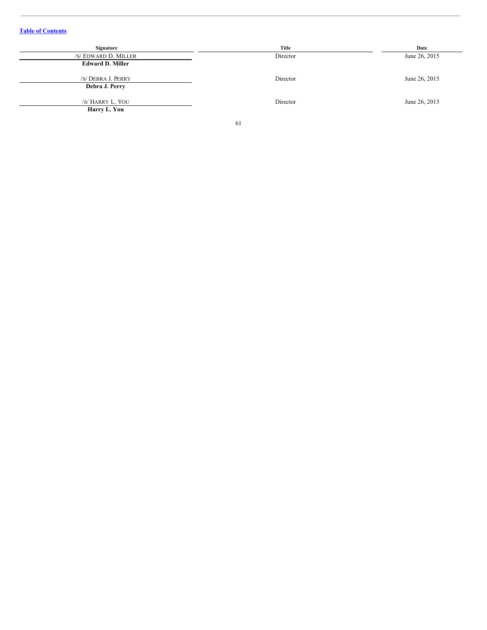| Signature               | Title    | Date          |
|-------------------------|----------|---------------|
| /S/ EDWARD D. MILLER    | Director | June 26, 2015 |
| <b>Edward D. Miller</b> |          |               |
| /S/ DEBRA J. PERRY      | Director | June 26, 2015 |
| Debra J. Perry          |          |               |
| /S/ HARRY L. YOU        | Director | June 26, 2015 |
| Harry L. You            |          |               |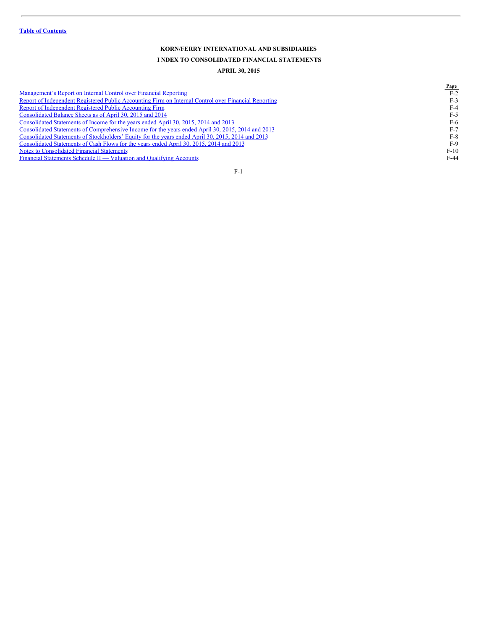# **KORN/FERRY INTERNATIONAL AND SUBSIDIARIES**

# **I NDEX TO CONSOLIDATED FINANCIAL STATEMENTS**

# **APRIL 30, 2015**

|                                                                                                      | Page   |
|------------------------------------------------------------------------------------------------------|--------|
| Management's Report on Internal Control over Financial Reporting                                     | $F-2$  |
| Report of Independent Registered Public Accounting Firm on Internal Control over Financial Reporting | $F-3$  |
| Report of Independent Registered Public Accounting Firm                                              | $F-4$  |
| Consolidated Balance Sheets as of April 30, 2015 and 2014                                            | F-5    |
| Consolidated Statements of Income for the years ended April 30, 2015, 2014 and 2013                  | $F-6$  |
| Consolidated Statements of Comprehensive Income for the years ended April 30, 2015, 2014 and 2013    | $F-7$  |
| Consolidated Statements of Stockholders' Equity for the years ended April 30, 2015, 2014 and 2013    | $F-8$  |
| Consolidated Statements of Cash Flows for the years ended April 30, 2015, 2014 and 2013              | $F-9$  |
| Notes to Consolidated Financial Statements                                                           | $F-10$ |
| Financial Statements Schedule II — Valuation and Qualifying Accounts                                 | $F-44$ |
|                                                                                                      |        |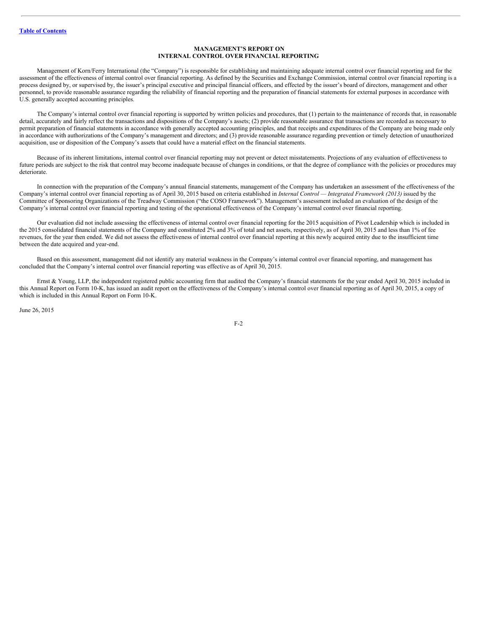## <span id="page-64-0"></span>**MANAGEMENT'S REPORT ON INTERNAL CONTROL OVER FINANCIAL REPORTING**

Management of Korn/Ferry International (the "Company") is responsible for establishing and maintaining adequate internal control over financial reporting and for the assessment of the effectiveness of internal control over financial reporting. As defined by the Securities and Exchange Commission, internal control over financial reporting is a process designed by, or supervised by, the issuer's principal executive and principal financial officers, and effected by the issuer's board of directors, management and other personnel, to provide reasonable assurance regarding the reliability of financial reporting and the preparation of financial statements for external purposes in accordance with U.S. generally accepted accounting principles.

The Company's internal control over financial reporting is supported by written policies and procedures, that (1) pertain to the maintenance of records that, in reasonable detail, accurately and fairly reflect the transactions and dispositions of the Company's assets; (2) provide reasonable assurance that transactions are recorded as necessary to permit preparation of financial statements in accordance with generally accepted accounting principles, and that receipts and expenditures of the Company are being made only in accordance with authorizations of the Company's management and directors; and (3) provide reasonable assurance regarding prevention or timely detection of unauthorized acquisition, use or disposition of the Company's assets that could have a material effect on the financial statements.

Because of its inherent limitations, internal control over financial reporting may not prevent or detect misstatements. Projections of any evaluation of effectiveness to future periods are subject to the risk that control may become inadequate because of changes in conditions, or that the degree of compliance with the policies or procedures may deteriorate.

In connection with the preparation of the Company's annual financial statements, management of the Company has undertaken an assessment of the effectiveness of the Company's internal control over financial reporting as of April 30, 2015 based on criteria established in *Internal Control — Integrated Framework (2013)* issued by the Committee of Sponsoring Organizations of the Treadway Commission ("the COSO Framework"). Management's assessment included an evaluation of the design of the Company's internal control over financial reporting and testing of the operational effectiveness of the Company's internal control over financial reporting.

Our evaluation did not include assessing the effectiveness of internal control over financial reporting for the 2015 acquisition of Pivot Leadership which is included in the 2015 consolidated financial statements of the Company and constituted 2% and 3% of total and net assets, respectively, as of April 30, 2015 and less than 1% of fee revenues, for the year then ended. We did not assess the effectiveness of internal control over financial reporting at this newly acquired entity due to the insufficient time between the date acquired and year-end.

Based on this assessment, management did not identify any material weakness in the Company's internal control over financial reporting, and management has concluded that the Company's internal control over financial reporting was effective as of April 30, 2015.

Ernst & Young, LLP, the independent registered public accounting firm that audited the Company's financial statements for the year ended April 30, 2015 included in this Annual Report on Form 10-K, has issued an audit report on the effectiveness of the Company's internal control over financial reporting as of April 30, 2015, a copy of which is included in this Annual Report on Form 10-K.

June 26, 2015

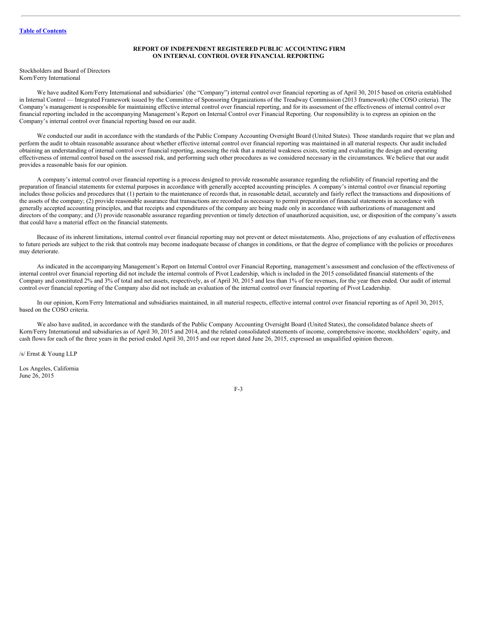# <span id="page-65-0"></span>**REPORT OF INDEPENDENT REGISTERED PUBLIC ACCOUNTING FIRM ON INTERNAL CONTROL OVER FINANCIAL REPORTING**

Stockholders and Board of Directors Korn/Ferry International

We have audited Korn/Ferry International and subsidiaries' (the "Company") internal control over financial reporting as of April 30, 2015 based on criteria established in Internal Control — Integrated Framework issued by the Committee of Sponsoring Organizations of the Treadway Commission (2013 framework) (the COSO criteria). The Company's management is responsible for maintaining effective internal control over financial reporting, and for its assessment of the effectiveness of internal control over financial reporting included in the accompanying Management's Report on Internal Control over Financial Reporting. Our responsibility is to express an opinion on the Company's internal control over financial reporting based on our audit.

We conducted our audit in accordance with the standards of the Public Company Accounting Oversight Board (United States). Those standards require that we plan and perform the audit to obtain reasonable assurance about whether effective internal control over financial reporting was maintained in all material respects. Our audit included obtaining an understanding of internal control over financial reporting, assessing the risk that a material weakness exists, testing and evaluating the design and operating effectiveness of internal control based on the assessed risk, and performing such other procedures as we considered necessary in the circumstances. We believe that our audit provides a reasonable basis for our opinion.

A company's internal control over financial reporting is a process designed to provide reasonable assurance regarding the reliability of financial reporting and the preparation of financial statements for external purposes in accordance with generally accepted accounting principles. A company's internal control over financial reporting includes those policies and procedures that (1) pertain to the maintenance of records that, in reasonable detail, accurately and fairly reflect the transactions and dispositions of the assets of the company; (2) provide reasonable assurance that transactions are recorded as necessary to permit preparation of financial statements in accordance with generally accepted accounting principles, and that receipts and expenditures of the company are being made only in accordance with authorizations of management and directors of the company; and (3) provide reasonable assurance regarding prevention or timely detection of unauthorized acquisition, use, or disposition of the company's assets that could have a material effect on the financial statements.

Because of its inherent limitations, internal control over financial reporting may not prevent or detect misstatements. Also, projections of any evaluation of effectiveness to future periods are subject to the risk that controls may become inadequate because of changes in conditions, or that the degree of compliance with the policies or procedures may deteriorate.

As indicated in the accompanying Management's Report on Internal Control over Financial Reporting, management's assessment and conclusion of the effectiveness of internal control over financial reporting did not include the internal controls of Pivot Leadership, which is included in the 2015 consolidated financial statements of the Company and constituted 2% and 3% of total and net assets, respectively, as of April 30, 2015 and less than 1% of fee revenues, for the year then ended. Our audit of internal control over financial reporting of the Company also did not include an evaluation of the internal control over financial reporting of Pivot Leadership.

In our opinion, Korn/Ferry International and subsidiaries maintained, in all material respects, effective internal control over financial reporting as of April 30, 2015, based on the COSO criteria.

We also have audited, in accordance with the standards of the Public Company Accounting Oversight Board (United States), the consolidated balance sheets of Korn/Ferry International and subsidiaries as of April 30, 2015 and 2014, and the related consolidated statements of income, comprehensive income, stockholders' equity, and cash flows for each of the three years in the period ended April 30, 2015 and our report dated June 26, 2015, expressed an unqualified opinion thereon.

/s/ Ernst & Young LLP

Los Angeles, California June 26, 2015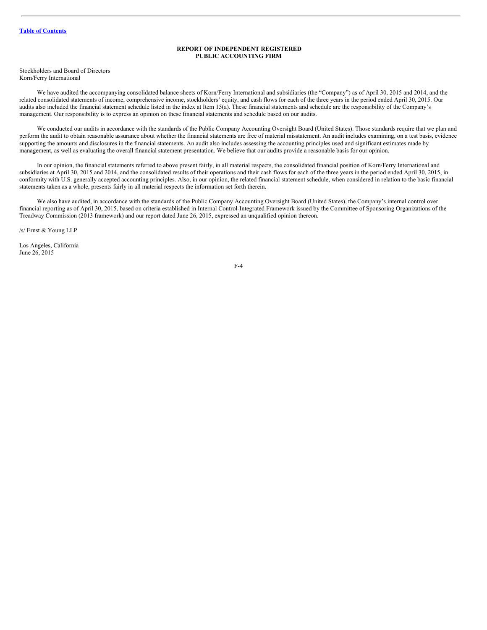# <span id="page-66-0"></span>**REPORT OF INDEPENDENT REGISTERED PUBLIC ACCOUNTING FIRM**

Stockholders and Board of Directors Korn/Ferry International

We have audited the accompanying consolidated balance sheets of Korn/Ferry International and subsidiaries (the "Company") as of April 30, 2015 and 2014, and the related consolidated statements of income, comprehensive income, stockholders' equity, and cash flows for each of the three years in the period ended April 30, 2015. Our audits also included the financial statement schedule listed in the index at Item 15(a). These financial statements and schedule are the responsibility of the Company's management. Our responsibility is to express an opinion on these financial statements and schedule based on our audits.

We conducted our audits in accordance with the standards of the Public Company Accounting Oversight Board (United States). Those standards require that we plan and perform the audit to obtain reasonable assurance about whether the financial statements are free of material misstatement. An audit includes examining, on a test basis, evidence supporting the amounts and disclosures in the financial statements. An audit also includes assessing the accounting principles used and significant estimates made by management, as well as evaluating the overall financial statement presentation. We believe that our audits provide a reasonable basis for our opinion.

In our opinion, the financial statements referred to above present fairly, in all material respects, the consolidated financial position of Korn/Ferry International and subsidiaries at April 30, 2015 and 2014, and the consolidated results of their operations and their cash flows for each of the three years in the period ended April 30, 2015, in conformity with U.S. generally accepted accounting principles. Also, in our opinion, the related financial statement schedule, when considered in relation to the basic financial statements taken as a whole, presents fairly in all material respects the information set forth therein.

We also have audited, in accordance with the standards of the Public Company Accounting Oversight Board (United States), the Company's internal control over financial reporting as of April 30, 2015, based on criteria established in Internal Control-Integrated Framework issued by the Committee of Sponsoring Organizations of the Treadway Commission (2013 framework) and our report dated June 26, 2015, expressed an unqualified opinion thereon.

/s/ Ernst & Young LLP

Los Angeles, California June 26, 2015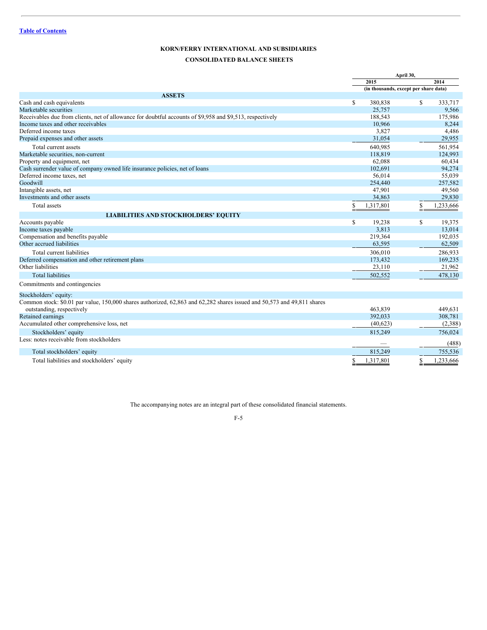# **KORN/FERRY INTERNATIONAL AND SUBSIDIARIES**

# <span id="page-67-0"></span>**CONSOLIDATED BALANCE SHEETS**

|                                                                                                                         | April 30,                             |    |           |
|-------------------------------------------------------------------------------------------------------------------------|---------------------------------------|----|-----------|
|                                                                                                                         | 2015                                  |    | 2014      |
|                                                                                                                         | (in thousands, except per share data) |    |           |
| <b>ASSETS</b>                                                                                                           |                                       |    |           |
| Cash and cash equivalents<br>S.                                                                                         | 380,838                               | \$ | 333,717   |
| Marketable securities                                                                                                   | 25,757                                |    | 9,566     |
| Receivables due from clients, net of allowance for doubtful accounts of \$9,958 and \$9,513, respectively               | 188,543                               |    | 175,986   |
| Income taxes and other receivables                                                                                      | 10,966                                |    | 8.244     |
| Deferred income taxes                                                                                                   | 3,827                                 |    | 4,486     |
| Prepaid expenses and other assets                                                                                       | 31,054                                |    | 29,955    |
| Total current assets                                                                                                    | 640.985                               |    | 561,954   |
| Marketable securities, non-current                                                                                      | 118,819                               |    | 124,993   |
| Property and equipment, net                                                                                             | 62,088                                |    | 60,434    |
| Cash surrender value of company owned life insurance policies, net of loans                                             | 102,691                               |    | 94,274    |
| Deferred income taxes, net                                                                                              | 56,014                                |    | 55,039    |
| Goodwill                                                                                                                | 254,440                               |    | 257,582   |
| Intangible assets, net                                                                                                  | 47,901                                |    | 49,560    |
| Investments and other assets                                                                                            | 34,863                                |    | 29,830    |
| Total assets<br>\$                                                                                                      | 1,317,801                             |    | 1,233,666 |
| <b>LIABILITIES AND STOCKHOLDERS' EQUITY</b>                                                                             |                                       |    |           |
| $\mathbf S$<br>Accounts payable                                                                                         | 19,238                                | S  | 19,375    |
| Income taxes payable                                                                                                    | 3,813                                 |    | 13,014    |
| Compensation and benefits payable                                                                                       | 219,364                               |    | 192,035   |
| Other accrued liabilities                                                                                               | 63,595                                |    | 62,509    |
| Total current liabilities                                                                                               | 306,010                               |    | 286,933   |
| Deferred compensation and other retirement plans                                                                        | 173,432                               |    | 169,235   |
| Other liabilities                                                                                                       | 23,110                                |    | 21,962    |
| <b>Total liabilities</b>                                                                                                | 502,552                               |    | 478,130   |
| Commitments and contingencies                                                                                           |                                       |    |           |
| Stockholders' equity:                                                                                                   |                                       |    |           |
| Common stock: \$0.01 par value, 150,000 shares authorized, 62,863 and 62,282 shares issued and 50,573 and 49,811 shares |                                       |    |           |
| outstanding, respectively                                                                                               | 463,839                               |    | 449.631   |
| Retained earnings                                                                                                       | 392,033                               |    | 308,781   |
| Accumulated other comprehensive loss, net                                                                               | (40,623)                              |    | (2,388)   |
| Stockholders' equity                                                                                                    | 815,249                               |    | 756,024   |
| Less: notes receivable from stockholders                                                                                |                                       |    | (488)     |
| Total stockholders' equity                                                                                              | 815,249                               |    | 755,536   |
| Total liabilities and stockholders' equity<br>\$                                                                        | 1,317,801                             |    | 1,233,666 |

The accompanying notes are an integral part of these consolidated financial statements.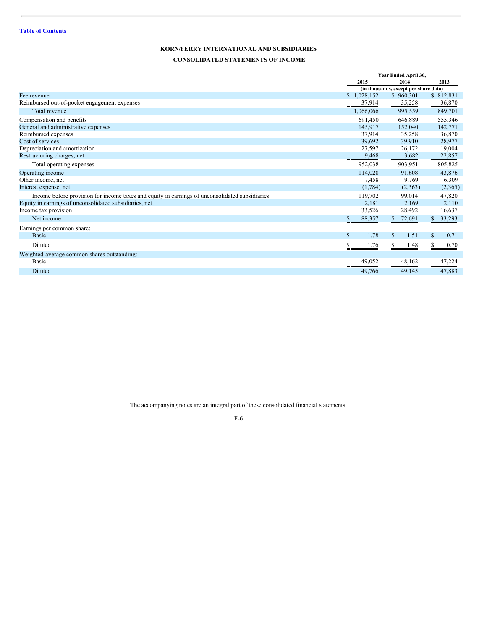# <span id="page-68-0"></span>**KORN/FERRY INTERNATIONAL AND SUBSIDIARIES CONSOLIDATED STATEMENTS OF INCOME**

| Year Ended April 30, |                                       |                  |  |  |
|----------------------|---------------------------------------|------------------|--|--|
| 2015                 | 2014                                  | 2013             |  |  |
|                      | (in thousands, except per share data) |                  |  |  |
| \$1,028,152          | \$960,301                             | \$ 812,831       |  |  |
| 37,914               | 35,258                                | 36,870           |  |  |
| 1,066,066            | 995,559                               | 849,701          |  |  |
| 691.450              | 646,889                               | 555,346          |  |  |
| 145,917              | 152,040                               | 142,771          |  |  |
| 37,914               | 35,258                                | 36,870           |  |  |
| 39,692               | 39,910                                | 28,977           |  |  |
| 27,597               | 26,172                                | 19,004           |  |  |
| 9,468                | 3,682                                 | 22,857           |  |  |
| 952,038              | 903,951                               | 805,825          |  |  |
| 114,028              | 91,608                                | 43,876           |  |  |
| 7,458                | 9,769                                 | 6,309            |  |  |
| (1,784)              | (2,363)                               | (2,365)          |  |  |
| 119,702              | 99,014                                | 47,820           |  |  |
| 2,181                | 2,169                                 | 2,110            |  |  |
| 33,526               | 28,492                                | 16,637           |  |  |
| 88,357               | 72,691                                | 33,293           |  |  |
|                      |                                       |                  |  |  |
| 1.78                 | 1.51                                  | 0.71<br>۳.       |  |  |
| 1.76                 | 1.48                                  | \$<br>0.70<br>-- |  |  |
|                      |                                       |                  |  |  |
| 49,052               | 48,162                                | 47,224           |  |  |
| 49,766               | 49,145                                | 47,883<br>==     |  |  |
|                      |                                       |                  |  |  |

The accompanying notes are an integral part of these consolidated financial statements.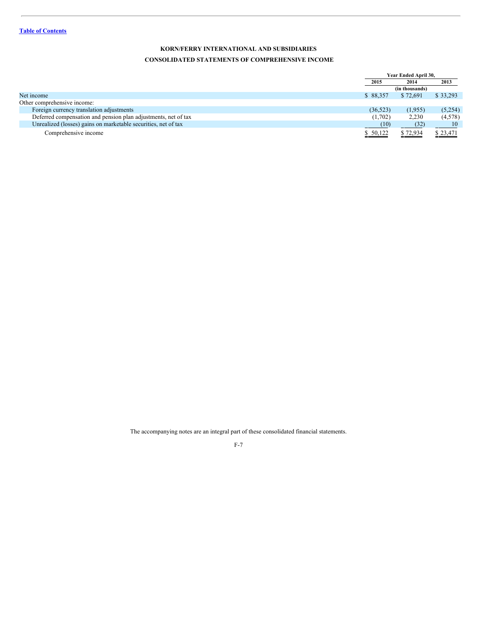# <span id="page-69-0"></span>**KORN/FERRY INTERNATIONAL AND SUBSIDIARIES CONSOLIDATED STATEMENTS OF COMPREHENSIVE INCOME**

|                                                                |           | Year Ended April 30, |          |  |  |
|----------------------------------------------------------------|-----------|----------------------|----------|--|--|
|                                                                | 2015      | 2014                 | 2013     |  |  |
|                                                                |           | (in thousands)       |          |  |  |
| Net income                                                     | \$ 88,357 | \$72,691             | \$33,293 |  |  |
| Other comprehensive income:                                    |           |                      |          |  |  |
| Foreign currency translation adjustments                       | (36, 523) | (1,955)              | (5,254)  |  |  |
| Deferred compensation and pension plan adjustments, net of tax | (1,702)   | 2,230                | (4,578)  |  |  |
| Unrealized (losses) gains on marketable securities, net of tax | (10)      | (32)                 | 10       |  |  |
| Comprehensive income                                           | \$50,122  | \$72,934             | \$23,471 |  |  |

The accompanying notes are an integral part of these consolidated financial statements.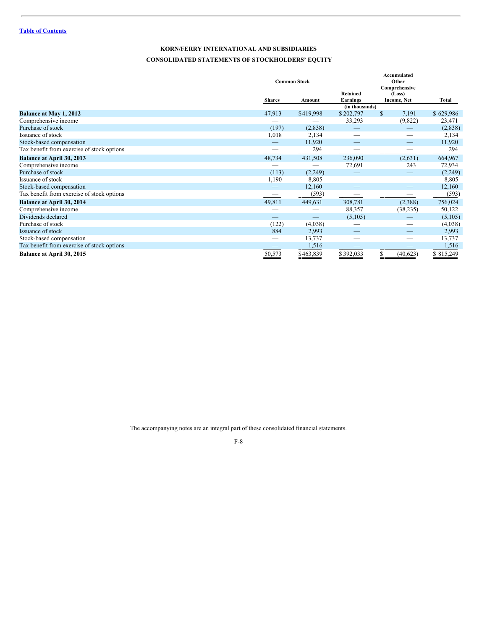# <span id="page-70-0"></span>**KORN/FERRY INTERNATIONAL AND SUBSIDIARIES CONSOLIDATED STATEMENTS OF STOCKHOLDERS' EQUITY**

|                                            |               | <b>Common Stock</b> |                            | Accumulated<br>Other<br>Comprehensive |            |
|--------------------------------------------|---------------|---------------------|----------------------------|---------------------------------------|------------|
|                                            |               |                     | <b>Retained</b>            | (Loss)                                |            |
|                                            | <b>Shares</b> | Amount              | Earnings<br>(in thousands) | <b>Income, Net</b>                    | Total      |
| Balance at May 1, 2012                     | 47,913        | \$419,998           | \$202,797                  | \$<br>7,191                           | \$629,986  |
| Comprehensive income                       |               |                     | 33,293                     | (9,822)                               | 23,471     |
| Purchase of stock                          | (197)         | (2,838)             |                            |                                       | (2,838)    |
| Issuance of stock                          | 1,018         | 2,134               | -                          |                                       | 2,134      |
| Stock-based compensation                   |               | 11,920              |                            |                                       | 11,920     |
| Tax benefit from exercise of stock options |               | 294                 |                            |                                       | 294        |
| Balance at April 30, 2013                  | 48,734        | 431,508             | 236,090                    | (2,631)                               | 664,967    |
| Comprehensive income                       |               |                     | 72,691                     | 243                                   | 72,934     |
| Purchase of stock                          | (113)         | (2,249)             |                            |                                       | (2,249)    |
| Issuance of stock                          | 1,190         | 8,805               |                            |                                       | 8,805      |
| Stock-based compensation                   |               | 12,160              |                            |                                       | 12,160     |
| Tax benefit from exercise of stock options |               | (593)               |                            |                                       | (593)      |
| Balance at April 30, 2014                  | 49,811        | 449,631             | 308,781                    | (2,388)                               | 756,024    |
| Comprehensive income                       |               |                     | 88,357                     | (38, 235)                             | 50,122     |
| Dividends declared                         |               |                     | (5,105)                    |                                       | (5,105)    |
| Purchase of stock                          | (122)         | (4,038)             |                            |                                       | (4,038)    |
| Issuance of stock                          | 884           | 2,993               | –                          | --                                    | 2,993      |
| Stock-based compensation                   |               | 13,737              | --                         | -                                     | 13,737     |
| Tax benefit from exercise of stock options |               | 1,516               |                            |                                       | 1,516      |
| Balance at April 30, 2015                  | 50,573        | \$463,839           | \$392,033                  | (40,623)<br>\$                        | \$ 815,249 |

The accompanying notes are an integral part of these consolidated financial statements.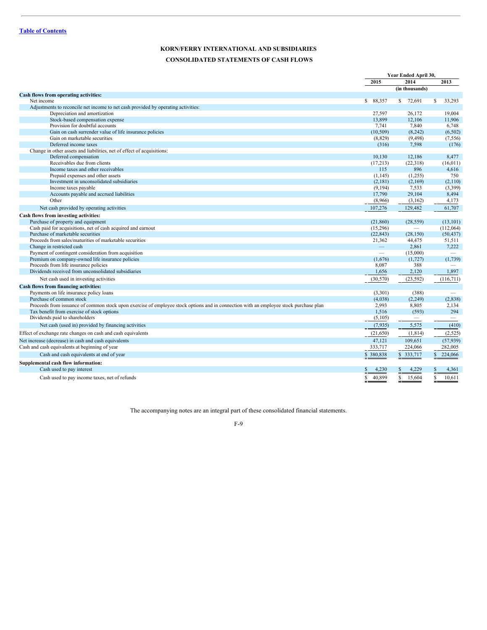# <span id="page-71-0"></span>**KORN/FERRY INTERNATIONAL AND SUBSIDIARIES CONSOLIDATED STATEMENTS OF CASH FLOWS**

|                                                                                                                                       | Year Ended April 30, |                          |                 |
|---------------------------------------------------------------------------------------------------------------------------------------|----------------------|--------------------------|-----------------|
|                                                                                                                                       | 2015                 | 2014                     | 2013            |
|                                                                                                                                       |                      | (in thousands)           |                 |
| Cash flows from operating activities:                                                                                                 |                      |                          |                 |
| Net income                                                                                                                            | \$ 88,357            | 72,691<br>S.             | \$<br>33,293    |
| Adjustments to reconcile net income to net cash provided by operating activities:                                                     |                      |                          |                 |
| Depreciation and amortization<br>Stock-based compensation expense                                                                     | 27,597<br>13,899     | 26.172<br>12,106         | 19,004          |
| Provision for doubtful accounts                                                                                                       | 7,741                | 7,840                    | 11,906<br>6,748 |
| Gain on cash surrender value of life insurance policies                                                                               | (10, 509)            | (8,242)                  | (6,502)         |
| Gain on marketable securities                                                                                                         | (8,829)              | (9, 498)                 | (7, 556)        |
| Deferred income taxes                                                                                                                 | (316)                | 7,598                    | (176)           |
| Change in other assets and liabilities, net of effect of acquisitions:                                                                |                      |                          |                 |
| Deferred compensation                                                                                                                 | 10,130               | 12,186                   | 8,477           |
| Receivables due from clients                                                                                                          | (17,213)             | (22, 318)                | (16, 011)       |
| Income taxes and other receivables                                                                                                    | 115                  | 896                      | 4,616           |
| Prepaid expenses and other assets                                                                                                     | (1,145)              | (1,255)                  | 750             |
| Investment in unconsolidated subsidiaries                                                                                             | (2,181)              | (2,169)                  | (2,110)         |
| Income taxes payable                                                                                                                  | (9,194)              | 7,533                    | (3, 399)        |
| Accounts payable and accrued liabilities                                                                                              | 17,790               | 29,104                   | 8,494           |
| Other                                                                                                                                 | (8,966)              | (3,162)                  | 4,173           |
| Net cash provided by operating activities                                                                                             | 107,276              | 129,482                  | 61,707          |
| Cash flows from investing activities:                                                                                                 |                      |                          |                 |
| Purchase of property and equipment                                                                                                    | (21, 860)            | (28, 559)                | (13, 101)       |
| Cash paid for acquisitions, net of cash acquired and earnout                                                                          | (15,296)             |                          | (112,064)       |
| Purchase of marketable securities                                                                                                     | (22, 843)            | (28, 150)                | (50, 437)       |
| Proceeds from sales/maturities of marketable securities                                                                               | 21,362               | 44,475                   | 51,511          |
| Change in restricted cash                                                                                                             | $\qquad \qquad -$    | 2,861                    | 7,222           |
| Payment of contingent consideration from acquisition                                                                                  |                      | (15,000)                 |                 |
| Premium on company-owned life insurance policies                                                                                      | (1,676)              | (1, 727)                 | (1,739)         |
| Proceeds from life insurance policies                                                                                                 | 8,087                | 388                      |                 |
| Dividends received from unconsolidated subsidiaries                                                                                   | 1,656                | 2,120                    | 1,897           |
| Net cash used in investing activities                                                                                                 | (30, 570)            | (23, 592)                | (116, 711)      |
| Cash flows from financing activities:                                                                                                 |                      |                          |                 |
| Payments on life insurance policy loans                                                                                               | (3,301)              | (388)                    |                 |
| Purchase of common stock                                                                                                              | (4,038)              | (2,249)                  | (2,838)         |
| Proceeds from issuance of common stock upon exercise of employee stock options and in connection with an employee stock purchase plan | 2,993                | 8,805                    | 2,134           |
| Tax benefit from exercise of stock options                                                                                            | 1,516                | (593)                    | 294             |
| Dividends paid to shareholders                                                                                                        | (5,105)              | $\overline{\phantom{a}}$ |                 |
| Net cash (used in) provided by financing activities                                                                                   | (7,935)              | 5,575                    | (410)           |
| Effect of exchange rate changes on cash and cash equivalents                                                                          | (21, 650)            | (1, 814)                 | (2,525)         |
| Net increase (decrease) in cash and cash equivalents                                                                                  | 47,121               | 109,651                  | (57, 939)       |
| Cash and cash equivalents at beginning of year                                                                                        | 333,717              | 224,066                  | 282,005         |
| Cash and cash equivalents at end of year                                                                                              | \$380,838            | \$ 333,717               | 224,066<br>S.   |
| Supplemental cash flow information:                                                                                                   |                      |                          |                 |
| Cash used to pay interest                                                                                                             | 4,230                | 4,229                    | 4,361           |
| Cash used to pay income taxes, net of refunds                                                                                         | 40.899<br>S          | S<br>15,604              | S<br>10,611     |
|                                                                                                                                       |                      |                          |                 |

The accompanying notes are an integral part of these consolidated financial statements.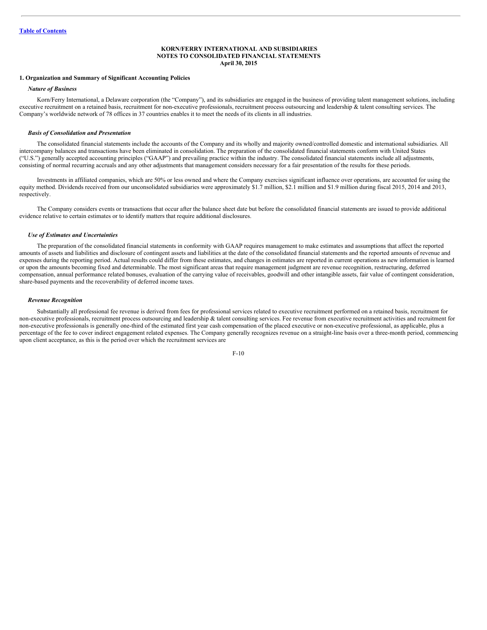### **1. Organization and Summary of Significant Accounting Policies**

### *Nature of Business*

Korn/Ferry International, a Delaware corporation (the "Company"), and its subsidiaries are engaged in the business of providing talent management solutions, including executive recruitment on a retained basis, recruitment for non-executive professionals, recruitment process outsourcing and leadership & talent consulting services. The Company's worldwide network of 78 offices in 37 countries enables it to meet the needs of its clients in all industries.

### *Basis of Consolidation and Presentation*

The consolidated financial statements include the accounts of the Company and its wholly and majority owned/controlled domestic and international subsidiaries. All intercompany balances and transactions have been eliminated in consolidation. The preparation of the consolidated financial statements conform with United States ("U.S.") generally accepted accounting principles ("GAAP") and prevailing practice within the industry. The consolidated financial statements include all adjustments, consisting of normal recurring accruals and any other adjustments that management considers necessary for a fair presentation of the results for these periods.

Investments in affiliated companies, which are 50% or less owned and where the Company exercises significant influence over operations, are accounted for using the equity method. Dividends received from our unconsolidated subsidiaries were approximately \$1.7 million, \$2.1 million and \$1.9 million during fiscal 2015, 2014 and 2013, respectively.

The Company considers events or transactions that occur after the balance sheet date but before the consolidated financial statements are issued to provide additional evidence relative to certain estimates or to identify matters that require additional disclosures.

### *Use of Estimates and Uncertainties*

The preparation of the consolidated financial statements in conformity with GAAP requires management to make estimates and assumptions that affect the reported amounts of assets and liabilities and disclosure of contingent assets and liabilities at the date of the consolidated financial statements and the reported amounts of revenue and expenses during the reporting period. Actual results could differ from these estimates, and changes in estimates are reported in current operations as new information is learned or upon the amounts becoming fixed and determinable. The most significant areas that require management judgment are revenue recognition, restructuring, deferred compensation, annual performance related bonuses, evaluation of the carrying value of receivables, goodwill and other intangible assets, fair value of contingent consideration, share-based payments and the recoverability of deferred income taxes.

### *Revenue Recognition*

Substantially all professional fee revenue is derived from fees for professional services related to executive recruitment performed on a retained basis, recruitment for non-executive professionals, recruitment process outsourcing and leadership & talent consulting services. Fee revenue from executive recruitment activities and recruitment for non-executive professionals is generally one-third of the estimated first year cash compensation of the placed executive or non-executive professional, as applicable, plus a percentage of the fee to cover indirect engagement related expenses. The Company generally recognizes revenue on a straight-line basis over a three-month period, commencing upon client acceptance, as this is the period over which the recruitment services are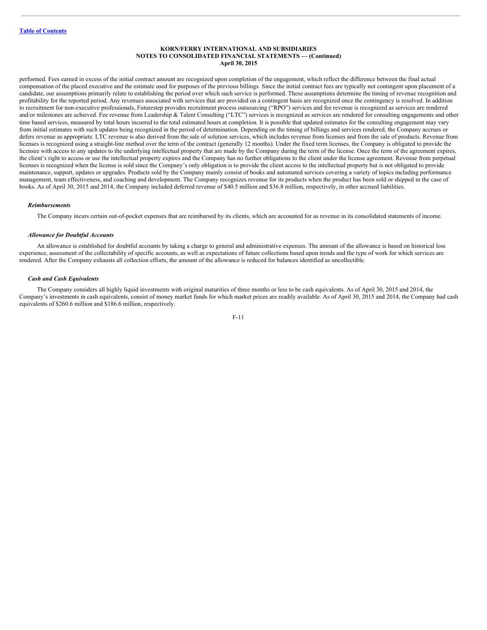performed. Fees earned in excess of the initial contract amount are recognized upon completion of the engagement, which reflect the difference between the final actual compensation of the placed executive and the estimate used for purposes of the previous billings. Since the initial contract fees are typically not contingent upon placement of a candidate, our assumptions primarily relate to establishing the period over which such service is performed. These assumptions determine the timing of revenue recognition and profitability for the reported period. Any revenues associated with services that are provided on a contingent basis are recognized once the contingency is resolved. In addition to recruitment for non-executive professionals, Futurestep provides recruitment process outsourcing ("RPO") services and fee revenue is recognized as services are rendered and/or milestones are achieved. Fee revenue from Leadership & Talent Consulting ("LTC") services is recognized as services are rendered for consulting engagements and other time based services, measured by total hours incurred to the total estimated hours at completion. It is possible that updated estimates for the consulting engagement may vary from initial estimates with such updates being recognized in the period of determination. Depending on the timing of billings and services rendered, the Company accrues or defers revenue as appropriate. LTC revenue is also derived from the sale of solution services, which includes revenue from licenses and from the sale of products. Revenue from licenses is recognized using a straight-line method over the term of the contract (generally 12 months). Under the fixed term licenses, the Company is obligated to provide the licensee with access to any updates to the underlying intellectual property that are made by the Company during the term of the license. Once the term of the agreement expires, the client's right to access or use the intellectual property expires and the Company has no further obligations to the client under the license agreement. Revenue from perpetual licenses is recognized when the license is sold since the Company's only obligation is to provide the client access to the intellectual property but is not obligated to provide maintenance, support, updates or upgrades. Products sold by the Company mainly consist of books and automated services covering a variety of topics including performance management, team effectiveness, and coaching and development. The Company recognizes revenue for its products when the product has been sold or shipped in the case of books. As of April 30, 2015 and 2014, the Company included deferred revenue of \$40.5 million and \$36.8 million, respectively, in other accrued liabilities.

#### *Reimbursements*

The Company incurs certain out-of-pocket expenses that are reimbursed by its clients, which are accounted for as revenue in its consolidated statements of income.

### *Allowance for Doubtful Accounts*

An allowance is established for doubtful accounts by taking a charge to general and administrative expenses. The amount of the allowance is based on historical loss experience, assessment of the collectability of specific accounts, as well as expectations of future collections based upon trends and the type of work for which services are rendered. After the Company exhausts all collection efforts, the amount of the allowance is reduced for balances identified as uncollectible.

### *Cash and Cash Equivalents*

The Company considers all highly liquid investments with original maturities of three months or less to be cash equivalents. As of April 30, 2015 and 2014, the Company's investments in cash equivalents, consist of money market funds for which market prices are readily available. As of April 30, 2015 and 2014, the Company had cash equivalents of \$260.6 million and \$186.6 million, respectively.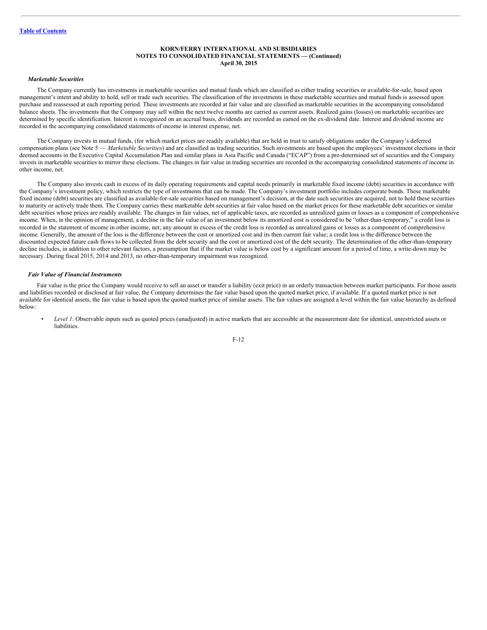#### *Marketable Securities*

The Company currently has investments in marketable securities and mutual funds which are classified as either trading securities or available-for-sale, based upon management's intent and ability to hold, sell or trade such securities. The classification of the investments in these marketable securities and mutual funds is assessed upon purchase and reassessed at each reporting period. These investments are recorded at fair value and are classified as marketable securities in the accompanying consolidated balance sheets. The investments that the Company may sell within the next twelve months are carried as current assets. Realized gains (losses) on marketable securities are determined by specific identification. Interest is recognized on an accrual basis, dividends are recorded as earned on the ex-dividend date. Interest and dividend income are recorded in the accompanying consolidated statements of income in interest expense, net.

The Company invests in mutual funds, (for which market prices are readily available) that are held in trust to satisfy obligations under the Company's deferred compensation plans (see Note 5 — *Marketable Securities*) and are classified as trading securities. Such investments are based upon the employees' investment elections in their deemed accounts in the Executive Capital Accumulation Plan and similar plans in Asia Pacific and Canada ("ECAP") from a pre-determined set of securities and the Company invests in marketable securities to mirror these elections. The changes in fair value in trading securities are recorded in the accompanying consolidated statements of income in other income, net.

The Company also invests cash in excess of its daily operating requirements and capital needs primarily in marketable fixed income (debt) securities in accordance with the Company's investment policy, which restricts the type of investments that can be made. The Company's investment portfolio includes corporate bonds. These marketable fixed income (debt) securities are classified as available-for-sale securities based on management's decision, at the date such securities are acquired, not to hold these securities to maturity or actively trade them. The Company carries these marketable debt securities at fair value based on the market prices for these marketable debt securities or similar debt securities whose prices are readily available. The changes in fair values, net of applicable taxes, are recorded as unrealized gains or losses as a component of comprehensive income. When, in the opinion of management, a decline in the fair value of an investment below its amortized cost is considered to be "other-than-temporary," a credit loss is recorded in the statement of income in other income, net; any amount in excess of the credit loss is recorded as unrealized gains or losses as a component of comprehensive income. Generally, the amount of the loss is the difference between the cost or amortized cost and its then current fair value; a credit loss is the difference between the discounted expected future cash flows to be collected from the debt security and the cost or amortized cost of the debt security. The determination of the other-than-temporary decline includes, in addition to other relevant factors, a presumption that if the market value is below cost by a significant amount for a period of time, a write-down may be necessary. During fiscal 2015, 2014 and 2013, no other-than-temporary impairment was recognized.

#### *Fair Value of Financial Instruments*

Fair value is the price the Company would receive to sell an asset or transfer a liability (exit price) in an orderly transaction between market participants. For those assets and liabilities recorded or disclosed at fair value, the Company determines the fair value based upon the quoted market price, if available. If a quoted market price is not available for identical assets, the fair value is based upon the quoted market price of similar assets. The fair values are assigned a level within the fair value hierarchy as defined below:

• *Level 1*: Observable inputs such as quoted prices (unadjusted) in active markets that are accessible at the measurement date for identical, unrestricted assets or liabilities.

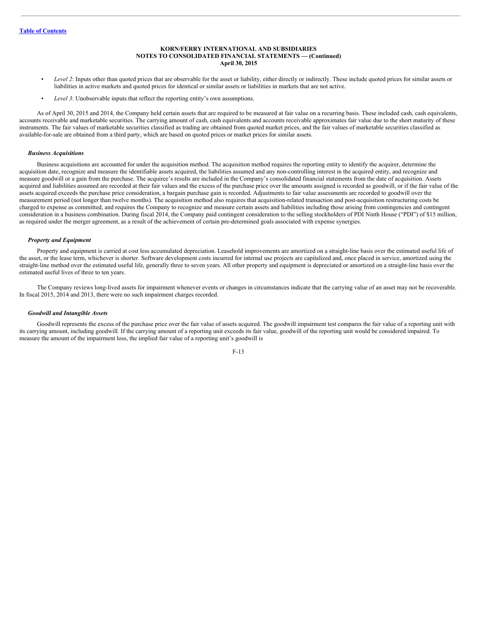- Level 2: Inputs other than quoted prices that are observable for the asset or liability, either directly or indirectly. These include quoted prices for similar assets or liabilities in active markets and quoted prices for identical or similar assets or liabilities in markets that are not active.
- *Level* 3: Unobservable inputs that reflect the reporting entity's own assumptions.

As of April 30, 2015 and 2014, the Company held certain assets that are required to be measured at fair value on a recurring basis. These included cash, cash equivalents, accounts receivable and marketable securities. The carrying amount of cash, cash equivalents and accounts receivable approximates fair value due to the short maturity of these instruments. The fair values of marketable securities classified as trading are obtained from quoted market prices, and the fair values of marketable securities classified as available-for-sale are obtained from a third party, which are based on quoted prices or market prices for similar assets.

#### *Business Acquisitions*

Business acquisitions are accounted for under the acquisition method. The acquisition method requires the reporting entity to identify the acquirer, determine the acquisition date, recognize and measure the identifiable assets acquired, the liabilities assumed and any non-controlling interest in the acquired entity, and recognize and measure goodwill or a gain from the purchase. The acquiree's results are included in the Company's consolidated financial statements from the date of acquisition. Assets acquired and liabilities assumed are recorded at their fair values and the excess of the purchase price over the amounts assigned is recorded as goodwill, or if the fair value of the assets acquired exceeds the purchase price consideration, a bargain purchase gain is recorded. Adjustments to fair value assessments are recorded to goodwill over the measurement period (not longer than twelve months). The acquisition method also requires that acquisition-related transaction and post-acquisition restructuring costs be charged to expense as committed, and requires the Company to recognize and measure certain assets and liabilities including those arising from contingencies and contingent consideration in a business combination. During fiscal 2014, the Company paid contingent consideration to the selling stockholders of PDI Ninth House ("PDI") of \$15 million, as required under the merger agreement, as a result of the achievement of certain pre-determined goals associated with expense synergies.

### *Property and Equipment*

Property and equipment is carried at cost less accumulated depreciation. Leasehold improvements are amortized on a straight-line basis over the estimated useful life of the asset, or the lease term, whichever is shorter. Software development costs incurred for internal use projects are capitalized and, once placed in service, amortized using the straight-line method over the estimated useful life, generally three to seven years. All other property and equipment is depreciated or amortized on a straight-line basis over the estimated useful lives of three to ten years.

The Company reviews long-lived assets for impairment whenever events or changes in circumstances indicate that the carrying value of an asset may not be recoverable. In fiscal 2015, 2014 and 2013, there were no such impairment charges recorded.

#### *Goodwill and Intangible Assets*

Goodwill represents the excess of the purchase price over the fair value of assets acquired. The goodwill impairment test compares the fair value of a reporting unit with its carrying amount, including goodwill. If the carrying amount of a reporting unit exceeds its fair value, goodwill of the reporting unit would be considered impaired. To measure the amount of the impairment loss, the implied fair value of a reporting unit's goodwill is

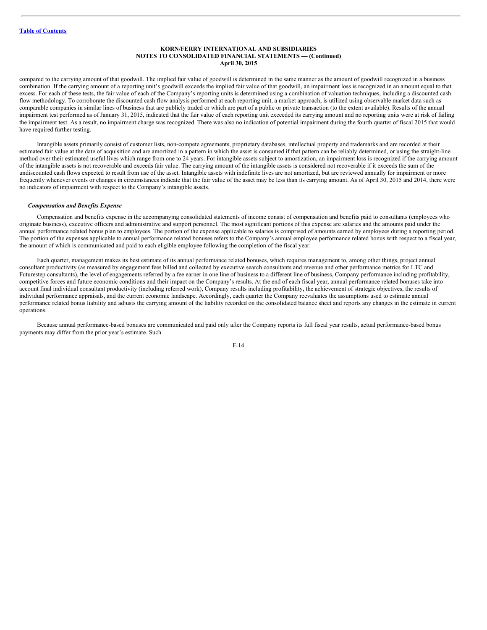compared to the carrying amount of that goodwill. The implied fair value of goodwill is determined in the same manner as the amount of goodwill recognized in a business combination. If the carrying amount of a reporting unit's goodwill exceeds the implied fair value of that goodwill, an impairment loss is recognized in an amount equal to that excess. For each of these tests, the fair value of each of the Company's reporting units is determined using a combination of valuation techniques, including a discounted cash flow methodology. To corroborate the discounted cash flow analysis performed at each reporting unit, a market approach, is utilized using observable market data such as comparable companies in similar lines of business that are publicly traded or which are part of a public or private transaction (to the extent available). Results of the annual impairment test performed as of January 31, 2015, indicated that the fair value of each reporting unit exceeded its carrying amount and no reporting units were at risk of failing the impairment test. As a result, no impairment charge was recognized. There was also no indication of potential impairment during the fourth quarter of fiscal 2015 that would have required further testing.

Intangible assets primarily consist of customer lists, non-compete agreements, proprietary databases, intellectual property and trademarks and are recorded at their estimated fair value at the date of acquisition and are amortized in a pattern in which the asset is consumed if that pattern can be reliably determined, or using the straight-line method over their estimated useful lives which range from one to 24 years. For intangible assets subject to amortization, an impairment loss is recognized if the carrying amount of the intangible assets is not recoverable and exceeds fair value. The carrying amount of the intangible assets is considered not recoverable if it exceeds the sum of the undiscounted cash flows expected to result from use of the asset. Intangible assets with indefinite lives are not amortized, but are reviewed annually for impairment or more frequently whenever events or changes in circumstances indicate that the fair value of the asset may be less than its carrying amount. As of April 30, 2015 and 2014, there were no indicators of impairment with respect to the Company's intangible assets.

### *Compensation and Benefits Expense*

Compensation and benefits expense in the accompanying consolidated statements of income consist of compensation and benefits paid to consultants (employees who originate business), executive officers and administrative and support personnel. The most significant portions of this expense are salaries and the amounts paid under the annual performance related bonus plan to employees. The portion of the expense applicable to salaries is comprised of amounts earned by employees during a reporting period. The portion of the expenses applicable to annual performance related bonuses refers to the Company's annual employee performance related bonus with respect to a fiscal year, the amount of which is communicated and paid to each eligible employee following the completion of the fiscal year.

Each quarter, management makes its best estimate of its annual performance related bonuses, which requires management to, among other things, project annual consultant productivity (as measured by engagement fees billed and collected by executive search consultants and revenue and other performance metrics for LTC and Futurestep consultants), the level of engagements referred by a fee earner in one line of business to a different line of business, Company performance including profitability, competitive forces and future economic conditions and their impact on the Company's results. At the end of each fiscal year, annual performance related bonuses take into account final individual consultant productivity (including referred work), Company results including profitability, the achievement of strategic objectives, the results of individual performance appraisals, and the current economic landscape. Accordingly, each quarter the Company reevaluates the assumptions used to estimate annual performance related bonus liability and adjusts the carrying amount of the liability recorded on the consolidated balance sheet and reports any changes in the estimate in current operations.

Because annual performance-based bonuses are communicated and paid only after the Company reports its full fiscal year results, actual performance-based bonus payments may differ from the prior year's estimate. Such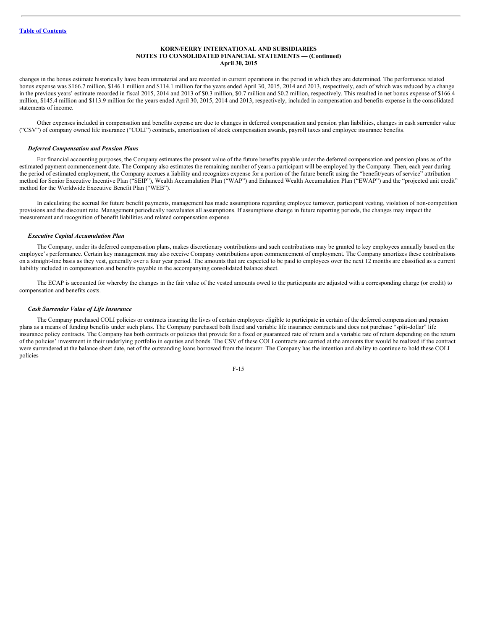changes in the bonus estimate historically have been immaterial and are recorded in current operations in the period in which they are determined. The performance related bonus expense was \$166.7 million, \$146.1 million and \$114.1 million for the years ended April 30, 2015, 2014 and 2013, respectively, each of which was reduced by a change in the previous years' estimate recorded in fiscal 2015, 2014 and 2013 of \$0.3 million, \$0.7 million and \$0.2 million, respectively. This resulted in net bonus expense of \$166.4 million, \$145.4 million and \$113.9 million for the years ended April 30, 2015, 2014 and 2013, respectively, included in compensation and benefits expense in the consolidated statements of income.

Other expenses included in compensation and benefits expense are due to changes in deferred compensation and pension plan liabilities, changes in cash surrender value ("CSV") of company owned life insurance ("COLI") contracts, amortization of stock compensation awards, payroll taxes and employee insurance benefits.

#### *Deferred Compensation and Pension Plans*

For financial accounting purposes, the Company estimates the present value of the future benefits payable under the deferred compensation and pension plans as of the estimated payment commencement date. The Company also estimates the remaining number of years a participant will be employed by the Company. Then, each year during the period of estimated employment, the Company accrues a liability and recognizes expense for a portion of the future benefit using the "benefit/years of service" attribution method for Senior Executive Incentive Plan ("SEIP"), Wealth Accumulation Plan ("WAP") and Enhanced Wealth Accumulation Plan ("EWAP") and the "projected unit credit" method for the Worldwide Executive Benefit Plan ("WEB").

In calculating the accrual for future benefit payments, management has made assumptions regarding employee turnover, participant vesting, violation of non-competition provisions and the discount rate. Management periodically reevaluates all assumptions. If assumptions change in future reporting periods, the changes may impact the measurement and recognition of benefit liabilities and related compensation expense.

### *Executive Capital Accumulation Plan*

The Company, under its deferred compensation plans, makes discretionary contributions and such contributions may be granted to key employees annually based on the employee's performance. Certain key management may also receive Company contributions upon commencement of employment. The Company amortizes these contributions on a straight-line basis as they vest, generally over a four year period. The amounts that are expected to be paid to employees over the next 12 months are classified as a current liability included in compensation and benefits payable in the accompanying consolidated balance sheet.

The ECAP is accounted for whereby the changes in the fair value of the vested amounts owed to the participants are adjusted with a corresponding charge (or credit) to compensation and benefits costs.

#### *Cash Surrender Value of Life Insurance*

The Company purchased COLI policies or contracts insuring the lives of certain employees eligible to participate in certain of the deferred compensation and pension plans as a means of funding benefits under such plans. The Company purchased both fixed and variable life insurance contracts and does not purchase "split-dollar" life insurance policy contracts. The Company has both contracts or policies that provide for a fixed or guaranteed rate of return and a variable rate of return depending on the return of the policies' investment in their underlying portfolio in equities and bonds. The CSV of these COLI contracts are carried at the amounts that would be realized if the contract were surrendered at the balance sheet date, net of the outstanding loans borrowed from the insurer. The Company has the intention and ability to continue to hold these COLI policies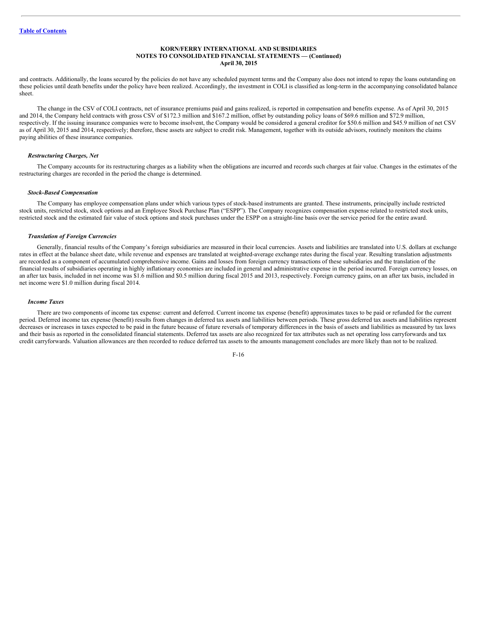and contracts. Additionally, the loans secured by the policies do not have any scheduled payment terms and the Company also does not intend to repay the loans outstanding on these policies until death benefits under the policy have been realized. Accordingly, the investment in COLI is classified as long-term in the accompanying consolidated balance sheet.

The change in the CSV of COLI contracts, net of insurance premiums paid and gains realized, is reported in compensation and benefits expense. As of April 30, 2015 and 2014, the Company held contracts with gross CSV of \$172.3 million and \$167.2 million, offset by outstanding policy loans of \$69.6 million and \$72.9 million, respectively. If the issuing insurance companies were to become insolvent, the Company would be considered a general creditor for \$50.6 million and \$45.9 million of net CSV as of April 30, 2015 and 2014, respectively; therefore, these assets are subject to credit risk. Management, together with its outside advisors, routinely monitors the claims paying abilities of these insurance companies.

### *Restructuring Charges, Net*

The Company accounts for its restructuring charges as a liability when the obligations are incurred and records such charges at fair value. Changes in the estimates of the restructuring charges are recorded in the period the change is determined.

#### *Stock-Based Compensation*

The Company has employee compensation plans under which various types of stock-based instruments are granted. These instruments, principally include restricted stock units, restricted stock, stock options and an Employee Stock Purchase Plan ("ESPP"). The Company recognizes compensation expense related to restricted stock units, restricted stock and the estimated fair value of stock options and stock purchases under the ESPP on a straight-line basis over the service period for the entire award.

#### *Translation of Foreign Currencies*

Generally, financial results of the Company's foreign subsidiaries are measured in their local currencies. Assets and liabilities are translated into U.S. dollars at exchange rates in effect at the balance sheet date, while revenue and expenses are translated at weighted-average exchange rates during the fiscal year. Resulting translation adjustments are recorded as a component of accumulated comprehensive income. Gains and losses from foreign currency transactions of these subsidiaries and the translation of the financial results of subsidiaries operating in highly inflationary economies are included in general and administrative expense in the period incurred. Foreign currency losses, on an after tax basis, included in net income was \$1.6 million and \$0.5 million during fiscal 2015 and 2013, respectively. Foreign currency gains, on an after tax basis, included in net income were \$1.0 million during fiscal 2014.

#### *Income Taxes*

There are two components of income tax expense: current and deferred. Current income tax expense (benefit) approximates taxes to be paid or refunded for the current period. Deferred income tax expense (benefit) results from changes in deferred tax assets and liabilities between periods. These gross deferred tax assets and liabilities represent decreases or increases in taxes expected to be paid in the future because of future reversals of temporary differences in the basis of assets and liabilities as measured by tax laws and their basis as reported in the consolidated financial statements. Deferred tax assets are also recognized for tax attributes such as net operating loss carryforwards and tax credit carryforwards. Valuation allowances are then recorded to reduce deferred tax assets to the amounts management concludes are more likely than not to be realized.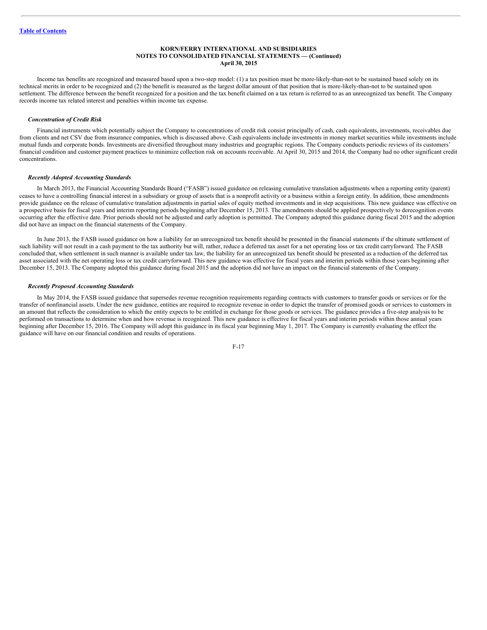Income tax benefits are recognized and measured based upon a two-step model: (1) a tax position must be more-likely-than-not to be sustained based solely on its technical merits in order to be recognized and (2) the benefit is measured as the largest dollar amount of that position that is more-likely-than-not to be sustained upon settlement. The difference between the benefit recognized for a position and the tax benefit claimed on a tax return is referred to as an unrecognized tax benefit. The Company records income tax related interest and penalties within income tax expense.

#### *Concentration of Credit Risk*

Financial instruments which potentially subject the Company to concentrations of credit risk consist principally of cash, cash equivalents, investments, receivables due from clients and net CSV due from insurance companies, which is discussed above. Cash equivalents include investments in money market securities while investments include mutual funds and corporate bonds. Investments are diversified throughout many industries and geographic regions. The Company conducts periodic reviews of its customers' financial condition and customer payment practices to minimize collection risk on accounts receivable. At April 30, 2015 and 2014, the Company had no other significant credit concentrations.

#### *Recently Adopted Accounting Standards*

In March 2013, the Financial Accounting Standards Board ("FASB") issued guidance on releasing cumulative translation adjustments when a reporting entity (parent) ceases to have a controlling financial interest in a subsidiary or group of assets that is a nonprofit activity or a business within a foreign entity. In addition, these amendments provide guidance on the release of cumulative translation adjustments in partial sales of equity method investments and in step acquisitions. This new guidance was effective on a prospective basis for fiscal years and interim reporting periods beginning after December 15, 2013. The amendments should be applied prospectively to derecognition events occurring after the effective date. Prior periods should not be adjusted and early adoption is permitted. The Company adopted this guidance during fiscal 2015 and the adoption did not have an impact on the financial statements of the Company.

In June 2013, the FASB issued guidance on how a liability for an unrecognized tax benefit should be presented in the financial statements if the ultimate settlement of such liability will not result in a cash payment to the tax authority but will, rather, reduce a deferred tax asset for a net operating loss or tax credit carryforward. The FASB concluded that, when settlement in such manner is available under tax law, the liability for an unrecognized tax benefit should be presented as a reduction of the deferred tax asset associated with the net operating loss or tax credit carryforward. This new guidance was effective for fiscal years and interim periods within those years beginning after December 15, 2013. The Company adopted this guidance during fiscal 2015 and the adoption did not have an impact on the financial statements of the Company.

#### *Recently Proposed Accounting Standards*

In May 2014, the FASB issued guidance that supersedes revenue recognition requirements regarding contracts with customers to transfer goods or services or for the transfer of nonfinancial assets. Under the new guidance, entities are required to recognize revenue in order to depict the transfer of promised goods or services to customers in an amount that reflects the consideration to which the entity expects to be entitled in exchange for those goods or services. The guidance provides a five-step analysis to be performed on transactions to determine when and how revenue is recognized. This new guidance is effective for fiscal years and interim periods within those annual years beginning after December 15, 2016. The Company will adopt this guidance in its fiscal year beginning May 1, 2017. The Company is currently evaluating the effect the guidance will have on our financial condition and results of operations.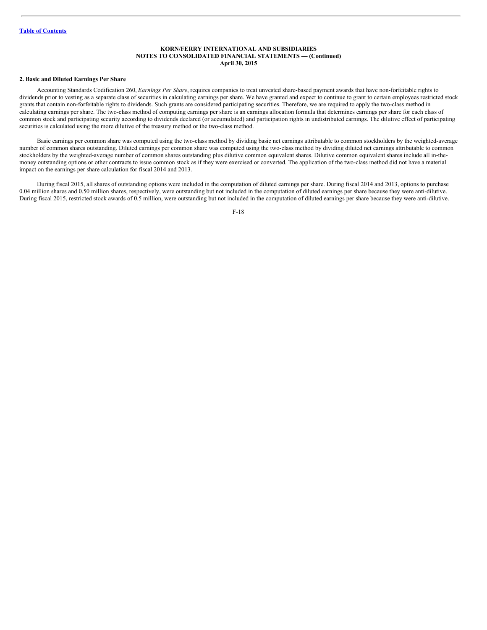## **2. Basic and Diluted Earnings Per Share**

Accounting Standards Codification 260, *Earnings Per Share*, requires companies to treat unvested share-based payment awards that have non-forfeitable rights to dividends prior to vesting as a separate class of securities in calculating earnings per share. We have granted and expect to continue to grant to certain employees restricted stock grants that contain non-forfeitable rights to dividends. Such grants are considered participating securities. Therefore, we are required to apply the two-class method in calculating earnings per share. The two-class method of computing earnings per share is an earnings allocation formula that determines earnings per share for each class of common stock and participating security according to dividends declared (or accumulated) and participation rights in undistributed earnings. The dilutive effect of participating securities is calculated using the more dilutive of the treasury method or the two-class method.

Basic earnings per common share was computed using the two-class method by dividing basic net earnings attributable to common stockholders by the weighted-average number of common shares outstanding. Diluted earnings per common share was computed using the two-class method by dividing diluted net earnings attributable to common stockholders by the weighted-average number of common shares outstanding plus dilutive common equivalent shares. Dilutive common equivalent shares include all in-themoney outstanding options or other contracts to issue common stock as if they were exercised or converted. The application of the two-class method did not have a material impact on the earnings per share calculation for fiscal 2014 and 2013.

During fiscal 2015, all shares of outstanding options were included in the computation of diluted earnings per share. During fiscal 2014 and 2013, options to purchase 0.04 million shares and 0.50 million shares, respectively, were outstanding but not included in the computation of diluted earnings per share because they were anti-dilutive. During fiscal 2015, restricted stock awards of 0.5 million, were outstanding but not included in the computation of diluted earnings per share because they were anti-dilutive.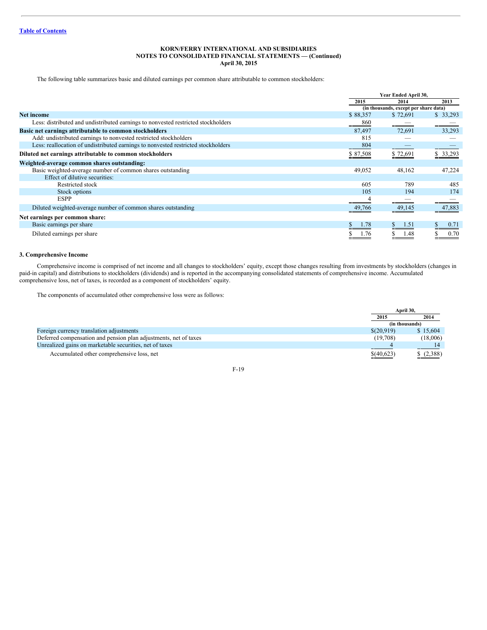The following table summarizes basic and diluted earnings per common share attributable to common stockholders:

|                                                                                   |          | Year Ended April 30,                  |          |  |
|-----------------------------------------------------------------------------------|----------|---------------------------------------|----------|--|
|                                                                                   | 2015     | 2014                                  | 2013     |  |
|                                                                                   |          | (in thousands, except per share data) |          |  |
| Net income                                                                        | \$88,357 | \$72,691                              | \$33,293 |  |
| Less: distributed and undistributed earnings to nonvested restricted stockholders | 860      |                                       |          |  |
| Basic net earnings attributable to common stockholders                            | 87,497   | 72,691                                | 33,293   |  |
| Add: undistributed earnings to nonvested restricted stockholders                  | 815      |                                       |          |  |
| Less: reallocation of undistributed earnings to nonvested restricted stockholders | 804      |                                       |          |  |
| Diluted net earnings attributable to common stockholders                          | \$87,508 | \$72,691                              | 33,293   |  |
| Weighted-average common shares outstanding:                                       |          |                                       |          |  |
| Basic weighted-average number of common shares outstanding                        | 49,052   | 48,162                                | 47,224   |  |
| Effect of dilutive securities:                                                    |          |                                       |          |  |
| Restricted stock                                                                  | 605      | 789                                   | 485      |  |
| Stock options                                                                     | 105      | 194                                   | 174      |  |
| <b>ESPP</b>                                                                       |          |                                       |          |  |
| Diluted weighted-average number of common shares outstanding                      | 49,766   | 49,145                                | 47,883   |  |
| Net earnings per common share:                                                    |          |                                       |          |  |
| Basic earnings per share                                                          | 1.78     | 1.51                                  | 0.71     |  |
| Diluted earnings per share                                                        | 1.76     | -1.48                                 | 0.70     |  |

### **3. Comprehensive Income**

Comprehensive income is comprised of net income and all changes to stockholders' equity, except those changes resulting from investments by stockholders (changes in paid-in capital) and distributions to stockholders (dividends) and is reported in the accompanying consolidated statements of comprehensive income. Accumulated comprehensive loss, net of taxes, is recorded as a component of stockholders' equity.

The components of accumulated other comprehensive loss were as follows:

|                                                                  |             | April 30,      |
|------------------------------------------------------------------|-------------|----------------|
|                                                                  | 2015        | 2014           |
|                                                                  |             | (in thousands) |
| Foreign currency translation adjustments                         | \$(20,919)  | \$15,604       |
| Deferred compensation and pension plan adjustments, net of taxes | (19,708)    | (18,006)       |
| Unrealized gains on marketable securities, net of taxes          |             |                |
| Accumulated other comprehensive loss, net                        | \$ (40,623) | (2,388)        |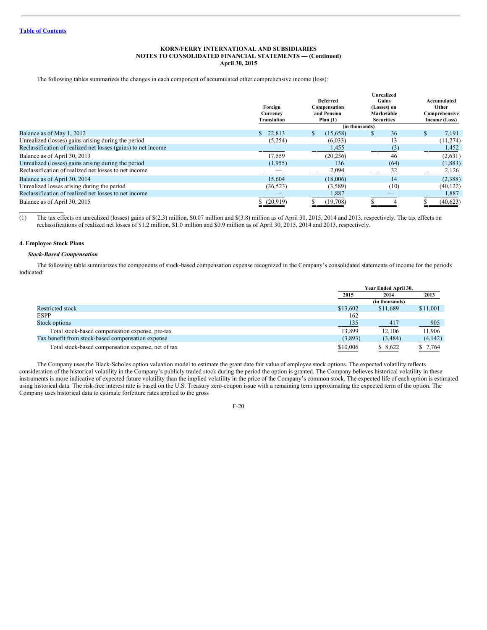The following tables summarizes the changes in each component of accumulated other comprehensive income (loss):

|                                                               |                    |                 | <b>Unrealized</b> |                   |
|---------------------------------------------------------------|--------------------|-----------------|-------------------|-------------------|
|                                                               |                    | <b>Deferred</b> | Gains             | Accumulated       |
|                                                               | Foreign            | Compensation    | (Losses) on       | Other             |
|                                                               | Currency           | and Pension     | Marketable        | Comprehensive     |
|                                                               | <b>Translation</b> | Plan $(1)$      | <b>Securities</b> | Income (Loss)     |
|                                                               |                    |                 | (in thousands)    |                   |
| Balance as of May 1, 2012                                     | \$22,813           | (15,658)        | 36                | 7,191<br><b>S</b> |
| Unrealized (losses) gains arising during the period           | (5,254)            | (6,033)         | 13                | (11,274)          |
| Reclassification of realized net losses (gains) to net income |                    | 1,455           | (3)               | 1,452             |
| Balance as of April 30, 2013                                  | 17.559             | (20, 236)       | 46                | (2,631)           |
| Unrealized (losses) gains arising during the period           | (1.955)            | 136             | (64)              | (1, 883)          |
| Reclassification of realized net losses to net income         |                    | 2,094           | 32                | 2,126             |
| Balance as of April 30, 2014                                  | 15,604             | (18,006)        | 14                | (2,388)           |
| Unrealized losses arising during the period                   | (36, 523)          | (3,589)         | (10)              | (40, 122)         |
| Reclassification of realized net losses to net income         |                    | 1,887           |                   | 1,887             |
| Balance as of April 30, 2015                                  | \$(20,919)         | (19,708)        | 4                 | (40, 623)         |

(1) The tax effects on unrealized (losses) gains of \$(2.3) million, \$0.07 million and \$(3.8) million as of April 30, 2015, 2014 and 2013, respectively. The tax effects on reclassifications of realized net losses of \$1.2 million, \$1.0 million and \$0.9 million as of April 30, 2015, 2014 and 2013, respectively.

## **4. Employee Stock Plans**

### *Stock-Based Compensation*

The following table summarizes the components of stock-based compensation expense recognized in the Company's consolidated statements of income for the periods indicated:

|                                                    |          | Year Ended April 30, |          |  |
|----------------------------------------------------|----------|----------------------|----------|--|
|                                                    | 2015     | 2014                 |          |  |
|                                                    |          | (in thousands)       |          |  |
| <b>Restricted stock</b>                            | \$13,602 | \$11,689             | \$11,001 |  |
| <b>ESPP</b>                                        | 162      |                      |          |  |
| Stock options                                      | 135      | 417                  | 905      |  |
| Total stock-based compensation expense, pre-tax    | 13,899   | 12.106               | 11,906   |  |
| Tax benefit from stock-based compensation expense  | (3,893)  | (3,484)              | (4,142)  |  |
| Total stock-based compensation expense, net of tax | \$10,006 | \$8,622              | 7,764    |  |

The Company uses the Black-Scholes option valuation model to estimate the grant date fair value of employee stock options. The expected volatility reflects consideration of the historical volatility in the Company's publicly traded stock during the period the option is granted. The Company believes historical volatility in these instruments is more indicative of expected future volatility than the implied volatility in the price of the Company's common stock. The expected life of each option is estimated using historical data. The risk-free interest rate is based on the U.S. Treasury zero-coupon issue with a remaining term approximating the expected term of the option. The Company uses historical data to estimate forfeiture rates applied to the gross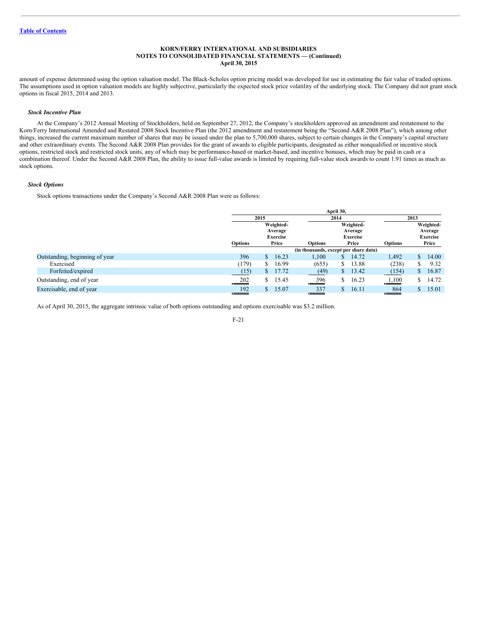amount of expense determined using the option valuation model. The Black-Scholes option pricing model was developed for use in estimating the fair value of traded options. The assumptions used in option valuation models are highly subjective, particularly the expected stock price volatility of the underlying stock. The Company did not grant stock options in fiscal 2015, 2014 and 2013.

# *Stock Incentive Plan*

At the Company's 2012 Annual Meeting of Stockholders, held on September 27, 2012, the Company's stockholders approved an amendment and restatement to the Korn/Ferry International Amended and Restated 2008 Stock Incentive Plan (the 2012 amendment and restatement being the "Second A&R 2008 Plan"), which among other things, increased the current maximum number of shares that may be issued under the plan to 5,700,000 shares, subject to certain changes in the Company's capital structure and other extraordinary events. The Second A&R 2008 Plan provides for the grant of awards to eligible participants, designated as either nonqualified or incentive stock options, restricted stock and restricted stock units, any of which may be performance-based or market-based, and incentive bonuses, which may be paid in cash or a combination thereof. Under the Second A&R 2008 Plan, the ability to issue full-value awards is limited by requiring full-value stock awards to count 1.91 times as much as stock options.

### *Stock Options*

Stock options transactions under the Company's Second A&R 2008 Plan were as follows:

|                                |                |                                         |                 | April 30,                               |                |    |                                         |
|--------------------------------|----------------|-----------------------------------------|-----------------|-----------------------------------------|----------------|----|-----------------------------------------|
|                                |                | 2015                                    |                 |                                         | 2013           |    |                                         |
|                                |                | Weighted-<br>Average<br><b>Exercise</b> |                 | Weighted-<br>Average<br><b>Exercise</b> |                |    | Weighted-<br>Average<br><b>Exercise</b> |
|                                | <b>Options</b> | Price                                   | <b>Options</b>  | Price                                   | <b>Options</b> |    | Price                                   |
|                                |                |                                         |                 | (in thousands, except per share data)   |                |    |                                         |
| Outstanding, beginning of year | 396            | 16.23<br>S.                             | 1,100           | 14.72<br>S.                             | 1,492          | \$ | 14.00                                   |
| Exercised                      | (179)          | 16.99<br>S                              | (655)           | 13.88<br>\$                             | (238)          | S  | 9.32                                    |
| Forfeited/expired              | (15)           | 17.72<br>S.                             | (49)            | 13.42<br>S.                             | (154)          | S. | 16.87                                   |
| Outstanding, end of year       | $-202$         | \$<br>15.45                             | $\frac{396}{2}$ | 16.23<br>S.                             | 1,100          | \$ | 14.72                                   |
| Exercisable, end of year       | 192            | 15.07<br>S.                             | 337             | 16.11<br>\$                             | 864            | \$ | 15.01                                   |

As of April 30, 2015, the aggregate intrinsic value of both options outstanding and options exercisable was \$3.2 million.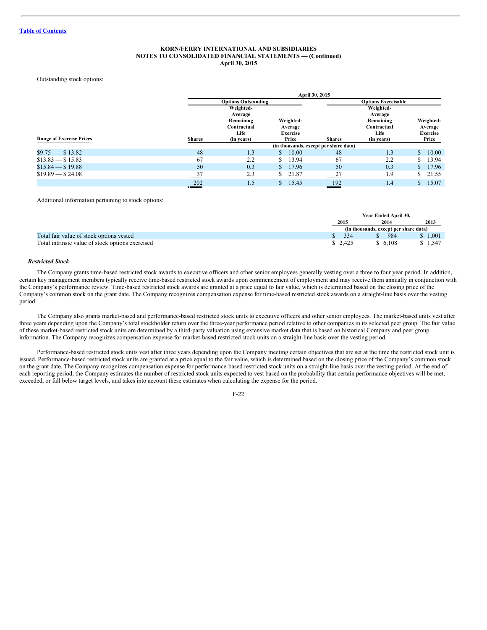Outstanding stock options:

|                                 |               | April 30, 2015             |                 |                                       |                            |                 |  |
|---------------------------------|---------------|----------------------------|-----------------|---------------------------------------|----------------------------|-----------------|--|
|                                 |               | <b>Options Outstanding</b> |                 |                                       | <b>Options Exercisable</b> |                 |  |
|                                 |               | Weighted-                  |                 |                                       | Weighted-                  |                 |  |
|                                 |               | Average                    |                 |                                       | Average                    |                 |  |
|                                 |               | Remaining                  | Weighted-       |                                       | Remaining                  | Weighted-       |  |
|                                 |               | Contractual                | Average         |                                       | Contractual                | Average         |  |
|                                 |               | Life                       | <b>Exercise</b> |                                       | Life                       | <b>Exercise</b> |  |
| <b>Range of Exercise Prices</b> | <b>Shares</b> | (in years)                 | Price           | <b>Shares</b>                         | (in years)                 | Price           |  |
|                                 |               |                            |                 | (in thousands, except per share data) |                            |                 |  |
| $$9.75 - $13.82$                | 48            | 1.3                        | 10.00<br>S.     | 48                                    | 1.3 <sup>7</sup>           | 10.00           |  |
| $$13.83 - $15.83$               | 67            | 2.2                        | 13.94<br>S.     | 67                                    | 2.2                        | 13.94<br>S      |  |
| $$15.84 - $19.88$               | 50            | 0.3                        | 17.96<br>S.     | 50                                    | 0.3                        | 17.96<br>S.     |  |
| $$19.89 - $24.08$               | 37            | 2.3                        | 21.87<br>S.     | 27                                    | 1.9                        | 21.55<br>S.     |  |
|                                 | 202           | 1.5                        | 15.45<br>S.     | 192                                   | 1.4                        | 15.07           |  |

Additional information pertaining to stock options:

|                                                  |          | Year Ended April 30.                  |         |  |
|--------------------------------------------------|----------|---------------------------------------|---------|--|
|                                                  | 2015     | 2014                                  | 2013    |  |
|                                                  |          | (in thousands, except per share data) |         |  |
| Total fair value of stock options vested         | 334      | 984                                   | \$1.001 |  |
| Total intrinsic value of stock options exercised | \$ 2.425 | \$ 6.108                              | \$1.547 |  |

### *Restricted Stock*

The Company grants time-based restricted stock awards to executive officers and other senior employees generally vesting over a three to four year period. In addition, certain key management members typically receive time-based restricted stock awards upon commencement of employment and may receive them annually in conjunction with the Company's performance review. Time-based restricted stock awards are granted at a price equal to fair value, which is determined based on the closing price of the Company's common stock on the grant date. The Company recognizes compensation expense for time-based restricted stock awards on a straight-line basis over the vesting period.

The Company also grants market-based and performance-based restricted stock units to executive officers and other senior employees. The market-based units vest after three years depending upon the Company's total stockholder return over the three-year performance period relative to other companies in its selected peer group. The fair value of these market-based restricted stock units are determined by a third-party valuation using extensive market data that is based on historical Company and peer group information. The Company recognizes compensation expense for market-based restricted stock units on a straight-line basis over the vesting period.

Performance-based restricted stock units vest after three years depending upon the Company meeting certain objectives that are set at the time the restricted stock unit is issued. Performance-based restricted stock units are granted at a price equal to the fair value, which is determined based on the closing price of the Company's common stock on the grant date. The Company recognizes compensation expense for performance-based restricted stock units on a straight-line basis over the vesting period. At the end of each reporting period, the Company estimates the number of restricted stock units expected to vest based on the probability that certain performance objectives will be met, exceeded, or fall below target levels, and takes into account these estimates when calculating the expense for the period.

F-22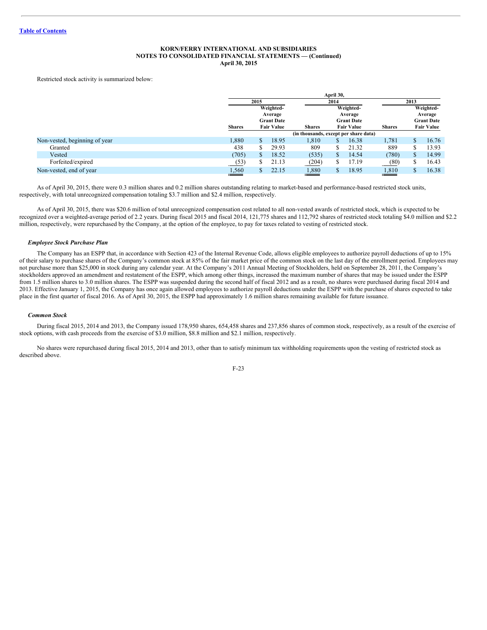Restricted stock activity is summarized below:

|                               |               |                                       |                                                                |               | April 30, |                                                                |               |    |                                                                |
|-------------------------------|---------------|---------------------------------------|----------------------------------------------------------------|---------------|-----------|----------------------------------------------------------------|---------------|----|----------------------------------------------------------------|
|                               |               | 2015                                  |                                                                | 2014          |           |                                                                | 2013          |    |                                                                |
|                               | <b>Shares</b> |                                       | Weighted-<br>Average<br><b>Grant Date</b><br><b>Fair Value</b> | <b>Shares</b> |           | Weighted-<br>Average<br><b>Grant Date</b><br><b>Fair Value</b> | <b>Shares</b> |    | Weighted-<br>Average<br><b>Grant Date</b><br><b>Fair Value</b> |
|                               |               | (in thousands, except per share data) |                                                                |               |           |                                                                |               |    |                                                                |
| Non-vested, beginning of year | 1.880         |                                       | 18.95                                                          | 1,810         | S         | 16.38                                                          | 1,781         |    | 16.76                                                          |
| Granted                       | 438           |                                       | 29.93                                                          | 809           |           | 21.32                                                          | 889           |    | 13.93                                                          |
| Vested                        | (705)         |                                       | 18.52                                                          | (535)         | S         | 14.54                                                          | (780)         | \$ | 14.99                                                          |
| Forfeited/expired             | (53)          | S                                     | 21.13                                                          | (204)         | S         | 17.19                                                          | (80)          | \$ | 16.43                                                          |
| Non-vested, end of year       | 1,560         |                                       | 22.15                                                          | 1,880         |           | 18.95                                                          | 1,810         | ъ  | 16.38                                                          |

As of April 30, 2015, there were 0.3 million shares and 0.2 million shares outstanding relating to market-based and performance-based restricted stock units, respectively, with total unrecognized compensation totaling \$3.7 million and \$2.4 million, respectively.

As of April 30, 2015, there was \$20.6 million of total unrecognized compensation cost related to all non-vested awards of restricted stock, which is expected to be recognized over a weighted-average period of 2.2 years. During fiscal 2015 and fiscal 2014, 121,775 shares and 112,792 shares of restricted stock totaling \$4.0 million and \$2.2 million, respectively, were repurchased by the Company, at the option of the employee, to pay for taxes related to vesting of restricted stock.

#### *Employee Stock Purchase Plan*

The Company has an ESPP that, in accordance with Section 423 of the Internal Revenue Code, allows eligible employees to authorize payroll deductions of up to 15% of their salary to purchase shares of the Company's common stock at 85% of the fair market price of the common stock on the last day of the enrollment period. Employees may not purchase more than \$25,000 in stock during any calendar year. At the Company's 2011 Annual Meeting of Stockholders, held on September 28, 2011, the Company's stockholders approved an amendment and restatement of the ESPP, which among other things, increased the maximum number of shares that may be issued under the ESPP from 1.5 million shares to 3.0 million shares. The ESPP was suspended during the second half of fiscal 2012 and as a result, no shares were purchased during fiscal 2014 and 2013. Effective January 1, 2015, the Company has once again allowed employees to authorize payroll deductions under the ESPP with the purchase of shares expected to take place in the first quarter of fiscal 2016. As of April 30, 2015, the ESPP had approximately 1.6 million shares remaining available for future issuance.

### *Common Stock*

During fiscal 2015, 2014 and 2013, the Company issued 178,950 shares, 654,458 shares and 237,856 shares of common stock, respectively, as a result of the exercise of stock options, with cash proceeds from the exercise of \$3.0 million, \$8.8 million and \$2.1 million, respectively.

No shares were repurchased during fiscal 2015, 2014 and 2013, other than to satisfy minimum tax withholding requirements upon the vesting of restricted stock as described above.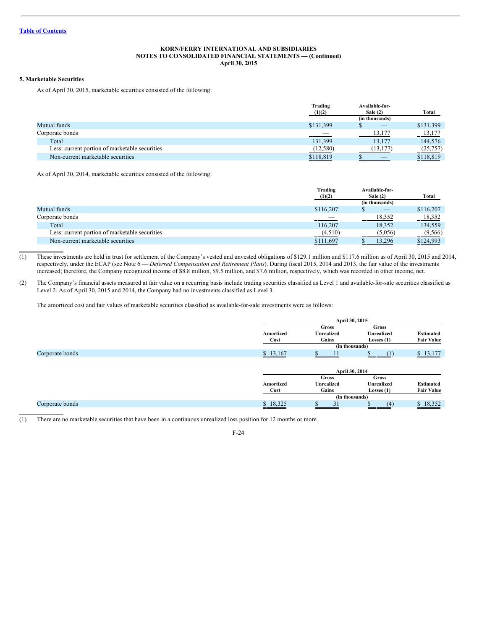# **5. Marketable Securities**

As of April 30, 2015, marketable securities consisted of the following:

|                                                | Trading<br>(1)(2)             | Available-for-<br>Sale $(2)$<br>(in thousands) | Total     |
|------------------------------------------------|-------------------------------|------------------------------------------------|-----------|
| Mutual funds                                   | \$131,399                     | Φ                                              | \$131,399 |
| Corporate bonds                                | the control of the control of | 13,177                                         | 13,177    |
| Total                                          | 131,399                       | 13,177                                         | 144,576   |
| Less: current portion of marketable securities | (12,580)                      | (13, 177)                                      | (25,757)  |
| Non-current marketable securities              | \$118,819                     |                                                | \$118,819 |

As of April 30, 2014, marketable securities consisted of the following:

|                                                | Trading<br>(1)(2) | Available-for-<br>Sale $(2)$    | <b>Total</b> |
|------------------------------------------------|-------------------|---------------------------------|--------------|
|                                                |                   | (in thousands)                  |              |
| Mutual funds                                   | \$116,207         | $\qquad \qquad - \qquad \qquad$ | \$116,207    |
| Corporate bonds                                | $-$               | 18,352                          | 18,352       |
| Total                                          | 116,207           | 18.352                          | 134,559      |
| Less: current portion of marketable securities | (4,510)           | (5,056)                         | (9,566)      |
| Non-current marketable securities              | \$111,697         | 13.296                          | \$124,993    |

(1) These investments are held in trust for settlement of the Company's vested and unvested obligations of \$129.1 million and \$117.6 million as of April 30, 2015 and 2014, respectively, under the ECAP (see Note 6 — *Deferred Compensation and Retirement Plans*). During fiscal 2015, 2014 and 2013, the fair value of the investments increased; therefore, the Company recognized income of \$8.8 million, \$9.5 million, and \$7.6 million, respectively, which was recorded in other income, net.

(2) The Company's financial assets measured at fair value on a recurring basis include trading securities classified as Level 1 and available-for-sale securities classified as Level 2. As of April 30, 2015 and 2014, the Company had no investments classified as Level 3.

The amortized cost and fair values of marketable securities classified as available-for-sale investments were as follows:

|                 |           | April 30, 2015 |                   |                   |  |  |
|-----------------|-----------|----------------|-------------------|-------------------|--|--|
|                 |           | Gross          | <b>Gross</b>      |                   |  |  |
|                 | Amortized | Unrealized     | Unrealized        | <b>Estimated</b>  |  |  |
|                 | Cost      | Gains          | Losses $(1)$      | <b>Fair Value</b> |  |  |
|                 |           | (in thousands) |                   |                   |  |  |
| Corporate bonds | \$13,167  | 11             | T                 | \$13,177          |  |  |
|                 |           | April 30, 2014 |                   |                   |  |  |
|                 |           | Gross          | Gross             |                   |  |  |
|                 | Amortized | Unrealized     | <b>Unrealized</b> | <b>Estimated</b>  |  |  |
|                 | Cost      | Gains          | Losses $(1)$      | <b>Fair Value</b> |  |  |
|                 |           | (in thousands) |                   |                   |  |  |
| Corporate bonds | \$18,325  | 31             | (4)               | \$18,352          |  |  |
|                 |           |                |                   |                   |  |  |

(1) There are no marketable securities that have been in a continuous unrealized loss position for 12 months or more.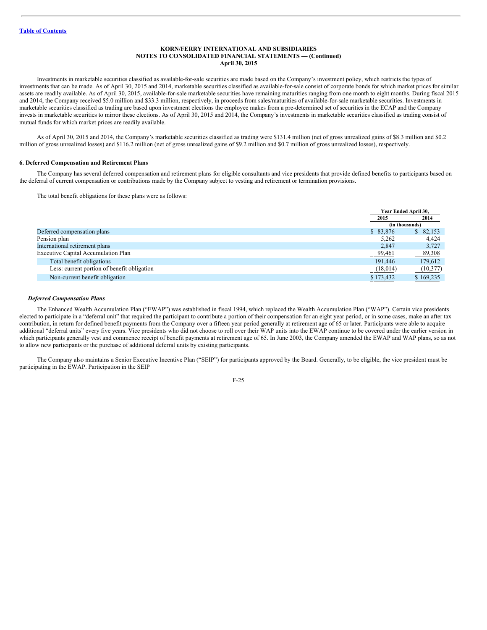Investments in marketable securities classified as available-for-sale securities are made based on the Company's investment policy, which restricts the types of investments that can be made. As of April 30, 2015 and 2014, marketable securities classified as available-for-sale consist of corporate bonds for which market prices for similar assets are readily available. As of April 30, 2015, available-for-sale marketable securities have remaining maturities ranging from one month to eight months. During fiscal 2015 and 2014, the Company received \$5.0 million and \$33.3 million, respectively, in proceeds from sales/maturities of available-for-sale marketable securities. Investments in marketable securities classified as trading are based upon investment elections the employee makes from a pre-determined set of securities in the ECAP and the Company invests in marketable securities to mirror these elections. As of April 30, 2015 and 2014, the Company's investments in marketable securities classified as trading consist of mutual funds for which market prices are readily available.

As of April 30, 2015 and 2014, the Company's marketable securities classified as trading were \$131.4 million (net of gross unrealized gains of \$8.3 million and \$0.2 million of gross unrealized losses) and \$116.2 million (net of gross unrealized gains of \$9.2 million and \$0.7 million of gross unrealized losses), respectively.

#### **6. Deferred Compensation and Retirement Plans**

The Company has several deferred compensation and retirement plans for eligible consultants and vice presidents that provide defined benefits to participants based on the deferral of current compensation or contributions made by the Company subject to vesting and retirement or termination provisions.

The total benefit obligations for these plans were as follows:

|                                             |           | Year Ended April 30, |
|---------------------------------------------|-----------|----------------------|
|                                             | 2015      | 2014                 |
|                                             |           | (in thousands)       |
| Deferred compensation plans                 | \$83,876  | \$82,153             |
| Pension plan                                | 5.262     | 4.424                |
| International retirement plans              | 2.847     | 3,727                |
| <b>Executive Capital Accumulation Plan</b>  | 99,461    | 89,308               |
| Total benefit obligations                   | 191.446   | 179,612              |
| Less: current portion of benefit obligation | (18,014)  | (10, 377)            |
| Non-current benefit obligation              | \$173,432 | \$169,235            |

### *Deferred Compensation Plans*

The Enhanced Wealth Accumulation Plan ("EWAP") was established in fiscal 1994, which replaced the Wealth Accumulation Plan ("WAP"). Certain vice presidents elected to participate in a "deferral unit" that required the participant to contribute a portion of their compensation for an eight year period, or in some cases, make an after tax contribution, in return for defined benefit payments from the Company over a fifteen year period generally at retirement age of 65 or later. Participants were able to acquire additional "deferral units" every five years. Vice presidents who did not choose to roll over their WAP units into the EWAP continue to be covered under the earlier version in which participants generally vest and commence receipt of benefit payments at retirement age of 65. In June 2003, the Company amended the EWAP and WAP plans, so as not to allow new participants or the purchase of additional deferral units by existing participants.

The Company also maintains a Senior Executive Incentive Plan ("SEIP") for participants approved by the Board. Generally, to be eligible, the vice president must be participating in the EWAP. Participation in the SEIP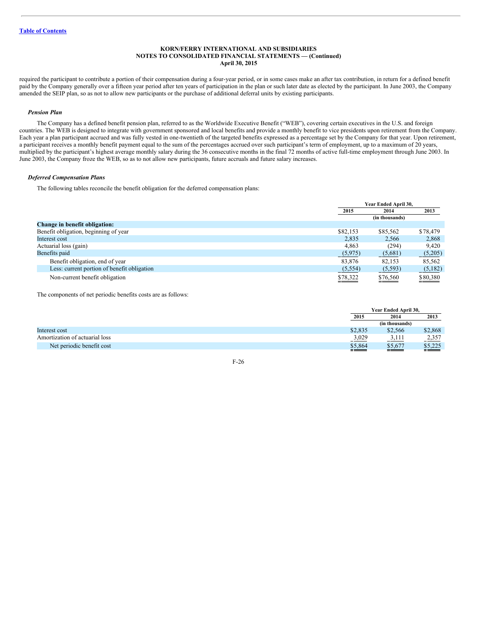required the participant to contribute a portion of their compensation during a four-year period, or in some cases make an after tax contribution, in return for a defined benefit paid by the Company generally over a fifteen year period after ten years of participation in the plan or such later date as elected by the participant. In June 2003, the Company amended the SEIP plan, so as not to allow new participants or the purchase of additional deferral units by existing participants.

### *Pension Plan*

The Company has a defined benefit pension plan, referred to as the Worldwide Executive Benefit ("WEB"), covering certain executives in the U.S. and foreign countries. The WEB is designed to integrate with government sponsored and local benefits and provide a monthly benefit to vice presidents upon retirement from the Company. Each year a plan participant accrued and was fully vested in one-twentieth of the targeted benefits expressed as a percentage set by the Company for that year. Upon retirement, a participant receives a monthly benefit payment equal to the sum of the percentages accrued over such participant's term of employment, up to a maximum of 20 years, multiplied by the participant's highest average monthly salary during the 36 consecutive months in the final 72 months of active full-time employment through June 2003. In June 2003, the Company froze the WEB, so as to not allow new participants, future accruals and future salary increases.

#### *Deferred Compensation Plans*

The following tables reconcile the benefit obligation for the deferred compensation plans:

|                                             |          | Year Ended April 30, |          |  |
|---------------------------------------------|----------|----------------------|----------|--|
|                                             | 2015     | 2014                 | 2013     |  |
|                                             |          | (in thousands)       |          |  |
| Change in benefit obligation:               |          |                      |          |  |
| Benefit obligation, beginning of year       | \$82,153 | \$85,562             | \$78,479 |  |
| Interest cost                               | 2,835    | 2,566                | 2,868    |  |
| Actuarial loss (gain)                       | 4.863    | (294)                | 9,420    |  |
| Benefits paid                               | (5,975)  | (5,681)              | (5,205)  |  |
| Benefit obligation, end of year             | 83,876   | 82,153               | 85,562   |  |
| Less: current portion of benefit obligation | (5, 554) | (5,593)              | (5,182)  |  |
| Non-current benefit obligation              | \$78,322 | \$76,560             | \$80,380 |  |

The components of net periodic benefits costs are as follows:

|                                |                   | Year Ended April 30. |         |  |
|--------------------------------|-------------------|----------------------|---------|--|
|                                | 2015              | 2014                 | 2013    |  |
|                                |                   | (in thousands)       |         |  |
| Interest cost                  | \$2,835           | \$2,566              | \$2,868 |  |
| Amortization of actuarial loss | 3,029             | <u>3,111</u>         | 2,357   |  |
| Net periodic benefit cost      | \$5,864<br>______ | $\frac{$5,677}{4}$   | \$5,225 |  |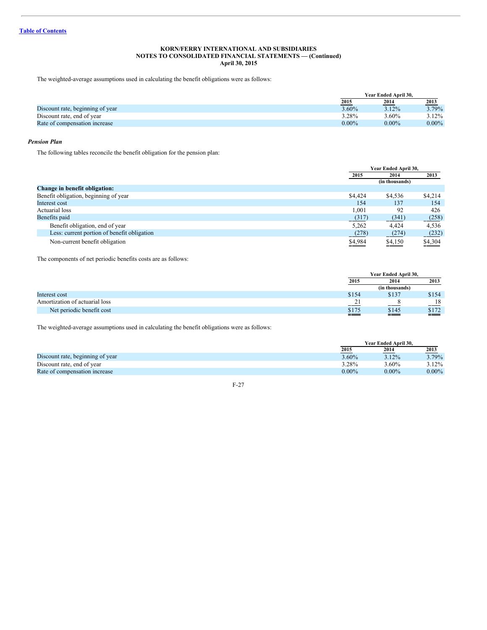The weighted-average assumptions used in calculating the benefit obligations were as follows:

|                                  | Year Ended April 30. |          |          |
|----------------------------------|----------------------|----------|----------|
|                                  | 2015                 | 2014     | 2013     |
| Discount rate, beginning of year | $3.60\%$             | 3.12%    | 3.79%    |
| Discount rate, end of year       | 3.28%                | 3.60%    | $3.12\%$ |
| Rate of compensation increase    | $0.00\%$             | $0.00\%$ | $0.00\%$ |

# *Pension Plan*

The following tables reconcile the benefit obligation for the pension plan:

|                                             | Year Ended April 30, |                |         |
|---------------------------------------------|----------------------|----------------|---------|
|                                             | 2015                 | 2014           | 2013    |
|                                             |                      | (in thousands) |         |
| Change in benefit obligation:               |                      |                |         |
| Benefit obligation, beginning of year       | \$4,424              | \$4,536        | \$4,214 |
| Interest cost                               | 154                  | 137            | 154     |
| Actuarial loss                              | 1,001                | 92             | 426     |
| Benefits paid                               | (317)                | (341)          | (258)   |
| Benefit obligation, end of year             | 5,262                | 4.424          | 4,536   |
| Less: current portion of benefit obligation | (278)                | (274)          | (232)   |
| Non-current benefit obligation              | \$4,984              | \$4,150        | \$4,304 |

The components of net periodic benefits costs are as follows:

|                                |       | Year Ended April 30, |       |  |
|--------------------------------|-------|----------------------|-------|--|
|                                | 2015  | 2014                 | 2013  |  |
|                                |       | (in thousands)       |       |  |
| Interest cost                  | \$154 | \$137                | \$154 |  |
| Amortization of actuarial loss | 21    |                      | 18    |  |
| Net periodic benefit cost      | \$175 | \$145                | \$172 |  |
|                                | __    | --                   | --    |  |

The weighted-average assumptions used in calculating the benefit obligations were as follows:

|                                  | Year Ended April 30. |          |          |
|----------------------------------|----------------------|----------|----------|
|                                  | 2015                 | 2014     | 2013     |
| Discount rate, beginning of year | 3.60%                | $3.12\%$ | 3.79%    |
| Discount rate, end of year       | 3.28%                | $3.60\%$ | $3.12\%$ |
| Rate of compensation increase    | $0.00\%$             | $0.00\%$ | $0.00\%$ |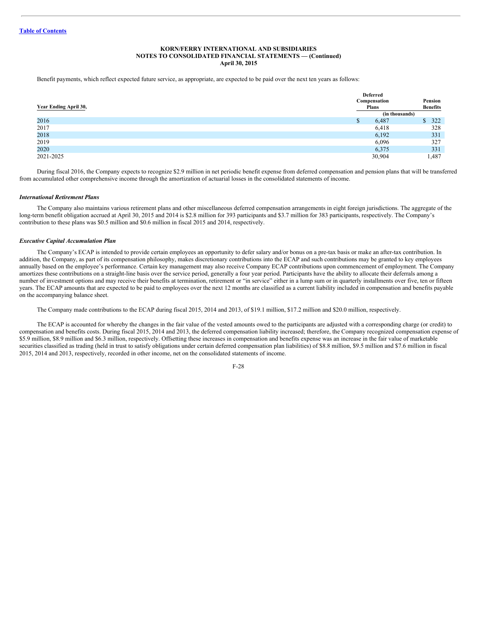Benefit payments, which reflect expected future service, as appropriate, are expected to be paid over the next ten years as follows:

| Year Ending April 30, | <b>Deferred</b><br>Compensation<br>Plans<br>(in thousands) | Pension<br><b>Benefits</b> |
|-----------------------|------------------------------------------------------------|----------------------------|
|                       |                                                            |                            |
| 2016                  | 6,487                                                      | 322<br>$\mathbb{S}$        |
| 2017                  | 6,418                                                      | 328                        |
| 2018                  | 6,192                                                      | 331                        |
| 2019                  | 6,096                                                      | 327                        |
| 2020                  | 6,375                                                      | 331                        |
| 2021-2025             | 30,904                                                     | 1,487                      |

During fiscal 2016, the Company expects to recognize \$2.9 million in net periodic benefit expense from deferred compensation and pension plans that will be transferred from accumulated other comprehensive income through the amortization of actuarial losses in the consolidated statements of income.

### *International Retirement Plans*

The Company also maintains various retirement plans and other miscellaneous deferred compensation arrangements in eight foreign jurisdictions. The aggregate of the long-term benefit obligation accrued at April 30, 2015 and 2014 is \$2.8 million for 393 participants and \$3.7 million for 383 participants, respectively. The Company's contribution to these plans was \$0.5 million and \$0.6 million in fiscal 2015 and 2014, respectively.

## *Executive Capital Accumulation Plan*

The Company's ECAP is intended to provide certain employees an opportunity to defer salary and/or bonus on a pre-tax basis or make an after-tax contribution. In addition, the Company, as part of its compensation philosophy, makes discretionary contributions into the ECAP and such contributions may be granted to key employees annually based on the employee's performance. Certain key management may also receive Company ECAP contributions upon commencement of employment. The Company amortizes these contributions on a straight-line basis over the service period, generally a four year period. Participants have the ability to allocate their deferrals among a number of investment options and may receive their benefits at termination, retirement or "in service" either in a lump sum or in quarterly installments over five, ten or fifteen years. The ECAP amounts that are expected to be paid to employees over the next 12 months are classified as a current liability included in compensation and benefits payable on the accompanying balance sheet.

The Company made contributions to the ECAP during fiscal 2015, 2014 and 2013, of \$19.1 million, \$17.2 million and \$20.0 million, respectively.

The ECAP is accounted for whereby the changes in the fair value of the vested amounts owed to the participants are adjusted with a corresponding charge (or credit) to compensation and benefits costs. During fiscal 2015, 2014 and 2013, the deferred compensation liability increased; therefore, the Company recognized compensation expense of \$5.9 million, \$8.9 million and \$6.3 million, respectively. Offsetting these increases in compensation and benefits expense was an increase in the fair value of marketable securities classified as trading (held in trust to satisfy obligations under certain deferred compensation plan liabilities) of \$8.8 million, \$9.5 million and \$7.6 million in fiscal 2015, 2014 and 2013, respectively, recorded in other income, net on the consolidated statements of income.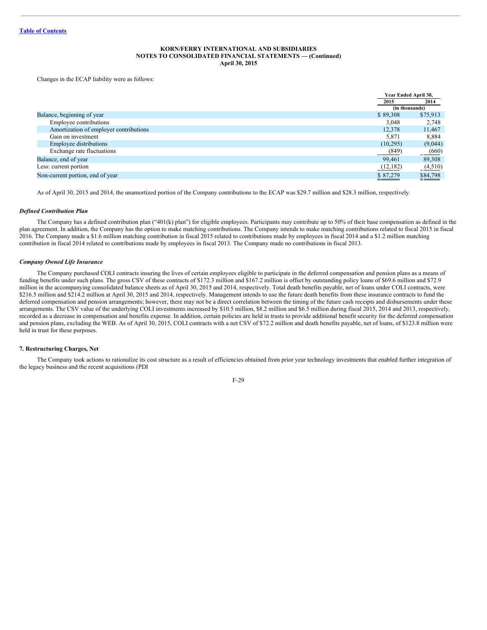Changes in the ECAP liability were as follows:

|                                        |           | Year Ended April 30, |
|----------------------------------------|-----------|----------------------|
|                                        | 2015      | 2014                 |
|                                        |           | (in thousands)       |
| Balance, beginning of year             | \$89,308  | \$75,913             |
| Employee contributions                 | 3,048     | 2,748                |
| Amortization of employer contributions | 12,378    | 11,467               |
| Gain on investment                     | 5,871     | 8,884                |
| <b>Employee distributions</b>          | (10, 295) | (9,044)              |
| Exchange rate fluctuations             | $-$ (849) | (660)                |
| Balance, end of year                   | 99,461    | 89,308               |
| Less: current portion                  | (12, 182) | (4,510)              |
| Non-current portion, end of year       | \$87,279  | \$84,798             |

As of April 30, 2015 and 2014, the unamortized portion of the Company contributions to the ECAP was \$29.7 million and \$28.3 million, respectively.

#### *Defined Contribution Plan*

The Company has a defined contribution plan ("401(k) plan") for eligible employees. Participants may contribute up to 50% of their base compensation as defined in the plan agreement. In addition, the Company has the option to make matching contributions. The Company intends to make matching contributions related to fiscal 2015 in fiscal 2016. The Company made a \$1.6 million matching contribution in fiscal 2015 related to contributions made by employees in fiscal 2014 and a \$1.2 million matching contribution in fiscal 2014 related to contributions made by employees in fiscal 2013. The Company made no contributions in fiscal 2013.

### *Company Owned Life Insurance*

The Company purchased COLI contracts insuring the lives of certain employees eligible to participate in the deferred compensation and pension plans as a means of funding benefits under such plans. The gross CSV of these contracts of \$172.3 million and \$167.2 million is offset by outstanding policy loans of \$69.6 million and \$72.9 million in the accompanying consolidated balance sheets as of April 30, 2015 and 2014, respectively. Total death benefits payable, net of loans under COLI contracts, were \$216.5 million and \$214.2 million at April 30, 2015 and 2014, respectively. Management intends to use the future death benefits from these insurance contracts to fund the deferred compensation and pension arrangements; however, there may not be a direct correlation between the timing of the future cash receipts and disbursements under these arrangements. The CSV value of the underlying COLI investments increased by \$10.5 million, \$8.2 million and \$6.5 million during fiscal 2015, 2014 and 2013, respectively, recorded as a decrease in compensation and benefits expense. In addition, certain policies are held in trusts to provide additional benefit security for the deferred compensation and pension plans, excluding the WEB. As of April 30, 2015, COLI contracts with a net CSV of \$72.2 million and death benefits payable, net of loans, of \$123.8 million were held in trust for these purposes.

## **7. Restructuring Charges, Net**

The Company took actions to rationalize its cost structure as a result of efficiencies obtained from prior year technology investments that enabled further integration of the legacy business and the recent acquisitions (PDI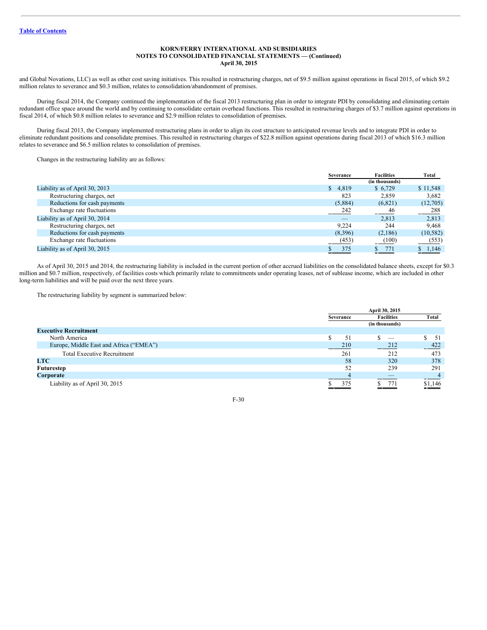and Global Novations, LLC) as well as other cost saving initiatives. This resulted in restructuring charges, net of \$9.5 million against operations in fiscal 2015, of which \$9.2 million relates to severance and \$0.3 million, relates to consolidation/abandonment of premises.

During fiscal 2014, the Company continued the implementation of the fiscal 2013 restructuring plan in order to integrate PDI by consolidating and eliminating certain redundant office space around the world and by continuing to consolidate certain overhead functions. This resulted in restructuring charges of \$3.7 million against operations in fiscal 2014, of which \$0.8 million relates to severance and \$2.9 million relates to consolidation of premises.

During fiscal 2013, the Company implemented restructuring plans in order to align its cost structure to anticipated revenue levels and to integrate PDI in order to eliminate redundant positions and consolidate premises. This resulted in restructuring charges of \$22.8 million against operations during fiscal 2013 of which \$16.3 million relates to severance and \$6.5 million relates to consolidation of premises.

Changes in the restructuring liability are as follows:

|                                | Severance | <b>Facilities</b> | Total           |
|--------------------------------|-----------|-------------------|-----------------|
|                                |           | (in thousands)    |                 |
| Liability as of April 30, 2013 | \$4,819   | \$6,729           | \$11,548        |
| Restructuring charges, net     | 823       | 2,859             | 3,682           |
| Reductions for cash payments   | (5,884)   | (6,821)           | (12,705)        |
| Exchange rate fluctuations     | 242       | 46                | $\frac{288}{1}$ |
| Liability as of April 30, 2014 | _         | 2.813             | 2,813           |
| Restructuring charges, net     | 9.224     | 244               | 9,468           |
| Reductions for cash payments   | (8,396)   | (2,186)           | (10, 582)       |
| Exchange rate fluctuations     | (453)     | (100)             | (553)           |
| Liability as of April 30, 2015 | 375       | 771               | \$1,146         |

As of April 30, 2015 and 2014, the restructuring liability is included in the current portion of other accrued liabilities on the consolidated balance sheets, except for \$0.3 million and \$0.7 million, respectively, of facilities costs which primarily relate to commitments under operating leases, net of sublease income, which are included in other long-term liabilities and will be paid over the next three years.

The restructuring liability by segment is summarized below:

|                                         | April 30, 2015   |     |                   |         |       |
|-----------------------------------------|------------------|-----|-------------------|---------|-------|
|                                         | <b>Severance</b> |     | <b>Facilities</b> |         | Total |
|                                         |                  |     | (in thousands)    |         |       |
| <b>Executive Recruitment</b>            |                  |     |                   |         |       |
| North America                           |                  | 51  | -                 | ¢<br>۰D | -51   |
| Europe, Middle East and Africa ("EMEA") |                  | 210 | 212               |         | 422   |
| <b>Total Executive Recruitment</b>      |                  | 261 | 212               |         | 473   |
| <b>LTC</b>                              |                  | 58  | 320               |         | 378   |
| <b>Futurestep</b>                       |                  | 52  | 239               |         | 291   |
| Corporate                               |                  |     |                   |         |       |
| Liability as of April 30, 2015          |                  | 375 | 771               |         | 1,146 |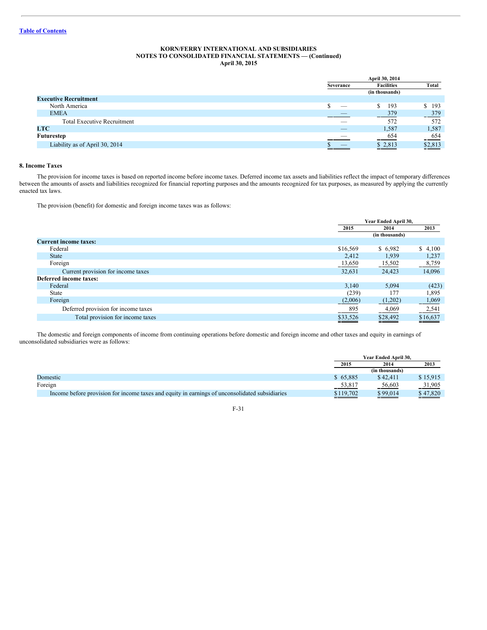|                                    |                          | April 30, 2014    |            |  |
|------------------------------------|--------------------------|-------------------|------------|--|
|                                    | <b>Severance</b>         | <b>Facilities</b> | Total      |  |
|                                    |                          | (in thousands)    |            |  |
| <b>Executive Recruitment</b>       |                          |                   |            |  |
| North America                      | __                       | 193<br>S.         | 193<br>\$. |  |
| <b>EMEA</b>                        |                          | 379               | 379        |  |
| <b>Total Executive Recruitment</b> | $\overline{\phantom{a}}$ | 572               | 572        |  |
| <b>LTC</b>                         |                          | 1,587             | 1,587      |  |
| <b>Futurestep</b>                  |                          | 654               | 654        |  |
| Liability as of April 30, 2014     |                          | \$2,813           | \$2,813    |  |
|                                    |                          |                   |            |  |

# **8. Income Taxes**

The provision for income taxes is based on reported income before income taxes. Deferred income tax assets and liabilities reflect the impact of temporary differences between the amounts of assets and liabilities recognized for financial reporting purposes and the amounts recognized for tax purposes, as measured by applying the currently enacted tax laws.

The provision (benefit) for domestic and foreign income taxes was as follows:

|                                     | Year Ended April 30, |                |          |
|-------------------------------------|----------------------|----------------|----------|
|                                     | 2015                 | 2014           | 2013     |
|                                     |                      | (in thousands) |          |
| <b>Current income taxes:</b>        |                      |                |          |
| Federal                             | \$16,569             | \$6.982        | \$4,100  |
| <b>State</b>                        | 2,412                | 1,939          | 1,237    |
| Foreign                             | 13,650               | 15,502         | 8,759    |
| Current provision for income taxes  | 32,631               | 24,423         | 14,096   |
| Deferred income taxes:              |                      |                |          |
| Federal                             | 3.140                | 5,094          | (423)    |
| <b>State</b>                        | (239)                | 177            | 1,895    |
| Foreign                             | (2,006)              | (1,202)        | 1,069    |
| Deferred provision for income taxes | 895                  | 4,069          | 2,541    |
| Total provision for income taxes    | \$33,526             | \$28,492       | \$16,637 |

The domestic and foreign components of income from continuing operations before domestic and foreign income and other taxes and equity in earnings of unconsolidated subsidiaries were as follows:

|                                                                                                |           | Year Ended April 30, |          |
|------------------------------------------------------------------------------------------------|-----------|----------------------|----------|
|                                                                                                | 2015      | 2014                 | 2013     |
|                                                                                                |           | (in thousands)       |          |
| Domestic                                                                                       | \$65,885  | \$42,411             | \$15.915 |
| Foreign                                                                                        | 53,817    | 56,603               | 31,905   |
| Income before provision for income taxes and equity in earnings of unconsolidated subsidiaries | \$119,702 | \$99,014             | \$47,820 |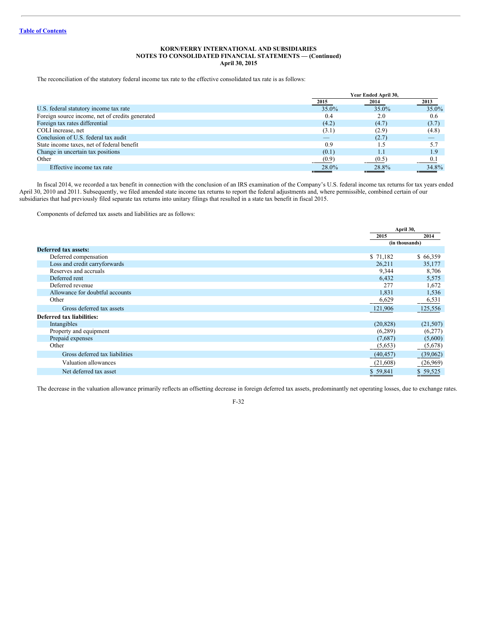The reconciliation of the statutory federal income tax rate to the effective consolidated tax rate is as follows:

|                                                 |       | Year Ended April 30, |          |  |  |
|-------------------------------------------------|-------|----------------------|----------|--|--|
|                                                 | 2015  | 2014                 | 2013     |  |  |
| U.S. federal statutory income tax rate          | 35.0% | 35.0%                | $35.0\%$ |  |  |
| Foreign source income, net of credits generated | 0.4   | 2.0                  | 0.6      |  |  |
| Foreign tax rates differential                  | (4.2) | (4.7)                | (3.7)    |  |  |
| COLI increase, net                              | (3.1) | (2.9)                | (4.8)    |  |  |
| Conclusion of U.S. federal tax audit            |       | (2.7)                |          |  |  |
| State income taxes, net of federal benefit      | 0.9   |                      | 5.7      |  |  |
| Change in uncertain tax positions               | (0.1) | 1.1                  | 1.9      |  |  |
| Other                                           | (0.9) | (0.5)                | 0.1      |  |  |
| Effective income tax rate                       | 28.0% | 28.8%                | 34.8%    |  |  |

In fiscal 2014, we recorded a tax benefit in connection with the conclusion of an IRS examination of the Company's U.S. federal income tax returns for tax years ended April 30, 2010 and 2011. Subsequently, we filed amended state income tax returns to report the federal adjustments and, where permissible, combined certain of our subsidiaries that had previously filed separate tax returns into unitary filings that resulted in a state tax benefit in fiscal 2015.

Components of deferred tax assets and liabilities are as follows:

|                                  |           | April 30,      |
|----------------------------------|-----------|----------------|
|                                  | 2015      | 2014           |
|                                  |           | (in thousands) |
| <b>Deferred tax assets:</b>      |           |                |
| Deferred compensation            | \$71,182  | \$66,359       |
| Loss and credit carryforwards    | 26,211    | 35,177         |
| Reserves and accruals            | 9,344     | 8,706          |
| Deferred rent                    | 6,432     | 5,575          |
| Deferred revenue                 | 277       | 1,672          |
| Allowance for doubtful accounts  | 1,831     | 1,536          |
| Other                            | 6,629     | 6,531          |
| Gross deferred tax assets        | 121,906   | 125,556        |
| <b>Deferred tax liabilities:</b> |           |                |
| Intangibles                      | (20, 828) | (21, 507)      |
| Property and equipment           | (6,289)   | (6,277)        |
| Prepaid expenses                 | (7,687)   | (5,600)        |
| Other                            | (5,653)   | (5,678)        |
| Gross deferred tax liabilities   | (40, 457) | (39,062)       |
| Valuation allowances             | (21,608)  | (26,969)       |
| Net deferred tax asset           | \$59,841  | \$59,525       |

The decrease in the valuation allowance primarily reflects an offsetting decrease in foreign deferred tax assets, predominantly net operating losses, due to exchange rates.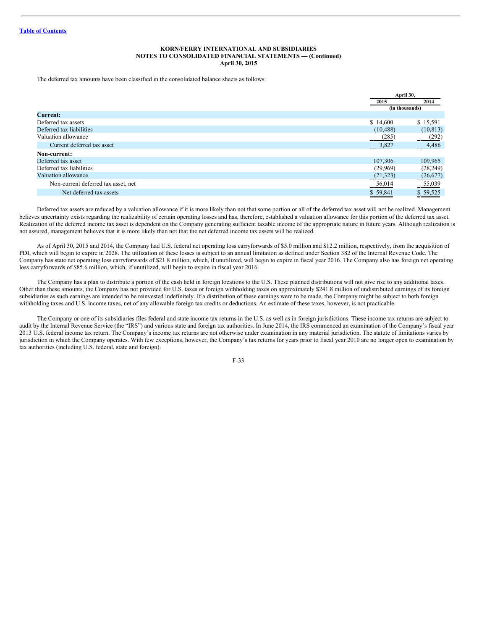The deferred tax amounts have been classified in the consolidated balance sheets as follows:

| April 30,      |           |
|----------------|-----------|
| 2015           | 2014      |
| (in thousands) |           |
|                |           |
| \$14,600       | \$15,591  |
| (10, 488)      | (10, 813) |
| (285)          | (292)     |
| 3,827          | 4,486     |
|                |           |
| 107,306        | 109,965   |
| (29,969)       | (28, 249) |
| (21, 323)      | (26, 677) |
| 56,014         | 55,039    |
| \$59,841       | \$59,525  |
|                |           |

Deferred tax assets are reduced by a valuation allowance if it is more likely than not that some portion or all of the deferred tax asset will not be realized. Management believes uncertainty exists regarding the realizability of certain operating losses and has, therefore, established a valuation allowance for this portion of the deferred tax asset. Realization of the deferred income tax asset is dependent on the Company generating sufficient taxable income of the appropriate nature in future years. Although realization is not assured, management believes that it is more likely than not that the net deferred income tax assets will be realized.

As of April 30, 2015 and 2014, the Company had U.S. federal net operating loss carryforwards of \$5.0 million and \$12.2 million, respectively, from the acquisition of PDI, which will begin to expire in 2028. The utilization of these losses is subject to an annual limitation as defined under Section 382 of the Internal Revenue Code. The Company has state net operating loss carryforwards of \$21.8 million, which, if unutilized, will begin to expire in fiscal year 2016. The Company also has foreign net operating loss carryforwards of \$85.6 million, which, if unutilized, will begin to expire in fiscal year 2016.

The Company has a plan to distribute a portion of the cash held in foreign locations to the U.S. These planned distributions will not give rise to any additional taxes. Other than these amounts, the Company has not provided for U.S. taxes or foreign withholding taxes on approximately \$241.8 million of undistributed earnings of its foreign subsidiaries as such earnings are intended to be reinvested indefinitely. If a distribution of these earnings were to be made, the Company might be subject to both foreign withholding taxes and U.S. income taxes, net of any allowable foreign tax credits or deductions. An estimate of these taxes, however, is not practicable.

The Company or one of its subsidiaries files federal and state income tax returns in the U.S. as well as in foreign jurisdictions. These income tax returns are subject to audit by the Internal Revenue Service (the "IRS") and various state and foreign tax authorities. In June 2014, the IRS commenced an examination of the Company's fiscal year 2013 U.S. federal income tax return. The Company's income tax returns are not otherwise under examination in any material jurisdiction. The statute of limitations varies by jurisdiction in which the Company operates. With few exceptions, however, the Company's tax returns for years prior to fiscal year 2010 are no longer open to examination by tax authorities (including U.S. federal, state and foreign).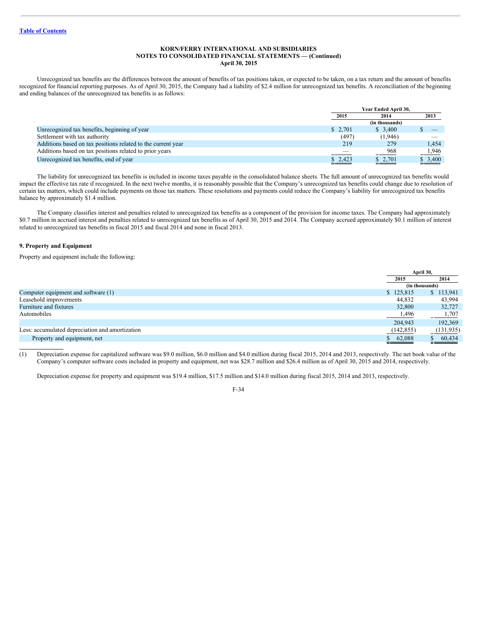Unrecognized tax benefits are the differences between the amount of benefits of tax positions taken, or expected to be taken, on a tax return and the amount of benefits recognized for financial reporting purposes. As of April 30, 2015, the Company had a liability of \$2.4 million for unrecognized tax benefits. A reconciliation of the beginning and ending balances of the unrecognized tax benefits is as follows:

|                                                              |          | Year Ended April 30, |         |
|--------------------------------------------------------------|----------|----------------------|---------|
|                                                              | 2015     | 2014                 | 2013    |
|                                                              |          | (in thousands)       |         |
| Unrecognized tax benefits, beginning of year                 | \$ 2.701 | \$3,400              |         |
| Settlement with tax authority                                | (497)    | (1,946)              |         |
| Additions based on tax positions related to the current year | 219      | 279                  | 1.454   |
| Additions based on tax positions related to prior years      |          | 968                  | 1,946   |
| Unrecognized tax benefits, end of year                       | \$2,423  | \$2,701              | \$3,400 |

The liability for unrecognized tax benefits is included in income taxes payable in the consolidated balance sheets. The full amount of unrecognized tax benefits would impact the effective tax rate if recognized. In the next twelve months, it is reasonably possible that the Company's unrecognized tax benefits could change due to resolution of certain tax matters, which could include payments on those tax matters. These resolutions and payments could reduce the Company's liability for unrecognized tax benefits balance by approximately \$1.4 million.

The Company classifies interest and penalties related to unrecognized tax benefits as a component of the provision for income taxes. The Company had approximately \$0.7 million in accrued interest and penalties related to unrecognized tax benefits as of April 30, 2015 and 2014. The Company accrued approximately \$0.1 million of interest related to unrecognized tax benefits in fiscal 2015 and fiscal  $2014$  and none in fiscal 2013.

# **9. Property and Equipment**

Property and equipment include the following:

|                                                 |            | April 30,      |
|-------------------------------------------------|------------|----------------|
|                                                 | 2015       | 2014           |
|                                                 |            | (in thousands) |
| Computer equipment and software (1)             | \$125,815  | \$113,941      |
| Leasehold improvements                          | 44,832     | 43.994         |
| Furniture and fixtures                          | 32,800     | 32,727         |
| Automobiles                                     | 1,496      | 1,707          |
|                                                 | 204,943    | 192,369        |
| Less: accumulated depreciation and amortization | (142, 855) | (131, 935)     |
| Property and equipment, net                     | $-62,088$  | \$60,434       |

(1) Depreciation expense for capitalized software was \$9.0 million, \$6.0 million and \$4.0 million during fiscal 2015, 2014 and 2013, respectively. The net book value of the Company's computer software costs included in property and equipment, net was \$28.7 million and \$26.4 million as of April 30, 2015 and 2014, respectively.

Depreciation expense for property and equipment was \$19.4 million, \$17.5 million and \$14.0 million during fiscal 2015, 2014 and 2013, respectively.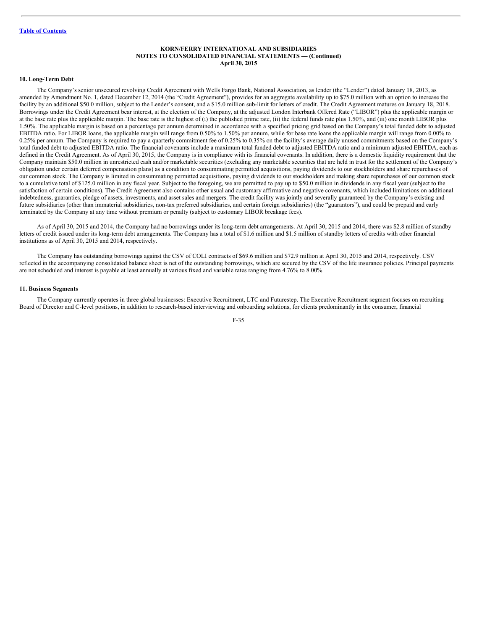#### **10. Long-Term Debt**

The Company's senior unsecured revolving Credit Agreement with Wells Fargo Bank, National Association, as lender (the "Lender") dated January 18, 2013, as amended by Amendment No. 1, dated December 12, 2014 (the "Credit Agreement"), provides for an aggregate availability up to \$75.0 million with an option to increase the facility by an additional \$50.0 million, subject to the Lender's consent, and a \$15.0 million sub-limit for letters of credit. The Credit Agreement matures on January 18, 2018. Borrowings under the Credit Agreement bear interest, at the election of the Company, at the adjusted London Interbank Offered Rate ("LIBOR") plus the applicable margin or at the base rate plus the applicable margin. The base rate is the highest of (i) the published prime rate, (ii) the federal funds rate plus 1.50%, and (iii) one month LIBOR plus 1.50%. The applicable margin is based on a percentage per annum determined in accordance with a specified pricing grid based on the Company's total funded debt to adjusted EBITDA ratio. For LIBOR loans, the applicable margin will range from 0.50% to 1.50% per annum, while for base rate loans the applicable margin will range from 0.00% to 0.25% per annum. The Company is required to pay a quarterly commitment fee of 0.25% to 0.35% on the facility's average daily unused commitments based on the Company's total funded debt to adjusted EBITDA ratio. The financial covenants include a maximum total funded debt to adjusted EBITDA ratio and a minimum adjusted EBITDA, each as defined in the Credit Agreement. As of April 30, 2015, the Company is in compliance with its financial covenants. In addition, there is a domestic liquidity requirement that the Company maintain \$50.0 million in unrestricted cash and/or marketable securities (excluding any marketable securities that are held in trust for the settlement of the Company's obligation under certain deferred compensation plans) as a condition to consummating permitted acquisitions, paying dividends to our stockholders and share repurchases of our common stock. The Company is limited in consummating permitted acquisitions, paying dividends to our stockholders and making share repurchases of our common stock to a cumulative total of \$125.0 million in any fiscal year. Subject to the foregoing, we are permitted to pay up to \$50.0 million in dividends in any fiscal year (subject to the satisfaction of certain conditions). The Credit Agreement also contains other usual and customary affirmative and negative covenants, which included limitations on additional indebtedness, guaranties, pledge of assets, investments, and asset sales and mergers. The credit facility was jointly and severally guaranteed by the Company's existing and future subsidiaries (other than immaterial subsidiaries, non-tax preferred subsidiaries, and certain foreign subsidiaries) (the "guarantors"), and could be prepaid and early terminated by the Company at any time without premium or penalty (subject to customary LIBOR breakage fees).

As of April 30, 2015 and 2014, the Company had no borrowings under its long-term debt arrangements. At April 30, 2015 and 2014, there was \$2.8 million of standby letters of credit issued under its long-term debt arrangements. The Company has a total of \$1.6 million and \$1.5 million of standby letters of credits with other financial institutions as of April 30, 2015 and 2014, respectively.

The Company has outstanding borrowings against the CSV of COLI contracts of \$69.6 million and \$72.9 million at April 30, 2015 and 2014, respectively. CSV reflected in the accompanying consolidated balance sheet is net of the outstanding borrowings, which are secured by the CSV of the life insurance policies. Principal payments are not scheduled and interest is payable at least annually at various fixed and variable rates ranging from 4.76% to 8.00%.

#### **11. Business Segments**

The Company currently operates in three global businesses: Executive Recruitment, LTC and Futurestep. The Executive Recruitment segment focuses on recruiting Board of Director and C-level positions, in addition to research-based interviewing and onboarding solutions, for clients predominantly in the consumer, financial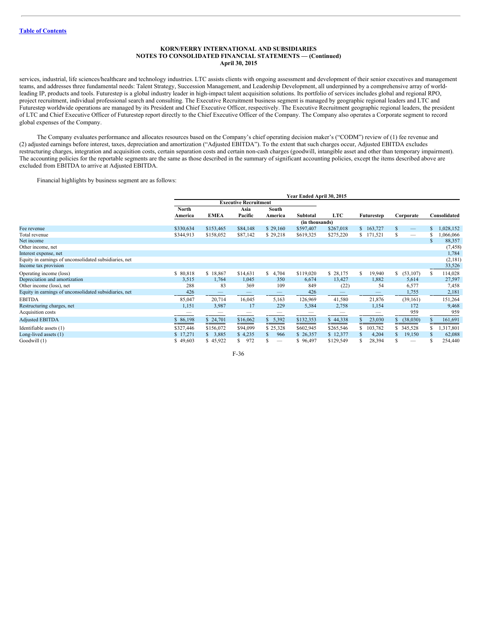services, industrial, life sciences/healthcare and technology industries. LTC assists clients with ongoing assessment and development of their senior executives and management teams, and addresses three fundamental needs: Talent Strategy, Succession Management, and Leadership Development, all underpinned by a comprehensive array of worldleading IP, products and tools. Futurestep is a global industry leader in high-impact talent acquisition solutions. Its portfolio of services includes global and regional RPO, project recruitment, individual professional search and consulting. The Executive Recruitment business segment is managed by geographic regional leaders and LTC and Futurestep worldwide operations are managed by its President and Chief Executive Officer, respectively. The Executive Recruitment geographic regional leaders, the president of LTC and Chief Executive Officer of Futurestep report directly to the Chief Executive Officer of the Company. The Company also operates a Corporate segment to record global expenses of the Company.

The Company evaluates performance and allocates resources based on the Company's chief operating decision maker's ("CODM") review of (1) fee revenue and (2) adjusted earnings before interest, taxes, depreciation and amortization ("Adjusted EBITDA"). To the extent that such charges occur, Adjusted EBITDA excludes restructuring charges, integration and acquisition costs, certain separation costs and certain non-cash charges (goodwill, intangible asset and other than temporary impairment). The accounting policies for the reportable segments are the same as those described in the summary of significant accounting policies, except the items described above are excluded from EBITDA to arrive at Adjusted EBITDA.

Financial highlights by business segment are as follows:

|                                                        |           |                              |           |          | Year Ended April 30, 2015 |            |               |                                 |     |              |
|--------------------------------------------------------|-----------|------------------------------|-----------|----------|---------------------------|------------|---------------|---------------------------------|-----|--------------|
|                                                        |           | <b>Executive Recruitment</b> |           |          |                           |            |               |                                 |     |              |
|                                                        | North     |                              | Asia      | South    |                           |            |               |                                 |     |              |
|                                                        | America   | <b>EMEA</b>                  | Pacific   | America  | Subtotal                  | <b>LTC</b> | Futurestep    | Corporate                       |     | Consolidated |
|                                                        |           |                              |           |          | (in thousands)            |            |               |                                 |     |              |
| Fee revenue                                            | \$330,634 | \$153,465                    | \$84,148  | \$29,160 | \$597,407                 | \$267,018  | 163,727<br>\$ | $\hspace{0.1mm}-\hspace{0.1mm}$ | S   | 1,028,152    |
| Total revenue                                          | \$344,913 | \$158,052                    | \$87,142  | \$29,218 | \$619,325                 | \$275,220  | S.<br>171,521 | <b>S</b><br>$\qquad \qquad$     | S   | ,066,066     |
| Net income                                             |           |                              |           |          |                           |            |               |                                 | \$. | 88,357       |
| Other income, net                                      |           |                              |           |          |                           |            |               |                                 |     | (7, 458)     |
| Interest expense, net                                  |           |                              |           |          |                           |            |               |                                 |     | 1,784        |
| Equity in earnings of unconsolidated subsidiaries, net |           |                              |           |          |                           |            |               |                                 |     | (2,181)      |
| Income tax provision                                   |           |                              |           |          |                           |            |               |                                 |     | 33,526       |
| Operating income (loss)                                | \$80,818  | \$18,867                     | \$14,631  | \$4,704  | \$119,020                 | \$28,175   | S<br>19,940   | \$ (53,107)                     | S   | 114,028      |
| Depreciation and amortization                          | 3,515     | 1,764                        | 1,045     | 350      | 6,674                     | 13,427     | 1,882         | 5,614                           |     | 27,597       |
| Other income (loss), net                               | 288       | 83                           | 369       | 109      | 849                       | (22)       | 54            | 6,577                           |     | 7,458        |
| Equity in earnings of unconsolidated subsidiaries, net | 426       |                              |           |          | 426                       |            |               | 1,755                           |     | 2,181        |
| <b>EBITDA</b>                                          | 85,047    | 20,714                       | 16,045    | 5,163    | 126,969                   | 41,580     | 21,876        | (39,161)                        |     | 151,264      |
| Restructuring charges, net                             | 1,151     | 3,987                        | 17        | 229      | 5,384                     | 2,758      | 1,154         | 172                             |     | 9,468        |
| Acquisition costs                                      |           |                              |           |          |                           |            |               | 959                             |     | 959          |
| <b>Adjusted EBITDA</b>                                 | \$86,198  | \$24,701                     | \$16,062  | \$ 5,392 | \$132,353                 | \$44,338   | 23,030        | (38,030)<br>\$                  |     | 161,691      |
| Identifiable assets (1)                                | \$327,446 | \$156,072                    | \$94,099  | \$25,328 | \$602,945                 | \$265,546  | 103,782       | \$ 345,528                      |     | 1,317,801    |
| Long-lived assets (1)                                  | \$17,271  | \$3,885                      | \$4,235   | 966      | \$26,357                  | \$12,377   | 4,204<br>\$.  | <sup>\$</sup><br>19,150         | \$. | 62,088       |
| Goodwill (1)                                           | \$49,603  | \$45,922                     | 972<br>S. |          | \$96,497                  | \$129,549  | 28,394        |                                 |     | 254,440      |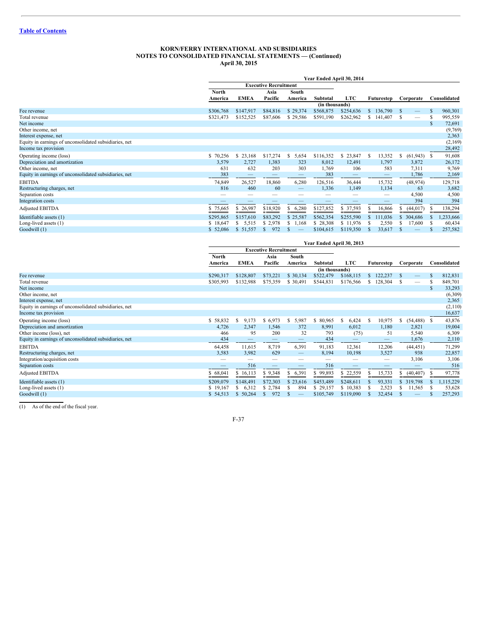|                                                        |                          |                          |                              |                          | Year Ended April 30, 2014       |                          |                               |                          |              |                      |                   |                     |
|--------------------------------------------------------|--------------------------|--------------------------|------------------------------|--------------------------|---------------------------------|--------------------------|-------------------------------|--------------------------|--------------|----------------------|-------------------|---------------------|
|                                                        |                          |                          | <b>Executive Recruitment</b> |                          |                                 |                          |                               |                          |              |                      |                   |                     |
|                                                        | <b>North</b>             |                          | Asia                         | South                    |                                 |                          |                               |                          |              |                      |                   |                     |
|                                                        | America                  | <b>EMEA</b>              | Pacific                      | America                  | <b>Subtotal</b>                 | <b>LTC</b>               |                               | <b>Futurestep</b>        |              | Corporate            |                   | Consolidated        |
|                                                        |                          |                          |                              |                          | (in thousands)                  |                          |                               |                          |              |                      |                   |                     |
| Fee revenue                                            | \$306,768                | \$147,917                | \$84,816                     | \$29,374                 | \$568,875                       | \$254,636                |                               | \$136,790                | S            |                      | <sup>\$</sup>     | 960,301             |
| Total revenue                                          | \$321,473                | \$152,525                | \$87,606                     | \$29,586                 | \$591,190                       | \$262,962                |                               | \$141,407                | \$           |                      | \$                | 995,559             |
| Net income                                             |                          |                          |                              |                          |                                 |                          |                               |                          |              |                      | \$                | 72,691              |
| Other income, net                                      |                          |                          |                              |                          |                                 |                          |                               |                          |              |                      |                   | (9,769)             |
| Interest expense, net                                  |                          |                          |                              |                          |                                 |                          |                               |                          |              |                      |                   | 2,363               |
| Equity in earnings of unconsolidated subsidiaries, net |                          |                          |                              |                          |                                 |                          |                               |                          |              |                      |                   | (2,169)             |
| Income tax provision                                   |                          |                          |                              |                          |                                 |                          |                               |                          |              |                      |                   | 28,492              |
| Operating income (loss)                                | \$70,256                 | \$23,168                 | \$17,274                     | $\mathbb{S}$<br>5,654    | \$116,352                       | \$23,847                 | \$                            | 13,352                   | S            | (61, 943)            | -S                | 91,608              |
| Depreciation and amortization                          | 3,579                    | 2,727                    | 1,383                        | 323                      | 8,012                           | 12,491                   |                               | 1,797                    |              | 3,872                |                   | 26,172              |
| Other income, net                                      | 631                      | 632                      | 203                          | 303                      | 1,769                           | 106                      |                               | 583                      |              | 7,311                |                   | 9,769               |
| Equity in earnings of unconsolidated subsidiaries, net | 383                      |                          |                              |                          | 383                             |                          |                               |                          |              | 1,786                |                   | 2,169               |
| <b>EBITDA</b>                                          | 74,849                   | 26,527                   | 18,860                       | 6,280                    | 126,516                         | 36,444                   |                               | 15,732                   |              | (48,974)             |                   | 129,718             |
| Restructuring charges, net                             | 816                      | 460                      | 60                           |                          | 1,336                           | 1,149                    |                               | 1,134                    |              | 63                   |                   | 3,682               |
| Separation costs                                       |                          |                          |                              |                          |                                 |                          |                               |                          |              | 4,500                |                   | 4,500               |
| Integration costs                                      | $\equiv$                 |                          | $\overline{\phantom{0}}$     | $\qquad \qquad -$        | $\equiv$                        | $\overline{\phantom{0}}$ |                               |                          |              | 394                  |                   | 394                 |
| <b>Adjusted EBITDA</b>                                 | 75,665<br>S              | \$26,987                 | \$18,920                     | 6,280<br>\$              | \$127,852                       | 37,593<br>\$             |                               | 16,866                   |              | (44, 017)            |                   | 138,294             |
| Identifiable assets (1)                                | \$295,865                | \$157,610                | \$83,292                     | \$25,587                 | \$562,354                       | \$255,590                |                               | \$111,036                |              | \$ 304,686           | \$                | 1,233,666           |
| Long-lived assets (1)                                  | \$18,647                 | \$5,515                  | \$2,978                      | $\mathbb{S}$<br>1,168    | \$28,308                        | \$11,976                 | \$                            | 2,550                    | \$           | 17,600               | \$                | 60,434              |
| Goodwill (1)                                           | \$52,086                 | \$51,557                 | 972<br>$\mathbb{S}$          | $\mathbb{S}$             | \$104,615                       | \$119,350                | $\mathcal{S}$                 | 33,617                   | $\mathbf S$  |                      | $\mathcal{S}$     | 257,582             |
|                                                        |                          |                          |                              |                          |                                 |                          |                               |                          |              |                      |                   |                     |
|                                                        |                          |                          | <b>Executive Recruitment</b> |                          | Year Ended April 30, 2013       |                          |                               |                          |              |                      |                   |                     |
|                                                        | North                    |                          | Asia                         | South                    |                                 |                          |                               |                          |              |                      |                   |                     |
|                                                        | America                  | <b>EMEA</b>              | Pacific                      | America                  | Subtotal                        | <b>LTC</b>               |                               | <b>Futurestep</b>        |              | Corporate            |                   | Consolidated        |
|                                                        |                          |                          |                              |                          | (in thousands)                  |                          |                               |                          |              |                      |                   |                     |
| Fee revenue                                            | \$290,317                | \$128,807                | \$73,221                     | \$30,134                 | \$522,479                       | \$168,115                |                               | \$122,237                | \$           |                      | \$                | 812,831             |
| Total revenue                                          | \$305,993                | \$132,988                | \$75,359                     | \$ 30,491                | \$544,831                       | \$176,566                |                               | \$128,304                | $\mathbb{S}$ |                      | \$                | 849,701             |
| Net income                                             |                          |                          |                              |                          |                                 |                          |                               |                          |              |                      | $\mathbf S$       | 33,293              |
| Other income, net                                      |                          |                          |                              |                          |                                 |                          |                               |                          |              |                      |                   | (6,309)             |
| Interest expense, net                                  |                          |                          |                              |                          |                                 |                          |                               |                          |              |                      |                   | 2,365               |
| Equity in earnings of unconsolidated subsidiaries, net |                          |                          |                              |                          |                                 |                          |                               |                          |              |                      |                   | (2,110)             |
| Income tax provision                                   |                          |                          |                              |                          |                                 |                          |                               |                          |              |                      |                   | 16,637              |
| Operating income (loss)                                | \$58,832                 | \$<br>9,173              | \$6,973                      | $\mathbb{S}$<br>5,987    | \$80,965                        | $\mathbb{S}$<br>6,424    | \$                            | 10,975                   | \$           | (54, 488)            | $\mathbf S$       | 43,876              |
| Depreciation and amortization                          | 4,726                    | 2,347                    | 1,546                        | 372                      | 8,991                           | 6,012                    |                               | 1,180                    |              | 2,821                |                   | 19,004              |
| Other income (loss), net                               | 466                      | 95                       | 200                          | 32                       | 793                             | (75)                     |                               | 51                       |              | 5,540                |                   | 6,309               |
| Equity in earnings of unconsolidated subsidiaries, net | 434                      | $\overline{\phantom{m}}$ | $\overline{\phantom{m}}$     | $\overline{\phantom{m}}$ | 434                             | $\overline{\phantom{m}}$ |                               | $\overline{\phantom{m}}$ |              | 1,676                |                   | 2,110               |
| <b>EBITDA</b>                                          | 64,458                   | 11,615                   | 8,719                        | 6,391                    | 91,183                          | 12,361                   |                               | 12,206                   |              | (44, 451)            |                   | 71,299              |
| Restructuring charges, net                             | 3,583                    | 3,982                    | 629                          | $\qquad \qquad -$        | 8,194                           | 10,198                   |                               | 3,527                    |              | 938                  |                   | 22,857              |
| Integration/acquisition costs                          | $\overline{\phantom{0}}$ |                          | $\overline{\phantom{0}}$     | $\overline{\phantom{0}}$ | $\overbrace{\qquad \qquad }^{}$ |                          |                               |                          |              | 3,106                |                   | 3,106               |
| Separation costs                                       | $\qquad \qquad -$        | 516                      | $\qquad \qquad -$            | $\overline{\phantom{0}}$ | 516                             | $\qquad \qquad -$        |                               | $\qquad \qquad -$        |              | -                    |                   | 516                 |
| <b>Adjusted EBITDA</b>                                 |                          |                          |                              |                          |                                 |                          |                               |                          |              |                      |                   |                     |
|                                                        | \$68,041                 | \$16,113                 | \$9,348                      | \$<br>6,391              | \$99,893                        | 22,559<br>S              |                               | 15,733                   | \$           | (40, 407)            | S                 | 97,778              |
|                                                        |                          |                          |                              |                          |                                 |                          | $\underline{\$}$              |                          |              |                      |                   |                     |
| Identifiable assets (1)<br>Long-lived assets (1)       | \$209,079<br>\$19,167    | \$148,491<br>\$<br>6,312 | \$72,303<br>\$2,784          | \$23,616<br>\$<br>894    | \$453,489<br>\$29,157           | \$248,611<br>\$10,383    | $\mathbb{S}$<br><sup>\$</sup> | 93,331<br>2,523          | S            | \$ 319,798<br>11,565 | $\mathbf{s}$<br>S | 1,115,229<br>53,628 |

(1) As of the end of the fiscal year.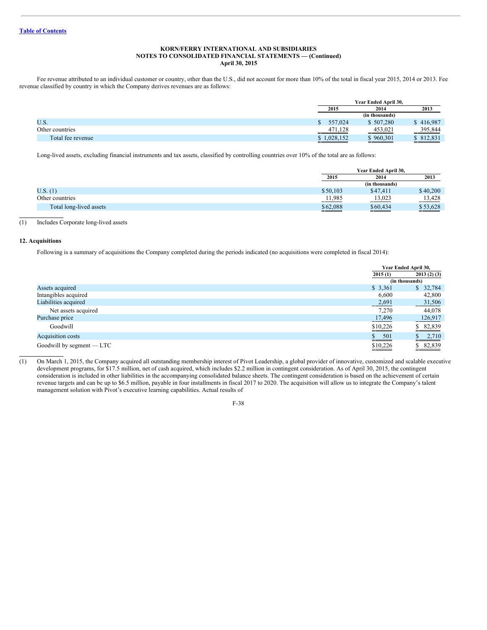Fee revenue attributed to an individual customer or country, other than the U.S., did not account for more than 10% of the total in fiscal year 2015, 2014 or 2013. Fee revenue classified by country in which the Company derives revenues are as follows:

|                   |               | Year Ended April 30, |                       |
|-------------------|---------------|----------------------|-----------------------|
|                   | 2015          | 2014                 | 2013                  |
|                   |               | (in thousands)       |                       |
| U.S.              | 557,024<br>S. | \$507,280            | \$416,987             |
| Other countries   | 471.128       | 453,021              | 395,844               |
| Total fee revenue | \$1,028,152   | \$960,301            | \$ 812,831<br>_______ |

Long-lived assets, excluding financial instruments and tax assets, classified by controlling countries over 10% of the total are as follows:

| 2015<br>2014<br>(in thousands)                  | 2013     |
|-------------------------------------------------|----------|
|                                                 |          |
|                                                 |          |
| U.S. (1)<br>\$50,103<br>\$47,411                | \$40,200 |
| 11,985<br>13,023<br>Other countries             | 13,428   |
| \$62,088<br>\$60,434<br>Total long-lived assets | \$53,628 |

# (1) Includes Corporate long-lived assets

## **12. Acquisitions**

Following is a summary of acquisitions the Company completed during the periods indicated (no acquisitions were completed in fiscal 2014):

|                             |                   | Year Ended April 30,    |
|-----------------------------|-------------------|-------------------------|
|                             | 2015(1)           | 2013(2)(3)              |
|                             |                   | (in thousands)          |
| Assets acquired             | \$3,361           | \$32,784                |
| Intangibles acquired        | 6,600             | 42,800                  |
| Liabilities acquired        | 2,691             | 31,506                  |
| Net assets acquired         | 7,270             | 44,078                  |
| Purchase price              | 17,496            | 126,917                 |
| Goodwill                    | \$10,226          | \$82,839                |
| Acquisition costs           | $\frac{$}{2}$ 501 | $\frac{\$}{2}$ 2,710    |
| Goodwill by segment $-$ LTC | \$10,226          | $\underline{\$ 82,839}$ |

(1) On March 1, 2015, the Company acquired all outstanding membership interest of Pivot Leadership, a global provider of innovative, customized and scalable executive development programs, for \$17.5 million, net of cash acquired, which includes \$2.2 million in contingent consideration. As of April 30, 2015, the contingent consideration is included in other liabilities in the accompanying consolidated balance sheets. The contingent consideration is based on the achievement of certain revenue targets and can be up to \$6.5 million, payable in four installments in fiscal 2017 to 2020. The acquisition will allow us to integrate the Company's talent management solution with Pivot's executive learning capabilities. Actual results of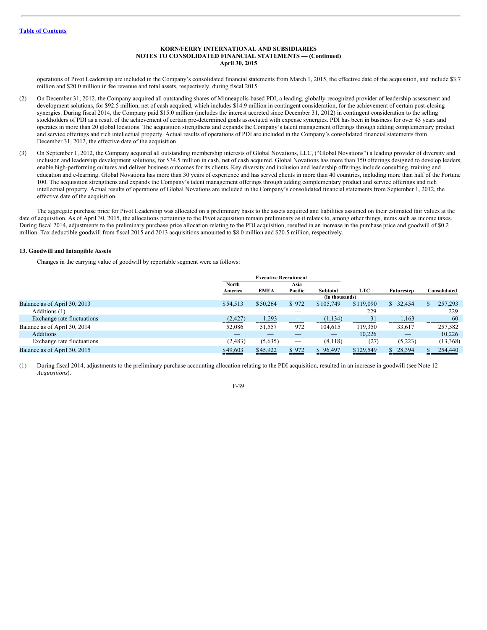operations of Pivot Leadership are included in the Company's consolidated financial statements from March 1, 2015, the effective date of the acquisition, and include \$3.7 million and \$20.0 million in fee revenue and total assets, respectively, during fiscal 2015.

- (2) On December 31, 2012, the Company acquired all outstanding shares of Minneapolis-based PDI, a leading, globally-recognized provider of leadership assessment and development solutions, for \$92.5 million, net of cash acquired, which includes \$14.9 million in contingent consideration, for the achievement of certain post-closing synergies. During fiscal 2014, the Company paid \$15.0 million (includes the interest accreted since December 31, 2012) in contingent consideration to the selling stockholders of PDI as a result of the achievement of certain pre-determined goals associated with expense synergies. PDI has been in business for over 45 years and operates in more than 20 global locations. The acquisition strengthens and expands the Company's talent management offerings through adding complementary product and service offerings and rich intellectual property. Actual results of operations of PDI are included in the Company's consolidated financial statements from December 31, 2012, the effective date of the acquisition.
- (3) On September 1, 2012, the Company acquired all outstanding membership interests of Global Novations, LLC, ("Global Novations") a leading provider of diversity and inclusion and leadership development solutions, for \$34.5 million in cash, net of cash acquired. Global Novations has more than 150 offerings designed to develop leaders, enable high-performing cultures and deliver business outcomes for its clients. Key diversity and inclusion and leadership offerings include consulting, training and education and e-learning. Global Novations has more than 30 years of experience and has served clients in more than 40 countries, including more than half of the Fortune 100. The acquisition strengthens and expands the Company's talent management offerings through adding complementary product and service offerings and rich intellectual property. Actual results of operations of Global Novations are included in the Company's consolidated financial statements from September 1, 2012, the effective date of the acquisition.

The aggregate purchase price for Pivot Leadership was allocated on a preliminary basis to the assets acquired and liabilities assumed on their estimated fair values at the date of acquisition. As of April 30, 2015, the allocations pertaining to the Pivot acquisition remain preliminary as it relates to, among other things, items such as income taxes. During fiscal 2014, adjustments to the preliminary purchase price allocation relating to the PDI acquisition, resulted in an increase in the purchase price and goodwill of \$0.2 million. Tax deductible goodwill from fiscal 2015 and 2013 acquisitions amounted to \$8.0 million and \$20.5 million, respectively.

### **13. Goodwill and Intangible Assets**

Changes in the carrying value of goodwill by reportable segment were as follows:

|                              |          | <b>Executive Recruitment</b> |                          |                |            |                                 |              |
|------------------------------|----------|------------------------------|--------------------------|----------------|------------|---------------------------------|--------------|
|                              | North    |                              | Asia                     |                |            |                                 |              |
|                              | America  | <b>EMEA</b>                  | Pacific                  | Subtotal       | <b>LTC</b> | <b>Futurestep</b>               | Consolidated |
|                              |          |                              |                          | (in thousands) |            |                                 |              |
| Balance as of April 30, 2013 | \$54,513 | \$50,264                     | \$972                    | \$105,749      | \$119,090  | \$32,454                        | 257,293      |
| Additions (1)                |          |                              |                          |                | 229        |                                 | 229          |
| Exchange rate fluctuations   | (2,427)  | 1,293                        | _                        | (1, 134)       | 31         | 1,163                           | 60           |
| Balance as of April 30, 2014 | 52.086   | 51,557                       | 972                      | 104.615        | 119,350    | 33,617                          | 257,582      |
| <b>Additions</b>             |          |                              |                          |                | 10.226     | $\hspace{0.1mm}-\hspace{0.1mm}$ | 10.226       |
| Exchange rate fluctuations   | (2, 483) | (5,635)                      | $\overline{\phantom{a}}$ | (8,118)        | (27)       | (5,223)                         | (13,368)     |
| Balance as of April 30, 2015 | \$49,603 | \$45,922<br>___              | \$972<br>===             | \$96,497       | \$129,549  | \$28,394                        | 254,440      |

(1) During fiscal 2014, adjustments to the preliminary purchase accounting allocation relating to the PDI acquisition, resulted in an increase in goodwill (see Note 12 — *Acquisitions*).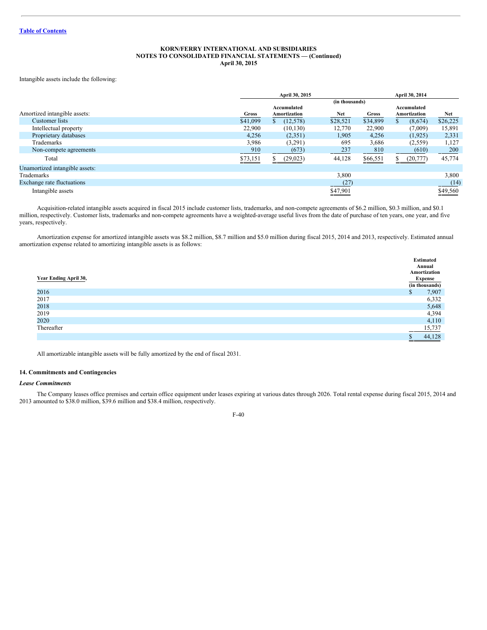Intangible assets include the following:

|                                |            | April 30, 2015 |            |                    |                | April 30, 2014 |  |  |
|--------------------------------|------------|----------------|------------|--------------------|----------------|----------------|--|--|
|                                |            | (in thousands) |            |                    |                |                |  |  |
|                                |            | Accumulated    |            |                    | Accumulated    |                |  |  |
| Amortized intangible assets:   | Gross      | Amortization   | <b>Net</b> | Gross              | Amortization   | Net            |  |  |
| Customer lists                 | \$41,099   | (12, 578)      | \$28,521   | \$34,899           | (8,674)<br>ЭĐ. | \$26,225       |  |  |
| Intellectual property          | 22,900     | (10, 130)      | 12,770     | 22,900             | (7,009)        | 15,891         |  |  |
| Proprietary databases          | 4,256      | (2,351)        | 1,905      | 4,256              | (1,925)        | 2,331          |  |  |
| Trademarks                     | 3,986      | (3,291)        | 695        | 3,686              | (2,559)        | 1,127          |  |  |
| Non-compete agreements         | <u>910</u> | (673)          | 237        | 810                | (610)          | <b>200</b>     |  |  |
| Total                          | \$73,151   | (29, 023)      | 44,128     | \$66,551<br>______ | (20,777)       | 45,774         |  |  |
| Unamortized intangible assets: |            |                |            |                    |                |                |  |  |
| Trademarks                     |            |                | 3,800      |                    |                | 3,800          |  |  |
| Exchange rate fluctuations     |            |                | (27)       |                    |                | (14)           |  |  |
| Intangible assets              |            |                | \$47,901   |                    |                | \$49,560       |  |  |

Acquisition-related intangible assets acquired in fiscal 2015 include customer lists, trademarks, and non-compete agreements of \$6.2 million, \$0.3 million, and \$0.1 million, respectively. Customer lists, trademarks and non-compete agreements have a weighted-average useful lives from the date of purchase of ten years, one year, and five years, respectively.

Amortization expense for amortized intangible assets was \$8.2 million, \$8.7 million and \$5.0 million during fiscal 2015, 2014 and 2013, respectively. Estimated annual amortization expense related to amortizing intangible assets is as follows:

|                       | <b>Estimated</b> |
|-----------------------|------------------|
|                       | Annual           |
|                       | Amortization     |
| Year Ending April 30, | <b>Expense</b>   |
|                       | (in thousands)   |
| 2016                  | 7,907<br>S       |
| 2017                  | 6,332            |
| 2018                  | 5,648            |
| 2019                  | 4,394            |
| 2020                  | 4,110            |
| Thereafter            | 15,737           |
|                       | 44,128<br>J.     |

All amortizable intangible assets will be fully amortized by the end of fiscal 2031.

# **14. Commitments and Contingencies**

#### *Lease Commitments*

The Company leases office premises and certain office equipment under leases expiring at various dates through 2026. Total rental expense during fiscal 2015, 2014 and 2013 amounted to \$38.0 million, \$39.6 million and \$38.4 million, respectively.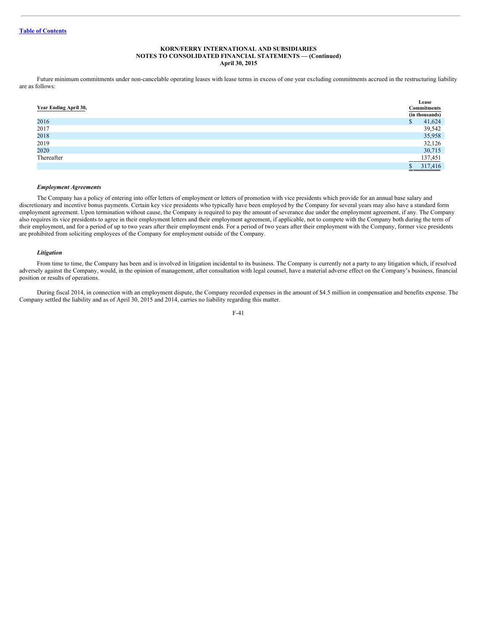Future minimum commitments under non-cancelable operating leases with lease terms in excess of one year excluding commitments accrued in the restructuring liability are as follows:

|                       | Lease          |
|-----------------------|----------------|
| Year Ending April 30, | Commitments    |
|                       | (in thousands) |
| 2016                  | 41,624<br>P    |
| 2017                  | 39,542         |
| 2018                  | 35,958         |
| 2019                  | 32,126         |
| 2020                  | 30,715         |
| Thereafter            | 137,451        |
|                       | 317,416<br>Φ   |

### *Employment Agreements*

The Company has a policy of entering into offer letters of employment or letters of promotion with vice presidents which provide for an annual base salary and discretionary and incentive bonus payments. Certain key vice presidents who typically have been employed by the Company for several years may also have a standard form employment agreement. Upon termination without cause, the Company is required to pay the amount of severance due under the employment agreement, if any. The Company also requires its vice presidents to agree in their employment letters and their employment agreement, if applicable, not to compete with the Company both during the term of their employment, and for a period of up to two years after their employment ends. For a period of two years after their employment with the Company, former vice presidents are prohibited from soliciting employees of the Company for employment outside of the Company.

### *Litigation*

From time to time, the Company has been and is involved in litigation incidental to its business. The Company is currently not a party to any litigation which, if resolved adversely against the Company, would, in the opinion of management, after consultation with legal counsel, have a material adverse effect on the Company's business, financial position or results of operations.

During fiscal 2014, in connection with an employment dispute, the Company recorded expenses in the amount of \$4.5 million in compensation and benefits expense. The Company settled the liability and as of April 30, 2015 and 2014, carries no liability regarding this matter.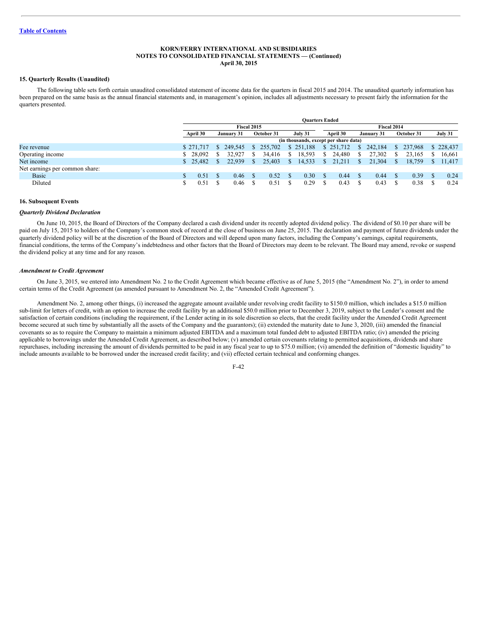#### **15. Quarterly Results (Unaudited)**

The following table sets forth certain unaudited consolidated statement of income data for the quarters in fiscal 2015 and 2014. The unaudited quarterly information has been prepared on the same basis as the annual financial statements and, in management's opinion, includes all adjustments necessary to present fairly the information for the quarters presented.

|                                |           | <b>Quarters Ended</b> |            |  |            |    |                                       |             |           |    |            |  |            |              |           |
|--------------------------------|-----------|-----------------------|------------|--|------------|----|---------------------------------------|-------------|-----------|----|------------|--|------------|--------------|-----------|
|                                |           | Fiscal 2015           |            |  |            |    |                                       | Fiscal 2014 |           |    |            |  |            |              |           |
|                                | April 30  |                       | January 31 |  | October 31 |    | July 31                               |             | April 30  |    | January 31 |  | October 31 |              | July 31   |
|                                |           |                       |            |  |            |    | (in thousands, except per share data) |             |           |    |            |  |            |              |           |
| Fee revenue                    | \$271,717 |                       | 249.545    |  | 255,702    |    | \$251,188                             |             | \$251,712 | Ъ. | 242,184    |  | 237,968    |              | \$228,437 |
| Operating income               | \$ 28,092 |                       | 32.927     |  | 34.416     |    | 18.593                                | S.          | 24,480    |    | 27,302     |  | 23.165     | S            | 16,661    |
| Net income                     | \$25.482  |                       | 22,939     |  | 25,403     | S. | 14,533                                | S.          | 21.211    |    | 21.304     |  | 18,759     | $S_{\alpha}$ | 11.417    |
| Net earnings per common share: |           |                       |            |  |            |    |                                       |             |           |    |            |  |            |              |           |
| <b>Basic</b>                   | 0.51      |                       | 0.46       |  | 0.52       |    | 0.30                                  |             | 0.44      |    | 0.44       |  | 0.39       |              | 0.24      |
| Diluted                        | 0.51      |                       | 0.46       |  | 0.51       |    | 0.29                                  |             | 0.43      |    | 0.43       |  | 0.38       |              | 0.24      |

## **16. Subsequent Events**

#### *Quarterly Dividend Declaration*

On June 10, 2015, the Board of Directors of the Company declared a cash dividend under its recently adopted dividend policy. The dividend of \$0.10 per share will be paid on July 15, 2015 to holders of the Company's common stock of record at the close of business on June 25, 2015. The declaration and payment of future dividends under the quarterly dividend policy will be at the discretion of the Board of Directors and will depend upon many factors, including the Company's earnings, capital requirements, financial conditions, the terms of the Company's indebtedness and other factors that the Board of Directors may deem to be relevant. The Board may amend, revoke or suspend the dividend policy at any time and for any reason.

#### *Amendment to Credit Agreement*

On June 3, 2015, we entered into Amendment No. 2 to the Credit Agreement which became effective as of June 5, 2015 (the "Amendment No. 2"), in order to amend certain terms of the Credit Agreement (as amended pursuant to Amendment No. 2, the "Amended Credit Agreement").

Amendment No. 2, among other things, (i) increased the aggregate amount available under revolving credit facility to \$150.0 million, which includes a \$15.0 million sub-limit for letters of credit, with an option to increase the credit facility by an additional \$50.0 million prior to December 3, 2019, subject to the Lender's consent and the satisfaction of certain conditions (including the requirement, if the Lender acting in its sole discretion so elects, that the credit facility under the Amended Credit Agreement become secured at such time by substantially all the assets of the Company and the guarantors); (ii) extended the maturity date to June 3, 2020, (iii) amended the financial covenants so as to require the Company to maintain a minimum adjusted EBITDA and a maximum total funded debt to adjusted EBITDA ratio; (iv) amended the pricing applicable to borrowings under the Amended Credit Agreement, as described below; (v) amended certain covenants relating to permitted acquisitions, dividends and share repurchases, including increasing the amount of dividends permitted to be paid in any fiscal year to up to \$75.0 million; (vi) amended the definition of "domestic liquidity" to include amounts available to be borrowed under the increased credit facility; and (vii) effected certain technical and conforming changes.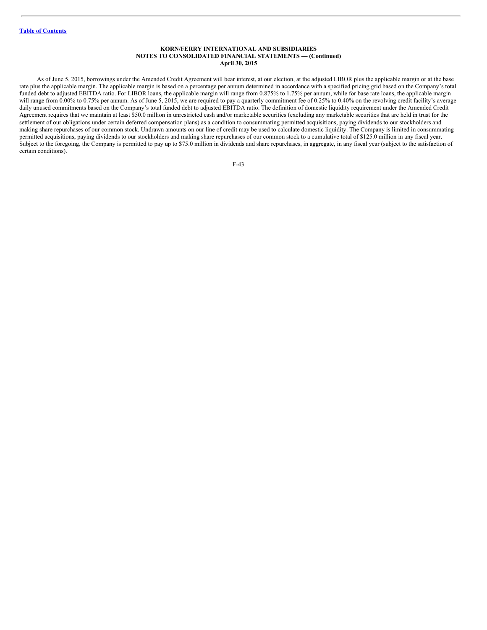As of June 5, 2015, borrowings under the Amended Credit Agreement will bear interest, at our election, at the adjusted LIBOR plus the applicable margin or at the base rate plus the applicable margin. The applicable margin is based on a percentage per annum determined in accordance with a specified pricing grid based on the Company's total funded debt to adjusted EBITDA ratio. For LIBOR loans, the applicable margin will range from 0.875% to 1.75% per annum, while for base rate loans, the applicable margin will range from 0.00% to 0.75% per annum. As of June 5, 2015, we are required to pay a quarterly commitment fee of 0.25% to 0.40% on the revolving credit facility's average daily unused commitments based on the Company's total funded debt to adjusted EBITDA ratio. The definition of domestic liquidity requirement under the Amended Credit Agreement requires that we maintain at least \$50.0 million in unrestricted cash and/or marketable securities (excluding any marketable securities that are held in trust for the settlement of our obligations under certain deferred compensation plans) as a condition to consummating permitted acquisitions, paying dividends to our stockholders and making share repurchases of our common stock. Undrawn amounts on our line of credit may be used to calculate domestic liquidity. The Company is limited in consummating permitted acquisitions, paying dividends to our stockholders and making share repurchases of our common stock to a cumulative total of \$125.0 million in any fiscal year. Subject to the foregoing, the Company is permitted to pay up to \$75.0 million in dividends and share repurchases, in aggregate, in any fiscal year (subject to the satisfaction of certain conditions).

| _            |  |
|--------------|--|
| ۰.<br>$\sim$ |  |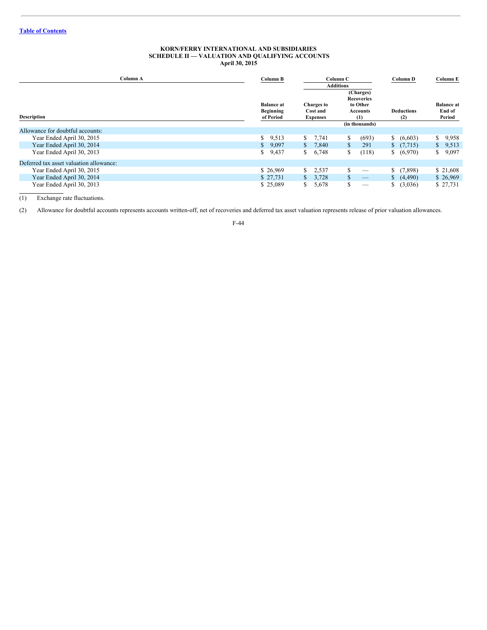### **KORN/FERRY INTERNATIONAL AND SUBSIDIARIES SCHEDULE II — VALUATION AND QUALIFYING ACCOUNTS April 30, 2015**

| Column A                                | Column B                                    |                                                  | Column C<br><b>Additions</b><br>(Charges)<br><b>Recoveries</b>                   | Column D              | Column E                              |  |
|-----------------------------------------|---------------------------------------------|--------------------------------------------------|----------------------------------------------------------------------------------|-----------------------|---------------------------------------|--|
| <b>Description</b>                      | <b>Balance</b> at<br>Beginning<br>of Period | <b>Charges to</b><br>Cost and<br><b>Expenses</b> | to Other<br><b>Deductions</b><br><b>Accounts</b><br>(1)<br>(2)<br>(in thousands) |                       | <b>Balance</b> at<br>End of<br>Period |  |
| Allowance for doubtful accounts:        |                                             |                                                  |                                                                                  |                       |                                       |  |
| Year Ended April 30, 2015               | \$<br>9.513                                 | \$7,741                                          | \$<br>(693)                                                                      | (6,603)<br>\$         | \$9,958                               |  |
| Year Ended April 30, 2014               | 9,097<br>\$                                 | 7.840<br>S.                                      | \$<br>291                                                                        | $\frac{1}{2}$ (7,715) | \$9,513                               |  |
| Year Ended April 30, 2013               | \$<br>9,437                                 | 6,748<br>S.                                      | (118)<br>\$                                                                      | \$<br>(6,970)         | S.<br>9,097                           |  |
| Deferred tax asset valuation allowance: |                                             |                                                  |                                                                                  |                       |                                       |  |
| Year Ended April 30, 2015               | \$26,969                                    | $\frac{1}{2}$ , 2,537                            | \$                                                                               | \$(7,898)             | \$21,608                              |  |
| Year Ended April 30, 2014               | \$27.731                                    | $\frac{1}{2}$ 3.728                              | \$                                                                               | (4,490)               | \$26,969                              |  |
| Year Ended April 30, 2013               | \$25,089                                    | 5,678<br>\$                                      | S.<br>_                                                                          | \$<br>(3,036)         | \$27,731                              |  |

(1) Exchange rate fluctuations.

(2) Allowance for doubtful accounts represents accounts written-off, net of recoveries and deferred tax asset valuation represents release of prior valuation allowances.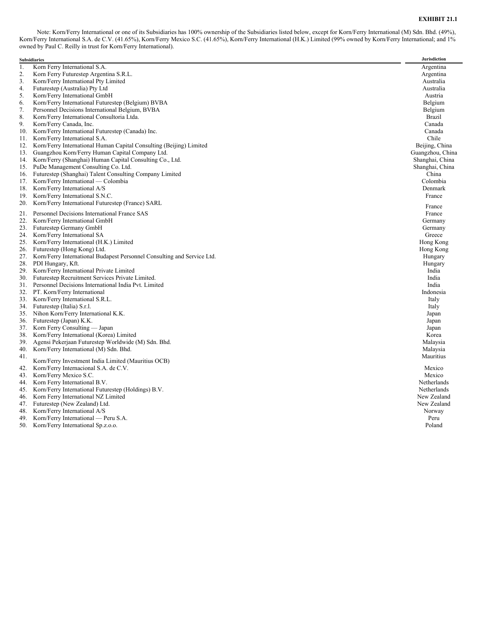# **EXHIBIT 21.1**

Note: Korn/Ferry International or one of its Subsidiaries has 100% ownership of the Subsidiaries listed below, except for Korn/Ferry International (M) Sdn. Bhd. (49%), Korn/Ferry International S.A. de C.V. (41.65%), Korn/Ferry Mexico S.C. (41.65%), Korn/Ferry International (H.K.) Limited (99% owned by Korn/Ferry International; and 1% owned by Paul C. Reilly in trust for Korn/Ferry International).

|     | <b>Subsidiaries</b>                                                     | Jurisdiction     |
|-----|-------------------------------------------------------------------------|------------------|
| 1.  | Korn Ferry International S.A.                                           | Argentina        |
| 2.  | Korn Ferry Futurestep Argentina S.R.L.                                  | Argentina        |
| 3.  | Korn/Ferry International Pty Limited                                    | Australia        |
| 4.  | Futurestep (Australia) Pty Ltd                                          | Australia        |
| 5.  | Korn/Ferry International GmbH                                           | Austria          |
| 6.  | Korn/Ferry International Futurestep (Belgium) BVBA                      | Belgium          |
| 7.  | Personnel Decisions International Belgium, BVBA                         | Belgium          |
| 8.  | Korn/Ferry International Consultoria Ltda.                              | <b>Brazil</b>    |
| 9.  | Korn/Ferry Canada, Inc.                                                 | Canada           |
| 10. | Korn/Ferry International Futurestep (Canada) Inc.                       | Canada           |
| 11. | Korn/Ferry International S.A.                                           | Chile            |
| 12. | Korn/Ferry International Human Capital Consulting (Beijing) Limited     | Beijing, China   |
| 13. | Guangzhou Korn/Ferry Human Capital Company Ltd.                         | Guangzhou, China |
| 14. | Korn/Ferry (Shanghai) Human Capital Consulting Co., Ltd.                | Shanghai, China  |
| 15. | PuDe Management Consulting Co. Ltd.                                     | Shanghai, China  |
| 16. | Futurestep (Shanghai) Talent Consulting Company Limited                 | China            |
| 17. | Korn/Ferry International — Colombia                                     | Colombia         |
| 18. | Korn/Ferry International A/S                                            | Denmark          |
| 19. | Korn/Ferry International S.N.C.                                         | France           |
| 20. | Korn/Ferry International Futurestep (France) SARL                       |                  |
|     |                                                                         | France           |
| 21. | Personnel Decisions International France SAS                            | France           |
| 22. | Korn/Ferry International GmbH                                           | Germany          |
| 23. | Futurestep Germany GmbH                                                 | Germany          |
| 24. | Korn/Ferry International SA                                             | Greece           |
| 25. | Korn/Ferry International (H.K.) Limited                                 | Hong Kong        |
| 26. | Futurestep (Hong Kong) Ltd.                                             | Hong Kong        |
| 27. | Korn/Ferry International Budapest Personnel Consulting and Service Ltd. | Hungary          |
| 28. | PDI Hungary, Kft.                                                       | Hungary          |
| 29. | Korn/Ferry International Private Limited                                | India            |
| 30. | Futurestep Recruitment Services Private Limited.                        | India            |
| 31. | Personnel Decisions International India Pvt. Limited                    | India            |
| 32. | PT. Korn/Ferry International                                            | Indonesia        |
| 33. | Korn/Ferry International S.R.L.                                         | Italy            |
| 34. | Futurestep (Italia) S.r.l.                                              | Italy            |
| 35. | Nihon Korn/Ferry International K.K.                                     | Japan            |
| 36. | Futurestep (Japan) K.K.                                                 | Japan            |
| 37. | Korn Ferry Consulting — Japan                                           | Japan            |
| 38. | Korn/Ferry International (Korea) Limited                                | Korea            |
| 39. | Agensi Pekerjaan Futurestep Worldwide (M) Sdn. Bhd.                     | Malaysia         |
| 40. | Korn/Ferry International (M) Sdn. Bhd.                                  | Malaysia         |
| 41. |                                                                         | Mauritius        |
|     | Korn/Ferry Investment India Limited (Mauritius OCB)                     |                  |
| 42. | Korn/Ferry Internacional S.A. de C.V.                                   | Mexico           |
| 43. | Korn/Ferry Mexico S.C.                                                  | Mexico           |
| 44. | Korn Ferry International B.V.                                           | Netherlands      |
| 45. | Korn/Ferry International Futurestep (Holdings) B.V.                     | Netherlands      |
| 46. | Korn Ferry International NZ Limited                                     | New Zealand      |
| 47. | Futurestep (New Zealand) Ltd.                                           | New Zealand      |
| 48. | Korn/Ferry International A/S                                            | Norway           |
| 49. | Korn/Ferry International — Peru S.A.                                    | Peru             |
| 50. | Korn/Ferry International Sp.z.o.o.                                      | Poland           |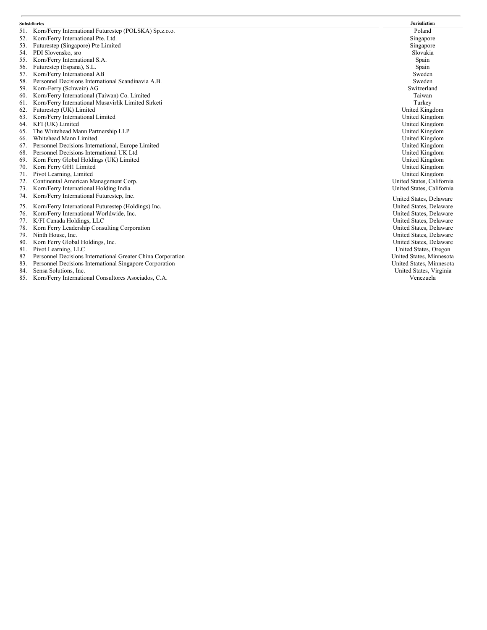## **Subsidiaries**

- $\overline{5}1$ . 1. Korn/Ferry International Futurestep (POLSKA) Sp
- $52.$ 2. Korn/Ferry International Pte. Ltd
- 53. 3. Futurestep (Singapore) Pte Limited
- 54. PDI Slovensko, sro
- 55. Korn/Ferry International
- 56. 6. Futurestep (Espana)
- 57. 7. Korn/Ferry International AB
- 58. 8. Personnel Decisions International Scandinavia
- 59. 9. Korn-Ferry (Schweiz) AG
- 60. 0. Korn/Ferry International (Taiwan) Co. Limited
- 61. 1. Korn/Ferry International Musavirlik Limited Sirketi
- 62. 2. Futurestep (UK) Limited
- 63. 3. Korn/Ferry International Limited
- 64. 4. KFI (UK) Limited
- 65. 5. The Whitehead Mann Partnership LLP
- 66. 6. Whitehead Mann Limited
- 67. 7. Personnel Decisions International, Europe Limited
- 68. 8. Personnel Decisions International UK Ltd
- 69. 9. Korn Ferry Global Holdings (UK) Limited
- 70. 0. Korn Ferry GH1 Limited
- 71. Pivot Learning, Limited
- 72. 2. Continental American Management Cor
- 73. 3. Korn/Ferry International Holding India
- 74. 4. Korn/Ferry International Futurestep, Inc
- 75. 5. Korn/Ferry International Futurestep (Holdings) Inc
- 76. 6. Korn/Ferry International Worldwide, Inc c. Under the contract of the contract of the contract of the contract of the contract of the contract of the contract of the contract of the contract of the contract of the contract of the contract of the contract of the c
- 77. 7. K/FI Canada Holdings, LLC
- 78. 8. Korn Ferry Leadership Consulting Corporation
- 79. 9. Ninth House, Inc. c. C.
- 80. 0. Korn Ferry Global Holdings, Inc
- 81. 1. Pivot Learning, LLC
- 8 2 Personnel Decisions International Greater China Corporation
- 83 3. Personnel Decisions International Singapore Corporation
- 84. 4. Sensa Solutions, Inc
- 85. 5. Korn/Ferry International Consultores Asociados

**J u r i s d ic t i o n**  $p.z.$ o.o. Postala e a postala e a postala e a postala e a postala e a postala e a postala e a postala e a postala e a postala e a postala e a postala e a postala e a postala e a postala e a postala e a postala e a postala o l a n d d. Si ingapore Singapore Slovakia S.A. STA p a i n  $\mathsf{S}_{\mathsf{F}}$ . S.L. Space  $\mathsf{S}_{\mathsf{F}}$ p a i n Sweden A.B. Sv w e d e n Switzerland Taiwan Turkey United Kingdom United Kingdom United Kingdom United Kingdom United Kingdom United Kingdom United Kingdom United Kingdom United Kingdom United Kingdom rp. Un nited States, California United States, California c. Un nited States, Delaware c. C. nited States, Delaware nited States, Delaware United States, Delaware United States, Delaware nited States, Delaware c. C. nited States, Delaware United States, Oregon United States, Minnesota United States, Minnesota c. C. nited States, Virginia s, C.A. Ve enezuela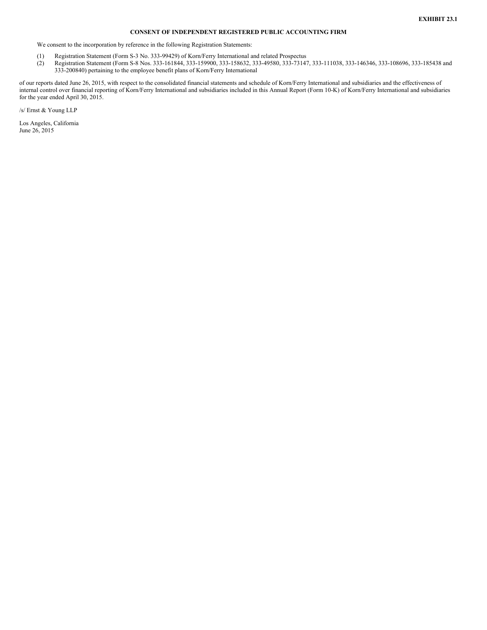## **CONSENT OF INDEPENDENT REGISTERED PUBLIC ACCOUNTING FIRM**

We consent to the incorporation by reference in the following Registration Statements:

- (1) Registration Statement (Form S-3 No. 333-99429) of Korn/Ferry International and related Prospectus
- (2) Registration Statement (Form S-8 Nos. 333-161844, 333-159900, 333-158632, 333-49580, 333-73147, 333-111038, 333-146346, 333-108696, 333-185438 and 333-200840) pertaining to the employee benefit plans of Korn/Ferry International

of our reports dated June 26, 2015, with respect to the consolidated financial statements and schedule of Korn/Ferry International and subsidiaries and the effectiveness of internal control over financial reporting of Korn/Ferry International and subsidiaries included in this Annual Report (Form 10-K) of Korn/Ferry International and subsidiaries for the year ended April 30, 2015.

/s/ Ernst & Young LLP

Los Angeles, California June 26, 2015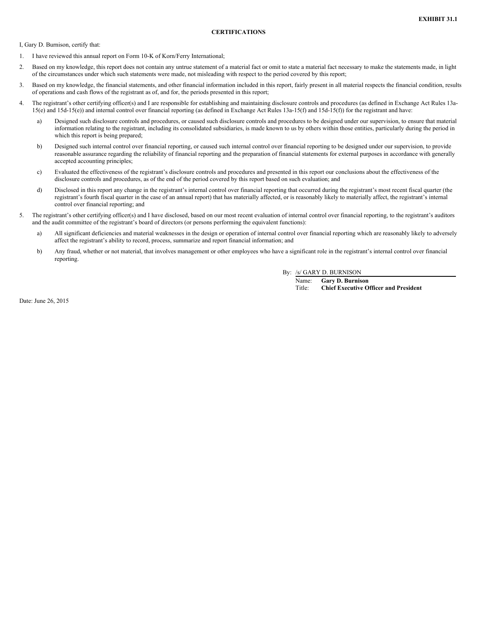I, Gary D. Burnison, certify that:

- 1. I have reviewed this annual report on Form 10-K of Korn/Ferry International;
- 2. Based on my knowledge, this report does not contain any untrue statement of a material fact or omit to state a material fact necessary to make the statements made, in light of the circumstances under which such statements were made, not misleading with respect to the period covered by this report;
- 3. Based on my knowledge, the financial statements, and other financial information included in this report, fairly present in all material respects the financial condition, results of operations and cash flows of the registrant as of, and for, the periods presented in this report;
- 4. The registrant's other certifying officer(s) and I are responsible for establishing and maintaining disclosure controls and procedures (as defined in Exchange Act Rules 13a-15(e) and 15d-15(e)) and internal control over financial reporting (as defined in Exchange Act Rules 13a-15(f) and 15d-15(f)) for the registrant and have:
	- a) Designed such disclosure controls and procedures, or caused such disclosure controls and procedures to be designed under our supervision, to ensure that material information relating to the registrant, including its consolidated subsidiaries, is made known to us by others within those entities, particularly during the period in which this report is being prepared;
	- b) Designed such internal control over financial reporting, or caused such internal control over financial reporting to be designed under our supervision, to provide reasonable assurance regarding the reliability of financial reporting and the preparation of financial statements for external purposes in accordance with generally accepted accounting principles;
	- c) Evaluated the effectiveness of the registrant's disclosure controls and procedures and presented in this report our conclusions about the effectiveness of the disclosure controls and procedures, as of the end of the period covered by this report based on such evaluation; and
	- d) Disclosed in this report any change in the registrant's internal control over financial reporting that occurred during the registrant's most recent fiscal quarter (the registrant's fourth fiscal quarter in the case of an annual report) that has materially affected, or is reasonably likely to materially affect, the registrant's internal control over financial reporting; and
- 5. The registrant's other certifying officer(s) and I have disclosed, based on our most recent evaluation of internal control over financial reporting, to the registrant's auditors and the audit committee of the registrant's board of directors (or persons performing the equivalent functions):
	- a) All significant deficiencies and material weaknesses in the design or operation of internal control over financial reporting which are reasonably likely to adversely affect the registrant's ability to record, process, summarize and report financial information; and
	- b) Any fraud, whether or not material, that involves management or other employees who have a significant role in the registrant's internal control over financial reporting.

By: /s/ GARY D. BURNISON

Name: **Gary D. Burnison Chief Executive Officer and President** 

Date: June 26, 2015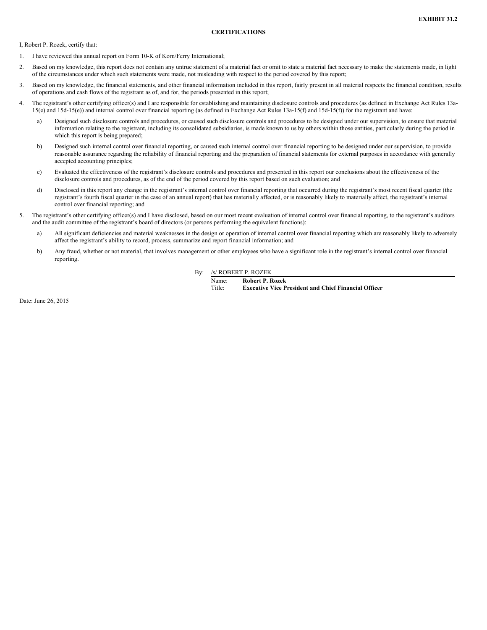I, Robert P. Rozek, certify that:

- 1. I have reviewed this annual report on Form 10-K of Korn/Ferry International;
- 2. Based on my knowledge, this report does not contain any untrue statement of a material fact or omit to state a material fact necessary to make the statements made, in light of the circumstances under which such statements were made, not misleading with respect to the period covered by this report;
- 3. Based on my knowledge, the financial statements, and other financial information included in this report, fairly present in all material respects the financial condition, results of operations and cash flows of the registrant as of, and for, the periods presented in this report;
- 4. The registrant's other certifying officer(s) and I are responsible for establishing and maintaining disclosure controls and procedures (as defined in Exchange Act Rules 13a-15(e) and 15d-15(e)) and internal control over financial reporting (as defined in Exchange Act Rules 13a-15(f) and 15d-15(f)) for the registrant and have:
	- a) Designed such disclosure controls and procedures, or caused such disclosure controls and procedures to be designed under our supervision, to ensure that material information relating to the registrant, including its consolidated subsidiaries, is made known to us by others within those entities, particularly during the period in which this report is being prepared;
	- b) Designed such internal control over financial reporting, or caused such internal control over financial reporting to be designed under our supervision, to provide reasonable assurance regarding the reliability of financial reporting and the preparation of financial statements for external purposes in accordance with generally accepted accounting principles;
	- c) Evaluated the effectiveness of the registrant's disclosure controls and procedures and presented in this report our conclusions about the effectiveness of the disclosure controls and procedures, as of the end of the period covered by this report based on such evaluation; and
	- d) Disclosed in this report any change in the registrant's internal control over financial reporting that occurred during the registrant's most recent fiscal quarter (the registrant's fourth fiscal quarter in the case of an annual report) that has materially affected, or is reasonably likely to materially affect, the registrant's internal control over financial reporting; and
- 5. The registrant's other certifying officer(s) and I have disclosed, based on our most recent evaluation of internal control over financial reporting, to the registrant's auditors and the audit committee of the registrant's board of directors (or persons performing the equivalent functions):
	- a) All significant deficiencies and material weaknesses in the design or operation of internal control over financial reporting which are reasonably likely to adversely affect the registrant's ability to record, process, summarize and report financial information; and
	- b) Any fraud, whether or not material, that involves management or other employees who have a significant role in the registrant's internal control over financial reporting.

By: /s/ ROBERT P. ROZEK

Name: **Robert P. Rozek Executive Vice President and Chief Financial Officer** 

Date: June 26, 2015